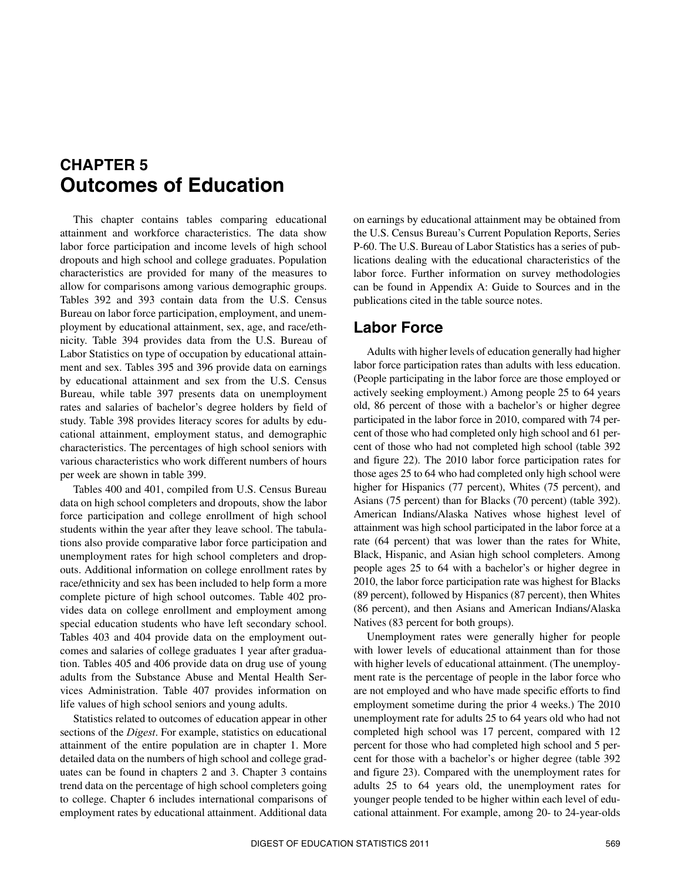# <span id="page-0-0"></span>**CHAPTER 5 Outcomes of Education**

 Bureau on labor force participation, employment, and unem- by educational attainment and sex from the U.S. Census cational attainment, employment status, and demographic various characteristics who work different numbers of hours This chapter contains tables comparing educational attainment and workforce characteristics. The data show labor force participation and income levels of high school dropouts and high school and college graduates. Population characteristics are provided for many of the measures to allow for comparisons among various demographic groups. Tables 392 and 393 contain data from the U.S. Census ployment by educational attainment, sex, age, and race/ethnicity. Table 394 provides data from the U.S. Bureau of Labor Statistics on type of occupation by educational attainment and sex. Tables 395 and 396 provide data on earnings Bureau, while table 397 presents data on unemployment rates and salaries of bachelor's degree holders by field of study. Table 398 provides literacy scores for adults by educharacteristics. The percentages of high school seniors with per week are shown in table 399.

Tables 400 and 401, compiled from U.S. Census Bureau data on high school completers and dropouts, show the labor force participation and college enrollment of high school students within the year after they leave school. The tabulations also provide comparative labor force participation and unemployment rates for high school completers and dropouts. Additional information on college enrollment rates by race/ethnicity and sex has been included to help form a more complete picture of high school outcomes. Table 402 provides data on college enrollment and employment among special education students who have left secondary school. Tables 403 and 404 provide data on the employment outcomes and salaries of college graduates 1 year after graduation. Tables 405 and 406 provide data on drug use of young adults from the Substance Abuse and Mental Health Services Administration. Table 407 provides information on life values of high school seniors and young adults.

 sections of the *Digest*. For example, statistics on educational detailed data on the numbers of high school and college grad- trend data on the percentage of high school completers going Statistics related to outcomes of education appear in other attainment of the entire population are in chapter 1. More uates can be found in chapters 2 and 3. Chapter 3 contains to college. Chapter 6 includes international comparisons of employment rates by educational attainment. Additional data

on earnings by educational attainment may be obtained from the U.S. Census Bureau's Current Population Reports, Series P-60. The U.S. Bureau of Labor Statistics has a series of publications dealing with the educational characteristics of the labor force. Further information on survey methodologies can be found in Appendix A: Guide to Sources and in the publications cited in the table source notes.

# **Labor Force**

 Asians (75 percent) than for Blacks (70 percent) (table 392). American Indians/Alaska Natives whose highest level of (86 percent), and then Asians and American Indians/Alaska Adults with higher levels of education generally had higher labor force participation rates than adults with less education. (People participating in the labor force are those employed or actively seeking employment.) Among people 25 to 64 years old, 86 percent of those with a bachelor's or higher degree participated in the labor force in 2010, compared with 74 percent of those who had completed only high school and 61 percent of those who had not completed high school (table 392 and figure 22). The 2010 labor force participation rates for those ages 25 to 64 who had completed only high school were higher for Hispanics (77 percent), Whites (75 percent), and attainment was high school participated in the labor force at a rate (64 percent) that was lower than the rates for White, Black, Hispanic, and Asian high school completers. Among people ages 25 to 64 with a bachelor's or higher degree in 2010, the labor force participation rate was highest for Blacks (89 percent), followed by Hispanics (87 percent), then Whites Natives (83 percent for both groups).

 ment rate is the percentage of people in the labor force who are not employed and who have made specific efforts to find unemployment rate for adults 25 to 64 years old who had not cent for those with a bachelor's or higher degree (table 392 adults 25 to 64 years old, the unemployment rates for younger people tended to be higher within each level of edu-Unemployment rates were generally higher for people with lower levels of educational attainment than for those with higher levels of educational attainment. (The unemployemployment sometime during the prior 4 weeks.) The 2010 completed high school was 17 percent, compared with 12 percent for those who had completed high school and 5 perand figure 23). Compared with the unemployment rates for cational attainment. For example, among 20- to 24-year-olds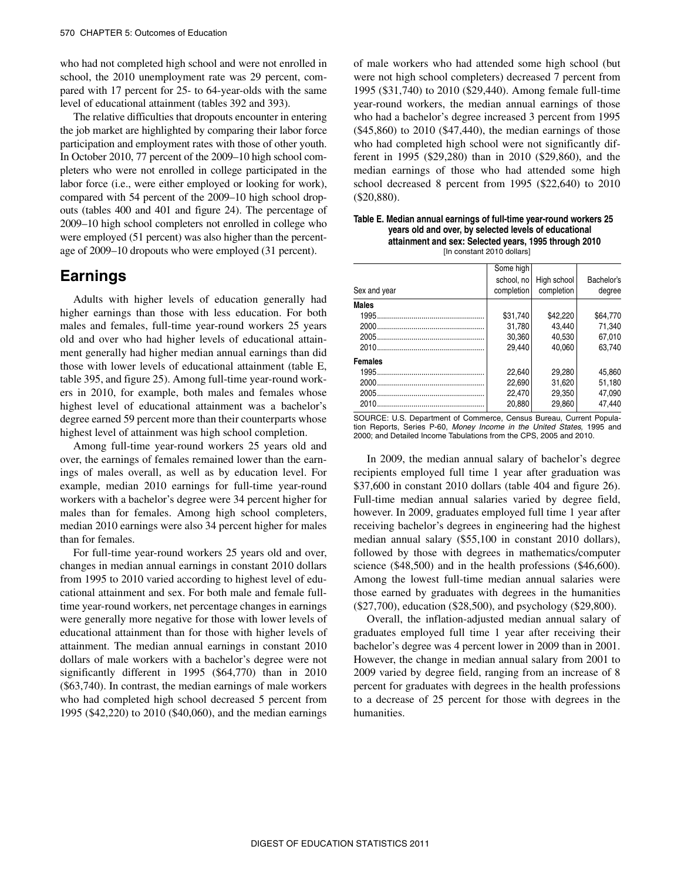who had not completed high school and were not enrolled in school, the 2010 unemployment rate was 29 percent, compared with 17 percent for 25- to 64-year-olds with the same level of educational attainment (tables 392 and 393).

The relative difficulties that dropouts encounter in entering the job market are highlighted by comparing their labor force participation and employment rates with those of other youth. In October 2010, 77 percent of the 2009–10 high school completers who were not enrolled in college participated in the labor force (i.e., were either employed or looking for work), compared with 54 percent of the 2009–10 high school dropouts (tables 400 and 401 and figure 24). The percentage of 2009–10 high school completers not enrolled in college who were employed (51 percent) was also higher than the percentage of 2009–10 dropouts who were employed (31 percent).

# **Earnings**

 Adults with higher levels of education generally had males and females, full-time year-round workers 25 years old and over who had higher levels of educational attain- ers in 2010, for example, both males and females whose higher earnings than those with less education. For both ment generally had higher median annual earnings than did those with lower levels of educational attainment (table E, table 395, and figure 25). Among full-time year-round workhighest level of educational attainment was a bachelor's degree earned 59 percent more than their counterparts whose highest level of attainment was high school completion.

 over, the earnings of females remained lower than the earn-Among full-time year-round workers 25 years old and ings of males overall, as well as by education level. For example, median 2010 earnings for full-time year-round workers with a bachelor's degree were 34 percent higher for males than for females. Among high school completers, median 2010 earnings were also 34 percent higher for males than for females.

 from 1995 to 2010 varied according to highest level of edu- cational attainment and sex. For both male and female full- significantly different in 1995 (\$64,770) than in 2010 (\$63,740). In contrast, the median earnings of male workers For full-time year-round workers 25 years old and over, changes in median annual earnings in constant 2010 dollars time year-round workers, net percentage changes in earnings were generally more negative for those with lower levels of educational attainment than for those with higher levels of attainment. The median annual earnings in constant 2010 dollars of male workers with a bachelor's degree were not who had completed high school decreased 5 percent from 1995 (\$42,220) to 2010 (\$40,060), and the median earnings

 were not high school completers) decreased 7 percent from of male workers who had attended some high school (but 1995 (\$31,740) to 2010 (\$29,440). Among female full-time year-round workers, the median annual earnings of those who had a bachelor's degree increased 3 percent from 1995 (\$45,860) to 2010 (\$47,440), the median earnings of those who had completed high school were not significantly different in 1995 (\$29,280) than in 2010 (\$29,860), and the median earnings of those who had attended some high school decreased 8 percent from 1995 (\$22,640) to 2010 (\$20,880).

|                | $\frac{1}{2}$ out of the control of $\frac{1}{2}$ |             |            |
|----------------|---------------------------------------------------|-------------|------------|
|                | Some high                                         |             |            |
|                | school, no                                        | High school | Bachelor's |
| Sex and year   | completion                                        | completion  | degree     |
| <b>Males</b>   |                                                   |             |            |
|                | \$31.740                                          | \$42.220    | \$64,770   |
|                | 31.780                                            | 43.440      | 71.340     |
|                | 30.360                                            | 40.530      | 67.010     |
|                | 29.440                                            | 40.060      | 63.740     |
| <b>Females</b> |                                                   |             |            |
|                | 22.640                                            | 29.280      | 45.860     |
| 2000           | 22.690                                            | 31.620      | 51.180     |
|                | 22.470                                            | 29.350      | 47,090     |
| 2010           | 20.880                                            | 29.860      | 47.440     |

**Table E. Median annual earnings of full-time year-round workers 25 years old and over, by selected levels of educational attainment and sex: Selected years, 1995 through 2010**  [In constant 2010 dollars]

SOURCE: U.S. Department of Commerce, Census Bureau, Current Population Reports, Series P-60, *Money Income in the United States,* 1995 and 2000; and Detailed Income Tabulations from the CPS, 2005 and 2010.

 \$37,600 in constant 2010 dollars (table 404 and figure 26). receiving bachelor's degrees in engineering had the highest In 2009, the median annual salary of bachelor's degree recipients employed full time 1 year after graduation was Full-time median annual salaries varied by degree field, however. In 2009, graduates employed full time 1 year after median annual salary (\$55,100 in constant 2010 dollars), followed by those with degrees in mathematics/computer science (\$48,500) and in the health professions (\$46,600). Among the lowest full-time median annual salaries were those earned by graduates with degrees in the humanities (\$27,700), education (\$28,500), and psychology (\$29,800).

Overall, the inflation-adjusted median annual salary of graduates employed full time 1 year after receiving their bachelor's degree was 4 percent lower in 2009 than in 2001. However, the change in median annual salary from 2001 to 2009 varied by degree field, ranging from an increase of 8 percent for graduates with degrees in the health professions to a decrease of 25 percent for those with degrees in the humanities.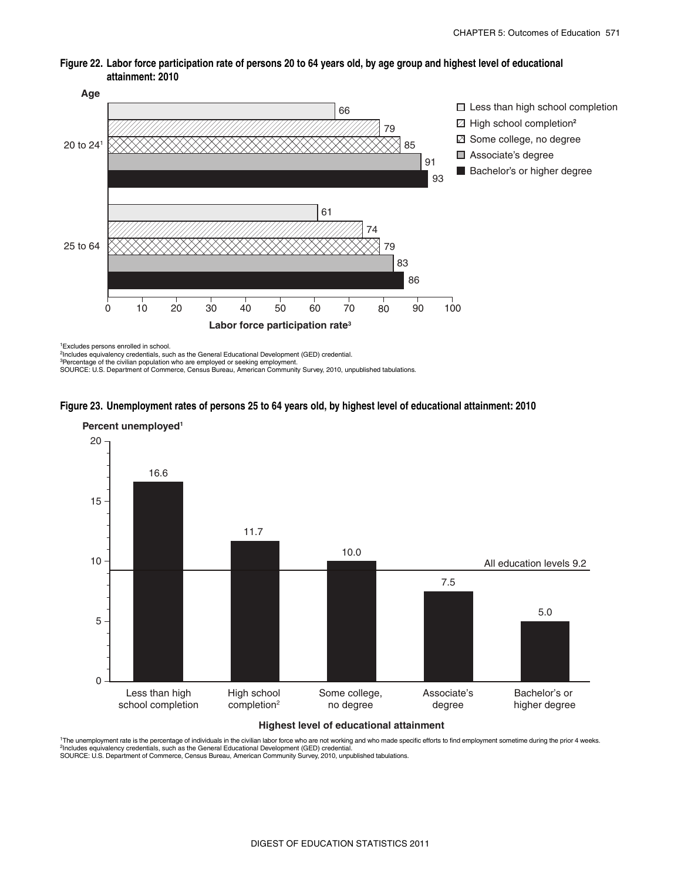



1Excludes persons enrolled in school.

<sup>2</sup>Includes equivalency credentials, such as the General Educational Development (GED) credential.<br><sup>3</sup>Percentage of the civilian population who are employed or seeking employment.

SOURCE: U.S. Department of Commerce, Census Bureau, American Community Survey, 2010, unpublished tabulations.

### **Figure 23. Unemployment rates of persons 25 to 64 years old, by highest level of educational attainment: 2010**



#### **Highest level of educational attainment**

<sup>1</sup>The unemployment rate is the percentage of individuals in the civilian labor force who are not working and who made specific efforts to find employment sometime during the prior 4 weeks.<br><sup>2</sup>Includes equivalency credenti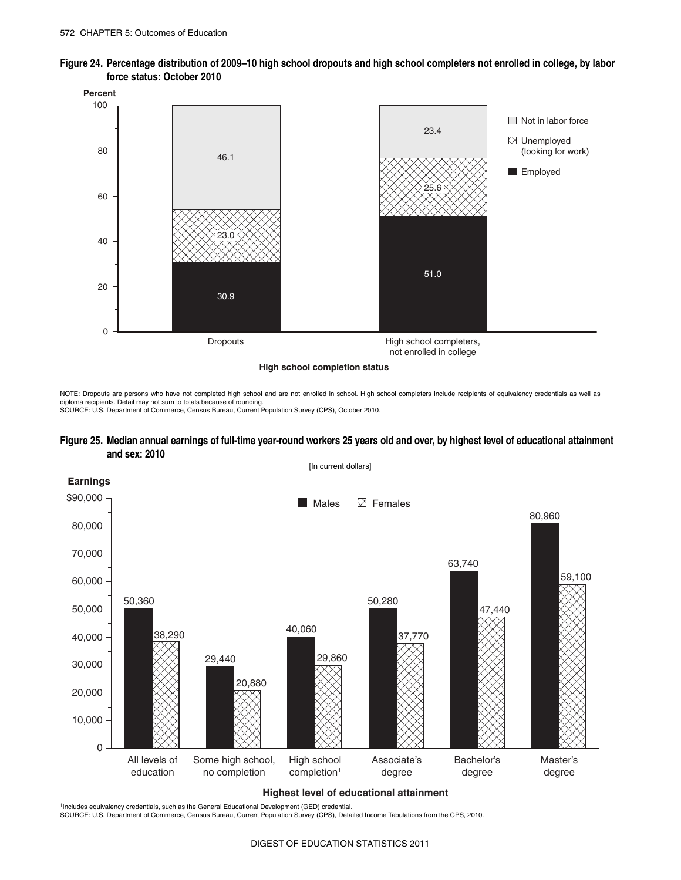



**High school completion status** 

NOTE: Dropouts are persons who have not completed high school and are not enrolled in school. High school completers include recipients of equivalency credentials as well as<br>diploma recipients. Detail may not sum to totals SOURCE: U.S. Department of Commerce, Census Bureau, Current Population Survey (CPS), October 2010.

### **Figure 25. Median annual earnings of full-time year-round workers 25 years old and over, by highest level of educational attainment and sex: 2010**



#### **Highest level of educational attainment**

1Includes equivalency credentials, such as the General Educational Development (GED) credential.

SOURCE: U.S. Department of Commerce, Census Bureau, Current Population Survey (CPS), Detailed Income Tabulations from the CPS, 2010.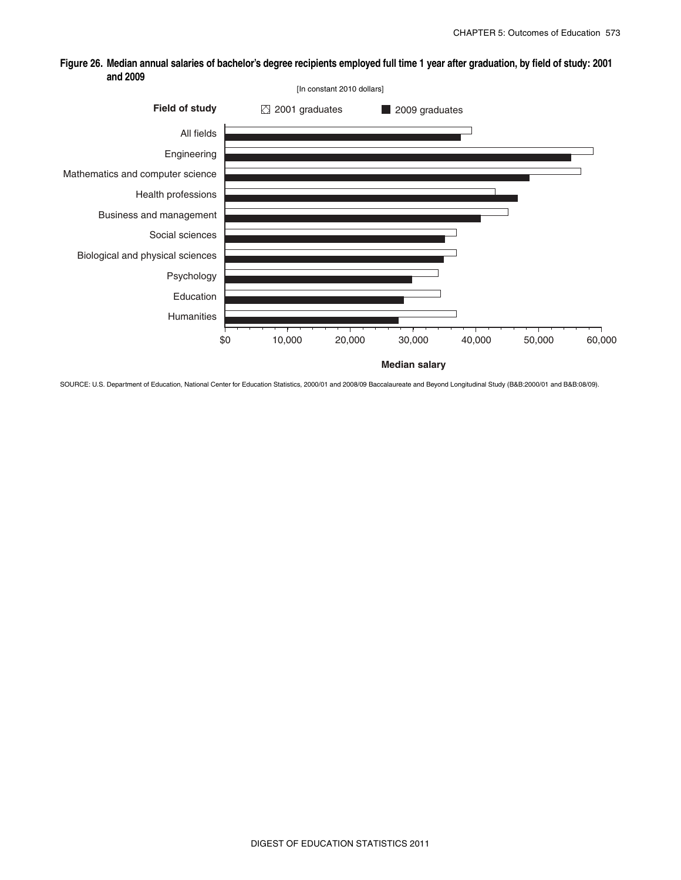

# **Figure 26. Median annual salaries of bachelor's degree recipients employed full time 1 year after graduation, by field of study: 2001 and 2009**

SOURCE: U.S. Department of Education, National Center for Education Statistics, 2000/01 and 2008/09 Baccalaureate and Beyond Longitudinal Study (B&B:2000/01 and B&B:08/09).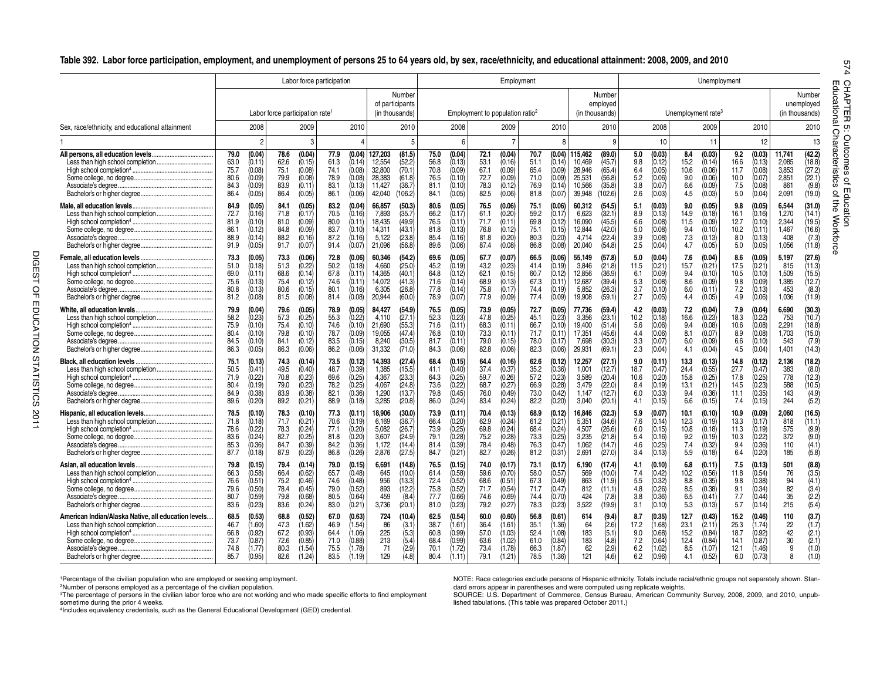#### Table 392. Labor force participation, employment, and unemployment of persons 25 to 64 years old, by sex, race/ethnicity, and educational attainment: 2008, 2009, and 2010

|                                                                           |                                                                                                          | Labor force participation                                                                                |                                                                                                          |                                                                                                                       |                                                                                                          |                                                                                                          | Employment                                                                                               |                                                                                                                        |                                                                                                      | Unemployment                                                                                           |                                                                                                         |                                                                                                              | m                                                          |
|---------------------------------------------------------------------------|----------------------------------------------------------------------------------------------------------|----------------------------------------------------------------------------------------------------------|----------------------------------------------------------------------------------------------------------|-----------------------------------------------------------------------------------------------------------------------|----------------------------------------------------------------------------------------------------------|----------------------------------------------------------------------------------------------------------|----------------------------------------------------------------------------------------------------------|------------------------------------------------------------------------------------------------------------------------|------------------------------------------------------------------------------------------------------|--------------------------------------------------------------------------------------------------------|---------------------------------------------------------------------------------------------------------|--------------------------------------------------------------------------------------------------------------|------------------------------------------------------------|
|                                                                           |                                                                                                          | Labor force participation rate <sup>1</sup>                                                              |                                                                                                          | Number<br>of participants<br>(in thousands)                                                                           |                                                                                                          | Employment to population ratio <sup>2</sup>                                                              |                                                                                                          | Number<br>employed<br>(in thousands)                                                                                   |                                                                                                      | Unemployment rate <sup>3</sup>                                                                         |                                                                                                         | Number<br>unemployed<br>(in thousands)                                                                       | CHAP<br>O<br>ucati<br>š<br>mi<br>고                         |
| Sex, race/ethnicity, and educational attainment                           | 2008                                                                                                     | 2009                                                                                                     | 2010                                                                                                     | 2010                                                                                                                  | 2008                                                                                                     | 2009                                                                                                     | 2010                                                                                                     | 2010                                                                                                                   | 2008                                                                                                 | 2009                                                                                                   | 2010                                                                                                    | 2010                                                                                                         | ھ<br>Ö٦<br>O                                               |
|                                                                           | $\overline{2}$                                                                                           | 3                                                                                                        |                                                                                                          | 5                                                                                                                     | 6                                                                                                        | 7                                                                                                        | 8                                                                                                        | 9                                                                                                                      | 10                                                                                                   | 11                                                                                                     | 12                                                                                                      | 13                                                                                                           | Outc<br>haract                                             |
|                                                                           | 79.0<br>(0.04)<br>63.0<br>(0.11)<br>75.7<br>(0.08)<br>(0.09)<br>80.6<br>(0.09)<br>84.3<br>86.4<br>(0.05) | 78.6<br>(0.04)<br>62.6<br>(0.15)<br>75.1<br>(0.08)<br>79.9<br>(0.08)<br>83.9<br>(0.11)<br>86.4<br>(0.05) | (0.04)<br>77.9<br>61.3<br>(0.14)<br>74.1<br>(0.08)<br>78.9<br>(0.08)<br>(0.13)<br>83.1<br>86.1<br>(0.06) | 127.203<br>(81.5)<br>12,554<br>(52.2)<br>32.800<br>(70.1)<br>28,383<br>(61.8)<br>(36.7)<br>11.427<br>106.2)<br>42,040 | 75.0<br>(0.04)<br>56.8<br>(0.13)<br>70.8<br>(0.09)<br>76.5<br>(0.10)<br>81.1<br>(0.10)<br>(0.05)<br>84.1 | 72.1<br>(0.04)<br>(0.16)<br>53.1<br>67.1<br>(0.09)<br>(0.09)<br>72.7<br>78.3<br>(0.12)<br>82.5<br>(0.06) | (0.04)<br>70.7<br>(0.14)<br>51.1<br>(0.09)<br>65.4<br>(0.09)<br>71.0<br>76.9<br>(0.14)<br>(0.07)<br>81.8 | 115.462<br>(89.0)<br>(45.7)<br>10,469<br>(65.4)<br>28,946<br>25,531<br>(56.8)<br>(35.8)<br>10,566<br>39,948<br>(102.6) | (0.03)<br>5.0<br>(0.12)<br>9.8<br>6.4<br>(0.05)<br>(0.06)<br>5.2<br>3.8<br>(0.07)<br>2.6<br>(0.03)   | (0.03)<br>8.4<br>15.2<br>(0.14)<br>(0.06)<br>10.6<br>(0.06)<br>9.0<br>6.6<br>(0.09)<br>(0.03)<br>4.5   | 9.2<br>(0.03)<br>(0.13)<br>16.6<br>(0.08)<br>11.7<br>10.0<br>(0.07)<br>7.5<br>(0.08)<br>5.0<br>(0.04)   | (42.2)<br>11.741<br>(18.8)<br>2,085<br>3,853<br>(27.2)<br>2,851<br>(22.1)<br>(9.8)<br>861<br>(19.0)<br>2,091 | ğ<br>teris<br>ēs<br>ics<br>$\Omega$<br>$\blacksquare$<br>으 |
| Male, all education levels.                                               | (0.05)<br>84.9<br>72.7<br>(0.16)<br>(0.10)<br>81.9<br>86.1<br>(0.12)<br>88.9<br>(0.14)<br>(0.05)<br>91.9 | 84.1<br>(0.05)<br>71.8<br>(0.17)<br>(0.09)<br>81.0<br>(0.09)<br>84.8<br>88.2<br>(0.16)<br>91.7<br>(0.07) | 83.2<br>(0.04)<br>70.5<br>(0.16)<br>80.0<br>(0.11)<br>83.7<br>(0.10)<br>87.2<br>(0.16)<br>91.4<br>(0.07) | (50.3)<br>66,857<br>(35.7)<br>7,893<br>18.435<br>(49.9)<br>(43.1)<br>14,311<br>(23.8)<br>5,122<br>(56.8)<br>21,096    | 80.6<br>(0.05)<br>66.2<br>(0.17)<br>76.5<br>(0.11)<br>81.8<br>(0.13)<br>85.4<br>(0.16)<br>89.6<br>(0.06) | (0.06)<br>76.5<br>(0.20)<br>61.1<br>71.7<br>(0.11)<br>76.8<br>(0.12)<br>(0.20)<br>81.8<br>87.4<br>(0.08) | (0.06)<br>75.1<br>59.2<br>(0.17)<br>(0.12)<br>69.8<br>75.1<br>(0.15)<br>(0.20)<br>80.3<br>86.8<br>(0.08) | 60,312<br>(54.5)<br>6,623<br>(32.1)<br>(45.5)<br>16.090<br>(42.0)<br>12,844<br>(22.4)<br>4,714<br>20,040<br>(54.8)     | 5.1<br>(0.03)<br>(0.13)<br>8.9<br>(0.08)<br>6.6<br>(0.08)<br>5.0<br>(0.08)<br>3.9<br>2.5<br>(0.04)   | (0.05)<br>9.0<br>14.9<br>(0.18)<br>(0.09)<br>11.5<br>9.4<br>(0.10)<br>7.3<br>(0.13)<br>(0.05)<br>4.7   | 9.8<br>(0.05)<br>16.1<br>(0.16)<br>12.7<br>(0.10)<br>10.2<br>(0.11)<br>8.0<br>(0.13)<br>5.0<br>(0.05)   | 6.544<br>(31.0)<br>1,270<br>(14.1)<br>2.344<br>(19.5)<br>1.467<br>(16.6)<br>408<br>(7.3)<br>1,056<br>(11.8)  | ial<br>Si<br>ō<br>ئۆ<br>ig<br><b>Workfor</b><br>ਨ          |
|                                                                           | (0.05)<br>73.3<br>51.0<br>(0.18)<br>(0.11)<br>69.0<br>75.6<br>(0.13)<br>(0.13)<br>80.8<br>(0.08)<br>81.2 | 73.3<br>(0.06)<br>(0.22)<br>51.3<br>(0.14)<br>68.6<br>75.4<br>(0.12)<br>80.6<br>(0.15)<br>81.5<br>(0.08) | (0.06)<br>72.8<br>50.2<br>(0.18)<br>67.8<br>(0.11)<br>74.6<br>(0.11)<br>80.1<br>(0.16)<br>81.4<br>(0.08) | 60.346<br>(54.2)<br>(25.0)<br>4,660<br>(40.1)<br>14,365<br>(41.3)<br>14.072<br>(26.8)<br>6,305<br>20,944<br>(60.0)    | 69.6<br>(0.05)<br>(0.19)<br>45.2<br>(0.12)<br>64.8<br>71.6<br>(0.14)<br>77.8<br>(0.14)<br>78.9<br>(0.07) | 67.7<br>(0.07)<br>(0.23)<br>43.2<br>62.1<br>(0.15)<br>68.9<br>(0.13)<br>75.8<br>(0.17)<br>77.9<br>(0.09) | (0.06)<br>66.5<br>41.4<br>(0.19)<br>(0.12)<br>60.7<br>67.3<br>(0.11)<br>(0.19)<br>74.4<br>77.4<br>(0.09) | 55,149<br>(57.8)<br>3,846<br>(21.8)<br>12,856<br>(36.9)<br>12,687<br>(39.4)<br>5,852<br>(26.3)<br>19,908<br>(59.1)     | 5.0<br>(0.04)<br>(0.21)<br>11.5<br>(0.09)<br>6.1<br>5.3<br>(0.08)<br>3.7<br>(0.10)<br>2.7<br>(0.05)  | (0.04)<br>7.6<br>15.7<br>(0.21)<br>(0.10)<br>9.4<br>(0.09)<br>8.6<br>(0.11)<br>6.0<br>(0.05)<br>4.4    | (0.05)<br>8.6<br>17.5<br>(0.21)<br>(0.10)<br>10.5<br>9.8<br>(0.09)<br>(0.13)<br>7.2<br>4.9<br>(0.06)    | 5.197<br>(27.6)<br>815<br>(11.3)<br>(15.5)<br>1,509<br>1,385<br>(12.7)<br>453<br>(8.3)<br>1,036<br>(11.9)    |                                                            |
| White, all education levels<br>Associate's degree                         | 79.9<br>(0.04)<br>(0.23)<br>58.2<br>75.9<br>(0.10)<br>80.4<br>(0.10)<br>84.5<br>(0.10)<br>(0.05)<br>86.3 | 79.6<br>(0.05)<br>57.3<br>(0.25)<br>75.4<br>(0.10)<br>79.8<br>(0.10)<br>84.1<br>(0.12)<br>86.3<br>(0.06) | (0.05)<br>78.9<br>55.3<br>(0.22)<br>74.6<br>(0.10)<br>78.7<br>(0.09)<br>(0.15)<br>83.5<br>86.2<br>(0.06) | (54.9)<br>84.427<br>(27.1)<br>4.110<br>21.690<br>(55.3)<br>(47.4)<br>19.055<br>(30.5)<br>8.240<br>31,332<br>(71.0)    | 76.5<br>(0.05)<br>52.3<br>(0.23)<br>71.6<br>(0.11)<br>76.8<br>(0.10)<br>81.7<br>(0.11)<br>84.3<br>(0.06) | 73.9<br>(0.05)<br>47.8<br>(0.25)<br>68.3<br>(0.11)<br>73.3<br>(0.11)<br>79.0<br>(0.15)<br>82.8<br>(0.06) | (0.05)<br>72.7<br>(0.23)<br>45.1<br>(0.10)<br>66.7<br>71.7<br>(0.11)<br>78.0<br>(0.17)<br>82.3<br>(0.06) | 77,736<br>(59.4)<br>3.356<br>(23.1)<br>19.400<br>(51.4)<br>17.351<br>(45.6)<br>7,698<br>(30.3)<br>29,931<br>(69.1)     | 4.2<br>(0.03)<br>(0.18)<br>10.2<br>5.6<br>(0.06)<br>4.4<br>(0.06)<br>3.3<br>(0.07)<br>2.3<br>(0.04)  | (0.04)<br>7.2<br>(0.23)<br>16.6<br>(0.08)<br>9.4<br>8.1<br>(0.07)<br>6.0<br>(0.09)<br>(0.04)<br>4.1    | 7.9<br>(0.04)<br>(0.22)<br>18.3<br>(0.08)<br>10.6<br>(0.08)<br>8.9<br>(0.10)<br>6.6<br>(0.04)<br>4.5    | 6,690<br>(30.3)<br>753<br>(10.7)<br>2,291<br>(18.8)<br>(15.0)<br>1.703<br>(7.9)<br>543<br>(14.3)<br>1,401    |                                                            |
| Associate's degree                                                        | (0.13)<br>75.1<br>50.5<br>(0.41)<br>(0.22)<br>71.9<br>80.4<br>(0.19)<br>(0.38)<br>84.9<br>(0.20)<br>89.6 | 74.3<br>(0.14)<br>49.5<br>(0.40)<br>(0.23)<br>70.8<br>(0.23)<br>79.0<br>(0.38)<br>83.9<br>(0.21)<br>89.2 | 73.5<br>(0.12)<br>48.7<br>(0.39)<br>(0.25)<br>69.6<br>(0.25)<br>78.2<br>(0.36)<br>82.1<br>88.9<br>(0.18) | 14,393<br>(27.4)<br>1,385<br>(15.5)<br>(23.3)<br>4.367<br>(24.8)<br>4,067<br>(13.7)<br>1.290<br>(20.8)<br>3,285       | 68.4<br>(0.15)<br>41.1<br>(0.40)<br>(0.25)<br>64.3<br>(0.22)<br>73.6<br>(0.45)<br>79.8<br>(0.24)<br>86.0 | (0.16)<br>64.4<br>37.4<br>(0.37)<br>59.7<br>(0.26)<br>68.7<br>(0.27)<br>76.0<br>(0.49)<br>83.4<br>(0.24) | (0.12)<br>62.6<br>35.2<br>(0.36)<br>(0.23)<br>57.2<br>(0.28)<br>66.9<br>(0.42)<br>73.0<br>(0.20)<br>82.2 | 12,257<br>(27.1)<br>1,001<br>(12.7)<br>3,589<br>(20.4)<br>(22.0)<br>3,479<br>(12.7)<br>1,147<br>3,040<br>(20.1)        | (0.11)<br>9.0<br>18.7<br>(0.47)<br>10.6<br>(0.20)<br>8.4<br>(0.19)<br>6.0<br>(0.33)<br>(0.15)<br>4.1 | (0.13)<br>13.3<br>24.4<br>(0.55)<br>(0.25)<br>15.8<br>(0.21)<br>13.1<br>(0.36)<br>9.4<br>(0.15)<br>6.6 | 14.8<br>(0.12)<br>27.7<br>(0.47)<br>(0.25)<br>17.8<br>(0.23)<br>14.5<br>(0.35)<br>11.1<br>(0.15)<br>7.4 | (18.2)<br>2,136<br>383<br>(8.0)<br>(12.3)<br>778<br>588<br>(10.5)<br>143<br>(4.9)<br>(5.2)<br>244            |                                                            |
|                                                                           | (0.10)<br>78.5<br>71.8<br>(0.18)<br>78.6<br>(0.22)<br>(0.24)<br>83.6<br>(0.36)<br>85.3<br>(0.18)<br>87.7 | 78.3<br>(0.10)<br>71.7<br>(0.21)<br>(0.24)<br>78.3<br>82.7<br>(0.25)<br>84.7<br>(0.39)<br>87.9<br>(0.23) | (0.11)<br>77.3<br>70.6<br>(0.19)<br>77.1<br>(0.20)<br>(0.20)<br>81.8<br>84.2<br>(0.36)<br>86.8<br>(0.26) | 18.906<br>(30.0)<br>(36.7)<br>6,169<br>5.082<br>(26.7)<br>(24.9)<br>3,607<br>(14.4)<br>1.172<br>(27.5)<br>2,876       | 73.9<br>(0.11)<br>66.4<br>(0.20)<br>73.9<br>(0.25)<br>(0.28)<br>79.1<br>(0.39)<br>81.4<br>(0.21)<br>84.7 | 70.4<br>(0.13)<br>62.9<br>(0.24)<br>69.8<br>(0.24)<br>(0.28)<br>75.2<br>78.4<br>(0.48)<br>82.7<br>(0.26) | (0.12)<br>68.9<br>(0.21)<br>61.2<br>(0.24)<br>68.4<br>(0.25)<br>73.3<br>(0.47)<br>76.3<br>(0.31)<br>81.2 | 16,846<br>(32.3)<br>5,351<br>(34.6)<br>4.507<br>(26.6)<br>3,235<br>(21.8)<br>1,062<br>(14.7)<br>2,691<br>(27.0)        | (0.07)<br>5.9<br>7.6<br>(0.14)<br>6.0<br>(0.15)<br>5.4<br>(0.16)<br>4.6<br>(0.25)<br>3.4<br>(0.13)   | (0.10)<br>10.1<br>12.3<br>(0.19)<br>10.8<br>(0.18)<br>(0.19)<br>9.2<br>(0.32)<br>7.4<br>(0.18)<br>5.9  | 10.9<br>(0.09)<br>13.3<br>(0.17)<br>11.3<br>(0.19)<br>(0.22)<br>10.3<br>(0.36)<br>9.4<br>(0.20)<br>6.4  | 2.060<br>(16.5)<br>818<br>(11.1)<br>575<br>(9.9)<br>372<br>(9.0)<br>110<br>(4.1)<br>(5.8)<br>185             |                                                            |
| Asian, all education levels.<br>Associate's degree                        | (0.15)<br>79.8<br>(0.58)<br>66.3<br>(0.51)<br>76.6<br>(0.50)<br>79.6<br>(0.59)<br>80.7<br>(0.23)<br>83.6 | 79.4<br>(0.14)<br>66.4<br>(0.62)<br>(0.46)<br>75.2<br>(0.45)<br>78.4<br>79.8<br>(0.68)<br>83.6<br>(0.24) | 79.0<br>(0.15)<br>65.7<br>(0.48)<br>74.6<br>(0.48)<br>(0.52)<br>79.0<br>(0.64)<br>80.5<br>83.0<br>(0.21) | (14.8)<br>6.691<br>(10.0)<br>645<br>956<br>(13.3)<br>(12.2)<br>893<br>459<br>(8.4)<br>3.736<br>(20.1)                 | 76.5<br>(0.15)<br>(0.58)<br>61.4<br>(0.52)<br>72.4<br>(0.52)<br>75.8<br>(0.66)<br>77.7<br>81.0<br>(0.23) | 74.0<br>(0.17)<br>59.6<br>(0.70)<br>68.6<br>(0.51)<br>(0.54)<br>71.7<br>74.6<br>(0.69)<br>79.2<br>(0.27) | (0.17)<br>73.1<br>58.0<br>(0.57)<br>67.3<br>(0.49)<br>(0.47)<br>71.7<br>(0.70)<br>74.4<br>(0.23)<br>78.3 | 6.190<br>(17.4)<br>569<br>(10.0)<br>863<br>(11.9)<br>812<br>(11.1)<br>424<br>(7.8)<br>3,522<br>(19.9)                  | (0.10)<br>4.1<br>(0.42)<br>7.4<br>(0.32)<br>5.5<br>4.8<br>(0.26)<br>3.8<br>(0.36)<br>3.1<br>(0.10)   | (0.11)<br>6.8<br>10.2<br>(0.56)<br>(0.35)<br>8.8<br>(0.38)<br>8.5<br>(0.41)<br>6.5<br>5.3<br>(0.13)    | (0.13)<br>7.5<br>(0.54)<br>11.8<br>(0.38)<br>9.8<br>(0.34)<br>9.1<br>(0.44)<br>7.7<br>(0.14)<br>5.7     | (8.8)<br>501<br>(3.5)<br>76<br>94<br>(4.1)<br>82<br>(3.4)<br>35<br>(2.2)<br>(5.4)<br>215                     |                                                            |
| American Indian/Alaska Native, all education levels<br>Associate's degree | (0.53)<br>68.5<br>(1.60)<br>46.7<br>66.8<br>(0.92)<br>73.7<br>(0.87)<br>74.8<br>(1.77)<br>85.7<br>(0.95) | (0.52)<br>68.8<br>(1.62)<br>47.3<br>67.2<br>(0.93)<br>72.6<br>(0.85)<br>(1.54)<br>80.3<br>82.6<br>(1.24) | 67.0<br>(0.63)<br>46.9<br>(1.54)<br>64.4<br>(1.06)<br>71.0<br>(0.88)<br>1.78<br>75.5<br>83.5<br>.19)     | 724<br>(10.4)<br>86<br>(3.1)<br>225<br>(5.3)<br>213<br>(5.4)<br>(2.9)<br>71<br>129<br>(4.8)                           | 62.5<br>(0.54)<br>38.7<br>(1.61)<br>60.8<br>(0.99)<br>68.4<br>(0.99)<br>(1.72)<br>70.1<br>80.4<br>(1.11) | (0.60)<br>60.0<br>36.4<br>(1.61)<br>(1.03)<br>57.0<br>63.6<br>1.02<br>(1.78)<br>73.4<br>79.1<br>1.21     | (0.61)<br>56.8<br>35.1<br>(1.36)<br>52.4<br>(1.08)<br>(0.84)<br>61.0<br>(1.87)<br>66.3<br>78.5<br>(1.36) | 614<br>(9.4)<br>(2.6)<br>64<br>183<br>(5.1)<br>(4.8)<br>183<br>62<br>(2.9)<br>(4.6)<br>121                             | (0.35)<br>8.7<br>17.2<br>(1.68)<br>(0.68)<br>9.0<br>7.2<br>(0.64)<br>6.2<br>1.02<br>(0.96)<br>6.2    | (0.43)<br>12.7<br>(2.11)<br>23.1<br>15.2<br>(0.84)<br>12.4<br>(0.84)<br>(1.07)<br>8.5<br>(0.52)<br>4.1 | 15.2<br>(0.46)<br>25.3<br>(1.74)<br>18.7<br>(0.92)<br>(0.87)<br>14.1<br>12.1<br>(1.46)<br>(0.73)<br>6.0 | 110<br>(3.7)<br>22<br>(1.7)<br>42<br>(2.1)<br>30<br>(2.1)<br>9<br>(1.0)<br>(1.0)<br>8                        |                                                            |

4 Includes equivalency credentials, such as the General Educational Development (GED) credential.

1Percentage of the civilian population who are employed or seeking employment.<br>
<sup>2</sup>Number of persons employed as a percentage of the civilian population. Stan-<br>
2Number of persons employed as a percentage of the civilian p

The percentage of persons in the civilian labor force who are not working and who made specific efforts to find employment SOURCE: U.S. Department of Commerce, Census Bureau, American Community Survey, 2008, 2009, and 2010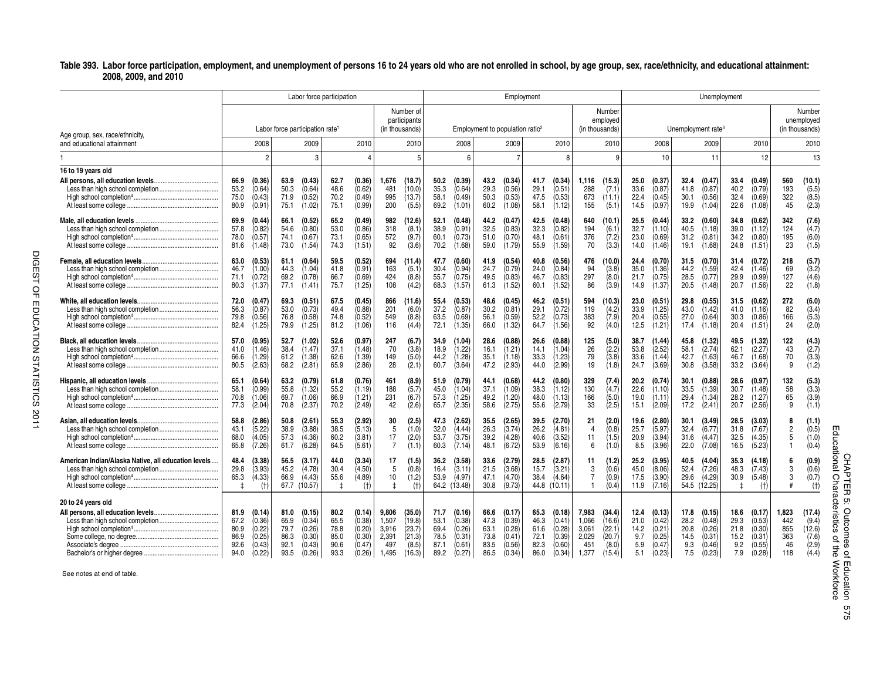#### **Table 393. Labor force participation, employment, and unemployment of persons 16 to 24 years old who are not enrolled in school, by age group, sex, race/ethnicity, and educational attainment: 2008, 2009, and 2010**

|                                                     |                                              |                                                          |                                              | Labor force participation                                |                                              |                                                          |                                                  |                                                         |                                              |                                                          |                                              | Employment                                               |                                              |                                                          |                                                  |                                                         |                                           |                                                          |                                            | Unemployment                                             |                                            |                                                          |                                         |                                                      |                                                                                                                           |
|-----------------------------------------------------|----------------------------------------------|----------------------------------------------------------|----------------------------------------------|----------------------------------------------------------|----------------------------------------------|----------------------------------------------------------|--------------------------------------------------|---------------------------------------------------------|----------------------------------------------|----------------------------------------------------------|----------------------------------------------|----------------------------------------------------------|----------------------------------------------|----------------------------------------------------------|--------------------------------------------------|---------------------------------------------------------|-------------------------------------------|----------------------------------------------------------|--------------------------------------------|----------------------------------------------------------|--------------------------------------------|----------------------------------------------------------|-----------------------------------------|------------------------------------------------------|---------------------------------------------------------------------------------------------------------------------------|
| Age group, sex, race/ethnicity,                     |                                              |                                                          |                                              | Labor force participation rate <sup>1</sup>              |                                              |                                                          |                                                  | Number of<br>participants<br>(in thousands)             |                                              |                                                          | Employment to population ratio <sup>2</sup>  |                                                          |                                              |                                                          |                                                  | Number<br>employed<br>(in thousands)                    |                                           |                                                          |                                            | Unemployment rate <sup>3</sup>                           |                                            |                                                          |                                         | Number<br>unemployed<br>(in thousands)               |                                                                                                                           |
| and educational attainment                          |                                              | 2008                                                     |                                              | 2009                                                     |                                              | 2010                                                     |                                                  | 2010                                                    |                                              | 2008                                                     |                                              | 2009                                                     |                                              | 2010                                                     |                                                  | 2010                                                    |                                           | 2008                                                     |                                            | 2009                                                     |                                            | 2010                                                     |                                         | 2010                                                 |                                                                                                                           |
|                                                     |                                              | $\overline{2}$                                           |                                              | 3                                                        |                                              |                                                          |                                                  | 5                                                       |                                              | 6                                                        |                                              | $\overline{7}$                                           |                                              | 8                                                        |                                                  | 9                                                       |                                           | 10 <sup>10</sup>                                         |                                            | 11                                                       |                                            | 12                                                       |                                         | 13                                                   |                                                                                                                           |
| 16 to 19 vears old                                  | 66.9<br>53.2<br>75.0<br>80.9                 | (0.36)<br>(0.64)<br>(0.43)<br>(0.91)                     | 63.9<br>50.3<br>71.9<br>75.1                 | (0.43)<br>(0.64)<br>(0.52)<br>(1.02)                     | 62.7<br>48.6<br>70.2<br>75.1                 | (0.36)<br>(0.62)<br>(0.49)<br>(0.99)                     | 1,676<br>481<br>995<br>200                       | (18.7)<br>(10.0)<br>(13.7)<br>(5.5)                     | 50.2<br>35.3<br>58.1<br>69.2                 | (0.39)<br>(0.64)<br>(0.49)<br>(1.01)                     | 43.2<br>29.3<br>50.3<br>60.2                 | (0.34)<br>(0.56)<br>(0.53)<br>(1.08)                     | 41.7<br>29.1<br>47.5<br>58.1                 | (0.34)<br>(0.51<br>(0.53)<br>(1.12)                      | 1,116<br>288<br>673<br>155                       | (15.3)<br>(7.1)<br>(11.1)<br>(5.1)                      | 25.0<br>33.6<br>22.4<br>14.5              | (0.37)<br>(0.87)<br>(0.45)<br>(0.97)                     | 32.4<br>41.8<br>30.1<br>19.9               | (0.47)<br>(0.87)<br>(0.56)<br>(1.04)                     | 33.4<br>40.2<br>32.4<br>22.6               | (0.49)<br>(0.79)<br>(0.69)<br>(1.08)                     | 560<br>193<br>322<br>45                 | (10.1)<br>(5.5)<br>(8.5)<br>(2.3)                    |                                                                                                                           |
|                                                     | 69.9<br>57.8<br>78.0<br>81.6                 | (0.44)<br>(0.82)<br>(0.57)<br>(1.48)                     | 66.1<br>54.6<br>74.1<br>73.0                 | (0.52)<br>(0.80)<br>(0.67)<br>(1.54)                     | 65.2<br>53.0<br>73.1<br>74.3                 | (0.49)<br>(0.86)<br>(0.65)<br>(1.51)                     | 982<br>318<br>572<br>92                          | (12.6)<br>(8.1)<br>(9.7)<br>(3.6)                       | 52.1<br>38.9<br>60.1<br>70.2                 | (0.48)<br>(0.91)<br>(0.73)<br>(1.68)                     | 44.2<br>32.5<br>51.0<br>59.0                 | (0.47)<br>(0.83)<br>(0.70)<br>(1.79)                     | 42.5<br>32.3<br>48.1<br>55.9                 | (0.48)<br>(0.82)<br>(0.61)<br>(1.59)                     | 640<br>194<br>376<br>70                          | (10.1)<br>(6.1)<br>(7.2)<br>(3.3)                       | 25.5<br>32.7<br>23.0<br>14.0              | (0.44)<br>(1.10)<br>(0.69)<br>(1.46)                     | 33.2<br>40.5<br>31.2<br>19.1               | (0.60)<br>(1.18)<br>(0.81)<br>(1.68)                     | 34.8<br>39.0<br>34.2<br>24.8               | (0.62)<br>(1.12)<br>(0.80)<br>(1.51)                     | 342<br>124<br>195<br>23                 | (7.6)<br>(4.7)<br>(6.0)<br>(1.5)                     |                                                                                                                           |
|                                                     | 63.0<br>46.7<br>71.1<br>80.3                 | (0.53)<br>(1.00)<br>(0.72)<br>(1.37)                     | 61.1<br>44.3<br>69.2<br>77.1                 | (0.64)<br>(1.04)<br>(0.78)<br>(1.41)                     | 59.5<br>41.8<br>66.7<br>75.7                 | (0.52)<br>(0.91)<br>(0.69)<br>(1.25)                     | 694<br>163<br>424<br>108                         | (11.4)<br>(5.1)<br>(8.8)<br>(4.2)                       | 47.7<br>30.4<br>55.7<br>68.3                 | (0.60)<br>(0.94)<br>(0.75)<br>(1.57)                     | 41.9<br>24.7<br>49.5<br>61.3                 | (0.54)<br>(0.79)<br>(0.83)<br>(1.52)                     | 40.8<br>24.0<br>46.7<br>60.1                 | (0.56)<br>(0.84)<br>(0.83)<br>(1.52)                     | 476<br>94<br>297<br>86                           | (10.0)<br>(3.8)<br>(8.0)<br>(3.9)                       | 24.4<br>35.0<br>21.7<br>14.9              | (0.70)<br>(1.36)<br>(0.75)<br>(1.37)                     | 31.5<br>44.2<br>28.5<br>20.5               | (0.70)<br>(1.59)<br>(0.77)<br>(1.48)                     | 31.4<br>42.4<br>29.9<br>20.7               | (0.72)<br>(1.46)<br>(0.99)<br>(1.56)                     | 218<br>69<br>127<br>22                  | (5.7)<br>(3.2)<br>(4.6)<br>(1.8)                     |                                                                                                                           |
|                                                     | 72.0<br>56.3<br>79.8<br>82.4                 | (0.47)<br>(0.87)<br>(0.56)<br>(1.25)                     | 69.3<br>53.0<br>76.8<br>79.9                 | (0.51)<br>(0.73)<br>(0.58)<br>(1.25)                     | 67.5<br>49.4<br>74.8<br>81.2                 | (0.45)<br>(0.88)<br>(0.52)<br>(1.06)                     | 866<br>201<br>549<br>116                         | (11.6)<br>(6.0)<br>(8.8)<br>(4.4)                       | 55.4<br>37.2<br>63.5<br>72.1                 | (0.53)<br>(0.87)<br>(0.69)<br>(1.35)                     | 48.6<br>30.2<br>56.1<br>66.0                 | (0.45)<br>(0.81)<br>(0.59)<br>(1.32)                     | 46.2<br>29.1<br>52.2<br>64.7                 | (0.51)<br>(0.72)<br>(0.73)<br>(1.56)                     | 594<br>119<br>383<br>92                          | (10.3)<br>(4.2)<br>(7.9)<br>(4.0)                       | 23.0<br>33.9<br>20.4<br>12.5              | (0.51)<br>(1.25)<br>(0.55)<br>(1.21)                     | 29.8<br>43.0<br>27.0<br>17.4               | (0.55)<br>(1.42)<br>(0.64)<br>(1.18)                     | 31.5<br>41.0<br>30.3<br>20.4               | (0.62)<br>(1.16)<br>(0.86)<br>(1.51)                     | 272<br>82<br>166<br>24                  | (6.0)<br>(3.4)<br>(5.3)<br>(2.0)                     |                                                                                                                           |
|                                                     | 57.0<br>41.0<br>66.6<br>80.5                 | (0.95)<br>(1.46)<br>(1.29)<br>(2.63)                     | 52.7<br>38.4<br>61.2<br>68.2                 | (1.02)<br>(1.47)<br>(1.38)<br>(2.81)                     | 52.6<br>37.1<br>62.6<br>65.9                 | (0.97)<br>(1.48)<br>(1.39)<br>(2.86)                     | 247<br>70<br>149<br>28                           | (6.7)<br>(3.8)<br>(5.0)<br>(2.1)                        | 34.9<br>18.9<br>44.2<br>60.7                 | (1.04)<br>(1.22)<br>(1.28)<br>(3.64)                     | 28.6<br>16.1<br>35.1<br>47.2                 | (0.88)<br>(1.21)<br>(1.18)<br>(2.93)                     | 26.6<br>14.1<br>33.3<br>44.0                 | (0.88)<br>(1.04)<br>(1.23)<br>(2.99)                     | 125<br>26<br>79<br>19                            | (5.0)<br>(2.2)<br>(3.8)<br>(1.8)                        | 38.7<br>53.8<br>33.6<br>24.7              | (1.44)<br>(2.52)<br>(1.44)<br>(3.69)                     | 45.8<br>58.1<br>42.7<br>30.8               | (1.32)<br>(2.74)<br>(1.63)<br>(3.58)                     | 49.5<br>62.1<br>46.7<br>33.2               | (1.32)<br>(2.27)<br>(1.68)<br>(3.64)                     | 122<br>43<br>70<br>9.                   | (4.3)<br>(2.7)<br>(3.3)<br>(1.2)                     |                                                                                                                           |
|                                                     | 65.1<br>58.1<br>70.8<br>77.3                 | (0.64)<br>(0.99)<br>(1.06)<br>(2.04)                     | 63.2<br>55.8<br>69.7<br>70.8                 | (0.79)<br>(1.32)<br>(1.06)<br>(2.37)                     | 61.8<br>55.2<br>66.9<br>70.2                 | (0.76)<br>(1.19)<br>(1.21)<br>(2.49)                     | 461<br>188<br>231<br>42                          | (8.9)<br>(5.7)<br>(6.7)<br>(2.6)                        | 51.9<br>45.0<br>57.3<br>65.7                 | (0.79)<br>(1.04)<br>(1.25)<br>(2.35)                     | 44.1<br>37.1<br>49.2<br>58.6                 | (0.68)<br>(1.09)<br>(1.20)<br>(2.75)                     | 44.2<br>38.3<br>48.0<br>55.6                 | (0.80)<br>(1.12)<br>(1.13)<br>(2.79)                     | 329<br>130<br>166<br>33                          | (7.4)<br>(4.7)<br>(5.0)<br>(2.5)                        | 20.2<br>22.6<br>19.0<br>15.1              | (0.74)<br>(1.10)<br>(1.11)<br>(2.09)                     | 30.1<br>33.5<br>29.4<br>17.2               | (0.88)<br>(1.39)<br>(1.34)<br>(2.41)                     | 28.6<br>30.7<br>28.2<br>20.7               | (0.97)<br>(1.48)<br>(1.27)<br>(2.56)                     | 132<br>58<br>65<br>9                    | (5.3)<br>(3.3)<br>(3.9)<br>(1.1)                     |                                                                                                                           |
|                                                     | 58.8<br>43.1<br>68.0<br>65.8                 | (2.86)<br>(5.22)<br>(4.05)<br>(7.26)                     | 50.8<br>38.9<br>57.3<br>61.7                 | (2.61)<br>(3.88)<br>(4.36)<br>(6.28)                     | 55.3<br>38.5<br>60.2<br>64.5                 | (2.92)<br>(5.13)<br>(3.81)<br>(5.61)                     | 30<br>-5<br>17<br>7                              | (2.5)<br>(1.0)<br>(2.0)<br>(1.1)                        | 47.3<br>32.0<br>53.7<br>60.3                 | (2.62)<br>(4.44)<br>(3.75)<br>(7.14)                     | 35.5<br>26.3<br>39.2<br>48.1                 | (2.65)<br>(3.74)<br>(4.28)<br>(6.72)                     | 39.5<br>26.2<br>40.6<br>53.9                 | (2.70)<br>(4.81)<br>(3.52)<br>(6.16)                     | 21<br>$\overline{4}$<br>11<br>-6                 | (2.0)<br>(0.8)<br>(1.5)<br>(1.0)                        | 19.6<br>25.7<br>20.9<br>8.5               | (2.80)<br>(5.97)<br>(3.94)<br>(3.96)                     | 30.1<br>32.4<br>31.6<br>22.0               | (3.49)<br>(6.77)<br>(4.47)<br>(7.08)                     | 28.5<br>31.8<br>32.5<br>16.5               | (3.03)<br>(7.67)<br>(4.35)<br>(5.23)                     | 8<br>2<br>5<br>-1                       | (1.1)<br>(0.5)<br>(1.0)<br>(0.4)                     | m<br>duc<br>Öΰ                                                                                                            |
| American Indian/Alaska Native. all education levels | 48.4<br>29.8<br>65.3<br>$\ddagger$           | (3.38)<br>(3.93)<br>(4.33)<br>$(+)$                      | 56.5<br>45.2<br>66.9                         | (3.17)<br>(4.78)<br>(4.43)<br>67.7 (10.57)               | 44.0<br>30.4<br>55.6<br>$\ddagger$           | (3.34)<br>(4.50)<br>(4.89)<br>(t)                        | 17<br>-5<br>10<br>$\ddagger$                     | (1.5)<br>(0.8)<br>(1.2)<br>(t)                          | 36.2<br>16.4<br>53.9                         | (3.58)<br>(3.11)<br>(4.97)<br>64.2 (13.48)               | 33.6<br>21.5<br>47.1<br>30.8                 | (2.79)<br>(3.68)<br>(4.70)<br>(9.73)                     | 28.5<br>15.7<br>38.4                         | (2.87)<br>(3.21)<br>(4.64)<br>44.8 (10.11)               | 11<br>3                                          | (1.2)<br>(0.6)<br>(0.9)<br>(0.4)                        | 25.2<br>45.0<br>17.5<br>11.9              | (3.95)<br>(8.06)<br>(3.90)<br>(7.16)                     | 40.5<br>52.4<br>29.6                       | (4.04)<br>(7.26)<br>(4.29)<br>54.5 (12.25)               | 35.3<br>48.3<br>30.9<br>₫.                 | (4.18)<br>(7.43)<br>(5.48)<br>(t)                        | 6<br>3<br>3<br>#                        | (0.9)<br>(0.6)<br>(0.7)<br>(t)                       | iion<br>CHAPTE<br>亘<br>Chara<br>고                                                                                         |
| 20 to 24 years old                                  | 81.9<br>67.2<br>80.9<br>86.9<br>92.6<br>94.0 | (0.14)<br>(0.36)<br>(0.22)<br>(0.25)<br>(0.43)<br>(0.22) | 81.0<br>65.9<br>79.7<br>86.3<br>92.1<br>93.5 | (0.15)<br>(0.34)<br>(0.26)<br>(0.30)<br>(0.43)<br>(0.26) | 80.2<br>65.5<br>78.8<br>85.0<br>90.6<br>93.3 | (0.14)<br>(0.38)<br>(0.20)<br>(0.30)<br>(0.47)<br>(0.26) | 9,806<br>1,507<br>3,916<br>2,391<br>497<br>1,495 | (35.0)<br>(19.8)<br>(23.7)<br>(21.3)<br>(8.5)<br>(16.3) | 71.7<br>53.1<br>69.4<br>78.5<br>87.1<br>89.2 | (0.16)<br>(0.38)<br>(0.26)<br>(0.31)<br>(0.61)<br>(0.27) | 66.6<br>47.3<br>63.1<br>73.8<br>83.5<br>86.5 | (0.17)<br>(0.39)<br>(0.28)<br>(0.41)<br>(0.56)<br>(0.34) | 65.3<br>46.3<br>61.6<br>72.1<br>82.3<br>86.0 | (0.18)<br>(0.41)<br>(0.28)<br>(0.39)<br>(0.60)<br>(0.34) | 7,983<br>1,066<br>3,061<br>2,029<br>451<br>1,377 | (34.4)<br>(16.6)<br>(22.1)<br>(20.7)<br>(8.0)<br>(15.4) | 12.4<br>21.0<br>14.2<br>9.7<br>5.9<br>5.1 | (0.13)<br>(0.42)<br>(0.21)<br>(0.25)<br>(0.47)<br>(0.23) | 17.8<br>28.2<br>20.8<br>14.5<br>9.3<br>7.5 | (0.15)<br>(0.48)<br>(0.26)<br>(0.31)<br>(0.46)<br>(0.23) | 18.6<br>29.3<br>21.8<br>15.2<br>9.2<br>7.9 | (0.17)<br>(0.53)<br>(0.30)<br>(0.31)<br>(0.55)<br>(0.28) | 1,823<br>442<br>855<br>363<br>46<br>118 | (17.4)<br>(9.4)<br>(12.6)<br>(7.6)<br>(2.9)<br>(4.4) | Ö.<br>$\overline{\mathbf{c}}$<br>$\sigma$<br>Outcome<br>Ξ.<br>ன<br>itics<br>₽<br>5<br>co<br>$\Omega$<br>$\overline{\Phi}$ |

See notes at end of table.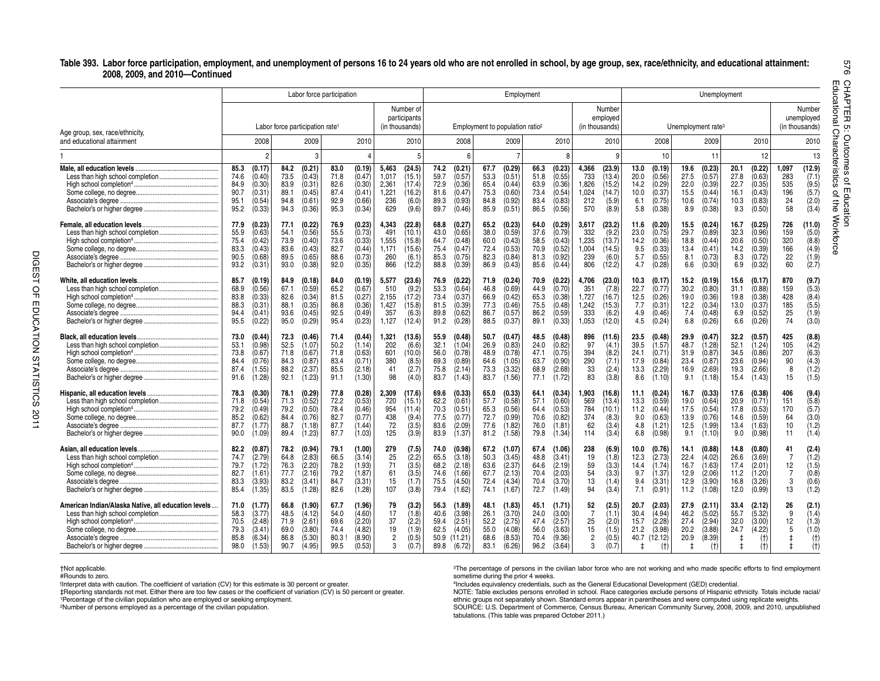#### **Table 393. Labor force participation, employment, and unemployment of persons 16 to 24 years old who are not enrolled in school, by age group, sex, race/ethnicity, and educational attainment: 2008, 2009, and 2010—Continued**

|                                                                           |                                                                                                          |                                              | Labor force participation                                |                                              |                                                          |                                                |                                                         |                                              |                                                           |                                              | Employment                                               |                                              |                                                          |                                                         |                                                        |                                             |                                                          |                                              | Unemployment                                             |                                              |                                                          |                                                         |                                                     | ăς<br>HAPTE                                                                |
|---------------------------------------------------------------------------|----------------------------------------------------------------------------------------------------------|----------------------------------------------|----------------------------------------------------------|----------------------------------------------|----------------------------------------------------------|------------------------------------------------|---------------------------------------------------------|----------------------------------------------|-----------------------------------------------------------|----------------------------------------------|----------------------------------------------------------|----------------------------------------------|----------------------------------------------------------|---------------------------------------------------------|--------------------------------------------------------|---------------------------------------------|----------------------------------------------------------|----------------------------------------------|----------------------------------------------------------|----------------------------------------------|----------------------------------------------------------|---------------------------------------------------------|-----------------------------------------------------|----------------------------------------------------------------------------|
| Age group, sex, race/ethnicity,                                           |                                                                                                          |                                              | Labor force participation rate <sup>1</sup>              |                                              |                                                          |                                                | Number of<br>participants<br>(in thousands)             |                                              |                                                           |                                              | Employment to population ratio <sup>2</sup>              |                                              |                                                          |                                                         | Number<br>employed<br>(in thousands)                   |                                             |                                                          |                                              | Unemployment rate <sup>3</sup>                           |                                              |                                                          |                                                         | Number<br>unemployed<br>(in thousands)              | نف<br>턍<br>ă<br>ᠴ<br>ö.<br>O                                               |
| and educational attainment                                                | 2008                                                                                                     |                                              | 2009                                                     |                                              | 2010                                                     |                                                | 2010                                                    |                                              | 2008                                                      |                                              | 2009                                                     |                                              | 2010                                                     |                                                         | 2010                                                   |                                             | 2008                                                     |                                              | 2009                                                     |                                              | 2010                                                     |                                                         | 2010                                                | hara <sub>i</sub>                                                          |
|                                                                           |                                                                                                          | $\overline{2}$                               |                                                          |                                              |                                                          |                                                | 5                                                       |                                              |                                                           |                                              | $\overline{7}$                                           |                                              | $\mathsf{R}$                                             |                                                         | q                                                      |                                             | 10                                                       |                                              | 11                                                       |                                              | 12 <sup>°</sup>                                          |                                                         | 13                                                  | Outcome                                                                    |
|                                                                           | 85.3<br>(0.17)<br>(0.40)<br>74.6<br>84.9<br>(0.30)<br>90.7<br>(0.31)<br>95.1<br>(0.54)<br>95.2<br>(0.33) | 84.2<br>73.5<br>83.9<br>89.1<br>94.8<br>94.3 | (0.21)<br>(0.43)<br>(0.31)<br>(0.45)<br>(0.61)<br>(0.36) | 83.0<br>71.8<br>82.6<br>87.4<br>92.9<br>95.3 | (0.19)<br>(0.47)<br>(0.30)<br>(0.41)<br>(0.66)<br>(0.34) | 5.463<br>1.017<br>2,361<br>1,221<br>236<br>629 | (24.5)<br>(15.1)<br>(17.4)<br>(16.2)<br>(6.0)<br>(9.6)  | 74.2<br>59.7<br>72.9<br>81.6<br>89.3<br>89.7 | (0.21<br>(0.57)<br>(0.36)<br>(0.47)<br>(0.93)<br>(0.46)   | 67.7<br>53.3<br>65.4<br>75.3<br>84.8<br>85.9 | (0.29)<br>(0.51)<br>(0.44)<br>(0.60)<br>(0.92)<br>(0.51) | 66.3<br>51.8<br>63.9<br>73.4<br>83.4<br>86.5 | (0.23)<br>(0.55)<br>(0.36)<br>(0.54)<br>(0.83)<br>(0.56) | 4.366<br>733<br>1.826<br>1,024<br>212<br>570            | (23.9)<br>(13.4)<br>(15.2)<br>(14.7)<br>(5.9)<br>(8.9) | 13.0<br>20.0<br>14.2<br>10.0<br>6.1<br>5.8  | (0.19)<br>(0.56)<br>(0.29)<br>(0.37)<br>(0.75)<br>(0.38) | 19.6<br>27.5<br>22.0<br>15.5<br>10.6<br>8.9  | (0.23)<br>(0.57)<br>(0.39)<br>(0.44)<br>(0.74)<br>(0.38) | 20.1<br>27.8<br>22.7<br>16.1<br>10.3<br>9.3  | (0.22)<br>(0.63)<br>(0.35)<br>(0.43)<br>(0.83)<br>(0.50) | 1.097<br>283<br>535<br>196<br>24<br>58                  | (12.9)<br>(7.1)<br>(9.5)<br>(5.7)<br>(2.0)<br>(3.4) | acteris<br>ဖ<br>ã.<br>$\Omega$<br>S<br>$\blacksquare$<br>으<br>.duca<br>the |
|                                                                           | 77.9<br>(0.23)<br>55.9<br>(0.63)<br>75.4<br>(0.42)<br>83.3<br>(0.43)<br>90.5<br>(0.68)<br>93.2<br>(0.31) | 77.1<br>54.1<br>73.9<br>83.6<br>89.5<br>93.0 | (0.22)<br>(0.56)<br>(0.40)<br>(0.43)<br>(0.65)<br>(0.38) | 76.9<br>55.5<br>73.6<br>82.7<br>88.6<br>92.0 | (0.23)<br>(0.73)<br>(0.33)<br>(0.44)<br>(0.73)<br>(0.35) | 4.343<br>491<br>1.555<br>1,171<br>260<br>866   | (22.8)<br>(10.1)<br>(15.8)<br>(15.6)<br>(6.1)<br>(12.2) | 68.8<br>43.0<br>64.7<br>75.4<br>85.3<br>88.8 | (0.27)<br>(0.65)<br>(0.48)<br>(0.47)<br>(0.75)<br>(0.39)  | 65.2<br>38.0<br>60.0<br>72.4<br>82.3<br>86.9 | (0.23)<br>(0.59)<br>(0.43)<br>(0.53)<br>(0.84)<br>(0.43) | 64.0<br>37.6<br>58.5<br>70.9<br>81.3<br>85.6 | (0.29)<br>(0.79)<br>(0.43)<br>(0.52)<br>(0.92)<br>(0.44) | 3.617<br>332<br>1.235<br>1,004<br>239<br>806            | (23.2)<br>(9.2)<br>(13.7)<br>(14.5)<br>(6.0)<br>(12.2) | 11.6<br>23.0<br>14.2<br>9.5<br>5.7<br>4.7   | (0.20)<br>(0.75)<br>(0.36)<br>(0.33)<br>(0.55)<br>(0.28) | 15.5<br>29.7<br>18.8<br>13.4<br>8.1<br>6.6   | (0.24)<br>(0.89)<br>(0.44)<br>(0.41)<br>(0.73)<br>(0.30) | 16.7<br>32.3<br>20.6<br>14.2<br>8.3<br>6.9   | (0.25)<br>(0.96)<br>(0.50)<br>(0.39)<br>(0.72)<br>(0.32) | 726<br>159<br>320<br>166<br>22<br>60                    | (11.0)<br>(5.0)<br>(8.8)<br>(4.9)<br>(1.9)<br>(2.7) | ig<br>Workfor<br>ਨੋ                                                        |
|                                                                           | 85.7<br>(0.19)<br>68.9<br>(0.56)<br>83.8<br>(0.33)<br>88.3<br>(0.31)<br>94.4<br>(0.41)<br>95.5<br>(0.22) | 84.9<br>67.1<br>82.6<br>88.1<br>93.6<br>95.0 | (0.18)<br>(0.59)<br>(0.34)<br>(0.35)<br>(0.45)<br>(0.29) | 84.0<br>65.2<br>81.5<br>86.8<br>92.5<br>95.4 | (0.19)<br>(0.67)<br>(0.27)<br>(0.36)<br>(0.49)<br>(0.23) | 5,577<br>510<br>2.155<br>1,427<br>357<br>1,127 | (23.6)<br>(9.2)<br>(17.2)<br>(15.8)<br>(6.3)<br>(12.4)  | 76.9<br>53.3<br>73.4<br>81.5<br>89.8<br>91.2 | (0.22)<br>(0.64)<br>(0.37)<br>(0.39)<br>(0.62)<br>(0.28)  | 71.9<br>46.8<br>66.9<br>77.3<br>86.7<br>88.5 | (0.24)<br>(0.69)<br>(0.42)<br>(0.46)<br>(0.57)<br>(0.37) | 70.9<br>44.9<br>65.3<br>75.5<br>86.2<br>89.1 | (0.22)<br>(0.70)<br>(0.38)<br>(0.48)<br>(0.59)<br>(0.33) | 4,706<br>351<br>1.727<br>1,242<br>333<br>1,053          | (23.0)<br>(7.8)<br>(16.7)<br>(15.3)<br>(6.2)<br>(12.0) | 10.3<br>22.7<br>12.5<br>7.7<br>4.9<br>4.5   | (0.17)<br>(0.77)<br>(0.26)<br>(0.31)<br>(0.46)<br>(0.24) | 15.2<br>30.2<br>19.0<br>12.2<br>7.4<br>6.8   | (0.19)<br>(0.80)<br>(0.36)<br>(0.34)<br>(0.48)<br>(0.26) | 15.6<br>31.1<br>19.8<br>13.0<br>6.9<br>6.6   | (0.17)<br>(0.88)<br>(0.38)<br>(0.37)<br>(0.52)<br>(0.26) | 870<br>159<br>428<br>185<br>25<br>74                    | (9.7)<br>(5.3)<br>(8.4)<br>(5.5)<br>(1.9)<br>(3.0)  |                                                                            |
|                                                                           | 73.0<br>(0.44)<br>53.1<br>(0.98)<br>73.8<br>(0.67)<br>84.4<br>(0.76)<br>87.4<br>(1.55)<br>91.6<br>(1.28) | 72.3<br>52.5<br>71.8<br>84.3<br>88.2<br>92.1 | (0.46)<br>(1.07)<br>(0.67)<br>(0.87)<br>(2.37)<br>(1.23) | 71.4<br>50.2<br>71.8<br>83.4<br>85.5<br>91.1 | (0.44)<br>(1.14)<br>(0.63)<br>(0.71)<br>(2.18)<br>(1.30) | 1,321<br>202<br>601<br>380<br>41<br>98         | (13.6)<br>(6.6)<br>(10.0)<br>(8.5)<br>(2.7)<br>(4.0)    | 55.9<br>32.1<br>56.0<br>69.3<br>75.8<br>83.7 | (0.48)<br>(1.04)<br>(0.78)<br>(0.89)<br>(2.14)<br>(1.43)  | 50.7<br>26.9<br>48.9<br>64.6<br>73.3<br>83.7 | (0.47)<br>(0.83)<br>(0.78)<br>(1.05)<br>(3.32)<br>(1.56) | 48.5<br>24.0<br>47.1<br>63.7<br>68.9<br>77.1 | (0.48)<br>(0.82)<br>(0.75)<br>(0.90)<br>(2.68)<br>(1.72) | 896<br>97<br>394<br>290<br>33<br>83                     | (11.6)<br>(4.1)<br>(8.2)<br>(7.1)<br>(2.4)<br>(3.8)    | 23.5<br>39.5<br>24.1<br>17.9<br>13.3<br>8.6 | (0.48)<br>(1.57)<br>(0.71)<br>(0.84)<br>(2.29)<br>(1.10) | 29.9<br>48.7<br>31.9<br>23.4<br>16.9<br>9.1  | (0.47)<br>(1.28)<br>(0.87)<br>(0.87)<br>(2.69)<br>(1.18) | 32.2<br>52.1<br>34.5<br>23.6<br>19.3<br>15.4 | (0.57)<br>(1.24)<br>(0.86)<br>(0.94)<br>(2.66)<br>(1.43) | 425<br>105<br>207<br>90<br>8<br>15                      | (8.8)<br>(4.2)<br>(6.3)<br>(4.3)<br>(1.2)<br>(1.5)  |                                                                            |
|                                                                           | 78.3<br>(0.30)<br>71.8<br>(0.54)<br>79.2<br>(0.49)<br>85.2<br>(0.62)<br>87.7<br>(1.77)<br>90.0<br>(1.09) | 78.1<br>71.3<br>79.2<br>84.4<br>88.7<br>89.4 | (0.29)<br>(0.52)<br>(0.50)<br>(0.76)<br>(1.18)<br>(1.23) | 77.8<br>72.2<br>78.4<br>82.7<br>87.7<br>87.7 | (0.28)<br>(0.53)<br>(0.46)<br>(0.77)<br>(1.44)<br>(1.03) | 2,309<br>720<br>954<br>438<br>72<br>125        | (17.6)<br>(15.1)<br>(11.4)<br>(9.4)<br>(3.5)<br>(3.9)   | 69.6<br>62.2<br>70.3<br>77.5<br>83.6<br>83.9 | (0.33)<br>(0.61)<br>(0.51)<br>(0.77)<br>(2.09)<br>(1.37)  | 65.0<br>57.7<br>65.3<br>72.7<br>77.6<br>81.2 | (0.33)<br>(0.58)<br>(0.56)<br>(0.99)<br>(1.82)<br>(1.58) | 64.1<br>57.1<br>64.4<br>70.6<br>76.0<br>79.8 | (0.34)<br>(0.60)<br>(0.53)<br>(0.82)<br>(1.81)<br>(1.34) | 1.903<br>569<br>784<br>374<br>62<br>114                 | (16.8)<br>(13.4)<br>(10.1)<br>(8.3)<br>(3.4)<br>(3.4)  | 11.1<br>13.3<br>11.2<br>9.0<br>4.8<br>6.8   | (0.24)<br>(0.59)<br>(0.44)<br>(0.63)<br>(1.21)<br>(0.98) | 16.7<br>19.0<br>17.5<br>13.9<br>12.5<br>9.1  | (0.33)<br>(0.64)<br>(0.54)<br>(0.76)<br>(1.99)<br>(1.10) | 17.6<br>20.9<br>17.8<br>14.6<br>13.4<br>9.0  | (0.38)<br>(0.71)<br>(0.53)<br>(0.59)<br>(1.63)<br>(0.98) | 406<br>151<br>170<br>64<br>10<br>11                     | (9.4)<br>(5.8)<br>(5.7)<br>(3.0)<br>(1.2)<br>(1.4)  |                                                                            |
|                                                                           | 82.2<br>(0.87)<br>74.7<br>(2.79)<br>79.7<br>(1.72)<br>82.7<br>(1.61)<br>83.3<br>(3.93)<br>85.4<br>(1.35) | 78.2<br>64.8<br>76.3<br>77.7<br>83.2<br>83.5 | (0.94)<br>(2.83)<br>(2.20)<br>(2.16)<br>(3.41)<br>(1.28) | 79.1<br>66.5<br>78.2<br>79.2<br>84.7<br>82.6 | (1.00)<br>(3.14)<br>(1.93)<br>(1.87)<br>(3.31)<br>(1.28) | 279<br>25<br>71<br>61<br>15<br>107             | (7.5)<br>(2.2)<br>(3.5)<br>(3.5)<br>(1.7)<br>(3.8)      | 74.0<br>65.5<br>68.2<br>74.6<br>75.5<br>79.4 | (0.98)<br>(3.18)<br>(2.18)<br>(1.66)<br>(4.50)<br>(1.62)  | 67.2<br>50.3<br>63.6<br>67.7<br>72.4<br>74.1 | (1.07)<br>(3.45)<br>(2.37)<br>(2.13)<br>(4.34)<br>(1.67) | 67.4<br>48.8<br>64.6<br>70.4<br>70.4<br>72.7 | (1.06)<br>(3.41)<br>(2.19)<br>(2.03)<br>(3.70)<br>(1.49) | 238<br>19<br>59<br>54<br>13<br>94                       | (6.9)<br>(1.8)<br>(3.3)<br>(3.3)<br>(1.4)<br>(3.4)     | 10.0<br>12.3<br>14.4<br>9.7<br>9.4<br>7.1   | (0.76)<br>(2.73)<br>(1.74)<br>(1.37)<br>(3.31)<br>(0.91) | 14.1<br>22.4<br>16.7<br>12.9<br>12.9<br>11.2 | (0.88)<br>(4.02)<br>(1.63)<br>(2.06)<br>(3.90)<br>(1.08) | 14.8<br>26.6<br>17.4<br>11.2<br>16.8<br>12.0 | (0.80)<br>(3.69)<br>(2.01)<br>(1.20)<br>(3.26)<br>(0.99) | 41<br>$\overline{7}$<br>12<br>$\overline{7}$<br>3<br>13 | (2.4)<br>(1.2)<br>(1.5)<br>(0.8)<br>(0.6)<br>(1.2)  |                                                                            |
| American Indian/Alaska Native, all education levels<br>Associate's degree | 71.0<br>(1.77)<br>58.3<br>(3.77)<br>70.5<br>(2.48)<br>79.3<br>(3.41)<br>85.8<br>(6.34)<br>98.0<br>(1.53) | 66.8<br>48.5<br>71.9<br>69.0<br>86.8<br>90.7 | (1.90)<br>(4.12)<br>(2.61)<br>(3.80)<br>(5.30)<br>(4.95) | 67.7<br>54.0<br>69.6<br>74.4<br>80.3<br>99.5 | (1.96)<br>(4.60)<br>(2.20)<br>(4.82)<br>(8.90)<br>(0.53) | 79<br>17<br>37<br>19<br>2<br>3                 | (3.2)<br>(1.8)<br>(2.2)<br>(1.9)<br>(0.5)<br>(0.7)      | 56.3<br>40.6<br>59.4<br>62.5<br>50.9<br>89.8 | (1.89)<br>(3.98)<br>(2.51)<br>(4.05)<br>(11.21)<br>(6.72) | 48.1<br>26.1<br>52.2<br>55.0<br>68.6<br>83.1 | (1.83)<br>(3.70)<br>(2.75)<br>(4.08)<br>(8.53)<br>(6.26) | 45.1<br>24.0<br>47.4<br>56.0<br>70.4<br>96.2 | (1.71)<br>(3.00)<br>(2.57)<br>(3.63)<br>(9.36)<br>(3.64) | 52<br>$\overline{7}$<br>25<br>15<br>$\overline{2}$<br>3 | (2.5)<br>(1.1)<br>(2.0)<br>(1.5)<br>(0.5)<br>(0.7)     | 20.7<br>30.4<br>15.7<br>21.2<br>40.7<br>t   | (2.03)<br>(4.94)<br>(2.28)<br>(3.98)<br>(12.12)<br>(t)   | 27.9<br>46.2<br>27.4<br>20.2<br>20.9<br>t    | (2.11)<br>(5.02)<br>(2.94)<br>(3.88)<br>(8.39)<br>(t)    | 33.4<br>55.7<br>32.0<br>24.7                 | (2.12)<br>(5.32)<br>(3.00)<br>(4.22)<br>$(+)$<br>(t)     | 26<br>9<br>12<br>5                                      | (2.1)<br>(1.4)<br>(1.3)<br>(1.0)<br>(t)<br>(†)      |                                                                            |

†Not applicable. 3The percentage of persons in the civilian labor force who are not working and who made specific efforts to find employment sometime during the prior 4 weeks.<br><sup>4</sup>Includes equivalency credentials, such as the General Educational Development (GED) credential.

Interpret data with caution. The coefficient of variation (CV) for this estimate is 30 percent or greater.<br>
#Includes equivalency credentials, such as the General Educational Development (GED) credential.<br>
#Includes person Percentage of the civilian population who are employed or seeking employment.<br>Percentage of the civilian population who are employed or seeking employment.<br>Pumber of persons employed as a percentage of the civilian populat tabulations. (This table was prepared October 2011.)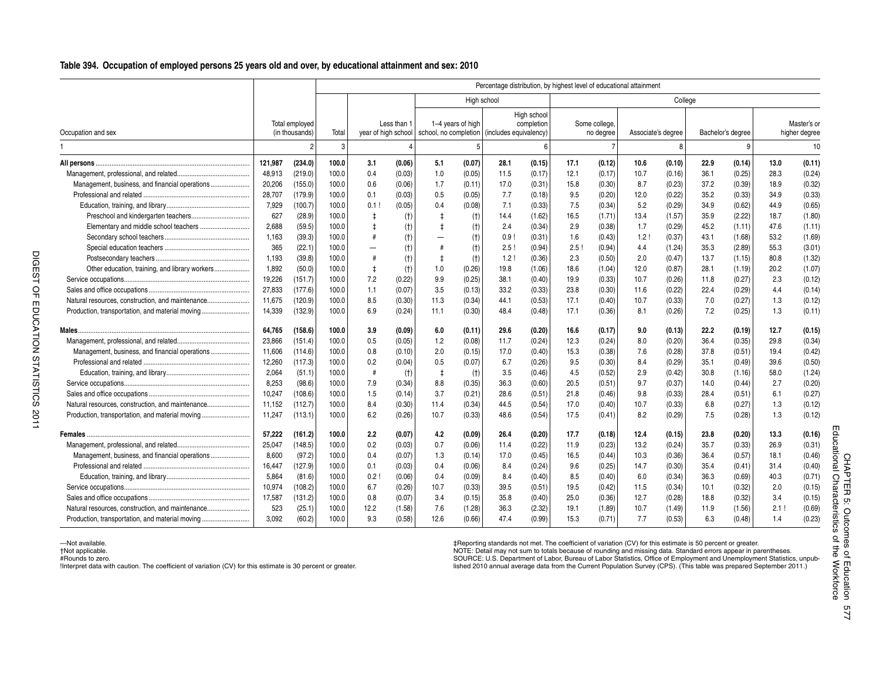#### **Table 394. Occupation of employed persons 25 years old and over, by educational attainment and sex: 2010**

|                                                  |         |                                  |       |                     |           |                          |                   | Percentage distribution, by highest level of educational attainment |                           |      |                            |                    |         |      |                   |      |                              |
|--------------------------------------------------|---------|----------------------------------|-------|---------------------|-----------|--------------------------|-------------------|---------------------------------------------------------------------|---------------------------|------|----------------------------|--------------------|---------|------|-------------------|------|------------------------------|
|                                                  |         |                                  |       |                     |           |                          | High school       |                                                                     |                           |      |                            |                    | College |      |                   |      |                              |
| Occupation and sex                               |         | Total employed<br>(in thousands) | Total | year of high school | Less than | school, no completion    | 1-4 years of high | (includes equivalency)                                              | High school<br>completion |      | Some college,<br>no degree | Associate's degree |         |      | Bachelor's degree |      | Master's or<br>higher degree |
|                                                  |         |                                  | 3     |                     |           |                          |                   |                                                                     | 6                         |      | 7                          |                    | 8       |      | 9                 |      | 10                           |
|                                                  | 121,987 | (234.0)                          | 100.0 | 3.1                 | (0.06)    | 5.1                      | (0.07)            | 28.1                                                                | (0.15)                    | 17.1 | (0.12)                     | 10.6               | (0.10)  | 22.9 | (0.14)            | 13.0 | (0.11)                       |
|                                                  | 48,913  | (219.0)                          | 100.0 | 0.4                 | (0.03)    | 1.0                      | (0.05)            | 11.5                                                                | (0.17)                    | 12.1 | (0.17)                     | 10.7               | (0.16)  | 36.1 | (0.25)            | 28.3 | (0.24)                       |
|                                                  | 20,206  | (155.0)                          | 100.0 | 0.6                 | (0.06)    | 1.7                      | (0.11)            | 17.0                                                                | (0.31)                    | 15.8 | (0.30)                     | 8.7                | (0.23)  | 37.2 | (0.39)            | 18.9 | (0.32)                       |
|                                                  | 28,707  | (179.9)                          | 100.0 | 0.1                 | (0.03)    | 0.5                      | (0.05)            | 7.7                                                                 | (0.18)                    | 9.5  | (0.20)                     | 12.0               | (0.22)  | 35.2 | (0.33)            | 34.9 | (0.33)                       |
|                                                  | 7,929   | (100.7)                          | 100.0 | 0.1                 | (0.05)    | 0.4                      | (0.08)            | 7.1                                                                 | (0.33)                    | 7.5  | (0.34)                     | 5.2                | (0.29)  | 34.9 | (0.62)            | 44.9 | (0.65)                       |
|                                                  | 627     | (28.9)                           | 100.0 | $\ddagger$          | (t)       | $\ddagger$               | (t)               | 14.4                                                                | (1.62)                    | 16.5 | (1.71)                     | 13.4               | (1.57)  | 35.9 | (2.22)            | 18.7 | (1.80)                       |
| Elementary and middle school teachers            | 2,688   | (59.5)                           | 100.0 |                     | (t)       | $\ddagger$               | (t)               | 2.4                                                                 | (0.34)                    | 2.9  | (0.38)                     | 1.7                | (0.29)  | 45.2 | (1.11)            | 47.6 | (1.11)                       |
|                                                  | 1,163   | (39.3)                           | 100.0 | #                   | (t)       | $\overline{\phantom{0}}$ | (t)               | 0.9                                                                 | (0.31)                    | 1.6  | (0.43)                     | 1.2                | (0.37)  | 43.1 | (1.68)            | 53.2 | (1.69)                       |
|                                                  | 365     | (22.1)                           | 100.0 | —                   | (t)       | #                        | (t)               | 2.5!                                                                | (0.94)                    | 2.5  | (0.94)                     | 4.4                | (1.24)  | 35.3 | (2.89)            | 55.3 | (3.01)                       |
|                                                  | 1,193   | (39.8)                           | 100.0 | #                   | (t)       | $\pm$                    | (t)               | 1.2!                                                                | (0.36)                    | 2.3  | (0.50)                     | 2.0                | (0.47)  | 13.7 | (1.15)            | 80.8 | (1.32)                       |
| Other education, training, and library workers   | 1.892   | (50.0)                           | 100.0 | $\ddagger$          | (t)       | 1.0                      | (0.26)            | 19.8                                                                | (1.06)                    | 18.6 | (1.04)                     | 12.0               | (0.87)  | 28.1 | (1.19)            | 20.2 | (1.07)                       |
|                                                  | 19,226  | (151.7)                          | 100.0 | 7.2                 | (0.22)    | 9.9                      | (0.25)            | 38.1                                                                | (0.40)                    | 19.9 | (0.33)                     | 10.7               | (0.26)  | 11.8 | (0.27)            | 2.3  | (0.12)                       |
|                                                  | 27.833  | (177.6)                          | 100.0 | 1.1                 | (0.07)    | 3.5                      | (0.13)            | 33.2                                                                | (0.33)                    | 23.8 | (0.30)                     | 11.6               | (0.22)  | 22.4 | (0.29)            | 4.4  | (0.14)                       |
| Natural resources, construction, and maintenance | 11,675  | (120.9)                          | 100.0 | 8.5                 | (0.30)    | 11.3                     | (0.34)            | 44.1                                                                | (0.53)                    | 17.1 | (0.40)                     | 10.7               | (0.33)  | 7.0  | (0.27)            | 1.3  | (0.12)                       |
| Production, transportation, and material moving  | 14,339  | (132.9)                          | 100.0 | 6.9                 | (0.24)    | 11.1                     | (0.30)            | 48.4                                                                | (0.48)                    | 17.1 | (0.36)                     | 8.1                | (0.26)  | 7.2  | (0.25)            | 1.3  | (0.11)                       |
|                                                  | 64,765  | (158.6)                          | 100.0 | 3.9                 | (0.09)    | 6.0                      | (0.11)            | 29.6                                                                | (0.20)                    | 16.6 | (0.17)                     | 9.0                | (0.13)  | 22.2 | (0.19)            | 12.7 | (0.15)                       |
|                                                  | 23,866  | (151.4)                          | 100.0 | 0.5                 | (0.05)    | 1.2                      | (0.08)            | 11.7                                                                | (0.24)                    | 12.3 | (0.24)                     | 8.0                | (0.20)  | 36.4 | (0.35)            | 29.8 | (0.34)                       |
| Management, business, and financial operations   | 11,606  | (114.6)                          | 100.0 | 0.8                 | (0.10)    | 2.0                      | (0.15)            | 17.0                                                                | (0.40)                    | 15.3 | (0.38)                     | 7.6                | (0.28)  | 37.8 | (0.51)            | 19.4 | (0.42)                       |
|                                                  | 12,260  | (117.3)                          | 100.0 | 0.2                 | (0.04)    | 0.5                      | (0.07)            | 6.7                                                                 | (0.26)                    | 9.5  | (0.30)                     | 8.4                | (0.29)  | 35.1 | (0.49)            | 39.6 | (0.50)                       |
|                                                  | 2,064   | (51.1)                           | 100.0 | #                   | (t)       | $\ddagger$               | (t)               | 3.5                                                                 | (0.46)                    | 4.5  | (0.52)                     | 2.9                | (0.42)  | 30.8 | (1.16)            | 58.0 | (1.24)                       |
| Service occupations                              | 8,253   | (98.6)                           | 100.0 | 7.9                 | (0.34)    | 8.8                      | (0.35)            | 36.3                                                                | (0.60)                    | 20.5 | (0.51)                     | 9.7                | (0.37)  | 14.0 | (0.44)            | 2.7  | (0.20)                       |
|                                                  | 10,247  | (108.6)                          | 100.0 | 1.5                 | (0.14)    | 3.7                      | (0.21)            | 28.6                                                                | (0.51)                    | 21.8 | (0.46)                     | 9.8                | (0.33)  | 28.4 | (0.51)            | 6.1  | (0.27)                       |
| Natural resources, construction, and maintenance | 11,152  | (112.7)                          | 100.0 | 8.4                 | (0.30)    | 11.4                     | (0.34)            | 44.5                                                                | (0.54)                    | 17.0 | (0.40)                     | 10.7               | (0.33)  | 6.8  | (0.27)            | 1.3  | (0.12)                       |
| Production, transportation, and material moving  | 11,247  | (113.1)                          | 100.0 | 6.2                 | (0.26)    | 10.7                     | (0.33)            | 48.6                                                                | (0.54)                    | 17.5 | (0.41)                     | 8.2                | (0.29)  | 7.5  | (0.28)            | 1.3  | (0.12)                       |
| Females .                                        | 57.222  | (161.2)                          | 100.0 | 2.2                 | (0.07)    | 4.2                      | (0.09)            | 26.4                                                                | (0.20)                    | 17.7 | (0.18)                     | 12.4               | (0.15)  | 23.8 | (0.20)            | 13.3 | (0.16)                       |
|                                                  | 25,047  | (148.5)                          | 100.0 | 0.2                 | (0.03)    | 0.7                      | (0.06)            | 11.4                                                                | (0.22)                    | 11.9 | (0.23)                     | 13.2               | (0.24)  | 35.7 | (0.33)            | 26.9 | (0.31)                       |
|                                                  | 8.600   | (97.2)                           | 100.0 | 0.4                 | (0.07)    | 1.3                      | (0.14)            | 17.0                                                                | (0.45)                    | 16.5 | (0.44)                     | 10.3               | (0.36)  | 36.4 | (0.57)            | 18.1 | (0.46)                       |
| Professional and related.                        | 16,447  | (127.9)                          | 100.0 | 0.1                 | (0.03)    | 0.4                      | (0.06)            | 8.4                                                                 | (0.24)                    | 9.6  | (0.25)                     | 14.7               | (0.30)  | 35.4 | (0.41)            | 31.4 | (0.40)                       |
|                                                  | 5.864   | (81.6)                           | 100.0 | 0.2                 | (0.06)    | 0.4                      | (0.09)            | 8.4                                                                 | (0.40)                    | 8.5  | (0.40)                     | 6.0                | (0.34)  | 36.3 | (0.69)            | 40.3 | (0.71)                       |
|                                                  | 10,974  | (108.2)                          | 100.0 | 6.7                 | (0.26)    | 10.7                     | (0.33)            | 39.5                                                                | (0.51)                    | 19.5 | (0.42)                     | 11.5               | (0.34)  | 10.1 | (0.32)            | 2.0  | (0.15)                       |
|                                                  | 17,587  | (131.2)                          | 100.0 | 0.8                 | (0.07)    | 3.4                      | (0.15)            | 35.8                                                                | (0.40)                    | 25.0 | (0.36)                     | 12.7               | (0.28)  | 18.8 | (0.32)            | 3.4  | (0.15)                       |
| Natural resources, construction, and maintenance | 523     | (25.1)                           | 100.0 | 12.2                | (1.58)    | 7.6                      | (1.28)            | 36.3                                                                | (2.32)                    | 19.1 | (1.89)                     | 10.7               | (1.49)  | 11.9 | (1.56)            | 2.1  | (0.69)                       |
| Production, transportation, and material moving. | 3.092   | (60.2)                           | 100.0 | 9.3                 | (0.58)    | 12.6                     | (0.66)            | 47.4                                                                | (0.99)                    | 15.3 | (0.71)                     | 7.7                | (0.53)  | 6.3  | (0.48)            | 1.4  | (0.23)                       |

Not available. within this estimate is 50 percent or greater. when the same of the same of the set of the coefficient of variation (CV) for this estimate is 50 percent or greater.<br>Not applicable. Not applicable. Standard e #Rounds to zero. Callendrom the construction The coefficient of variation (CV) for this estimate is 30 percent or greater. Allendrom and University of CDURCE: U.S. Department of Labor, Bureau of Labor, Sureau of Labor Stat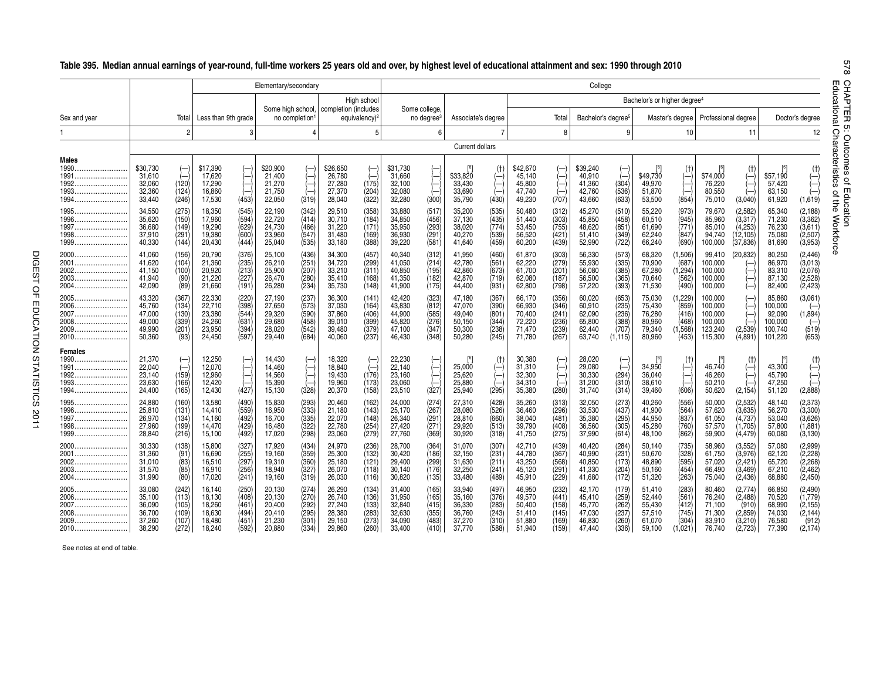|                                                  |                                                          |                                                           |                                                          |                                                                                  | Elementary/secondary                                     |                                                          |                                                          |                                                            |                                                          |                                                                                                  |                                                          |                                                                       |                                                          |                                                        | College                                                  |                                                           |                                                          |                                                                                                |                                                                |                                                                                                 |                                                              |                                                                  |
|--------------------------------------------------|----------------------------------------------------------|-----------------------------------------------------------|----------------------------------------------------------|----------------------------------------------------------------------------------|----------------------------------------------------------|----------------------------------------------------------|----------------------------------------------------------|------------------------------------------------------------|----------------------------------------------------------|--------------------------------------------------------------------------------------------------|----------------------------------------------------------|-----------------------------------------------------------------------|----------------------------------------------------------|--------------------------------------------------------|----------------------------------------------------------|-----------------------------------------------------------|----------------------------------------------------------|------------------------------------------------------------------------------------------------|----------------------------------------------------------------|-------------------------------------------------------------------------------------------------|--------------------------------------------------------------|------------------------------------------------------------------|
|                                                  |                                                          |                                                           |                                                          |                                                                                  |                                                          |                                                          |                                                          | High school                                                |                                                          |                                                                                                  |                                                          |                                                                       |                                                          |                                                        |                                                          |                                                           | Bachelor's or higher degree <sup>4</sup>                 |                                                                                                |                                                                |                                                                                                 |                                                              |                                                                  |
| Sex and year                                     |                                                          | Total                                                     | Less than 9th grade                                      |                                                                                  |                                                          | no completion                                            | Some high school.   completion (includes                 | equivalency) <sup>2</sup>                                  |                                                          | Some college.<br>no degree <sup>3</sup>                                                          | Associate's degree                                       |                                                                       |                                                          | Total                                                  | Bachelor's degree <sup>5</sup>                           |                                                           |                                                          | Master's degree                                                                                | Professional degree                                            |                                                                                                 |                                                              | Doctor's degree                                                  |
|                                                  |                                                          | $\overline{2}$                                            |                                                          | 3                                                                                |                                                          |                                                          |                                                          | 5                                                          |                                                          |                                                                                                  |                                                          |                                                                       |                                                          | 8                                                      |                                                          | 9                                                         |                                                          | 10                                                                                             |                                                                | 11                                                                                              |                                                              | 12                                                               |
|                                                  |                                                          |                                                           |                                                          |                                                                                  |                                                          |                                                          |                                                          |                                                            |                                                          |                                                                                                  | Current dollars                                          |                                                                       |                                                          |                                                        |                                                          |                                                           |                                                          |                                                                                                |                                                                |                                                                                                 |                                                              |                                                                  |
| Males<br>1990.<br>1991<br>1992.<br>1993.<br>1994 | \$30,730<br>31,610<br>32,060<br>32,360<br>33,440         | $\overleftarrow{-}$<br>(120)<br>(124)<br>(246)            | \$17,390<br>17,620<br>17.290<br>16,860<br>17,530         | $(-)$<br>$\overset{(-)}{\leftarrow}$<br>$\begin{pmatrix} - \\ 453 \end{pmatrix}$ | \$20,900<br>21,400<br>21,270<br>21,750<br>22,050         | $\overline{(-)}$<br>(319)                                | \$26,650<br>26,780<br>27,280<br>27,370<br>28,040         | (175)<br>$(204)$<br>$(322)$                                | \$31,730<br>31,660<br>32,100<br>32,080<br>32,280         | $\begin{matrix} & \boxed{-} \\ \boxed{-} \\ \boxed{-} \\ \boxed{-} \\ \boxed{-} \\ \end{matrix}$ | \$33,820<br>33,430<br>33,690<br>35,790                   | (t)<br>$\overset{(-)}{\leftarrow}$<br>$\overrightarrow{(-)}$<br>(430) | \$42,670<br>45.140<br>45.800<br>47,740<br>49,230         | $\frac{(-)}{(707)}$                                    | \$39,240<br>40,910<br>41,360<br>42,760<br>43,660         | (304)<br>(536)<br>(633)                                   | \$49,730<br>49,970<br>51,870<br>53,500                   | (†)<br>(–)<br>(–)<br>(854)                                                                     | \$74,000<br>76,220<br>80,550<br>75,010                         | $\stackrel{(\dagger)}{\left(\dagger\right)}$<br>$\begin{pmatrix} - \\ - \\ 3,040 \end{pmatrix}$ | \$57,190<br>57.420<br>63,150<br>61,920                       | (1,619)                                                          |
| 1996<br>1997<br>1998<br>1999                     | 34,550<br>35.620<br>36,680<br>37,910<br>40,330           | $(275)$<br>$(150)$<br>(149)<br>(291)<br>(144)             | 18.350<br>17.960<br>19,290<br>19,380<br>20,430           | $(545)$<br>$(594)$<br>(629)<br>$(600)$<br>$(444)$                                | 22,190<br>22.720<br>24,730<br>23,960<br>25,040           | $(342)$<br>$(414)$<br>(466)<br>(547)<br>(535)            | 29,510<br>30.710<br>31,220<br>31,480<br>33,180           | $(358)$<br>$(184)$<br>(171)<br>(169)<br>(388)              | 33,880<br>34.850<br>35,950<br>36,930<br>39,220           | $(517)$<br>$(456)$<br>(293)<br>$(291)$<br>$(581)$                                                | 35,200<br>37.130<br>38,020<br>40,270<br>41,640           | (535)<br>(435)<br>(774)<br>$(539)$<br>(459)                           | 50.480<br>51.440<br>53.450<br>56,520<br>60,200           | $(312)$<br>$(303)$<br>(755)<br>$(421)$<br>$(439)$      | 45.270<br>45.850<br>48,620<br>51,410<br>52,990           | (510)<br>(458)<br>(851)<br>$(349)$<br>$(722)$             | 55,220<br>60.510<br>61,690<br>62,240<br>66,240           | $\binom{973}{945}$<br>(771)<br>(847)<br>(690)                                                  | 79,670<br>85.960<br>85,010<br>94,740<br>100,000                | (2, 582)<br>(3,317)<br>(4, 253)<br>(12, 105)<br>(37, 836)                                       | 65.340<br>71.230<br>76,230<br>75,080<br>81,690               | $(2, 188)$<br>$(3, 362)$<br>(3,611)<br>(2,507)<br>(3,953)        |
| 2000<br>2001<br>2002<br>2003.<br>2004            | 41,060<br>41,620<br>41,150<br>41,940<br>42,090           | (156)<br>(104)<br>(100)<br>(90)<br>$\langle 89 \rangle$   | 20,790<br>21,360<br>20,920<br>21,220<br>21,660           | (376)<br>(235)<br>(213)<br>(227)<br>$\sqrt{191}$                                 | 25,100<br>26,210<br>25,900<br>26,470<br>26,280           | (436)<br>(251)<br>(207)<br>(280)<br>(234)                | 34,300<br>34,720<br>33,210<br>35,410<br>35,730           | (457)<br>(299)<br>(311)<br>(168)<br>(148)                  | 40,340<br>41,050<br>40,850<br>41,350<br>41,900           | $(312)$<br>$(214)$<br>(195)<br>(182)<br>(175)                                                    | 41,950<br>42,780<br>42,860<br>42,870<br>44,400           | (460)<br>(561)<br>(673)<br>(719)<br>(931)                             | 61.870<br>62,220<br>61,700<br>62,080<br>62,800           | (303)<br>(279)<br>(201)<br>(187)<br>(798)              | 56,330<br>55,930<br>56,080<br>56,500<br>57,220           | (573)<br>(335)<br>(385)<br>(365)<br>393                   | 68,320<br>70,900<br>67,280<br>70,640<br>71,530           | (1,506)<br>(687)<br>(1, 294)<br>$(562)$<br>$(490)$                                             | 99,410<br>100,000<br>100,000<br>100,000<br>100,000             | (20, 832)                                                                                       | 80.250<br>86,970<br>83,310<br>87,130<br>82,400               | (2, 446)<br>(3,013)<br>(2,076)<br>(2,528)<br>(2.423)             |
| 2005<br>2006<br>2007<br>2008<br>2009<br>2010     | 43.320<br>45,760<br>47,000<br>49.000<br>49,990<br>50,360 | $(367)$<br>$(134)$<br>(130)<br>$\binom{339}{201}$<br>(93) | 22.330<br>22.710<br>23,380<br>24.260<br>23,950<br>24,450 | $(220)$<br>$(398)$<br>(544)<br>$(631)$<br>$(394)$<br>(S97)                       | 27.190<br>27,650<br>29,320<br>29.680<br>28,020<br>29,440 | $(237)$<br>$(573)$<br>(590)<br>$(458)$<br>(542)<br>(684) | 36,300<br>37,030<br>37,860<br>39,010<br>39,480<br>40,060 | $(141)$<br>$(164)$<br>(406)<br>$(399)$<br>$(379)$<br>(237) | 42,420<br>43,830<br>44,900<br>45,820<br>47,100<br>46,430 | $(323)$<br>$(812)$<br>(585)<br>(276)<br>(347)<br>(348)                                           | 47.180<br>47,070<br>49,040<br>50.150<br>50,300<br>50,280 | $(367)$<br>$(390)$<br>(801)<br>$\binom{344}{238}$<br>(245)            | 66.170<br>66,930<br>70.400<br>72.220<br>71.470<br>71,780 | $(356)$<br>$(346)$<br>(241)<br>(236)<br>(239)<br>(267) | 60.020<br>60,910<br>62,090<br>65,800<br>62.440<br>63,740 | $(653)$<br>$(235)$<br>(236)<br>(388)<br>(707)<br>(1, 115) | 75,030<br>75,430<br>76,280<br>80.960<br>79,340<br>80,960 | $\begin{array}{c} (1,229) \ (859) \end{array}$<br>(416)<br>(468)<br>(1,568)<br>(453)           | 100,000<br>100,000<br>100,000<br>100,000<br>123,240<br>115,300 | (2,539)<br>(4,891)                                                                              | 85.860<br>100,000<br>92,090<br>100.000<br>100.740<br>101,220 | (3,061)<br>$(-$<br>(1,894)<br>$\overline{(-)}$<br>(519)<br>(653) |
| <b>Females</b><br>1991<br>1992<br>1993<br>1994   | 21,370<br>22,040<br>23,140<br>23,630<br>24,400           | $\overleftarrow{-}$<br>(159)<br>(166)<br>(165)            | 12,250<br>12.070<br>12,960<br>12,420<br>12,430           | $(-)$<br>$\begin{pmatrix} -1 \\ 427 \end{pmatrix}$                               | 14,430<br>14,460<br>14,560<br>15,390<br>15,130           | $\left( -\right)$<br>(328)                               | 18,320<br>18,840<br>19,430<br>19,960<br>20,370           | $\overset{(-)}{\leftarrow}$<br>(176)<br>(173)<br>(158)     | 22,230<br>22,140<br>23,160<br>23,060<br>23,510           | $\begin{array}{c} (-) \\ (-) \\ (-) \\ (-) \\ (327) \end{array}$                                 | 25,000<br>25,620<br>25,880<br>25,940                     | (t)<br>$(-)$<br>$\begin{pmatrix} -1 \\ -2 \end{pmatrix}$<br>(295)     | 30,380<br>31,310<br>32,300<br>34,310<br>35,380           | $\left( -\right)$<br>(280)                             | 28,020<br>29,080<br>30,330<br>31,200<br>31,740           | (294)<br>(310)<br>(314)                                   | 34,950<br>36,040<br>38,610<br>39,460                     | (t)<br>$\begin{matrix} \left(-\right) \ \left(-\right) \ \left(-\right) \end{matrix}$<br>(606) | 46.740<br>46,260<br>50,210<br>50,620                           | (t)<br>$(-)$<br>(2, 154)                                                                        | 43.300<br>45,790<br>47,250<br>51,120                         | (t)<br>(2,888)                                                   |
| 1995<br>1996<br>1997<br>1998.<br>1999            | 24,880<br>25,810<br>26,970<br>27,960<br>28,840           | (160)<br>(131)<br>(134)<br>(199)<br>(216)                 | 13,580<br>14,410<br>14.160<br>14,470<br>15,100           | (490)<br>(559)<br>$(492)$<br>$(429)$<br>(492)                                    | 15,830<br>16,950<br>16,700<br>16,480<br>17,020           | (293)<br>(333)<br>$(335)$<br>$(322)$<br>(298)            | 20,460<br>21,180<br>22,070<br>22.780<br>23,060           | (162)<br>(143)<br>$(148)$<br>$(254)$<br>(279)              | 24,000<br>25,170<br>26,340<br>27.420<br>27,760           | (274)<br>(267)<br>(291)<br>$\sqrt{271}$<br>(369)                                                 | 27,310<br>28,080<br>28,810<br>29.920<br>30,920           | (428)<br>(526)<br>(660)<br>(513)<br>(318)                             | 35,260<br>36,460<br>38,040<br>39.790<br>41,750           | (313)<br>(296)<br>(481)<br>(408)<br>(275)              | 32,050<br>33,530<br>35,380<br>36,560<br>37,990           | (273)<br>(437)<br>(295)<br>(305)<br>(614)                 | 40,260<br>41,900<br>44,950<br>45.280<br>48,100           | (556)<br>(564)<br>(837)<br>(760)<br>(862)                                                      | 50,000<br>57,620<br>61,050<br>57,570<br>59,900                 | (2, 532)<br>(3,635)<br>(4,737)<br>(1,705)<br>(4, 479)                                           | 48,140<br>56,270<br>53,040<br>57,800<br>60,080               | (2, 373)<br>(3,300)<br>(3,626)<br>(1, 881)<br>(3, 130)           |
| 2000<br>2001<br>2002<br>2003<br>2004             | 30,330<br>31,360<br>31.010<br>31,570<br>31,990           | (138)<br>(91)<br>$\binom{83}{85}$<br>(80)                 | 15,800<br>16.690<br>16.510<br>16.910<br>17,020           | (327)<br>$(255)$<br>$(297)$<br>$(256)$<br>(241)                                  | 17,920<br>19.160<br>19.310<br>18.940<br>19,160           | (434)<br>(359)<br>(360)<br>(327)<br>(319)                | 24,970<br>25,300<br>25.180<br>26,070<br>26,030           | (236)<br>(132)<br>(121)<br>(118)<br>(116)                  | 28,700<br>30,420<br>29.400<br>30.140<br>30,820           | (364)<br>(186)<br>(299)<br>(176)<br>(135)                                                        | 31,070<br>32,150<br>31.630<br>32.250<br>33,480           | (307)<br>(231)<br>(211)<br>(241)<br>(489)                             | 42,710<br>44.780<br>43.250<br>45.120<br>45,910           | $(439)$<br>$(367)$<br>(568)<br>(291)<br>(229)          | 40,420<br>40.990<br>40.850<br>41,330<br>41,680           | (284)<br>(231)<br>(173)<br>(204)<br>(172)                 | 50,140<br>50.670<br>48.890<br>50.160<br>51,320           | (735)<br>(328)<br>$(595)$<br>$(454)$<br>(263)                                                  | 58,960<br>61,750<br>57.020<br>66.490<br>75,040                 | (3, 552)<br>(3,976)<br>(2, 421)<br>(3,469)<br>(2, 436)                                          | 57,080<br>62.120<br>65.720<br>67.210<br>68,880               | (2,999)<br>(2,228)<br>(2, 268)<br>(2,462)<br>(2, 450)            |
| 2005<br>2006<br>2007<br>2008.<br>2009<br>2010    | 33,080<br>35,100<br>36.090<br>36,700<br>37,260<br>38.290 | (242)<br>(113)<br>(105)<br>(109)<br>(107)<br>(272)        | 16.140<br>18,130<br>18.260<br>18,630<br>18,480<br>18.240 | (250)<br>(408)<br>(461)<br>(494)<br>(451)<br>(S92)                               | 20.130<br>20,130<br>20.400<br>20,410<br>21,230<br>20.880 | (274)<br>(270)<br>(292)<br>(295)<br>(301)<br>(334)       | 26.290<br>26,740<br>27.240<br>28,380<br>29,150<br>29,860 | (134)<br>(136)<br>$(133)$<br>$(283)$<br>(273)<br>(260)     | 31,400<br>31,950<br>32,840<br>32,630<br>34,090<br>33.400 | (165)<br>(165)<br>$(415)$<br>$(355)$<br>(483)<br>(410)                                           | 33.940<br>35,160<br>36,330<br>36,760<br>37,270<br>37.770 | (497)<br>(376)<br>(283)<br>(243)<br>(310)<br>(588)                    | 46.950<br>49,570<br>50.400<br>51,410<br>51,880<br>51.940 | (232)<br>(441)<br>(158)<br>(145)<br>(169)<br>(159)     | 42.170<br>45,410<br>45.770<br>47,030<br>46,830<br>47.440 | (179)<br>(259)<br>(262)<br>(237)<br>(260)<br>(336)        | 51,410<br>52,440<br>55,430<br>57,510<br>61,070<br>59.100 | (283)<br>(561)<br>(412)<br>(745)<br>(304)<br>(1,021)                                           | 80,460<br>76,240<br>71.100<br>71,300<br>83,910<br>76.740       | (2,774)<br>(2, 488)<br>(910)<br>(2,859)<br>(3, 210)<br>(2, 723)                                 | 66,850<br>70,520<br>68.990<br>74,030<br>76,580<br>77,390     | (2, 490)<br>(1,779)<br>(2, 155)<br>(2, 144)<br>(912)<br>(2.174)  |

## **Table 395. Median annual earnings of year-round, full-time workers 25 years old and over, by highest level of educational attainment and sex: 1990 through 2010**

See notes at end of table.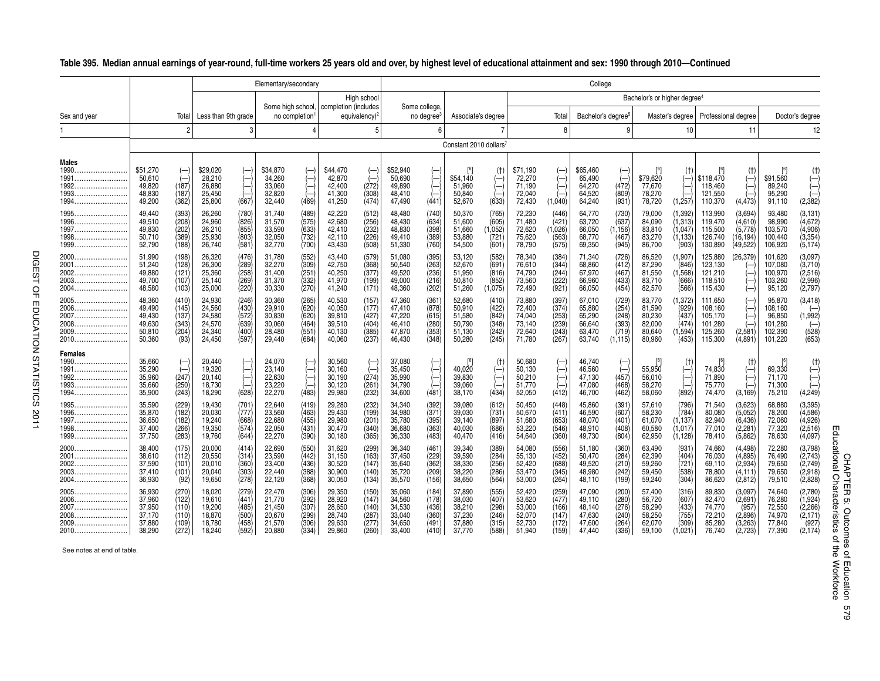|                                                          |                                                          |                                                                   |                                                          |                                                                                                                                                                                                                                | Elementary/secondary                                     |                                                                                                              |                                                          |                                                     |                                                          |                                                                                                                                                                                                             |                                                          |                                                        |                                                          |                                                    | College                                                  |                                                            |                                                          |                                                              |                                                                |                                                                   |                                                              |                                                                       |
|----------------------------------------------------------|----------------------------------------------------------|-------------------------------------------------------------------|----------------------------------------------------------|--------------------------------------------------------------------------------------------------------------------------------------------------------------------------------------------------------------------------------|----------------------------------------------------------|--------------------------------------------------------------------------------------------------------------|----------------------------------------------------------|-----------------------------------------------------|----------------------------------------------------------|-------------------------------------------------------------------------------------------------------------------------------------------------------------------------------------------------------------|----------------------------------------------------------|--------------------------------------------------------|----------------------------------------------------------|----------------------------------------------------|----------------------------------------------------------|------------------------------------------------------------|----------------------------------------------------------|--------------------------------------------------------------|----------------------------------------------------------------|-------------------------------------------------------------------|--------------------------------------------------------------|-----------------------------------------------------------------------|
|                                                          |                                                          |                                                                   |                                                          |                                                                                                                                                                                                                                |                                                          |                                                                                                              | Some high school, completion (includes                   | High school                                         |                                                          | Some college.                                                                                                                                                                                               |                                                          |                                                        |                                                          |                                                    |                                                          |                                                            | Bachelor's or higher degree <sup>4</sup>                 |                                                              |                                                                |                                                                   |                                                              |                                                                       |
| Sex and year                                             |                                                          | Total                                                             | Less than 9th grade                                      |                                                                                                                                                                                                                                |                                                          | no completion                                                                                                |                                                          | equivalency) <sup>2</sup>                           |                                                          | no degree <sup>3</sup>                                                                                                                                                                                      | Associate's degree                                       |                                                        |                                                          | Total                                              | Bachelor's degree <sup>5</sup>                           |                                                            |                                                          | Master's degree                                              | Professional degree                                            |                                                                   |                                                              | Doctor's degree                                                       |
|                                                          |                                                          | $\overline{2}$                                                    |                                                          | 3                                                                                                                                                                                                                              |                                                          |                                                                                                              |                                                          | 5                                                   |                                                          |                                                                                                                                                                                                             |                                                          |                                                        |                                                          | 8                                                  |                                                          | 9                                                          |                                                          | 10                                                           |                                                                | 11                                                                |                                                              | 12                                                                    |
|                                                          |                                                          |                                                                   |                                                          |                                                                                                                                                                                                                                |                                                          |                                                                                                              |                                                          |                                                     |                                                          |                                                                                                                                                                                                             | Constant 2010 dollars7                                   |                                                        |                                                          |                                                    |                                                          |                                                            |                                                          |                                                              |                                                                |                                                                   |                                                              |                                                                       |
| <b>Males</b><br>1990.<br>1991<br>1992.<br>1993<br>1994   | \$51,270<br>50,610<br>49,820<br>48,830<br>49,200         | $\begin{pmatrix} -1 \\ -2 \\ 187 \end{pmatrix}$<br>(187)<br>(362) | \$29,020<br>28,210<br>26,880<br>25,450<br>25,800         | $\begin{array}{c} \begin{array}{c} \begin{array}{c} \begin{array}{c} \end{array} \\ \begin{array}{c} \end{array} \\ \begin{array}{c} \end{array} \\ \begin{array}{c} \end{array} \end{array} \end{array} \end{array}$<br>(667) | \$34,870<br>34,260<br>33,060<br>32,820<br>32,440         | $\begin{matrix} \left(-\right) \ \left(-\right) \ \left(-\right) \end{matrix}$<br>(469)                      | \$44,470<br>42.870<br>42,400<br>41,300<br>41,250         | $\frac{(-)}{(272)}$<br>(308)<br>(474)               | \$52,940<br>50,690<br>49,890<br>48,410<br>47,490         | $(-$<br>Ë<br>(441)                                                                                                                                                                                          | \$54,140<br>51,960<br>50,840<br>52,670                   | (t)<br>$\bigoplus_{i=1}^{n-1}$<br>(633)                | \$71,190<br>72,270<br>71,190<br>72,040<br>72,430         | $\overleftarrow{-}$<br>(1,040)                     | \$65,460<br>65.490<br>64,270<br>64,520<br>64,240         | $\begin{pmatrix} - \\ 472 \end{pmatrix}$<br>(809)<br>(931) | \$79,620<br>77,670<br>78,270<br>78,720                   | (†<br>$(-)$<br>$\overleftarrow{-}$<br>(1,257)                | \$118,470<br>118,460<br>121,550<br>110,370                     | $(-)$<br>(4, 473)                                                 | \$91.560<br>89,240<br>95.290<br>91,110                       | (—<br>(2, 382)                                                        |
| 1995<br>1996<br>1997<br>1998<br>1999                     | 49.440<br>49,510<br>49,830<br>50,710<br>52,790           | (393)<br>$(208)$<br>$(202)$<br>(389)<br>(188)                     | 26.260<br>24,960<br>26,210<br>25,930<br>26,740           | (780)<br>$(826)$<br>$(855)$<br>(803)<br>(581)                                                                                                                                                                                  | 31.740<br>31,570<br>33,590<br>32,050<br>32,770           | (489)<br>$(575)$<br>$(633)$<br>(732)<br>(700)                                                                | 42.220<br>42,680<br>42.410<br>42,110<br>43,430           | (512)<br>(256)<br>(232)<br>(226)<br>(508)           | 48.480<br>48,430<br>48,830<br>49.410<br>51,330           | (740)<br>$(634)$<br>$(398)$<br>(389)<br>(760)                                                                                                                                                               | 50.370<br>51,600<br>51,660<br>53,880<br>54,500           | (765)<br>(605)<br>(1,052)<br>(721)<br>(601)            | 72.230<br>71,480<br>72,620<br>75,620<br>78,790           | (446)<br>(421)<br>(1,026)<br>(563)<br>(575)        | 64,770<br>63,720<br>66,050<br>68,770<br>69,350           | (730)<br>(637)<br>(1, 156)<br>(467)<br>(945)               | 79.000<br>84,090<br>83,810<br>83,270<br>86,700           | (1, 392)<br>(1, 313)<br>(1,047)<br>(1, 133)<br>(903)         | 113,990<br>119,470<br>115,500<br>126,740<br>130,890            | (3,694)<br>(4,610)<br>(5,778)<br>(16, 194)<br>(49, 522)           | 93.480<br>98,990<br>103,570<br>100.440<br>106,920            | (3, 131)<br>(4, 672)<br>(4,906)<br>(3,354)<br>(5, 174)                |
| 2000<br>2001<br>2002<br>2003.                            | 51.990<br>51,240<br>49.880<br>49,700<br>48,580           | (198)<br>(128)<br>(121)<br>(107)<br>(103)                         | 26.320<br>26,300<br>25,360<br>25,140<br>25,000           | (476)<br>(289)<br>(258)<br>(269)<br>(220)                                                                                                                                                                                      | 31.780<br>32,270<br>31.400<br>31,370<br>30,330           | (552)<br>$(309)$<br>$(251)$<br>(332)<br>(270)                                                                | 43.440<br>42,750<br>40.250<br>41,970<br>41,240           | (579)<br>(368)<br>(377)<br>(199)<br>(171)           | 51.080<br>50,540<br>49.520<br>49,000<br>48,360           | (395)<br>(263)<br>(236)<br>(216)<br>(202)                                                                                                                                                                   | 53.120<br>52,670<br>51,950<br>50,810<br>51,260           | (582)<br>(691)<br>(816)<br>(852)<br>(1,075)            | 78.340<br>76,610<br>74.790<br>73,560<br>72,490           | (384)<br>(344)<br>(244)<br>(222)<br>(921)          | 71.340<br>68,860<br>67.970<br>66,960<br>66,050           | (726)<br>(412)<br>(467)<br>(433)<br>(454)                  | 86,520<br>87,290<br>81.550<br>83,710<br>82,570           | (1,907)<br>(846)<br>(1,568)<br>(666)<br>(566)                | 125.880<br>123,130<br>121,210<br>118,510<br>115,430            | (26, 379)                                                         | 101.620<br>107,080<br>100.970<br>103,260<br>95,120           | (3,097)<br>(3,710)<br>(2,516)<br>(2,996)<br>(2,797)                   |
| 2005<br>2006<br>2007<br>2008<br>2009<br>2010             | 48,360<br>49,490<br>49,430<br>49,630<br>50,810<br>50,360 | (410)<br>(145)<br>(137)<br>(343)<br>(204)<br>(93)                 | 24,930<br>24,560<br>24,580<br>24,570<br>24,340<br>24,450 | (246)<br>(430)<br>(572)<br>(639)<br>(400)<br>(597)                                                                                                                                                                             | 30,360<br>29,910<br>30,830<br>30,060<br>28,480<br>29,440 | (265)<br>(620)<br>(620)<br>(464)<br>(551)<br>(684)                                                           | 40,530<br>40,050<br>39,810<br>39,510<br>40,130<br>40,060 | (157)<br>(177)<br>(427)<br>(404)<br>(385)<br>(237)  | 47,360<br>47,410<br>47,220<br>46,410<br>47,870<br>46,430 | (361)<br>(878)<br>(615)<br>(280)<br>(353)<br>(348)                                                                                                                                                          | 52,680<br>50,910<br>51,580<br>50,790<br>51,130<br>50,280 | (410)<br>(422)<br>(842)<br>(348)<br>(242)<br>(245)     | 73,880<br>72.400<br>74,040<br>73,140<br>72,640<br>71,780 | (397)<br>(374)<br>(253)<br>(239)<br>(243)<br>(267) | 67,010<br>65,880<br>65,290<br>66,640<br>63,470<br>63,740 | (729)<br>(254)<br>(248)<br>(393)<br>(719)<br>(1, 115)      | 83,770<br>81,590<br>80,230<br>82,000<br>80,640<br>80,960 | (1, 372)<br>(929)<br>(437)<br>(474)<br>(1, 594)<br>(453)     | 111,650<br>108,160<br>105,170<br>101,280<br>125,260<br>115,300 | (2,581)<br>(4,891)                                                | 95,870<br>108,160<br>96,850<br>101,280<br>102,390<br>101,220 | (3, 418)<br>$\overline{(-)}$<br>(1,992)<br>$(-$<br>$(528)$<br>$(653)$ |
| <b>Females</b><br>1990.<br>1991<br>1992<br>1993.<br>1994 | 35,660<br>35,290<br>35,960<br>35,660<br>35,900           | $\left(\rightleftharpoons\right)$<br>(247)<br>$\binom{250}{243}$  | 20,440<br>19.320<br>20,140<br>18,730<br>18.290           | $\begin{pmatrix} -1 \\ -1 \end{pmatrix}$<br>$\overrightarrow{(-)}$ (628)                                                                                                                                                       | 24.070<br>23.140<br>22,630<br>23,220<br>22,270           | $\begin{smallmatrix} \leftarrow \cr \leftarrow \cr \leftarrow \cr \leftarrow \cr \end{smallmatrix}$<br>(483) | 30,560<br>30,160<br>30,190<br>30,120<br>29,980           | $\left(\rightleftarrow)$<br>(274)<br>(261)<br>(232) | 37,080<br>35,450<br>35,990<br>34,790<br>34,600           | $\begin{matrix}\n\begin{pmatrix}\n\end{pmatrix} \\ \begin{pmatrix}\n\end{pmatrix} \\ \begin{pmatrix}\n\end{pmatrix} \\ \begin{pmatrix}\n\end{pmatrix} \\ \begin{pmatrix}\n481\n\end{pmatrix}\n\end{matrix}$ | 40,020<br>39,830<br>39,060<br>38.170                     | (†)<br>(–)<br>(–)<br>(434)                             | 50,680<br>50.130<br>50,210<br>51,770<br>52,050           | 昌<br>(—<br>(412)                                   | 46,740<br>46,560<br>47,130<br>47,080<br>46,700           | $\frac{(-)}{(457)}$<br>$(468)$<br>$(462)$                  | 55,950<br>56,010<br>58,270<br>58,060                     | (t)<br>$\overleftarrow{\vdash}$<br>$\overline{(-)}$<br>(892) | 74,830<br>71,890<br>75,770<br>74,470                           | $\stackrel{(\dagger)}{\leftarrow}$<br>$\overline{(-)}$<br>(3,169) | 69.330<br>71,170<br>71,300<br>75,210                         | $\overline{(-)}$<br>(4,249)                                           |
| 1996<br>1997<br>1998<br>1999                             | 35,590<br>35,870<br>36,650<br>37,400<br>37,750           | $(229)$<br>$(182)$<br>(182)<br>(266)<br>(283)                     | 19.430<br>20,030<br>19,240<br>19,350<br>19,760           | $(701)$<br>$(777)$<br>(668)<br>(574)<br>(644)                                                                                                                                                                                  | 22.640<br>23,560<br>22,680<br>22,050<br>22,270           | (419)<br>(463)<br>(455)<br>(431)<br>(390)                                                                    | 29.280<br>29.430<br>29,980<br>30,470<br>30,180           | $(232)$<br>$(199)$<br>(201)<br>(340)<br>(365)       | 34,340<br>34,980<br>35,780<br>36,680<br>36,330           | $(392)$<br>$(371)$<br>(395)<br>(363)<br>(483)                                                                                                                                                               | 39.080<br>39,030<br>39,140<br>40,030<br>40,470           | $(612)$<br>$(731)$<br>(897)<br>(686)<br>(416)          | 50.450<br>50.670<br>51.680<br>53,220<br>54,640           | (448)<br>(411)<br>(653)<br>(546)<br>(360)          | 45.860<br>46,590<br>48.070<br>48,910<br>49,730           | $(391)$<br>$(607)$<br>(401)<br>(408)<br>(804)              | 57.610<br>58,230<br>61.070<br>60,580<br>62,950           | $(796)$<br>$(784)$<br>(1, 137)<br>(1,017)<br>(1, 128)        | 71.540<br>80,080<br>82,940<br>77,010<br>78,410                 | (3,623)<br>(5,052)<br>(6, 436)<br>(2, 281)<br>(5,862)             | 68,880<br>78,200<br>72,060<br>77,320<br>78,630               | $(3,395)$<br>$(4,586)$<br>(4,926)<br>(2,516)<br>(4,097)               |
| 2000<br>2001<br>2002.<br>2003.<br>2004                   | 38.400<br>38,610<br>37,590<br>37,410<br>36,930           | (175)<br>(112)<br>(101)<br>(101)<br>(92)                          | 20.000<br>20,550<br>20,010<br>20,040<br>19,650           | (414)<br>(314)<br>(360)<br>(303)<br>(278)                                                                                                                                                                                      | 22.690<br>23,590<br>23,400<br>22,440<br>22,120           | $(550)$<br>$(442)$<br>(436)<br>(388)<br>(368)                                                                | 31.620<br>31,150<br>30,520<br>30,900<br>30,050           | (299)<br>(163)<br>(147)<br>(140)<br>(134)           | 36.340<br>37,450<br>35,640<br>35,720<br>35,570           | $(461)$<br>$(229)$<br>(362)<br>(209)<br>(156)                                                                                                                                                               | 39.340<br>39,590<br>38,330<br>38,220<br>38,650           | $(389)$<br>$(284)$<br>(256)<br>(286)<br>(564)          | 54.080<br>55,130<br>52.420<br>53,470<br>53,000           | $(556)$<br>$(452)$<br>(688)<br>(345)<br>(264)      | 51.180<br>50,470<br>49,520<br>48,980<br>48,110           | (360)<br>(284)<br>(210)<br>(242)<br>(199)                  | 63.490<br>62,390<br>59,260<br>59,450<br>59,240           | (931)<br>(404)<br>(721)<br>(538)<br>(304)                    | 74,660<br>76,030<br>69,110<br>78,800<br>86,620                 | (4, 498)<br>(4, 895)<br>(2,934)<br>(4, 111)<br>(2, 812)           | 72.280<br>76,490<br>79,650<br>79,650<br>79,510               | (3,798)<br>(2,743)<br>(2,749)<br>(2,918)<br>(2,828)                   |
| 2005<br>2006.<br>2007<br>2008.<br>2009.<br>2010          | 36,930<br>37,960<br>37,950<br>37,170<br>37,880<br>38,290 | (270)<br>(122)<br>(110)<br>(110)<br>(109)<br>(272)                | 18,020<br>19,610<br>19,200<br>18,870<br>18,780<br>18,240 | (279)<br>(441)<br>(485)<br>(500)<br>(458)<br>(592)                                                                                                                                                                             | 22,470<br>21,770<br>21,450<br>20,670<br>21,570<br>20,880 | (306)<br>(292)<br>(307)<br>(299)<br>(306)<br>(334)                                                           | 29,350<br>28,920<br>28,650<br>28,740<br>29,630<br>29,860 | (150)<br>(147)<br>(140)<br>(287)<br>(277)<br>(260)  | 35,060<br>34,560<br>34,530<br>33,040<br>34,650<br>33,400 | (184)<br>(178)<br>(436)<br>(360)<br>(491)<br>(410)                                                                                                                                                          | 37,890<br>38,030<br>38,210<br>37,230<br>37,880<br>37,770 | $(555)$<br>$(407)$<br>(298)<br>(246)<br>(315)<br>(588) | 52,420<br>53,620<br>53,000<br>52.070<br>52,730<br>51.940 | (259)<br>(477)<br>(166)<br>(147)<br>(172)<br>(159) | 47,090<br>49,110<br>48,140<br>47,630<br>47,600<br>47.440 | (200)<br>(280)<br>(276)<br>(240)<br>(264)<br>(336)         | 57,400<br>56,720<br>58,290<br>58,250<br>62,070<br>59,100 | (316)(607)<br>(433)<br>(755)<br>(309)<br>(1,021)             | 89,830<br>82,470<br>74,770<br>72,210<br>85,280<br>76,740       | (3,097)<br>(2,691)<br>(957)<br>(2,896)<br>(3,263)<br>(2, 723)     | 74,640<br>76,280<br>72,550<br>74,970<br>77,840<br>77,390     | (2,780)<br>(1,924<br>(2, 266)<br>(2, 171)<br>(927)<br>(2.174)         |

# **Table 395. Median annual earnings of year-round, full-time workers 25 years old and over, by highest level of educational attainment and sex: 1990 through 2010—Continued**

See notes at end of table.

DIGEST OF EDUCATION STATISTICS 2011 DIGEST OF EDUCATION STATISTICS 2011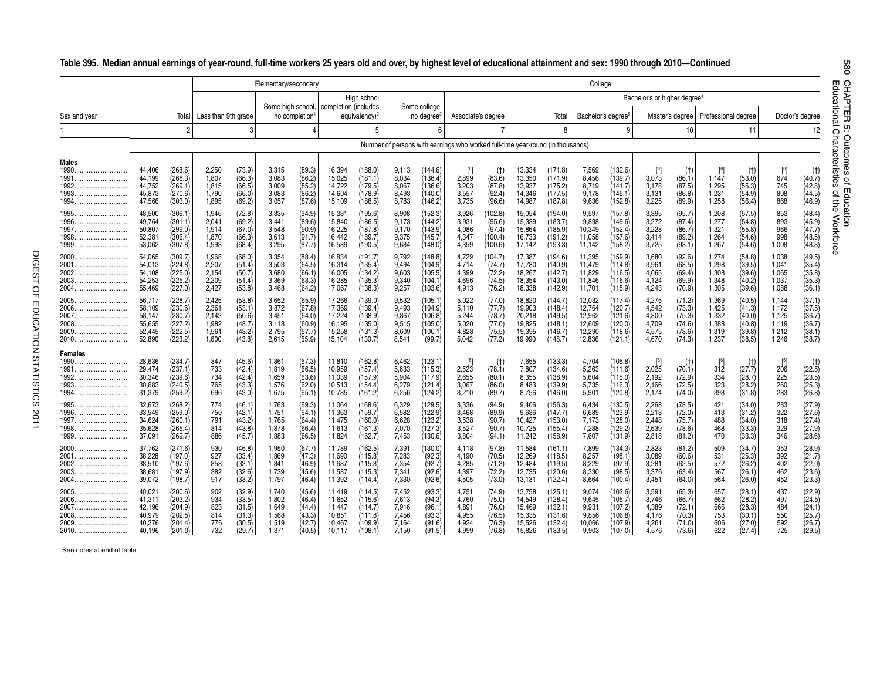|                                                          |                                                          |                                                                |                                                    |                                                              | Elementary/secondary                               |                                                          |                                                          |                                                                |                                                    |                                                               |                                                                                |                                                              |                                                          |                                                                    | College                                                  |                                                                |                                                    |                                                                    |                                                    |                                                              |                                                    |                                                                  |
|----------------------------------------------------------|----------------------------------------------------------|----------------------------------------------------------------|----------------------------------------------------|--------------------------------------------------------------|----------------------------------------------------|----------------------------------------------------------|----------------------------------------------------------|----------------------------------------------------------------|----------------------------------------------------|---------------------------------------------------------------|--------------------------------------------------------------------------------|--------------------------------------------------------------|----------------------------------------------------------|--------------------------------------------------------------------|----------------------------------------------------------|----------------------------------------------------------------|----------------------------------------------------|--------------------------------------------------------------------|----------------------------------------------------|--------------------------------------------------------------|----------------------------------------------------|------------------------------------------------------------------|
|                                                          |                                                          |                                                                |                                                    |                                                              |                                                    |                                                          | Some high school, completion (includes                   | High school                                                    |                                                    | Some college                                                  |                                                                                |                                                              |                                                          |                                                                    |                                                          |                                                                | Bachelor's or higher degree <sup>4</sup>           |                                                                    |                                                    |                                                              |                                                    |                                                                  |
| Sex and year                                             |                                                          | Total                                                          | Less than 9th grade                                |                                                              |                                                    | no completion                                            |                                                          | equivalency) <sup>2</sup>                                      |                                                    | no degree <sup>3</sup>                                        | Associate's degree                                                             |                                                              |                                                          | Total                                                              | Bachelor's degree <sup>5</sup>                           |                                                                |                                                    | Master's degree                                                    | Professional degree                                |                                                              |                                                    | Doctor's degree                                                  |
|                                                          |                                                          | $\overline{2}$                                                 |                                                    | -3                                                           |                                                    |                                                          |                                                          | 5                                                              |                                                    |                                                               |                                                                                |                                                              |                                                          |                                                                    |                                                          | 9                                                              |                                                    | 10                                                                 |                                                    | 11                                                           |                                                    | 12                                                               |
|                                                          |                                                          |                                                                |                                                    |                                                              |                                                    |                                                          |                                                          |                                                                |                                                    |                                                               | Number of persons with earnings who worked full-time year-round (in thousands) |                                                              |                                                          |                                                                    |                                                          |                                                                |                                                    |                                                                    |                                                    |                                                              |                                                    |                                                                  |
| <b>Males</b><br>1990.<br>1992.<br><br>1993.<br>1994      | 44.406<br>44,199<br>44,752<br>45,873<br>47,566           | (268.6)<br>(268.3)<br>(269.1)<br>(270.6)<br>(303.0)            | 2,250<br>1,807<br>1,815<br>1,790<br>1,895          | (73.9)<br>(66.3)<br>(66.5)<br>(66.0)<br>(69.2)               | 3,315<br>3,083<br>3,009<br>3,083<br>3,057          | (89.3)<br>(86.2)<br>(85.2)<br>(86.2)<br>(87.6)           | 16,394<br>15,025<br>14,722<br>14,604<br>15,109           | (188.0)<br>(181.1<br>(179.5)<br>(178.9)<br>(188.5)             | 9,113<br>8,034<br>8.067<br>8,493<br>8,783          | (144.6)<br>(136.4)<br>(136.6)<br>(140.0)<br>(146.2)           | $^{[6]}_{2,899}$<br>3,203<br>3,557<br>3,735                                    | $(1)$<br>(83.6)<br>(87.8)<br>(92.4)<br>(96.6)                | 13,334<br>13,350<br>13,937<br>14,346<br>14,987           | (171.8)<br>(171.9)<br>(175.2)<br>(177.5)<br>(187.8)                | 7,569<br>8,456<br>8,719<br>9,178<br>9,636                | (132.6)<br>(139.7)<br>(141.7)<br>(145.1)<br>(152.8)            | $^{[6]}_{3,073}$<br>3,178<br>3,131<br>3,225        | (t)<br>(86.1)<br>(87.5)<br>(86.8)<br>(89.9)                        | $^{[6]}$<br>1,147<br>1,295<br>1,231<br>1,258       | (t)<br>$(53.0)$<br>$(56.3)$<br>(54.9)<br>(56.4)              | [6]<br>674<br>745<br>808<br>868                    | (t)<br>(40.7)<br>(42.8)<br>(44.5)<br>(46.9)                      |
| 1995<br>1996.<br>1997<br>1998.<br>1999                   | 48,500<br>49,764<br>50,807<br>52,381<br>53,062           | (306.1)<br>(301.1)<br>(299.0)<br>(306.4)<br>(307.8)            | 1,946<br>2,041<br>1,914<br>1,870<br>1,993          | (72.8)<br>$(69.2)$<br>$(67.0)$<br>(66.3)<br>(68.4)           | 3,335<br>3,441<br>3,548<br>3,613<br>3,295          | (94.9)<br>(89.6)<br>(90.9)<br>(91.7)<br>(87.7)           | 15,331<br>15,840<br>16,225<br>16,442<br>16,589           | (195.6)<br>(186.5)<br>(187.8)<br>(189.7)<br>(190.5)            | 8,908<br>9.173<br>9,170<br>9,375<br>9,684          | (152.3)<br>(144.2)<br>(143.9)<br>(145.7)<br>(148.0)           | 3,926<br>3,931<br>4,086<br>4,347<br>4,359                                      | (102.8)<br>$(95.6)$<br>$(97.4)$<br>(100.4)<br>(100.6)        | 15,054<br>15,339<br>15,864<br>16,733<br>17,142           | (194.0)<br>(183.7)<br>(185.9)<br>(191.2)<br>(193.3)                | 9,597<br>9,898<br>10,349<br>11,058<br>11,142             | (157.8)<br>(149.6)<br>(152.4)<br>(157.6)<br>(158.2)            | 3,395<br>3,272<br>3,228<br>3,414<br>3,725          | (95.7)<br>(87.4)<br>(86.7)<br>(89.2)<br>(93.1)                     | 1,208<br>1,277<br>1,321<br>1,264<br>1,267          | (57.5)<br>(54.8)<br>(55.8)<br>(54.6)<br>(54.6)               | 853<br>893<br>966<br>998<br>1,008                  | (48.4)<br>(45.9)<br>(47.7)<br>(48.5)<br>(48.8)                   |
| 2000.<br>2001<br>2002<br>2003<br>2004                    | 54,065<br>54,013<br>54,108<br>54,253<br>55,469           | (309.7)<br>(224.8)<br>(225.0)<br>(225.2)<br>(227.0)            | 1,968<br>2,207<br>2,154<br>2,209<br>2,427          | (68.0)<br>$(51.4)$<br>$(50.7)$<br>(51.4)<br>(53.8)           | 3,354<br>3,503<br>3,680<br>3,369<br>3,468          | (88.4)<br>(64.5)<br>(66.1)<br>(63.3)<br>(64.2)           | 16,834<br>16,314<br>16,005<br>16,285<br>17,067           | (191.7)<br>(135.4)<br>(134.2)<br>(135.3)<br>(138.3)            | 9,792<br>9,494<br>9,603<br>9,340<br>9,257          | (148.8)<br>(104.9)<br>(105.5)<br>(104.1)<br>(103.6)           | 4,729<br>4,714<br>4,399<br>4,696<br>4,913                                      | (104.7)<br>$(74.7)$<br>$(72.2)$<br>(74.5)<br>(76.2)          | 17,387<br>17,780<br>18,267<br>18,354<br>18,338           | (194.6)<br>(140.9)<br>(142.7)<br>(143.0)<br>(142.9)                | 11,395<br>11,479<br>11,829<br>11,846<br>11,701           | (159.9)<br>(114.8)<br>(116.5)<br>(116.6)<br>(115.9)            | 3,680<br>3,961<br>4,065<br>4,124<br>4,243          | (92.6)<br>(68.5)<br>(69.4)<br>(69.9)<br>(70.9)                     | 1,274<br>1,298<br>1,308<br>1,348<br>1,305          | (54.8)<br>$(39.5)$<br>$(39.6)$<br>(40.2)<br>(39.6)           | 1,038<br>1,041<br>1,065<br>1,037<br>1,088          | (49.5)<br>$(35.4)$<br>$(35.8)$<br>(35.3)<br>(36.1)               |
| 2005<br>2006.<br>2007<br>2008.<br>2009.<br>2010          | 56,717<br>58,109<br>58,147<br>55,655<br>52.445<br>52,890 | (228.7)<br>(230.6)<br>(230.7)<br>(227.2)<br>(222.5)<br>(223.2) | 2,425<br>2,361<br>2.142<br>1,982<br>1.561<br>1,600 | (53.8)<br>(53.1)<br>(50.6)<br>(48.7)<br>$(43.2)$<br>$(43.8)$ | 3,652<br>3,872<br>3,451<br>3,118<br>2,795<br>2,615 | (65.9)<br>(67.8)<br>(64.0)<br>(60.9)<br>(57.7)<br>(55.9) | 17,266<br>17,369<br>17,224<br>16,195<br>15,258<br>15,104 | (139.0)<br>(139.4)<br>(138.9)<br>(135.0)<br>(131.3)<br>(130.7) | 9,532<br>9,493<br>9,867<br>9,515<br>8,609<br>8,541 | (105.1)<br>(104.9)<br>(106.8)<br>(105.0)<br>(100.1)<br>(99.7) | 5,022<br>5,110<br>5.244<br>5,020<br>4.828<br>5,042                             | (77.0)<br>(77.7)<br>(78.7)<br>(77.0)<br>$(75.5)$<br>$(77.2)$ | 18,820<br>19,903<br>20.218<br>19,825<br>19,395<br>19,990 | (144.7)<br>(148.4)<br>(149.5)<br>(148.1)<br>$(146.7)$<br>$(148.7)$ | 12,032<br>12,764<br>12,962<br>12,609<br>12.290<br>12,836 | (117.4)<br>(120.7)<br>(121.6)<br>(120.0)<br>(118.6)<br>(121.1) | 4,275<br>4,542<br>4,800<br>4,709<br>4,575<br>4,670 | $(71.2)$<br>$(73.3)$<br>$(75.3)$<br>(74.6)<br>$(73.6)$<br>$(74.3)$ | 1,369<br>1,425<br>1,332<br>1,388<br>1,319<br>1,237 | (40.5)<br>(41.3)<br>(40.0)<br>(40.8)<br>$(39.8)$<br>$(38.5)$ | 1,144<br>1,172<br>1,125<br>1,119<br>1,212<br>1,246 | (37.1)<br>$(37.5)$<br>$(36.7)$<br>(36.7)<br>$(38.1)$<br>$(38.7)$ |
| <b>Females</b><br>1990.<br>1991<br>1992<br>1993.<br>1994 | 28,636<br>29,474<br>30,346<br>30,683<br>31,379           | (234.7)<br>(237.1)<br>(239.6)<br>(240.5)<br>(259.2)            | 847<br>733<br>734<br>765<br>696                    | $(45.6)$<br>$(42.4)$<br>(42.4)<br>(43.3)<br>(42.0)           | 1,861<br>1,819<br>1,659<br>1,576<br>1.675          | $(67.3)$<br>$(66.5)$<br>(63.6)<br>(62.0)<br>(65.1)       | 11,810<br>10,959<br>11,039<br>10,513<br>10,785           | (162.8)<br>(157.4)<br>(157.9)<br>(154.4)<br>(161.2)            | 6,462<br>5,633<br>5,904<br>6,279<br>6.256          | (123.1)<br>(115.3)<br>(117.9)<br>(121.4)<br>(124.2)           | $^{[6]}_{2,523}$<br>2,655<br>3,067<br>3.210                                    | (78.1)<br>(80.1)<br>(86.0)<br>(89.7)                         | 7,655<br>7,807<br>8,355<br>8,483<br>8.756                | (133.3)<br>(134.6)<br>(138.9)<br>(139.9)<br>(146.0)                | 4,704<br>5,263<br>5,604<br>5,735<br>5,901                | $(105.8)$<br>$(111.6)$<br>(115.0)<br>(116.3)<br>(120.8)        | 2,025<br>2,192<br>2,166<br>2,174                   | (†)<br>(70.1)<br>(72.9)<br>(72.5)<br>(74.0)                        | $312$<br>334<br>323<br>398                         | $\binom{(\dagger)}{(27.7)}$<br>(28.7)<br>(28.2)<br>(31.8)    | $206^{6}$<br>225<br>260<br>283                     | (22.5)<br>(23.5)<br>(25.3)<br>(26.8)                             |
| 1995<br>1996.<br>1997<br>1998.<br>1999                   | 32,673<br>33,549<br>34,624<br>35,628<br>37,091           | (268.2)<br>(259.0)<br>(260.1)<br>(265.4)<br>(269.7)            | 774<br>750<br>791<br>814<br>886                    | $(46.1)$<br>$(42.1)$<br>(43.2)<br>(43.8)<br>(45.7)           | 1,763<br>1,751<br>1,765<br>1,878<br>1,883          | $(69.3)$<br>$(64.1)$<br>(64.4)<br>(66.4)<br>(66.5)       | 11,064<br>11,363<br>11,475<br>11,613<br>11,824           | [168.6]<br>(159.7)<br>(160.0)<br>(161.3)<br>(162.7)            | 6,329<br>6,582<br>6,628<br>7,070<br>7,453          | (129.5)<br>(122.9)<br>(123.2)<br>(127.3)<br>(130.6)           | 3,336<br>3,468<br>3,538<br>3,527<br>3,804                                      | $(94.9)$<br>$(89.9)$<br>(90.7)<br>(90.7)<br>(94.1)           | 9,406<br>9,636<br>10,427<br>10,725<br>11,242             | $(156.3)$<br>$(147.7)$<br>(153.0)<br>(155.4)<br>(158.9)            | 6,434<br>6,689<br>7,173<br>7,288<br>7,607                | $(130.5)$<br>$(123.9)$<br>(128.0)<br>(129.2)<br>(131.9)        | 2,268<br>2,213<br>2,448<br>2,639<br>2,818          | $(78.5)$<br>$(72.0)$<br>(75.7)<br>(78.6)<br>(81.2)                 | 421<br>413<br>488<br>468<br>470                    | (34.0)<br>(31.2)<br>(34.0)<br>$(33.3)$<br>$(33.3)$           | 283<br>322<br>318<br>329<br>346                    | (27.9)<br>(27.6)<br>(27.4)<br>(27.9)<br>(28.6)                   |
| 2001<br>2002.<br>2003.<br>2004                           | 37,762<br>38,228<br>38,510<br>38,681<br>39,072           | (271.6)<br>(197.0)<br>(197.6)<br>(197.9)<br>(198.7)            | 930<br>927<br>858<br>882<br>917                    | (46.8)<br>(33.4)<br>(32.1)<br>(32.6)<br>(33.2)               | 1,950<br>1,869<br>1,841<br>1,739<br>1,797          | (67.7)<br>(47.3)<br>(46.9)<br>(45.6)<br>(46.4)           | 11,789<br>11,690<br>11,687<br>11,587<br>11,392           | (162.5)<br>(115.8)<br>(115.8)<br>(115.3)<br>(114.4)            | 7,391<br>7,283<br>7,354<br>7,341<br>7,330          | (130.0)<br>(92.3)<br>(92.7)<br>(92.6)<br>(92.6)               | 4,118<br>4,190<br>4,285<br>4,397<br>4,505                                      | $(97.8)$<br>$(70.5)$<br>(71.2)<br>(72.2)<br>(73.0)           | 11,584<br>12,269<br>12,484<br>12,735<br>13,131           | (161.1)<br>(118.5)<br>(119.5)<br>(120.6)<br>(122.4)                | 7,899<br>8,257<br>8,229<br>8,330<br>8,664                | (134.3)<br>(98.1)<br>(97.9)<br>(98.5)<br>(100.4)               | 2,823<br>3,089<br>3,281<br>3,376<br>3,451          | (81.2)<br>(60.6)<br>(62.5)<br>(63.4)<br>(64.0)                     | 509<br>531<br>572<br>567<br>564                    | (34.7)<br>(25.3)<br>(26.2)<br>(26.1)<br>(26.0)               | 353<br>392<br>402<br>462<br>452                    | (28.9)<br>(21.7)<br>(22.0)<br>(23.6)<br>(23.3)                   |
| 2005.<br>2006.<br>2007<br>2008.<br>2009.<br>2010         | 40,021<br>41,311<br>42.196<br>40,979<br>40,376<br>40,196 | (200.6)<br>(203.2)<br>(204.9)<br>(202.5)<br>(201.4)<br>(201.0) | 902<br>934<br>823<br>814<br>776<br>732             | $(32.9)$<br>$(33.5)$<br>(31.5)<br>(31.3)<br>(30.5)<br>(29.7) | 1.740<br>1,802<br>1,649<br>1,568<br>1,519<br>1.371 | (45.6)<br>(46.4)<br>(44.4)<br>(43.3)<br>(42.7)<br>(40.5) | 11,419<br>11,652<br>11,447<br>10,851<br>10,467<br>10,117 | (114.5)<br>(115.6)<br>(114.7)<br>(111.8)<br>(109.9)<br>(108.1) | 7.452<br>7,613<br>7,916<br>7,456<br>7,164<br>7,150 | $(93.3)$<br>$(94.3)$<br>(96.1)<br>(93.3)<br>(91.6)<br>(91.5)  | 4.751<br>4,760<br>4,891<br>4,955<br>4,924<br>4.999                             | $(74.9)$<br>$(75.0)$<br>(76.0)<br>(76.5)<br>(76.3)<br>(76.8) | 13,758<br>14,549<br>15,469<br>15,335<br>15,526<br>15.826 | (125.1)<br>(128.4)<br>(132.1)<br>(131.6)<br>(132.4)<br>(133.5)     | 9,074<br>9,645<br>9,931<br>9,856<br>10,066<br>9.903      | (102.6)<br>(105.7)<br>(107.2)<br>(106.8)<br>(107.9)<br>(107.0) | 3,591<br>3,746<br>4,389<br>4,176<br>4,261<br>4,576 | $(65.3)$<br>$(66.7)$<br>(72.1)<br>(70.3)<br>(71.0)<br>(73.6)       | 657<br>662<br>666<br>753<br>606<br>622             | (28.1)<br>(28.2)<br>(28.3)<br>(30.1)<br>(27.0)<br>(27.4)     | 437<br>497<br>484<br>550<br>592<br>725             | $(22.9)$<br>$(24.5)$<br>(24.1)<br>(25.7)<br>(26.7)<br>(29.5)     |

# **Table 395. Median annual earnings of year-round, full-time workers 25 years old and over, by highest level of educational attainment and sex: 1990 through 2010—Continued**

See notes at end of table.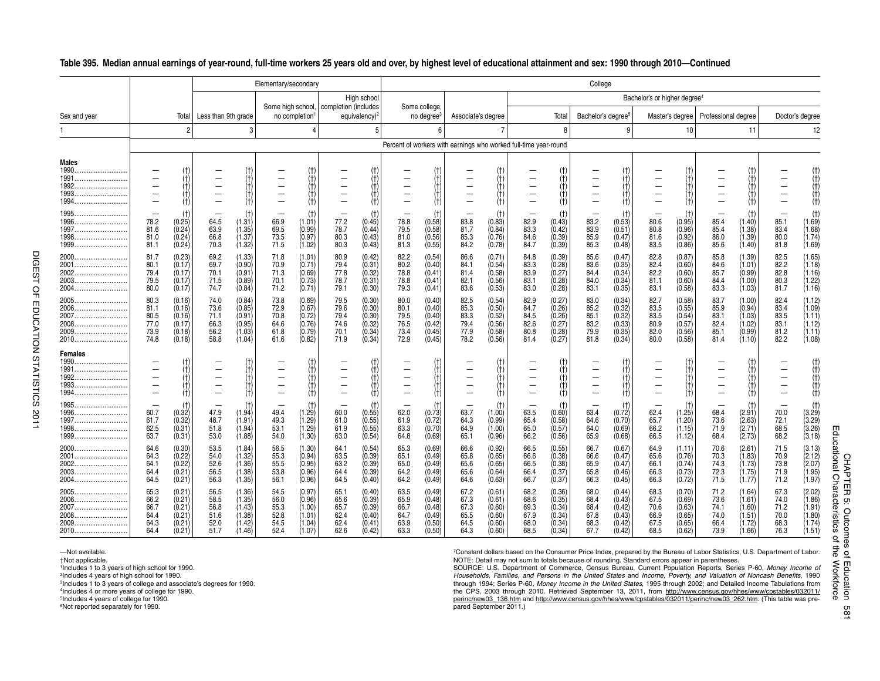|                                                            |                                                      |                                                              |                                                      |                                                                              | Elementary/secondary                         |                                                              |                                                      |                                                              |                                              |                                                          |                                              |                                                                  |                                                                  |                                                                                                                                                                                        | College                                      |                                                                  |                                                      |                                                              |                                                      |                                                              |                                              |                                                              |
|------------------------------------------------------------|------------------------------------------------------|--------------------------------------------------------------|------------------------------------------------------|------------------------------------------------------------------------------|----------------------------------------------|--------------------------------------------------------------|------------------------------------------------------|--------------------------------------------------------------|----------------------------------------------|----------------------------------------------------------|----------------------------------------------|------------------------------------------------------------------|------------------------------------------------------------------|----------------------------------------------------------------------------------------------------------------------------------------------------------------------------------------|----------------------------------------------|------------------------------------------------------------------|------------------------------------------------------|--------------------------------------------------------------|------------------------------------------------------|--------------------------------------------------------------|----------------------------------------------|--------------------------------------------------------------|
|                                                            |                                                      |                                                              |                                                      |                                                                              |                                              |                                                              | Some high school, completion (includes               | High school                                                  |                                              | Some college                                             |                                              |                                                                  |                                                                  |                                                                                                                                                                                        |                                              |                                                                  | Bachelor's or higher degree <sup>4</sup>             |                                                              |                                                      |                                                              |                                              |                                                              |
| Sex and year                                               |                                                      | Total                                                        | Less than 9th grade                                  |                                                                              |                                              | no completion                                                |                                                      | equivalency) <sup>2</sup>                                    |                                              | no degree <sup>3</sup>                                   | Associate's degree                           |                                                                  |                                                                  | Total                                                                                                                                                                                  | Bachelor's degree <sup>5</sup>               |                                                                  |                                                      | Master's degree                                              | Professional degree                                  |                                                              |                                              | Doctor's degree                                              |
|                                                            |                                                      | $\overline{2}$                                               |                                                      | -3                                                                           |                                              |                                                              |                                                      | .5                                                           |                                              |                                                          |                                              |                                                                  |                                                                  | 8                                                                                                                                                                                      |                                              | 9                                                                |                                                      | 10                                                           |                                                      | 11                                                           |                                              | 12                                                           |
|                                                            |                                                      |                                                              |                                                      |                                                                              |                                              |                                                              |                                                      |                                                              |                                              |                                                          |                                              |                                                                  | Percent of workers with earnings who worked full-time year-round |                                                                                                                                                                                        |                                              |                                                                  |                                                      |                                                              |                                                      |                                                              |                                              |                                                              |
| <b>Males</b><br>1990.<br>1991<br>1992<br>1993.<br>1994     |                                                      | (t)<br>(t)<br>(t)<br>(t)<br>(t)                              |                                                      | $\binom{11}{11}$<br>(t)                                                      |                                              | (†<br>(†<br>(t)                                              | $\overline{\phantom{0}}$                             | (†)<br>(†)<br>(t)<br>(t)                                     |                                              | (t)<br>$\binom{1}{1}$<br>(t)<br>(t)                      |                                              | $\begin{pmatrix} 1 \\ 1 \\ 1 \end{pmatrix}$<br>(t)<br>(t)        |                                                                  | $\begin{array}{c} \left( \begin{matrix} +\end{matrix} \right) \\ \left( \begin{matrix} +\end{matrix} \right) \\ \left( \begin{matrix} +\end{matrix} \right) \end{array}$<br>(f)<br>(t) | L.                                           | (t)<br>$\binom{+}{+}$<br>(f)<br>(t)                              | $\equiv$                                             | (t)<br>(t)<br>(t)                                            |                                                      | (t)                                                          |                                              | (t)                                                          |
| 1995<br>1996.<br>1997<br>1998<br>1999                      | 78.2<br>81.6<br>81.0<br>81.1                         | (t)<br>$(0.25)$<br>$(0.24)$<br>(0.24)<br>(0.24)              | 64.5<br>63.9<br>66.8<br>70.3                         | $(+)$<br>$\begin{array}{c} (1.31) \\ (1.35) \\ (1.37) \end{array}$<br>(1.32) | 66.9<br>69.5<br>73.5<br>71.5                 | (t)<br>$(1.01)$<br>$(0.99)$<br>(0.97)<br>(1.02)              | $77.2\,$<br>78.7<br>80.3<br>80.3                     | $(0.45)$<br>$(0.44)$<br>(0.43)<br>(0.43)                     | 78.8<br>79.5<br>81.0<br>81.3                 | $(0.58)$<br>$(0.58)$<br>$(0.56)$<br>$(0.55)$             | 83.8<br>81.7<br>85.3<br>84.2                 | (t)<br>$(0.83)$<br>$(0.84)$<br>(0.76)<br>(0.78)                  | 82.9<br>83.3<br>84.6<br>84.7                                     | $(+)$<br>$(0.43)$<br>$(0.42)$<br>(0.39)<br>(0.39)                                                                                                                                      | 83.2<br>83.9<br>85.9<br>85.3                 | $(0.53)$<br>$(0.51)$<br>(0.47)<br>(0.48)                         | 80.6<br>80.8<br>81.6<br>83.5                         | $(+)$<br>$(0.95)$<br>$(0.96)$<br>(0.92)<br>(0.86)            | 85.4<br>85.4<br>86.0<br>85.6                         | (t)<br>(1.40)<br>(1.38)<br>(1.39)<br>(1.40)                  | 85.1<br>83.4<br>80.0<br>81.8                 | (t)<br>$(1.69)$<br>$(1.68)$<br>(1.74)<br>(1.69)              |
| 2000<br>2001<br>2003.<br>2004                              | 81.7<br>80.1<br>79.4<br>79.5<br>80.0                 | (0.23)<br>$(0.17)$<br>$(0.17)$<br>(0.17)<br>(0.17)           | 69.2<br>69.7<br>70.1<br>71.5<br>74.7                 | (1.33)<br>$(0.90)$<br>$(0.91)$<br>(0.89)<br>(0.84)                           | 71.8<br>70.9<br>71.3<br>70.1<br>71.2         | (1.01)<br>$(0.71)$<br>$(0.69)$<br>(0.73)<br>(0.71)           | 80.9<br>79.4<br>77.8<br>78.7<br>79.1                 | (0.42)<br>$(0.31)$<br>$(0.32)$<br>(0.31)<br>(0.30)           | 82.2<br>80.2<br>78.8<br>78.8<br>79.3         | (0.54)<br>$(0.40)$<br>$(0.41)$<br>(0.41)<br>(0.41)       | 86.6<br>84.1<br>81.4<br>82.1<br>83.6         | (0.71)<br>$(0.54)$<br>$(0.58)$<br>(0.56)<br>(0.53)               | 84.8<br>83.3<br>83.9<br>83.1<br>83.0                             | (0.39)<br>$(0.28)$<br>$(0.27)$<br>(0.28)<br>(0.28)                                                                                                                                     | 85.6<br>83.6<br>84.4<br>84.0<br>83.1         | (0.47)<br>$(0.35)$<br>$(0.34)$<br>(0.34)<br>(0.35)               | 82.8<br>82.4<br>82.2<br>81.1<br>83.1                 | (0.87)<br>$(0.60)$<br>$(0.60)$<br>(0.60)<br>(0.58)           | 85.8<br>84.6<br>85.7<br>84.4<br>83.3                 | (1.39)<br>$(1.01)$<br>$(0.99)$<br>(1.00)<br>(1.03)           | 82.5<br>82.2<br>82.8<br>80.3<br>81.7         | (1.65)<br>(1.18)<br>(1.16)<br>(1.22)<br>(1.16)               |
| 2005<br>2006<br>2007<br>2008<br>2009.<br>2010              | 80.3<br>81.1<br>80.5<br>77.0<br>73.9<br>74.8         | (0.16)<br>$(0.16)$<br>$(0.16)$<br>(0.17)<br>(0.18)<br>(0.18) | 74.0<br>73.6<br>71.1<br>66.3<br>56.2<br>58.8         | (0.84)<br>$(0.85)$<br>$(0.91)$<br>(0.95)<br>(1.03)<br>(1.04)                 | 73.8<br>72.9<br>70.8<br>64.6<br>61.8<br>61.6 | (0.69)<br>$(0.67)$<br>$(0.72)$<br>(0.76)<br>(0.79)<br>(0.82) | 79.5<br>79.6<br>79.4<br>74.6<br>70.1<br>71.9         | (0.30)<br>$(0.30)$<br>$(0.30)$<br>(0.32)<br>(0.34)<br>(0.34) | 80.0<br>80.1<br>79.5<br>76.5<br>73.4<br>72.9 | (0.40)<br>(0.40)<br>(0.40)<br>(0.42)<br>(0.45)<br>(0.45) | 82.5<br>85.3<br>83.3<br>79.4<br>77.9<br>78.2 | (0.54)<br>$(0.50)$<br>$(0.52)$<br>(0.56)<br>$(0.58)$<br>$(0.56)$ | 82.9<br>84.7<br>84.5<br>82.6<br>80.8<br>81.4                     | (0.27)<br>(0.26)<br>(0.26)<br>(0.27)<br>$(0.28)$<br>$(0.27)$                                                                                                                           | 83.0<br>85.2<br>85.1<br>83.2<br>79.9<br>81.8 | (0.34)<br>$(0.32)$<br>$(0.32)$<br>(0.33)<br>(0.35)<br>(0.34)     | 82.7<br>83.5<br>83.5<br>80.9<br>82.0<br>80.0         | (0.58)<br>$(0.55)$<br>$(0.54)$<br>(0.57)<br>(0.56)<br>(0.58) | 83.7<br>85.9<br>83.1<br>82.4<br>85.1<br>81.4         | (1.00)<br>(0.94)<br>(1.03)<br>(1.02)<br>(0.99)<br>(1.10)     | 82.4<br>83.4<br>83.5<br>83.1<br>81.2<br>82.2 | (1.12)<br>(1.09)<br>(1.11)<br>(1.12)<br>(1.11)<br>(1.08)     |
| <b>Females</b><br>1990.<br>1991<br>1992.<br>1993.<br>1994. | $\overline{\phantom{0}}$<br>$\overline{\phantom{0}}$ | $\begin{pmatrix} + \\ 1 \end{pmatrix}$<br>(t)<br>(t)<br>ÌÍ   | $\overline{\phantom{0}}$<br>$\overline{\phantom{0}}$ | $\binom{+}{+}$<br>(t)<br>(t)                                                 |                                              | (t)<br>$\binom{+}{+}$                                        | $\overline{\phantom{0}}$<br>$\overline{\phantom{0}}$ | (†)<br>(†)<br>(†)<br>$\binom{+}{+}$                          | $\overline{\phantom{0}}$                     | $\begin{pmatrix} 1 \\ 1 \end{pmatrix}$<br>$\binom{1}{1}$ | $\overline{\phantom{0}}$                     | (†)<br>(†)<br>(†)<br>(†)                                         |                                                                  | $\begin{pmatrix} + \\ 1 \end{pmatrix}$<br>$\langle \dagger \rangle$<br>$\binom{+}{+}$                                                                                                  | $\overline{\phantom{0}}$                     | $\binom{+}{+}$<br>$\begin{pmatrix} 11 \\ 11 \\ 11 \end{pmatrix}$ | $\overline{\phantom{m}}$<br>$\overline{\phantom{0}}$ | (t)<br>ÌÍ<br>(t)<br>$\binom{+}{+}$                           | $\overline{\phantom{0}}$<br>$\overline{\phantom{0}}$ | (†)<br>(†)                                                   |                                              | (t)                                                          |
| 1995<br>1996<br>1997<br>1998<br>1999.                      | 60.7<br>61.7<br>62.5<br>63.7                         | $(0.32)$<br>$(0.32)$<br>$(0.31)$<br>$(0.31)$                 | 47.9<br>48.7<br>51.8<br>53.0                         | $(+)$<br>$(1.94)$<br>$(1.91)$<br>(1.94)<br>(1.88)                            | 49.4<br>49.3<br>53.1<br>54.0                 | $(1.29)$<br>$(1.29)$<br>$(1.29)$<br>$(1.29)$<br>$(1.30)$     | 60.0<br>61.0<br>61.9<br>63.0                         | $(0.55)$<br>$(0.55)$<br>$(0.55)$<br>$(0.54)$                 | 62.0<br>61.9<br>63.3<br>64.8                 | (0.73)<br>(0.72)<br>$(0.70)$<br>$(0.69)$                 | 63.7<br>64.3<br>64.9<br>65.1                 | (t)<br>(1.00)<br>(0.99)<br>(1.00)<br>(0.96)                      | 63.5<br>65.4<br>65.0<br>66.2                                     | $(0.\dot{60})$<br>(0.58)<br>$(0.57)$<br>$(0.56)$                                                                                                                                       | 63.4<br>64.6<br>64.0<br>65.9                 | (0.72)<br>(0.70)<br>$(0.69)$<br>$(0.68)$                         | 62.4<br>65.7<br>66.2<br>66.5                         | (1.25)<br>(1.20)<br>$(1.15)$<br>$(1.12)$                     | 68.4<br>73.6<br>71.9<br>68.4                         | $(2.91)$<br>$(2.63)$<br>$(2.71)$<br>$(2.73)$                 | 70.0<br>72.1<br>68.5<br>68.2                 | (3.29)<br>(3.29)<br>$(3.26)$<br>$(3.18)$                     |
| 2000<br>2001<br>2002.<br>2003.<br>2004.                    | 64.6<br>64.3<br>64.1<br>64.4<br>64.5                 | $(0.30)$<br>$(0.22)$<br>(0.22)<br>$(0.21)$<br>$(0.21)$       | 53.5<br>54.0<br>52.6<br>56.5<br>56.3                 | $(1.84)$<br>$(1.32)$<br>(1.36)<br>(1.38)<br>(1.35)                           | 56.5<br>55.3<br>55.5<br>53.8<br>56.1         | (1.30)<br>(0.94)<br>(0.95)<br>(0.96)<br>(0.96)               | 64.1<br>63.5<br>63.2<br>64.4<br>64.5                 | $(0.54)$<br>$(0.39)$<br>(0.39)<br>(0.39)<br>(0.40)           | 65.3<br>65.1<br>65.0<br>64.2<br>64.2         | (0.69)<br>(0.49)<br>(0.49)<br>(0.49)<br>(0.49)           | 66.6<br>65.8<br>65.6<br>65.6<br>64.6         | $(0.92)$<br>$(0.65)$<br>(0.65)<br>$(0.64)$<br>$(0.63)$           | 66.5<br>66.6<br>66.5<br>66.4<br>66.7                             | $(0.55)$<br>$(0.38)$<br>(0.38)<br>$(0.37)$<br>$(0.37)$                                                                                                                                 | 66.7<br>66.6<br>65.9<br>65.8<br>66.3         | (0.67)<br>(0.47)<br>(0.47)<br>(0.46)<br>(0.45)                   | 64.9<br>65.6<br>66.1<br>66.3<br>66.3                 | (1.11)<br>(0.76)<br>(0.74)<br>$(0.73)$<br>$(0.72)$           | 70.6<br>70.3<br>74.3<br>72.3<br>71.5                 | (2.61)<br>(1.83)<br>(1.73)<br>(1.75)<br>(1.77)               | 71.5<br>70.9<br>73.8<br>71.9<br>71.2         | (3.13)<br>(2.12)<br>(2.07)<br>$(1.95)$<br>$(1.97)$           |
| 2005.<br>2006.<br>2007<br>2008.<br>2009.<br>2010           | 65.3<br>66.2<br>66.7<br>64.4<br>64.3<br>64.4         | (0.21)<br>(0.21)<br>(0.21)<br>$(0.21)$<br>$(0.21)$<br>(0.21) | 56.5<br>58.5<br>56.8<br>51.6<br>52.0<br>51.7         | $(1.36)$<br>$(1.35)$<br>(1.43)<br>(1.38)<br>(1.42)<br>(1.46)                 | 54.5<br>56.0<br>55.3<br>52.8<br>54.5<br>52.4 | (0.97)<br>(0.96)<br>(1.00)<br>(1.01)<br>1.04)<br>(1.07)      | 65.1<br>65.6<br>65.7<br>62.4<br>62.4<br>62.6         | (0.40)<br>(0.39)<br>(0.39)<br>(0.40)<br>(0.41)<br>(0.42)     | 63.5<br>65.9<br>66.7<br>64.7<br>63.9<br>63.3 | (0.49)<br>(0.48)<br>(0.48)<br>(0.49)<br>(0.50)<br>(0.50) | 67.2<br>67.3<br>67.3<br>65.5<br>64.5<br>64.3 | (0.61)<br>(0.61)<br>(0.60)<br>(0.60)<br>(0.60)<br>(0.60)         | 68.2<br>68.6<br>69.3<br>67.9<br>68.0<br>68.5                     | $(0.36)$<br>$(0.35)$<br>(0.34)<br>$(0.34)$<br>$(0.34)$<br>(0.34)                                                                                                                       | 68.0<br>68.4<br>68.4<br>67.8<br>68.3<br>67.7 | (0.44)<br>(0.43)<br>(0.42)<br>(0.43)<br>(0.42)<br>(0.42)         | 68.3<br>67.5<br>70.6<br>66.9<br>67.5<br>68.5         | $(0.70)$<br>$(0.69)$<br>(0.63)<br>(0.65)<br>(0.65)<br>(0.62) | 71.2<br>73.6<br>74.1<br>74.0<br>66.4<br>73.9         | $(1.64)$<br>$(1.61)$<br>(1.60)<br>(1.51)<br>(1.72)<br>(1.66) | 67.3<br>74.0<br>71.2<br>70.0<br>68.3<br>76.3 | $(2.02)$<br>$(1.86)$<br>(1.91)<br>(1.80)<br>(1.74)<br>(1.51) |

#### **Table 395. Median annual earnings of year-round, full-time workers 25 years old and over, by highest level of educational attainment and sex: 1990 through 2010—Continued**

<sup>6</sup>Not reported separately for 1990.

—Not available. The Bureau of Labor Statistics, U.S. Department of Labor.<br>
The Consumer Price Index, prepared by the Bureau of Labor Statistics, U.S. Department of Labor.<br>
NOTE: Detail may not sum to totals because of roun

†Not applicable. NOTE: Detail may not sum to totals because of rounding. Standard errors appear in parentheses. 1Includes 1 to 3 years of high school for 1990. SOURCE: U.S. Department of Commerce, Census Bureau, Current Population Reports, Series P-60, *Money Income of* 2Includes 4 years of high school for 1990. *Households, Families, and Persons in the United States* and *Income, Poverty, and Valuation of Noncash Benefits*, 1990 3Includes 1 to 3 years of college and associate's degrees for 1990. through 1994; Series P-60, *Money Income in the United States*, 1995 through 2002; and Detailed Income Tabulations from 4Includes 4 or more years of college for 1990. the CPS, 2003 through 2010. Retrieved September 13, 2011, from http://www.census.gov/hhes/www/cpstables/032011/ 5Includes 4 years of college for 1990. perinc/new03\_136.htm and http://www.census.gov/hhes/www/cpstables/032011/perinc/new03\_262.htm. (This table was pre-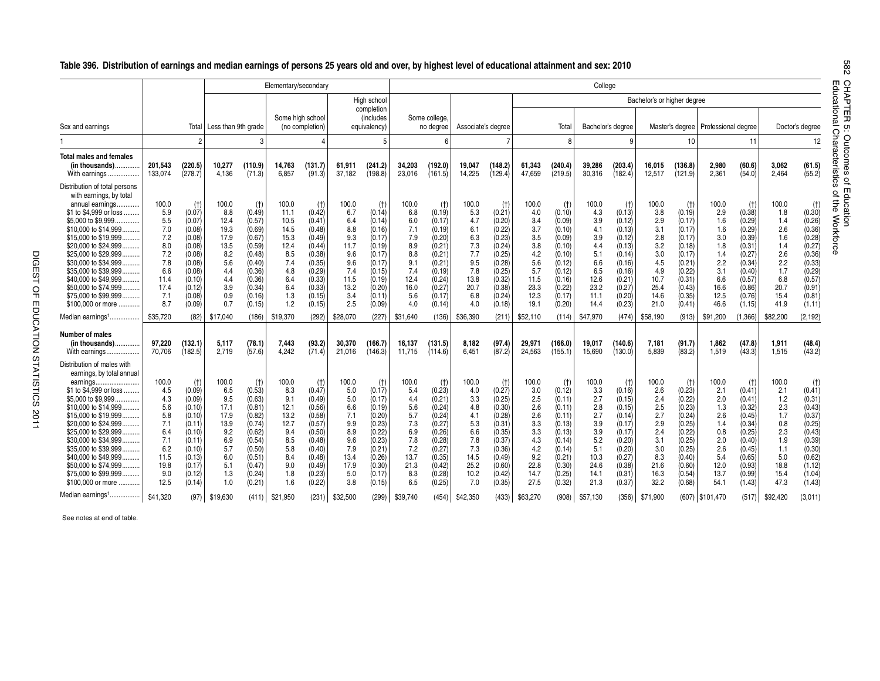## **Table 396. Distribution of earnings and median earnings of persons 25 years old and over, by highest level of educational attainment and sex: 2010**

|                                                                                                                                                                                                                                                                                                                                                                                                                                                                                                                             |                                                                                                                                     |                                                                                                           |                                                                                                                                      | Elementary/secondary                                                                                       |                                                                                                                                      |                                                                                                          |                                                                                                                                      |                                                                                                         |                                                                                                                                      |                                                                                                         |                                                                                                                                      |                                                                                                           |                                                                                                                                      | College                                                                                                   |                                                                                                                                      |                                                                                                           |                                                                                                                                      |                                                                                                          |                                                                                                                                         |                                                                                                          |                                                                                                                                              | 오<br>ш<br>은                                                               |
|-----------------------------------------------------------------------------------------------------------------------------------------------------------------------------------------------------------------------------------------------------------------------------------------------------------------------------------------------------------------------------------------------------------------------------------------------------------------------------------------------------------------------------|-------------------------------------------------------------------------------------------------------------------------------------|-----------------------------------------------------------------------------------------------------------|--------------------------------------------------------------------------------------------------------------------------------------|------------------------------------------------------------------------------------------------------------|--------------------------------------------------------------------------------------------------------------------------------------|----------------------------------------------------------------------------------------------------------|--------------------------------------------------------------------------------------------------------------------------------------|---------------------------------------------------------------------------------------------------------|--------------------------------------------------------------------------------------------------------------------------------------|---------------------------------------------------------------------------------------------------------|--------------------------------------------------------------------------------------------------------------------------------------|-----------------------------------------------------------------------------------------------------------|--------------------------------------------------------------------------------------------------------------------------------------|-----------------------------------------------------------------------------------------------------------|--------------------------------------------------------------------------------------------------------------------------------------|-----------------------------------------------------------------------------------------------------------|--------------------------------------------------------------------------------------------------------------------------------------|----------------------------------------------------------------------------------------------------------|-----------------------------------------------------------------------------------------------------------------------------------------|----------------------------------------------------------------------------------------------------------|----------------------------------------------------------------------------------------------------------------------------------------------|---------------------------------------------------------------------------|
|                                                                                                                                                                                                                                                                                                                                                                                                                                                                                                                             |                                                                                                                                     |                                                                                                           |                                                                                                                                      |                                                                                                            |                                                                                                                                      |                                                                                                          | High school<br>completion                                                                                                            |                                                                                                         |                                                                                                                                      |                                                                                                         |                                                                                                                                      |                                                                                                           |                                                                                                                                      |                                                                                                           |                                                                                                                                      | Bachelor's or higher degree                                                                               |                                                                                                                                      |                                                                                                          |                                                                                                                                         |                                                                                                          |                                                                                                                                              | ₹<br>ດ<br>au                                                              |
| Sex and earnings                                                                                                                                                                                                                                                                                                                                                                                                                                                                                                            | Total                                                                                                                               | Less than 9th grade                                                                                       |                                                                                                                                      |                                                                                                            | Some high school<br>(no completion)                                                                                                  |                                                                                                          | (includes<br>equivalency)                                                                                                            |                                                                                                         | Some college,<br>no degree                                                                                                           | Associate's degree                                                                                      |                                                                                                                                      |                                                                                                           | Total                                                                                                                                | Bachelor's degree                                                                                         |                                                                                                                                      |                                                                                                           |                                                                                                                                      | Master's degree   Professional degree                                                                    |                                                                                                                                         |                                                                                                          | Doctor's degree                                                                                                                              | g<br>m<br>ᄑ<br>ನ<br>cл<br>◯                                               |
|                                                                                                                                                                                                                                                                                                                                                                                                                                                                                                                             |                                                                                                                                     |                                                                                                           | 3                                                                                                                                    |                                                                                                            |                                                                                                                                      |                                                                                                          |                                                                                                                                      |                                                                                                         |                                                                                                                                      |                                                                                                         |                                                                                                                                      |                                                                                                           | 8                                                                                                                                    |                                                                                                           | 9                                                                                                                                    |                                                                                                           | 10                                                                                                                                   |                                                                                                          | 11                                                                                                                                      |                                                                                                          | 12                                                                                                                                           | റ<br>hara                                                                 |
| <b>Total males and females</b><br>201.543<br>(in thousands).<br>133,074<br>With earnings                                                                                                                                                                                                                                                                                                                                                                                                                                    | (220.5)<br>(278.7)                                                                                                                  | 10,277<br>4,136                                                                                           | (110.9)<br>(71.3)                                                                                                                    | 14,763<br>6,857                                                                                            | (131.7)<br>(91.3)                                                                                                                    | 61.911<br>37,182                                                                                         | (241.2)<br>(198.8)                                                                                                                   | 34.203<br>23,016                                                                                        | (192.0)<br>(161.5)                                                                                                                   | 19.047<br>14,225                                                                                        | (148.2)<br>(129.4)                                                                                                                   | 61.343<br>47,659                                                                                          | (240.4)<br>(219.5)                                                                                                                   | 39.286<br>30,316                                                                                          | (203.4)<br>(182.4)                                                                                                                   | 16.015<br>12,517                                                                                          | (136.8)<br>(121.9)                                                                                                                   | 2,980<br>2,361                                                                                           | (60.6)<br>(54.0)                                                                                                                        | 3.062<br>2.464                                                                                           | (61.5)<br>(55.2)                                                                                                                             | ਨੋ<br>ົດ<br>o<br>teristi<br>-<br>$\sigma$                                 |
| Distribution of total persons<br>with earnings, by total<br>100.0<br>annual earnings<br>\$1 to \$4,999 or loss<br>5.9<br>\$5,000 to \$9,999.<br>5.5<br>\$10,000 to \$14,999.<br>7.0<br>\$15,000 to \$19,999.<br>7.2<br>\$20,000 to \$24.999<br>8.0<br>\$25,000 to \$29,999.<br>7.2<br>\$30,000 to \$34,999.<br>7.8<br>\$35,000 to \$39,999.<br>6.6<br>\$40,000 to \$49.999<br>11.4<br>17.4<br>\$50,000 to \$74,999.<br>\$75,000 to \$99,999.<br>7.1<br>\$100,000 or more<br>8.7<br>\$35,720<br>Median earnings <sup>1</sup> | (t)<br>(0.07)<br>(0.07)<br>(0.08)<br>(0.08)<br>(0.08)<br>(0.08)<br>(0.08)<br>(0.08)<br>(0.10)<br>(0.12)<br>(0.08)<br>(0.09)<br>(82) | 100.0<br>8.8<br>12.4<br>19.3<br>17.9<br>13.5<br>8.2<br>5.6<br>4.4<br>4.4<br>3.9<br>0.9<br>0.7<br>\$17,040 | (t)<br>(0.49)<br>(0.57)<br>(0.69)<br>(0.67)<br>(0.59)<br>(0.48)<br>(0.40)<br>(0.36)<br>(0.36)<br>(0.34)<br>(0.16)<br>(0.15)<br>(186) | 100.0<br>11.1<br>10.5<br>14.5<br>15.3<br>12.4<br>8.5<br>7.4<br>4.8<br>6.4<br>6.4<br>1.3<br>1.2<br>\$19,370 | (t)<br>(0.42)<br>(0.41)<br>(0.48)<br>(0.49)<br>(0.44)<br>(0.38)<br>(0.35)<br>(0.29)<br>(0.33)<br>(0.33)<br>(0.15)<br>(0.15)<br>(292) | 100.0<br>6.7<br>6.4<br>8.8<br>9.3<br>11.7<br>9.6<br>9.6<br>7.4<br>11.5<br>13.2<br>3.4<br>2.5<br>\$28,070 | (t)<br>(0.14)<br>(0.14)<br>(0.16)<br>(0.17)<br>(0.19)<br>(0.17)<br>(0.17)<br>(0.15)<br>(0.19)<br>(0.20)<br>(0.11)<br>(0.09)<br>(227) | 100.0<br>6.8<br>6.0<br>7.1<br>7.9<br>8.9<br>8.8<br>9.1<br>7.4<br>12.4<br>16.0<br>5.6<br>4.0<br>\$31,640 | (t)<br>(0.19)<br>(0.17)<br>(0.19)<br>(0.20)<br>(0.21)<br>(0.21)<br>(0.21)<br>(0.19)<br>(0.24)<br>(0.27)<br>(0.17)<br>(0.14)<br>(136) | 100.0<br>5.3<br>4.7<br>6.1<br>6.3<br>7.3<br>7.7<br>9.5<br>7.8<br>13.8<br>20.7<br>6.8<br>4.0<br>\$36,390 | (t)<br>(0.21)<br>(0.20)<br>(0.22)<br>(0.23)<br>(0.24)<br>(0.25)<br>(0.28)<br>(0.25)<br>(0.32)<br>(0.38)<br>(0.24)<br>(0.18)<br>(211) | 100.0<br>4.0<br>3.4<br>3.7<br>3.5<br>3.8<br>4.2<br>5.6<br>5.7<br>11.5<br>23.3<br>12.3<br>19.1<br>\$52,110 | (t)<br>(0.10)<br>(0.09)<br>(0.10)<br>(0.09)<br>(0.10)<br>(0.10)<br>(0.12)<br>(0.12)<br>(0.16)<br>(0.22)<br>(0.17)<br>(0.20)<br>(114) | 100.0<br>4.3<br>3.9<br>4.1<br>3.9<br>4.4<br>5.1<br>6.6<br>6.5<br>12.6<br>23.2<br>11.1<br>14.4<br>\$47,970 | (t)<br>(0.13)<br>(0.12)<br>(0.13)<br>(0.12)<br>(0.13)<br>(0.14)<br>(0.16)<br>(0.16)<br>(0.21)<br>(0.27)<br>(0.20)<br>(0.23)<br>(474) | 100.0<br>3.8<br>2.9<br>3.1<br>2.8<br>3.2<br>3.0<br>4.5<br>4.9<br>10.7<br>25.4<br>14.6<br>21.0<br>\$58,190 | (t)<br>(0.19)<br>(0.17)<br>(0.17)<br>(0.17)<br>(0.18)<br>(0.17)<br>(0.21)<br>(0.22)<br>(0.31)<br>(0.43)<br>(0.35)<br>(0.41)<br>(913) | 100.0<br>2.9<br>1.6<br>1.6<br>3.0<br>1.8<br>1.4<br>2.2<br>3.1<br>6.6<br>16.6<br>12.5<br>46.6<br>\$91,200 | (t)<br>(0.38)<br>(0.29)<br>(0.29)<br>(0.39)<br>(0.31)<br>(0.27)<br>(0.34)<br>(0.40)<br>(0.57)<br>(0.86)<br>(0.76)<br>(1.15)<br>(1, 366) | 100.0<br>1.8<br>1.4<br>2.6<br>1.6<br>1.4<br>2.6<br>2.2<br>1.7<br>6.8<br>20.7<br>15.4<br>41.9<br>\$82,200 | $^{(+)}$<br>(0.30)<br>(0.26)<br>(0.36)<br>(0.28)<br>(0.27)<br>(0.36)<br>(0.33)<br>(0.29)<br>(0.57)<br>(0.91)<br>(0.81)<br>(1.11)<br>(2, 192) | ♀<br>င္ၿ<br>m<br>$\circ$<br>o<br>₿<br>m<br>నె<br><b>Workfor</b><br>ਨ<br>Φ |
| <b>Number of males</b><br>97.220<br>(in thousands)<br>.<br>70.706<br>With earnings.                                                                                                                                                                                                                                                                                                                                                                                                                                         | (132.1)<br>(182.5)                                                                                                                  | 5.117<br>2.719                                                                                            | (78.1)<br>(57.6)                                                                                                                     | 7.443<br>4.242                                                                                             | (93.2)<br>(71.4)                                                                                                                     | 30.370<br>21.016                                                                                         | (166.7)<br>(146.3)                                                                                                                   | 16.137<br>11.715                                                                                        | (131.5)<br>(114.6)                                                                                                                   | 8.182<br>6.451                                                                                          | (97.4)<br>(87.2)                                                                                                                     | 29.971<br>24,563                                                                                          | (166.0)<br>(155.1)                                                                                                                   | 19.017<br>15,690                                                                                          | (140.6)<br>(130.0)                                                                                                                   | 7.181<br>5.839                                                                                            | (91.7)<br>(83.2)                                                                                                                     | 1.862<br>1,519                                                                                           | (47.8)<br>(43.3)                                                                                                                        | 1.911<br>1,515                                                                                           | (48.4)<br>(43.2)                                                                                                                             |                                                                           |
| Distribution of males with<br>earnings, by total annual<br>100.0<br>earnings<br>\$1 to \$4.999 or loss<br>4.5<br>\$5,000 to \$9,999.<br>4.3<br>5.6<br>\$10,000 to \$14,999.<br>\$15,000 to \$19,999.<br>5.8<br>\$20,000 to \$24.999.<br>7.1<br>\$25,000 to \$29,999.<br>6.4<br>\$30,000 to \$34,999.<br>7.1<br>\$35,000 to \$39,999.<br>6.2<br>\$40,000 to \$49.999<br>11.5<br>\$50,000 to \$74.999<br>19.8<br>\$75,000 to \$99,999.<br>9.0<br>\$100,000 or more<br>12.5<br>Median earnings <sup>1</sup><br>\$41,320        | (t)<br>(0.09)<br>(0.09)<br>(0.10)<br>(0.10)<br>(0.11)<br>(0.10)<br>(0.11)<br>(0.10)<br>(0.13)<br>(0.17)<br>(0.12)<br>(0.14)<br>(97) | 100.0<br>6.5<br>9.5<br>17.1<br>17.9<br>13.9<br>9.2<br>6.9<br>5.7<br>6.0<br>5.1<br>1.3<br>1.0              | (t)<br>(0.53)<br>(0.63)<br>(0.81)<br>(0.82)<br>(0.74)<br>(0.62)<br>(0.54)<br>(0.50)<br>(0.51)<br>(0.47)<br>(0.24)<br>(0.21)          | 100.0<br>8.3<br>9.1<br>12.1<br>13.2<br>12.7<br>9.4<br>8.5<br>5.8<br>8.4<br>9.0<br>1.8<br>1.6               | (t)<br>(0.47)<br>(0.49)<br>(0.56)<br>(0.58)<br>(0.57)<br>(0.50)<br>(0.48)<br>(0.40)<br>(0.48)<br>(0.49)<br>(0.23)<br>(0.22)          | 100.0<br>5.0<br>5.0<br>6.6<br>7.1<br>9.9<br>8.9<br>9.6<br>7.9<br>13.4<br>17.9<br>5.0<br>3.8              | (t)<br>(0.17)<br>(0.17)<br>(0.19)<br>(0.20)<br>(0.23)<br>(0.22)<br>(0.23)<br>(0.21)<br>(0.26)<br>(0.30)<br>(0.17)<br>(0.15)          | 100.0<br>5.4<br>4.4<br>5.6<br>5.7<br>7.3<br>6.9<br>7.8<br>7.2<br>13.7<br>21.3<br>8.3<br>6.5             | (t)<br>(0.23)<br>(0.21)<br>(0.24)<br>(0.24)<br>(0.27)<br>(0.26)<br>(0.28)<br>(0.27)<br>(0.35)<br>(0.42)<br>(0.28)<br>(0.25)          | 100.0<br>4.0<br>3.3<br>4.8<br>4.1<br>5.3<br>6.6<br>7.8<br>7.3<br>14.5<br>25.2<br>10.2<br>7.0            | (t)<br>(0.27)<br>(0.25)<br>(0.30)<br>(0.28)<br>(0.31)<br>(0.35)<br>(0.37)<br>(0.36)<br>(0.49)<br>(0.60)<br>(0.42)<br>(0.35)          | 100.0<br>3.0<br>2.5<br>2.6<br>2.6<br>3.3<br>3.3<br>4.3<br>4.2<br>9.2<br>22.8<br>14.7<br>27.5              | (t)<br>(0.12)<br>(0.11)<br>(0.11)<br>(0.11)<br>(0.13)<br>(0.13)<br>(0.14)<br>(0.14)<br>(0.21)<br>(0.30)<br>(0.25)<br>(0.32)          | 100.0<br>3.3<br>2.7<br>2.8<br>2.7<br>3.9<br>3.9<br>5.2<br>5.1<br>10.3<br>24.6<br>14.1<br>21.3             | (t)<br>(0.16)<br>(0.15)<br>(0.15)<br>(0.14)<br>(0.17)<br>(0.17)<br>(0.20)<br>(0.20)<br>(0.27)<br>(0.38)<br>(0.31)<br>(0.37)          | 100.0<br>2.6<br>2.4<br>2.5<br>2.7<br>2.9<br>2.4<br>3.1<br>3.0<br>8.3<br>21.6<br>16.3<br>32.2              | (t)<br>(0.23)<br>(0.22)<br>(0.23)<br>(0.24)<br>(0.25)<br>(0.22)<br>(0.25)<br>(0.25)<br>(0.40)<br>(0.60)<br>(0.54)<br>(0.68)          | 100.0<br>2.1<br>2.0<br>1.3<br>2.6<br>1.4<br>0.8<br>2.0<br>2.6<br>5.4<br>12.0<br>13.7<br>54.1             | (t)<br>(0.41)<br>(0.41)<br>(0.32)<br>(0.45)<br>(0.34)<br>(0.25)<br>(0.40)<br>(0.45)<br>(0.65)<br>(0.93)<br>(0.99)<br>(1.43)             | 100.0<br>2.1<br>1.2<br>2.3<br>1.7<br>0.8<br>2.3<br>1.9<br>1.1<br>5.0<br>18.8<br>15.4<br>47.3             | (t)<br>(0.41)<br>(0.31)<br>(0.43)<br>(0.37)<br>(0.25)<br>(0.43)<br>(0.39)<br>(0.30)<br>(0.62)<br>(1.12)<br>(1.04)<br>(1.43)                  |                                                                           |

See notes at end of table.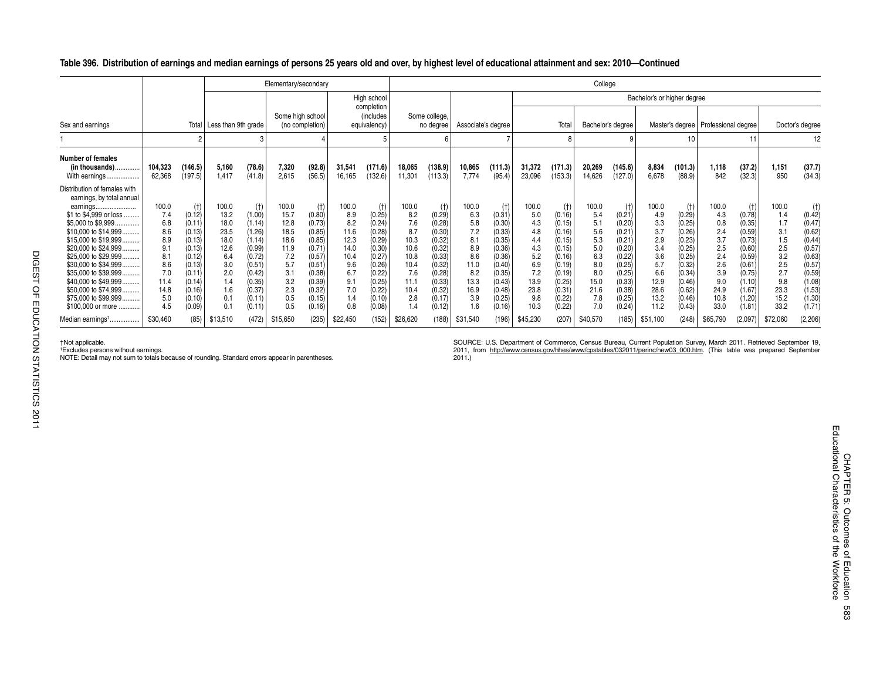# **Table 396. Distribution of earnings and median earnings of persons 25 years old and over, by highest level of educational attainment and sex: 2010—Continued**

|                                                                      |                     |                            |                       |                            | Elementary/secondary  |                            |                     |                                         |                      |                            |                     |                            |                     |                            | College             |                            |                             |                            |                                       |                            |                      |                            |
|----------------------------------------------------------------------|---------------------|----------------------------|-----------------------|----------------------------|-----------------------|----------------------------|---------------------|-----------------------------------------|----------------------|----------------------------|---------------------|----------------------------|---------------------|----------------------------|---------------------|----------------------------|-----------------------------|----------------------------|---------------------------------------|----------------------------|----------------------|----------------------------|
|                                                                      |                     |                            |                       |                            |                       |                            |                     | High school                             |                      |                            |                     |                            |                     |                            |                     |                            | Bachelor's or higher degree |                            |                                       |                            |                      |                            |
| Sex and earnings                                                     |                     | Total                      | Less than 9th grade   |                            | Some high school      | (no completion)            |                     | completion<br>(includes<br>equivalency) |                      | Some college,<br>no degree | Associate's degree  |                            |                     | Total                      | Bachelor's degree   |                            |                             |                            | Master's degree   Professional degree |                            |                      | Doctor's degree            |
|                                                                      |                     |                            |                       | 3                          |                       |                            |                     |                                         |                      |                            |                     |                            |                     |                            |                     |                            |                             |                            |                                       | 11                         |                      | 12                         |
| <b>Number of females</b><br>(in thousands)<br>With earnings          | 104,323<br>62,368   | (146.5)<br>(197.5)         | 5.160<br>1.417        | (78.6)<br>(41.8)           | 7,320<br>2,615        | (92.8)<br>(56.5)           | 31,541<br>16,165    | (171.6)<br>(132.6)                      | 18,065<br>11,30      | (138.9)<br>(113.3)         | 10,865<br>7,774     | (111.3)<br>(95.4)          | 31,372<br>23,096    | (171.3)<br>153.3)          | 20,269<br>14,626    | (145.6)<br>(127.0)         | 8,834<br>6,678              | (101.3)<br>(88.9)          | 1.118<br>842                          | (37.2)<br>(32.3)           | 1,151<br>950         | (37.7)<br>(34.3)           |
| Distribution of females with<br>earnings, by total annual            |                     |                            |                       |                            |                       |                            |                     |                                         |                      |                            |                     |                            |                     |                            |                     |                            |                             |                            |                                       |                            |                      |                            |
| earnings<br>\$1 to \$4,999 or loss<br>\$5,000 to \$9,999             | 100.0<br>7.4<br>6.8 | (t)<br>(0.12)<br>(0.11)    | 100.0<br>13.2<br>18.0 | (t)<br>(1.00)<br>(1.14)    | 100.0<br>15.7<br>12.8 | (t)<br>(0.80)<br>(0.73)    | 100.0<br>8.9<br>8.2 | (t)<br>(0.25)<br>(0.24)                 | 100.0<br>8.2<br>7.6  | (t)<br>(0.29)<br>(0.28)    | 100.0<br>6.3<br>5.8 | (t)<br>(0.31)<br>(0.30)    | 100.0<br>5.0<br>4.3 | (t)<br>(0.16)<br>(0.15)    | 100.0<br>5.4<br>5.1 | (t)<br>(0.21)<br>(0.20)    | 100.0<br>4.9<br>3.3         | (t)<br>(0.29)<br>(0.25)    | 100.0<br>4.3<br>0.8                   | $(+)$<br>(0.78)<br>(0.35)  | 100.0<br>1.4<br>1.7  | (t)<br>(0.42)<br>(0.47)    |
| \$10,000 to \$14,999<br>\$15,000 to \$19,999                         | 8.6<br>8.9          | (0.13)<br>(0.13)           | 23.5<br>18.0          | (1.26)<br>(1.14)           | 18.5<br>18.6          | (0.85)<br>(0.85)           | 11.6<br>12.3        | (0.28)<br>(0.29)                        | 8.7<br>10.3          | 0.30)<br>0.32              | 7.2<br>8.1          | (0.33)<br>(0.35)           | 4.8<br>4.4          | (0.16)<br>(0.15)           | 5.6<br>5.3          | (0.21)<br>(0.21)           | 3.7<br>2.9                  | (0.26)<br>(0.23)           | 2.4<br>3.7                            | (0.59)<br>(0.73)           | 3.1<br>1.5           | (0.62)<br>(0.44)           |
| \$20,000 to \$24,999<br>\$25,000 to \$29,999<br>\$30,000 to \$34,999 | 9.1<br>8.1<br>8.6   | (0.13)<br>(0.12)<br>(0.13) | 12.6<br>6.4<br>3.0    | (0.99)<br>(0.72)<br>(0.51) | 11.9<br>7.2<br>5.7    | (0.71)<br>(0.57)<br>(0.51) | 14.0<br>10.4<br>9.6 | (0.30)<br>(0.27)<br>(0.26)              | 10.6<br>10.8<br>10.4 | 0.32<br>(0.33)<br>0.32)    | 8.9<br>8.6<br>11.0  | (0.36)<br>(0.36)<br>(0.40) | 4.3<br>5.2<br>6.9   | (0.15)<br>(0.16)<br>(0.19) | 5.0<br>6.3<br>8.0   | (0.20)<br>(0.22)<br>(0.25) | 3.4<br>3.6<br>5.7           | (0.25)<br>(0.25)<br>(0.32) | 2.5<br>2.4<br>2.6                     | (0.60)<br>(0.59)<br>(0.61) | 2.5<br>3.2<br>2.5    | (0.57)<br>(0.63)<br>(0.57) |
| \$35,000 to \$39,999<br>\$40,000 to \$49,999.                        | 7.0<br>11.4         | (0.11)<br>(0.14)           | 2.0<br>1.4            | (0.42)<br>(0.35)           | 3.1<br>3.2            | (0.38)<br>(0.39)           | 6.7<br>9.1          | (0.22)<br>(0.25)                        | 7.6<br>11.1          | (0.28)<br>(0.33)           | 8.2<br>13.3         | (0.35)<br>(0.43)           | 7.2<br>13.9         | (0.19)<br>(0.25)           | 8.0<br>15.0         | (0.25)<br>(0.33)           | 6.6<br>12.9                 | (0.34)<br>(0.46)           | 3.9<br>9.0                            | (0.75)<br>(1.10)           | 2.7<br>9.8           | (0.59)<br>(1.08)           |
| \$50,000 to \$74,999<br>\$75,000 to \$99,999<br>\$100,000 or more    | 14.8<br>5.0<br>4.5  | (0.16)<br>(0.10)<br>(0.09) | 1.6<br>0.1<br>0.1     | (0.37)<br>(0.11)<br>(0.11) | 2.3<br>0.5            | (0.32)<br>(0.15)<br>(0.16) | 7.0<br>1.4<br>0.8   | (0.22)<br>(0.10)<br>(0.08)              | 10.4<br>2.8<br>1.4   | 0.32<br>(0.17)<br>(0.12)   | 16.9<br>3.9<br>1.6  | (0.48)<br>(0.25)<br>(0.16) | 23.8<br>9.8<br>10.3 | (0.31)<br>(0.22)<br>(0.22) | 21.6<br>7.8<br>7.0  | (0.38)<br>(0.25)<br>(0.24) | 28.6<br>13.2<br>11.2        | (0.62)<br>(0.46)<br>(0.43) | 24.9<br>10.8<br>33.0                  | (1.67)<br>(1.20)<br>(1.81) | 23.3<br>15.2<br>33.2 | (1.53)<br>(1.30)<br>(1.71) |
| Median earnings <sup>1</sup>                                         | \$30,460            | (85)                       | \$13,510              | (472)                      | \$15,650              | (235)                      | \$22,450            | (152)                                   | \$26,620             | (188)                      | \$31,540            | (196)                      | \$45,230            | (207)                      | \$40,570            | (185)                      | \$51,100                    | (248)                      | \$65,790                              | (2,097)                    | \$72,060             | (2, 206)                   |

Note the sum to persons without earnings.<br>NOTE: Detail may not sum to totals because of rounding. Standard errors appear in parentheses.

1Not applicable.<br>
1921, from http://www.census.gov/hhes/www/cpstables/032011/perinc/new03 000.htm. (This table was prepared September<br>
192011, from http://www.census.gov/hhes/www/cpstables/032011/perinc/new03 000.htm. (Thi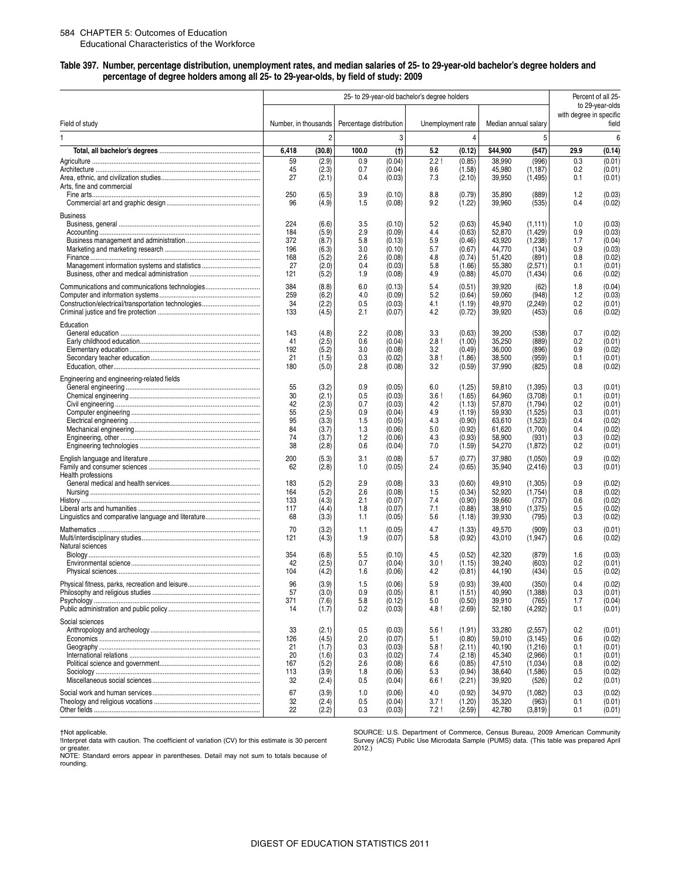#### 584 CHAPTER 5: Outcomes of Education Educational Characteristics of the Workforce

#### **Table 397. Number, percentage distribution, unemployment rates, and median salaries of 25- to 29-year-old bachelor's degree holders and percentage of degree holders among all 25- to 29-year-olds, by field of study: 2009**

|                                                     |                      |                |                         |                  | 25- to 29-year-old bachelor's degree holders |                  |                      |                    |                         | Percent of all 25-<br>to 29-year-olds |
|-----------------------------------------------------|----------------------|----------------|-------------------------|------------------|----------------------------------------------|------------------|----------------------|--------------------|-------------------------|---------------------------------------|
| Field of study                                      | Number, in thousands |                | Percentage distribution |                  | Unemployment rate                            |                  | Median annual salary |                    | with degree in specific | field                                 |
|                                                     |                      | $\overline{2}$ |                         | 3                |                                              | 4                |                      | 5                  |                         | 6                                     |
|                                                     | 6,418                | (30.8)         | 100.0                   | (t)              | 5.2                                          | (0.12)           | \$44,900             | (547)              | 29.9                    | (0.14)                                |
|                                                     | 59                   | (2.9)          | 0.9                     | (0.04)           | 2.2!                                         | (0.85)           | 38,990               | (996)              | 0.3                     | (0.01)                                |
|                                                     | 45                   | (2.3)          | 0.7                     | (0.04)           | 9.6                                          | (1.58)           | 45,980               | (1, 187)           | 0.2                     | (0.01)                                |
| Arts, fine and commercial                           | 27                   | (2.1)          | 0.4                     | (0.03)           | 7.3                                          | (2.10)           | 39,950               | (1, 495)           | 0.1                     | (0.01)                                |
|                                                     | 250                  | (6.5)          | 3.9                     | (0.10)           | 8.8                                          | (0.79)           | 35,890               | (889)              | 1.2                     | (0.03)                                |
|                                                     | 96                   | (4.9)          | 1.5                     | (0.08)           | 9.2                                          | (1.22)           | 39,960               | (535)              | 0.4                     | (0.02)                                |
| <b>Business</b>                                     |                      |                |                         |                  |                                              |                  |                      |                    |                         |                                       |
|                                                     | 224                  | (6.6)          | 3.5                     | (0.10)           | 5.2                                          | (0.63)           | 45,940               | (1, 111)           | 1.0                     | (0.03)                                |
|                                                     | 184                  | (5.9)          | 2.9                     | (0.09)           | 4.4                                          | (0.63)           | 52,870               | (1, 429)           | 0.9                     | (0.03)                                |
|                                                     | 372<br>196           | (8.7)<br>(6.3) | 5.8<br>3.0              | (0.13)<br>(0.10) | 5.9<br>5.7                                   | (0.46)           | 43,920               | (1, 238)           | 1.7<br>0.9              | (0.04)                                |
|                                                     | 168                  | (5.2)          | 2.6                     | (0.08)           | 4.8                                          | (0.67)<br>(0.74) | 44,770<br>51,420     | (134)<br>(891)     | 0.8                     | (0.03)<br>(0.02)                      |
|                                                     | 27                   | (2.0)          | 0.4                     | (0.03)           | 5.8                                          | (1.66)           | 55,380               | (2,571)            | 0.1                     | (0.01)                                |
|                                                     | 121                  | (5.2)          | 1.9                     | (0.08)           | 4.9                                          | (0.88)           | 45,070               | (1, 434)           | 0.6                     | (0.02)                                |
| Communications and communications technologies      | 384                  | (8.8)          | 6.0                     | (0.13)           | 5.4                                          | (0.51)           | 39,920               | (62)               | 1.8                     | (0.04)                                |
|                                                     | 259                  | (6.2)          | 4.0                     | (0.09)           | 5.2                                          | (0.64)           | 59,060               | (948)              | 1.2                     | (0.03)                                |
| Construction/electrical/transportation technologies | 34                   | (2.2)          | 0.5                     | (0.03)           | 4.1                                          | (1.19)           | 49,970               | (2, 249)           | 0.2                     | (0.01)                                |
|                                                     | 133                  | (4.5)          | 2.1                     | (0.07)           | 4.2                                          | (0.72)           | 39,920               | (453)              | 0.6                     | (0.02)                                |
| Education                                           |                      |                |                         |                  |                                              |                  |                      |                    |                         |                                       |
|                                                     | 143                  | (4.8)          | 2.2                     | (0.08)           | 3.3                                          | (0.63)           | 39,200               | (538)              | 0.7                     | (0.02)                                |
|                                                     | 41<br>192            | (2.5)<br>(5.2) | 0.6<br>3.0              | (0.04)<br>(0.08) | 2.8!<br>3.2                                  | (1.00)<br>(0.49) | 35,250<br>36,000     | (889)<br>(896)     | 0.2<br>0.9              | (0.01)<br>(0.02)                      |
|                                                     | 21                   | (1.5)          | 0.3                     | (0.02)           | 3.8!                                         | (1.86)           | 38,500               | (959)              | 0.1                     | (0.01)                                |
|                                                     | 180                  | (5.0)          | 2.8                     | (0.08)           | 3.2                                          | (0.59)           | 37,990               | (825)              | 0.8                     | (0.02)                                |
| Engineering and engineering-related fields          |                      |                |                         |                  |                                              |                  |                      |                    |                         |                                       |
|                                                     | 55                   | (3.2)          | 0.9                     | (0.05)           | 6.0                                          | (1.25)           | 59,810               | (1, 395)           | 0.3                     | (0.01)                                |
|                                                     | 30                   | (2.1)          | 0.5                     | (0.03)           | 3.6!                                         | (1.65)           | 64,960               | (3,708)            | 0.1                     | (0.01)                                |
|                                                     | 42<br>55             | (2.3)<br>(2.5) | 0.7<br>0.9              | (0.03)<br>(0.04) | 4.2<br>4.9                                   | (1.13)<br>(1.19) | 57,870<br>59,930     | (1,794)<br>(1,525) | 0.2<br>0.3              | (0.01)<br>(0.01)                      |
|                                                     | 95                   | (3.3)          | 1.5                     | (0.05)           | 4.3                                          | (0.90)           | 63,610               | (1,523)            | 0.4                     | (0.02)                                |
|                                                     | 84                   | (3.7)          | 1.3                     | (0.06)           | 5.0                                          | (0.92)           | 61,620               | (1,700)            | 0.4                     | (0.02)                                |
|                                                     | 74                   | (3.7)          | 1.2                     | (0.06)           | 4.3                                          | (0.93)           | 58,900               | (931)              | 0.3                     | (0.02)                                |
|                                                     | 38                   | (2.8)          | 0.6                     | (0.04)           | 7.0                                          | (1.59)           | 54,270               | (1,872)            | 0.2                     | (0.01)                                |
|                                                     | 200                  | (5.3)          | 3.1                     | (0.08)           | 5.7                                          | (0.77)           | 37,980               | (1,050)            | 0.9                     | (0.02)                                |
| Health professions                                  | 62                   | (2.8)          | 1.0                     | (0.05)           | 2.4                                          | (0.65)           | 35,940               | (2, 416)           | 0.3                     | (0.01)                                |
|                                                     | 183                  | (5.2)          | 2.9                     | (0.08)           | 3.3                                          | (0.60)           | 49,910               | (1,305)            | 0.9                     | (0.02)                                |
|                                                     | 164                  | (5.2)          | 2.6                     | (0.08)           | 1.5                                          | (0.34)           | 52,920               | (1,754)            | 0.8                     | (0.02)                                |
|                                                     | 133                  | (4.3)          | 2.1                     | (0.07)           | 7.4                                          | (0.90)           | 39,660               | (737)              | 0.6                     | (0.02)                                |
|                                                     | 117<br>68            | (4.4)<br>(3.3) | 1.8<br>1.1              | (0.07)<br>(0.05) | 7.1<br>5.6                                   | (0.88)<br>(1.18) | 38,910<br>39,930     | (1, 375)<br>(795)  | 0.5<br>0.3              | (0.02)<br>(0.02)                      |
| Linguistics and comparative language and literature |                      |                |                         |                  |                                              |                  |                      |                    |                         |                                       |
|                                                     | 70<br>121            | (3.2)<br>(4.3) | 1.1<br>1.9              | (0.05)           | 4.7<br>5.8                                   | (1.33)           | 49,570<br>43,010     | (909)<br>(1, 947)  | 0.3<br>0.6              | (0.01)                                |
| Natural sciences                                    |                      |                |                         | (0.07)           |                                              | (0.92)           |                      |                    |                         | (0.02)                                |
|                                                     | 354                  | (6.8)          | 5.5                     | (0.10)           | 4.5                                          | (0.52)           | 42,320               | (879)              | 1.6                     | (0.03)                                |
|                                                     | 42                   | (2.5)          | 0.7                     | (0.04)           | 3.0!                                         | (1.15)           | 39,240               | (603)              | 0.2                     | (0.01)                                |
|                                                     | 104                  | (4.2)          | 1.6                     | (0.06)           | 4.2                                          | (0.81)           | 44,190               | (434)              | 0.5                     | (0.02)                                |
| Physical fitness, parks, recreation and leisure     | 96                   | (3.9)          | 1.5                     | (0.06)           | 5.9                                          | (0.93)           | 39,400               | (350)              | 0.4                     | (0.02)                                |
|                                                     | 57                   | (3.0)          | 0.9                     | (0.05)           | 8.1                                          | (1.51)           | 40,990               | (1,388)            | 0.3                     | (0.01)                                |
|                                                     | 371<br>14            | (7.6)<br>(1.7) | 5.8<br>0.2              | (0.12)<br>(0.03) | 5.0<br>4.8!                                  | (0.50)<br>(2.69) | 39,910<br>52,180     | (765)<br>(4,292)   | 1.7<br>0.1              | (0.04)<br>(0.01)                      |
|                                                     |                      |                |                         |                  |                                              |                  |                      |                    |                         |                                       |
| Social sciences                                     | 33                   | (2.1)          | 0.5                     | (0.03)           | 5.6!                                         | (1.91)           | 33,280               | (2, 557)           | 0.2                     | (0.01)                                |
|                                                     | 126                  | (4.5)          | 2.0                     | (0.07)           | 5.1                                          | (0.80)           | 59,010               | (3, 145)           | 0.6                     | (0.02)                                |
|                                                     | 21                   | (1.7)          | 0.3                     | (0.03)           | $5.8$ !                                      | (2.11)           | 40,190               | (1,216)            | 0.1                     | (0.01)                                |
|                                                     | 20                   | (1.6)          | 0.3                     | (0.02)           | 7.4                                          | (2.18)           | 45,340               | (2,966)            | 0.1                     | (0.01)                                |
|                                                     | 167<br>113           | (5.2)<br>(3.9) | 2.6<br>1.8              | (0.08)<br>(0.06) | 6.6<br>5.3                                   | (0.85)<br>(0.94) | 47,510<br>38,640     | (1,034)<br>(1,586) | 0.8<br>0.5              | (0.02)<br>(0.02)                      |
|                                                     | 32                   | (2.4)          | 0.5                     | (0.04)           | 6.6!                                         | (2.21)           | 39,920               | (526)              | 0.2                     | (0.01)                                |
|                                                     | 67                   | (3.9)          | 1.0                     | (0.06)           | 4.0                                          | (0.92)           | 34,970               | (1,082)            | 0.3                     | (0.02)                                |
|                                                     | 32                   | (2.4)          | 0.5                     | (0.04)           | 3.7!                                         | (1.20)           | 35,320               | (963)              | 0.1                     | (0.01)                                |
|                                                     | 22                   | (2.2)          | 0.3                     | (0.03)           | 7.2!                                         | (2.59)           | 42,780               | (3,819)            | 0.1                     | (0.01)                                |

or greater. 2012.) NOTE: Standard errors appear in parentheses. Detail may not sum to totals because of rounding.

Not applicable.<br>Interpret data with caution. The coefficient of variation (CV) for this estimate is 30 percent [SOURCE: U.S. Department of Commerce, Census Bureau, 2009 American Community!<br>اتارہ (PUMS) data. (This table wa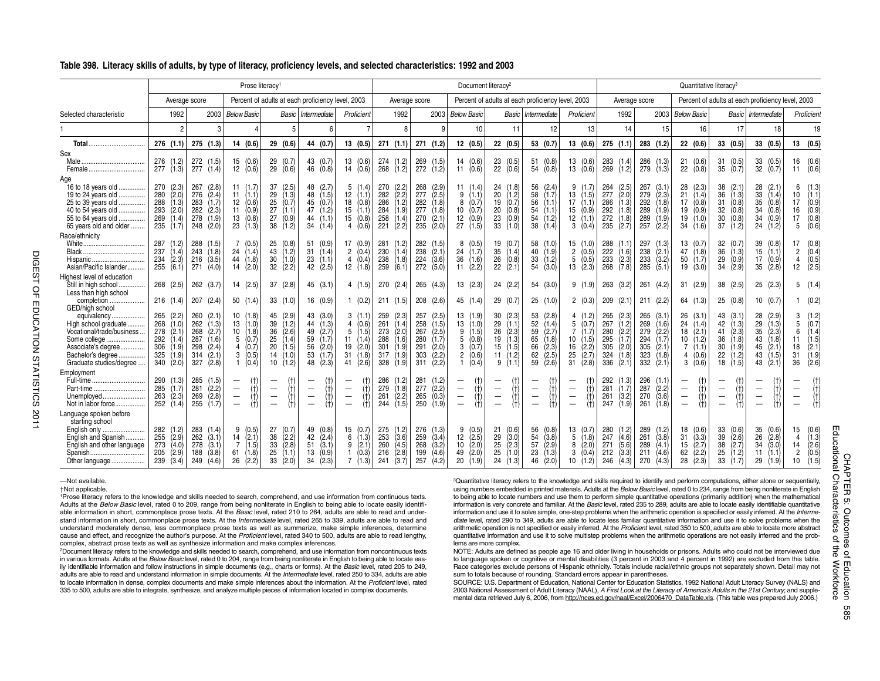#### **Table 398. Literacy skills of adults, by type of literacy, proficiency levels, and selected characteristics: 1992 and 2003**

|                                                                                                                                                                                                                                                                                                                                                                                                                                                                                                                                                                                                                                                                                                                                                                                                                                                                                                                                                                                                                                                                                                                                                                                                                                                                                                                                                                                                                                                                                                                                                                                                                                                                                                                                                                                                               |                                                                                                              |                                               |                                                             |                                                                           | Prose literacy <sup>1</sup>                                 |                                                                                       |                                                             |                                                                                                       |                                                           |                                                                 |                                               |                                                                 |                                               |                                                             | Document literacy <sup>2</sup>                                                                                                                                                                                                                                                                                                                                                                                                                                                                                                                                                                                                                                                                                                                                                                                                                                                                                                                                                                                                                                                                                                                                                                                                                                                                                                                                                                                                                                                                                                                                                                                                                                                                                                                                                                                                                                                                                                                                                                                                                                                           |                                                                                                              |                                                                     |                                                                                                              |                                                                 |                                                           |                                                             |                                               |                                                             |                                        |                                                                  |                                                                                                       |                                           | Quantitative literacy <sup>3</sup>                                                                               |                                        |                                                             |                                                                 |                                                                 |                                                                                               |
|---------------------------------------------------------------------------------------------------------------------------------------------------------------------------------------------------------------------------------------------------------------------------------------------------------------------------------------------------------------------------------------------------------------------------------------------------------------------------------------------------------------------------------------------------------------------------------------------------------------------------------------------------------------------------------------------------------------------------------------------------------------------------------------------------------------------------------------------------------------------------------------------------------------------------------------------------------------------------------------------------------------------------------------------------------------------------------------------------------------------------------------------------------------------------------------------------------------------------------------------------------------------------------------------------------------------------------------------------------------------------------------------------------------------------------------------------------------------------------------------------------------------------------------------------------------------------------------------------------------------------------------------------------------------------------------------------------------------------------------------------------------------------------------------------------------|--------------------------------------------------------------------------------------------------------------|-----------------------------------------------|-------------------------------------------------------------|---------------------------------------------------------------------------|-------------------------------------------------------------|---------------------------------------------------------------------------------------|-------------------------------------------------------------|-------------------------------------------------------------------------------------------------------|-----------------------------------------------------------|-----------------------------------------------------------------|-----------------------------------------------|-----------------------------------------------------------------|-----------------------------------------------|-------------------------------------------------------------|------------------------------------------------------------------------------------------------------------------------------------------------------------------------------------------------------------------------------------------------------------------------------------------------------------------------------------------------------------------------------------------------------------------------------------------------------------------------------------------------------------------------------------------------------------------------------------------------------------------------------------------------------------------------------------------------------------------------------------------------------------------------------------------------------------------------------------------------------------------------------------------------------------------------------------------------------------------------------------------------------------------------------------------------------------------------------------------------------------------------------------------------------------------------------------------------------------------------------------------------------------------------------------------------------------------------------------------------------------------------------------------------------------------------------------------------------------------------------------------------------------------------------------------------------------------------------------------------------------------------------------------------------------------------------------------------------------------------------------------------------------------------------------------------------------------------------------------------------------------------------------------------------------------------------------------------------------------------------------------------------------------------------------------------------------------------------------------|--------------------------------------------------------------------------------------------------------------|---------------------------------------------------------------------|--------------------------------------------------------------------------------------------------------------|-----------------------------------------------------------------|-----------------------------------------------------------|-------------------------------------------------------------|-----------------------------------------------|-------------------------------------------------------------|----------------------------------------|------------------------------------------------------------------|-------------------------------------------------------------------------------------------------------|-------------------------------------------|------------------------------------------------------------------------------------------------------------------|----------------------------------------|-------------------------------------------------------------|-----------------------------------------------------------------|-----------------------------------------------------------------|-----------------------------------------------------------------------------------------------|
|                                                                                                                                                                                                                                                                                                                                                                                                                                                                                                                                                                                                                                                                                                                                                                                                                                                                                                                                                                                                                                                                                                                                                                                                                                                                                                                                                                                                                                                                                                                                                                                                                                                                                                                                                                                                               |                                                                                                              | Average score                                 |                                                             |                                                                           |                                                             |                                                                                       |                                                             | Percent of adults at each proficiency level, 2003                                                     |                                                           |                                                                 |                                               |                                                                 | Average score                                 |                                                             | Percent of adults at each proficiency level, 2003                                                                                                                                                                                                                                                                                                                                                                                                                                                                                                                                                                                                                                                                                                                                                                                                                                                                                                                                                                                                                                                                                                                                                                                                                                                                                                                                                                                                                                                                                                                                                                                                                                                                                                                                                                                                                                                                                                                                                                                                                                        |                                                                                                              |                                                                     |                                                                                                              |                                                                 |                                                           |                                                             |                                               | Average score                                               |                                        |                                                                  |                                                                                                       |                                           | Percent of adults at each proficiency level, 2003                                                                |                                        |                                                             |                                                                 |                                                                 |                                                                                               |
| Selected characteristic                                                                                                                                                                                                                                                                                                                                                                                                                                                                                                                                                                                                                                                                                                                                                                                                                                                                                                                                                                                                                                                                                                                                                                                                                                                                                                                                                                                                                                                                                                                                                                                                                                                                                                                                                                                       | 1992                                                                                                         |                                               | 2003                                                        | <b>Below Basic</b>                                                        |                                                             |                                                                                       |                                                             | Basic Intermediate                                                                                    |                                                           | Proficient                                                      |                                               | 1992                                                            |                                               |                                                             | 2003 Below Basic                                                                                                                                                                                                                                                                                                                                                                                                                                                                                                                                                                                                                                                                                                                                                                                                                                                                                                                                                                                                                                                                                                                                                                                                                                                                                                                                                                                                                                                                                                                                                                                                                                                                                                                                                                                                                                                                                                                                                                                                                                                                         |                                                                                                              | Basic Intermediate                                                  |                                                                                                              |                                                                 |                                                           | Proficient                                                  |                                               | 1992                                                        |                                        | 2003                                                             | <b>Below Basic</b>                                                                                    |                                           | Basic                                                                                                            |                                        | Intermediate                                                |                                                                 | Proficient                                                      |                                                                                               |
|                                                                                                                                                                                                                                                                                                                                                                                                                                                                                                                                                                                                                                                                                                                                                                                                                                                                                                                                                                                                                                                                                                                                                                                                                                                                                                                                                                                                                                                                                                                                                                                                                                                                                                                                                                                                               |                                                                                                              | $\overline{2}$                                | 3                                                           |                                                                           |                                                             |                                                                                       | 5                                                           | 6                                                                                                     |                                                           | $\overline{7}$                                                  |                                               | 8                                                               |                                               | ٩                                                           | 10                                                                                                                                                                                                                                                                                                                                                                                                                                                                                                                                                                                                                                                                                                                                                                                                                                                                                                                                                                                                                                                                                                                                                                                                                                                                                                                                                                                                                                                                                                                                                                                                                                                                                                                                                                                                                                                                                                                                                                                                                                                                                       |                                                                                                              | 11                                                                  |                                                                                                              | 12                                                              |                                                           | 13                                                          |                                               | 14                                                          |                                        | 15                                                               |                                                                                                       | 16                                        | 17                                                                                                               |                                        | 18                                                          |                                                                 | 19                                                              |                                                                                               |
|                                                                                                                                                                                                                                                                                                                                                                                                                                                                                                                                                                                                                                                                                                                                                                                                                                                                                                                                                                                                                                                                                                                                                                                                                                                                                                                                                                                                                                                                                                                                                                                                                                                                                                                                                                                                               | $276$ (1.1)                                                                                                  |                                               | 275 (1.3)                                                   |                                                                           | 14(0.6)                                                     |                                                                                       | 29 (0.6)                                                    | 44 (0.7)                                                                                              |                                                           | 13(0.5)                                                         | 271                                           | (1.1)                                                           | 271(1.2)                                      |                                                             | 12(0.5)                                                                                                                                                                                                                                                                                                                                                                                                                                                                                                                                                                                                                                                                                                                                                                                                                                                                                                                                                                                                                                                                                                                                                                                                                                                                                                                                                                                                                                                                                                                                                                                                                                                                                                                                                                                                                                                                                                                                                                                                                                                                                  |                                                                                                              | 22(0.5)                                                             | 53 (0.7)                                                                                                     |                                                                 |                                                           | 13(0.6)                                                     |                                               | 275(1.1)                                                    |                                        | 283 (1.2)                                                        | 22(0.6)                                                                                               |                                           | 33(0.5)                                                                                                          |                                        | 33(0.5)                                                     | 13                                                              | (0.5)                                                           |                                                                                               |
| Sex<br>Female                                                                                                                                                                                                                                                                                                                                                                                                                                                                                                                                                                                                                                                                                                                                                                                                                                                                                                                                                                                                                                                                                                                                                                                                                                                                                                                                                                                                                                                                                                                                                                                                                                                                                                                                                                                                 | 276<br>$\binom{1.2}{1.3}$<br>277                                                                             | 272                                           | (1.5)<br>$277$ $(1.4)$                                      | 15<br>12                                                                  | (0.6)<br>(0.6)                                              | 29<br>29                                                                              | (0.7)<br>(0.6)                                              | 43<br>(0.7)<br>46<br>(0.8)                                                                            | 13<br>14                                                  | (0.6)<br>(0.6)                                                  | 274<br>268                                    | $\binom{1.2}{1.2}$                                              | 269<br>272                                    | $\binom{1.5}{1.2}$                                          | (0.6)<br>14<br>11 $(0.6)$                                                                                                                                                                                                                                                                                                                                                                                                                                                                                                                                                                                                                                                                                                                                                                                                                                                                                                                                                                                                                                                                                                                                                                                                                                                                                                                                                                                                                                                                                                                                                                                                                                                                                                                                                                                                                                                                                                                                                                                                                                                                | $\frac{23}{22}$                                                                                              | (0.5)<br>(0.6)                                                      | 51<br>54                                                                                                     | (0.8)<br>(0.8)                                                  | 13<br>13                                                  | (0.6)<br>(0.6)                                              | 283<br>269                                    | (1.4)<br>(1.2)                                              | 286<br>279                             | (1.3)<br>(1.3)                                                   | 21<br>$22 \ (0.8)$                                                                                    | (0.6)                                     | 31<br>(0.5)<br>35<br>(0.7)                                                                                       |                                        | 33 (0.5)<br>32 (0.7)                                        | 16<br>11                                                        | (0.6)<br>(0.6)                                                  |                                                                                               |
| Age<br>16 to 18 years old<br>19 to 24 years old<br>25 to 39 years old<br>40 to 54 years old<br>55 to 64 years old<br>65 years old and older                                                                                                                                                                                                                                                                                                                                                                                                                                                                                                                                                                                                                                                                                                                                                                                                                                                                                                                                                                                                                                                                                                                                                                                                                                                                                                                                                                                                                                                                                                                                                                                                                                                                   | 270<br>(2.3)<br>280<br>(2.0)<br>288<br>(1.3)<br>293<br>(2.0)<br>269<br>(1.4)<br>235<br>(1.7)                 | 267<br>276<br>283<br>282<br>278               | (2.8)<br>(2.4)<br>(1.7)<br>(2.3)<br>(1.9)<br>$248$ $(2.0)$  | 11<br>11<br>12<br>11<br>13<br>23                                          | (1.7)<br>(1.1)<br>(0.6)<br>(0.9)<br>(0.8)<br>(1.3)          | 37<br>29<br>25<br>27<br>27<br>38                                                      | (2.5)<br>(1.3)<br>(0.7)<br>(1.1)<br>(0.9)<br>(1.2)          | 48<br>(2.7)<br>48<br>$(1.5)$<br>$(0.7)$<br>45<br>47<br>(1.2)<br>44<br>(1.1)<br>34<br>(1.4)            | 5<br>12<br>18<br>15<br>15<br>$\overline{4}$               | (1.4)<br>(1.1)<br>(0.8)<br>(1.1)<br>(0.8)<br>(0.6)              | 270<br>282<br>286<br>284<br>258<br>221        | (2.2)<br>$(2.2)$<br>$(1.2)$<br>(1.9)<br>(1.4)<br>(2.2)          | 268<br>277<br>282<br>277<br>270<br>235        | (2.9)<br>(2.5)<br>(1.8)<br>(1.8)<br>(2.1)<br>(2.0)          | 11<br>(1.4)<br>9(1.1)<br>(0.7)<br>8<br>(0.7)<br>10<br>$\frac{12}{27}$<br>$(0.9)$<br>(1.5)                                                                                                                                                                                                                                                                                                                                                                                                                                                                                                                                                                                                                                                                                                                                                                                                                                                                                                                                                                                                                                                                                                                                                                                                                                                                                                                                                                                                                                                                                                                                                                                                                                                                                                                                                                                                                                                                                                                                                                                                | 24<br>20<br>19<br>20<br>$\substack{23 \ 33}$                                                                 | (1.8)<br>$(1.2)$<br>$(0.7)$<br>(0.8)<br>(0.9)<br>(1.0)              | 56<br>58<br>56<br>54<br>$\frac{54}{38}$                                                                      | (2.4)<br>(1.7)<br>(1.1)<br>(1.1)<br>$\binom{1.2}{1.4}$          | 9<br>13<br>17<br>15<br>12                                 | (1.7)<br>(1.5)<br>(1.1)<br>(0.9)<br>(1.1)<br>3(0.4)         | 264<br>277<br>286<br>292<br>272<br>235        | (2.5)<br>(2.0)<br>(1.3)<br>(1.8)<br>$(1.8)$<br>(2.7)        | 267<br>279<br>292<br>289<br>289<br>257 | (3.1)<br>(2.3)<br>(1.8)<br>(1.9)<br>$(1.9)$<br>$(2.2)$           | 28<br>21<br>17<br>19<br>19<br>34(1.6)                                                                 | (2.3)<br>(1.4)<br>(0.8)<br>(0.9)<br>(1.0) | 38(2.1)<br>36<br>(1.3)<br>31<br>(0.8)<br>32<br>(0.8)<br>30<br>$(0.8)$<br>$(1.2)$<br>37                           | 28<br>33<br>35<br>34<br>34<br>24       | (2.1)<br>(1.4)<br>(0.8)<br>(0.8)<br>$(0.9)$<br>$(1.2)$      | 6<br>10<br>17<br>16<br>17<br>5                                  | (1.3)<br>(1.1)<br>(0.9)<br>(0.9)<br>$(0.8)$<br>$(0.6)$          |                                                                                               |
| Race/ethnicity<br>White<br>Black<br>Hispanic<br>Asian/Pacific Islander                                                                                                                                                                                                                                                                                                                                                                                                                                                                                                                                                                                                                                                                                                                                                                                                                                                                                                                                                                                                                                                                                                                                                                                                                                                                                                                                                                                                                                                                                                                                                                                                                                                                                                                                        | 287<br>(1.2)<br>237<br>(1.4)<br>(2.3)<br>234<br>255<br>(6.1)                                                 | 288<br>243<br>216<br>271                      | (1.5)<br>(1.8)<br>(3.5)<br>(4.0)                            | 7<br>24<br>44<br>14                                                       | (0.5)<br>(1.4)<br>(1.8)<br>(2.0)                            | 25<br>43<br>30<br>32                                                                  | (0.8)<br>(1.2)<br>(1.0)<br>(2.2)                            | 51<br>(0.9)<br>31<br>(1.4)<br>23<br>(1.1)<br>42<br>(2.5)                                              | $\overline{2}$<br>4                                       | 17 (0.9)<br>(0.4)<br>(0.4)<br>12(1.8)                           | 281<br>230<br>238<br>259                      | (1.2)<br>(1.4)<br>(1.8)<br>(6.1)                                | 282<br>238<br>224<br>272                      | (1.5)<br>(2.1)<br>(3.6)<br>(5.0)                            | 8<br>(0.5)<br>$(1.7)$<br>$(1.6)$<br>24<br>$\overline{36}$<br>(2.2)<br>11                                                                                                                                                                                                                                                                                                                                                                                                                                                                                                                                                                                                                                                                                                                                                                                                                                                                                                                                                                                                                                                                                                                                                                                                                                                                                                                                                                                                                                                                                                                                                                                                                                                                                                                                                                                                                                                                                                                                                                                                                 | 19<br>35<br>26                                                                                               | (0.7)<br>(1.4)<br>(0.8)<br>22(2.1)                                  | 58<br>40<br>33<br>54                                                                                         | (1.0)<br>(1.9)<br>(1.2)<br>(3.0)                                | 15<br>$\overline{2}$<br>5                                 | (1.0)<br>(0.5)<br>(0.5)<br>13(2.3)                          | 288<br>222<br>233<br>268                      | (1.1)<br>$(1.6)$<br>$(2.3)$<br>(7.8)                        | 297<br>238<br>233<br>285               | (1.3)<br>(2.1)<br>(3.2)<br>(5.1)                                 | 13(0.7)<br>47 (1.8)<br>50<br>19(3.0)                                                                  | (1.7)                                     | 32(0.7)<br>36<br>(1.3)<br>29<br>(0.9)<br>34<br>(2.9)                                                             | 39<br>15<br>17<br>35                   | (0.8)<br>(1.1)<br>(0.9)<br>(2.8)                            | 17<br>$\overline{c}$<br>$\overline{4}$<br>12                    | (0.8)<br>$(0.4)$<br>$(0.5)$<br>(2.5)                            |                                                                                               |
| Highest level of education<br>Still in high school<br>Less than high school                                                                                                                                                                                                                                                                                                                                                                                                                                                                                                                                                                                                                                                                                                                                                                                                                                                                                                                                                                                                                                                                                                                                                                                                                                                                                                                                                                                                                                                                                                                                                                                                                                                                                                                                   | 268 (2.5)                                                                                                    |                                               | 262 (3.7)                                                   |                                                                           | 14(2.5)                                                     |                                                                                       | 37(2.8)                                                     | 45(3.1)                                                                                               |                                                           | 4 (1.5)                                                         | 270                                           | (2.4)                                                           | 265 (4.3)                                     |                                                             | 13(2.3)                                                                                                                                                                                                                                                                                                                                                                                                                                                                                                                                                                                                                                                                                                                                                                                                                                                                                                                                                                                                                                                                                                                                                                                                                                                                                                                                                                                                                                                                                                                                                                                                                                                                                                                                                                                                                                                                                                                                                                                                                                                                                  |                                                                                                              | 24(2.2)                                                             | 54 (3.0)                                                                                                     |                                                                 |                                                           | 9(1.9)                                                      | 263                                           | (3.2)                                                       |                                        | 261 (4.2)                                                        | 31(2.9)                                                                                               |                                           | 38(2.5)                                                                                                          |                                        | 25(2.3)                                                     | 5                                                               | (1.4)                                                           |                                                                                               |
| completion<br>GED/high school                                                                                                                                                                                                                                                                                                                                                                                                                                                                                                                                                                                                                                                                                                                                                                                                                                                                                                                                                                                                                                                                                                                                                                                                                                                                                                                                                                                                                                                                                                                                                                                                                                                                                                                                                                                 | 216(1.4)                                                                                                     |                                               | $207$ $(2.4)$                                               | 50                                                                        | (1.4)                                                       |                                                                                       | 33(1.0)                                                     | 16<br>(0.9)                                                                                           |                                                           | 1(0.2)                                                          | 211                                           | (1.5)                                                           | $208$ $(2.6)$                                 |                                                             | 45<br>(1.4)                                                                                                                                                                                                                                                                                                                                                                                                                                                                                                                                                                                                                                                                                                                                                                                                                                                                                                                                                                                                                                                                                                                                                                                                                                                                                                                                                                                                                                                                                                                                                                                                                                                                                                                                                                                                                                                                                                                                                                                                                                                                              |                                                                                                              | 29 (0.7)                                                            | 25                                                                                                           | (1.0)                                                           |                                                           | 2(0.3)                                                      | 209                                           | (2.1)                                                       |                                        | 211(2.2)                                                         | 64 (1.3)                                                                                              |                                           | 25(0.8)                                                                                                          |                                        | 10(0.7)                                                     | -1                                                              | (0.2)                                                           |                                                                                               |
| equivalency.<br>High school graduate<br>Vocational/trade/business<br>Some college<br>Associate's degree<br>Bachelor's degree<br>Graduate studies/degree                                                                                                                                                                                                                                                                                                                                                                                                                                                                                                                                                                                                                                                                                                                                                                                                                                                                                                                                                                                                                                                                                                                                                                                                                                                                                                                                                                                                                                                                                                                                                                                                                                                       | 265<br>(2.2)<br>(1.0)<br>268<br>278<br>(2.1)<br>292<br>(1.4)<br>306<br>(1.9)<br>325<br>(1.9)<br>340<br>(2.0) | 260<br>262<br>268<br>287<br>298<br>314<br>327 | (2.1)<br>(1.3)<br>(2.7)<br>(1.6)<br>(2.4)<br>(2.1)<br>(2.8) | 10<br>13<br>10 <sup>1</sup><br>5<br>4<br>3<br>1                           | (1.8)<br>(1.0)<br>(1.8)<br>(0.7)<br>(0.7)<br>(0.5)<br>(0.4) | 45<br>39<br>36<br>25<br>20<br>14<br>10                                                | (2.9)<br>(1.2)<br>(2.6)<br>(1.4)<br>(1.5)<br>(1.0)<br>(1.2) | (3.0)<br>43<br>44<br>(1.3)<br>49<br>(2.7)<br>59<br>(1.7)<br>56<br>(2.0)<br>53<br>(1.7)<br>48<br>(2.3) | 3<br>4<br>5<br>11<br>19<br>31<br>41                       | (1.1)<br>(0.6)<br>(1.5)<br>(1.4)<br>(2.0)<br>$(1.8)$<br>$(2.6)$ | 259<br>261<br>273<br>288<br>301<br>317<br>328 | (2.3)<br>(1.4)<br>(2.0)<br>(1.6)<br>(1.9)<br>$(1.9)$<br>$(1.9)$ | 257<br>258<br>267<br>280<br>291<br>303<br>311 | (2.5)<br>(1.5)<br>(2.5)<br>(1.7)<br>(2.0)<br>(2.2)<br>(2.2) | (1.9)<br>13<br>13(1.0)<br>(1.5)<br>9<br>(0.8)<br>5<br>3<br>(0.7)<br>2<br>(0.6)<br>(0.4)<br>$\mathbf{1}$                                                                                                                                                                                                                                                                                                                                                                                                                                                                                                                                                                                                                                                                                                                                                                                                                                                                                                                                                                                                                                                                                                                                                                                                                                                                                                                                                                                                                                                                                                                                                                                                                                                                                                                                                                                                                                                                                                                                                                                  | 30<br>29<br>26<br>19<br>15<br>11<br>9                                                                        | (2.3)<br>(1.1)<br>$(2.3)$<br>$(1.3)$<br>(1.5)<br>$\binom{1.2}{1.1}$ | 53<br>52<br>59<br>65<br>66<br>62<br>59                                                                       | (2.8)<br>(1.4)<br>(2.7)<br>(1.8)<br>(2.3)<br>$(2.5)$<br>$(2.6)$ | 4<br>5<br>$\overline{7}$<br>10<br>16<br>25<br>31          | (1.2)<br>(0.7)<br>(1.7)<br>(1.5)<br>(2.2)<br>(2.7)<br>(2.8) | 265<br>267<br>280<br>295<br>305<br>324<br>336 | (2.3)<br>(1.2)<br>(2.2)<br>(1.7)<br>(2.0)<br>(1.8)<br>(2.1) | 265<br>269<br>279<br>294<br>305<br>323 | (3.1)<br>(1.6)<br>$(2.2)$<br>(1.7)<br>(2.1)<br>(1.8)<br>332(2.1) | 26<br>24(1.4)<br>18<br>10<br>$\overline{7}$<br>$\overline{4}$<br>3(0.6)                               | (3.1)<br>(2.1)<br>(1.2)<br>(1.1)<br>(0.6) | 43<br>(3.1)<br>42<br>(1.3)<br>(2.3)<br>41<br>(1.8)<br>36<br>30<br>(1.9)<br>$\frac{22}{18}$<br>$(1.2)$<br>$(1.5)$ | 28<br>29<br>35<br>43<br>45<br>43<br>43 | (2.9)<br>(1.3)<br>(2.3)<br>(1.8)<br>(2.1)<br>(1.5)<br>(2.1) | 3<br>5<br>6<br>11<br>18<br>31<br>36                             | (1.2)<br>(0.7)<br>(1.4)<br>(1.5)<br>(2.1)<br>$(1.9)$<br>$(2.6)$ |                                                                                               |
| Employment<br>Full-time<br>Unemployed<br>Not in labor force                                                                                                                                                                                                                                                                                                                                                                                                                                                                                                                                                                                                                                                                                                                                                                                                                                                                                                                                                                                                                                                                                                                                                                                                                                                                                                                                                                                                                                                                                                                                                                                                                                                                                                                                                   | 290<br>(1.3)<br>(1.7)<br>285<br>(2.3)<br>263<br>252<br>(1.4)                                                 | 285<br>281<br>269<br>255                      | (1.5)<br>(2.2)<br>(2.8)<br>(1.7)                            | $\overline{\phantom{0}}$<br>$\qquad \qquad -$<br>$\overline{\phantom{m}}$ | (t)<br>(t)<br>(t)                                           | —<br>$\overline{\phantom{0}}$<br>$\overline{\phantom{0}}$<br>$\overline{\phantom{0}}$ | (t)<br>(t)<br>(t)                                           | $\overline{\phantom{0}}$<br>(†)<br>(†)<br>$\hspace{1.0cm} - \hspace{1.0cm}$<br>$\qquad \qquad -$      | $\equiv$<br>$\qquad \qquad -$<br>$\overline{\phantom{0}}$ | (†)<br>(†)<br>(†)<br>(t)                                        | 286<br>279<br>261<br>244                      | (1.2)<br>$(1.8)$<br>$(2.2)$<br>(1.5)                            | 281<br>277<br>265<br>250                      | (1.2)<br>$(2.2)$<br>$(0.3)$<br>(1.9)                        | $\qquad \qquad -$<br>$\equiv$<br>(†)<br>(†)<br>$\overline{\phantom{m}}$<br>(t)                                                                                                                                                                                                                                                                                                                                                                                                                                                                                                                                                                                                                                                                                                                                                                                                                                                                                                                                                                                                                                                                                                                                                                                                                                                                                                                                                                                                                                                                                                                                                                                                                                                                                                                                                                                                                                                                                                                                                                                                           | $\overline{\phantom{m}}$<br>$\overline{\phantom{0}}$<br>$\overline{\phantom{m}}$<br>$\overline{\phantom{m}}$ | (†<br>$\ddagger$<br>(†)<br>(t)                                      | $\overline{\phantom{0}}$<br>$\overline{\phantom{0}}$<br>$\overline{\phantom{0}}$<br>$\overline{\phantom{m}}$ | (t)<br>(†)<br>(†)<br>(t)                                        | $\equiv$<br>$\qquad \qquad -$<br>$\overline{\phantom{0}}$ | (t)<br>$\binom{+}{+}$<br>(t)                                | 292<br>281<br>261<br>247                      | $(1.3)$<br>$(1.7)$<br>(3.2)<br>(1.9)                        | 296<br>287<br>270<br>261               | (1.1)<br>$(2.2)$<br>$(3.6)$<br>(1.8)                             | $\overline{\phantom{a}}$<br>$\qquad \qquad -$<br>$\overline{\phantom{m}}$<br>$\overline{\phantom{m}}$ | (t)<br>$(+)$<br>$^{(+)}$<br>(t)           | (t)<br>$\equiv$<br>$\binom{11}{11}$<br>$\qquad \qquad -$<br>$\equiv$<br>(t)                                      | $\equiv$<br>$\overline{\phantom{m}}$   | (t)<br>(†)<br>(t)<br>(f)                                    | $\overline{\phantom{0}}$<br>$\qquad \qquad -$<br>$\equiv$       | (t)<br>$\binom{4}{1}$<br>(t)                                    |                                                                                               |
| Language spoken before<br>starting school<br>English only<br>English and Spanish<br>English and other language<br>Other language                                                                                                                                                                                                                                                                                                                                                                                                                                                                                                                                                                                                                                                                                                                                                                                                                                                                                                                                                                                                                                                                                                                                                                                                                                                                                                                                                                                                                                                                                                                                                                                                                                                                              | 282<br>(1.2)<br>255<br>(2.9)<br>273<br>(4.0)<br>(2.9)<br>205<br>239<br>(3.4)                                 | 283<br>262<br>278<br>188                      | (1.4)<br>(3.1)<br>(3.1)<br>(3.8)<br>249(4.6)                | 9<br>14<br>$\overline{7}$<br>61<br>26                                     | (0.5)<br>(2.1)<br>(1.5)<br>(1.8)<br>(2.2)                   | 27<br>38<br>33<br>25                                                                  | (0.7)<br>(2.2)<br>(2.8)<br>(1.1)<br>33(2.0)                 | 49<br>(0.8)<br>42<br>(2.4)<br>51<br>(3.1)<br>13<br>(0.9)<br>34<br>(2.3)                               | 15<br>6<br>9<br>$\overline{1}$                            | (0.7)<br>(1.3)<br>(2.1)<br>(0.3)<br>7(1.3)                      | 275<br>253<br>260<br>216<br>241               | (1.2)<br>(3.6)<br>(4.5)<br>(2.8)<br>(3.7)                       | 276<br>259<br>268<br>199<br>257               | (1.3)<br>(3.4)<br>(3.2)<br>(4.6)<br>(4.2)                   | (0.5)<br>9<br>(2.5)<br>12<br>(2.0)<br>10<br>49<br>(2.0)<br>20<br>(1.9)                                                                                                                                                                                                                                                                                                                                                                                                                                                                                                                                                                                                                                                                                                                                                                                                                                                                                                                                                                                                                                                                                                                                                                                                                                                                                                                                                                                                                                                                                                                                                                                                                                                                                                                                                                                                                                                                                                                                                                                                                   | 21<br>29<br>$25\,$<br>25<br>24                                                                               | (0.6)<br>(3.0)<br>(2.3)<br>(1.0)<br>(1.3)                           | 56<br>54<br>57<br>23<br>46                                                                                   | (0.8)<br>(3.8)<br>(2.9)<br>(1.3)<br>(2.0)                       | 13<br>5<br>8<br>-3                                        | (0.7)<br>(1.8)<br>(2.0)<br>(0.4)<br>10(1.2)                 | 280<br>247<br>271<br>212                      | (1.2)<br>(4.6)<br>(5.6)<br>(3.3)<br>246(4.3)                | 289<br>261<br>289<br>211<br>270        | (1.2)<br>(3.8)<br>(4.1)<br>(4.6)<br>(4.3)                        | 18<br>31<br>15<br>62<br>28(2.3)                                                                       | (0.6)<br>(3.3)<br>(2.7)<br>(2.2)          | 33<br>(0.6)<br>39<br>(2.6)<br>38<br>(2.7)<br>25<br>(1.2)<br>33(1.7)                                              | 35<br>26<br>34<br>11                   | (0.6)<br>(2.8)<br>(3.0)<br>(1.1)<br>29(1.9)                 | 15<br>$\overline{4}$<br>14<br>$\overline{2}$<br>10 <sup>°</sup> | (0.6)<br>(1.3)<br>(2.6)<br>(0.5)<br>(1.5)                       | Educational                                                                                   |
| -Not available.<br><b>†Not applicable.</b><br><sup>1</sup> Prose literacy refers to the knowledge and skills needed to search, comprehend, and use information from continuous texts.<br>Adults at the Below Basic level, rated 0 to 209, range from being nonliterate in English to being able to locate easily identifi-<br>able information in short, commonplace prose texts. At the Basic level, rated 210 to 264, adults are able to read and under-<br>stand information in short, commonplace prose texts. At the Intermediate level, rated 265 to 339, adults are able to read and<br>understand moderately dense, less commonplace prose texts as well as summarize, make simple inferences, determine<br>cause and effect, and recognize the author's purpose. At the Proficient level, rated 340 to 500, adults are able to read lengthy,<br>complex, abstract prose texts as well as synthesize information and make complex inferences.<br><sup>2</sup> Document literacy refers to the knowledge and skills needed to search, comprehend, and use information from noncontinuous texts<br>in various formats. Adults at the Below Basic level, rated 0 to 204, range from being nonliterate in English to being able to locate eas-<br>ily identifiable information and follow instructions in simple documents (e.g., charts or forms). At the Basic level, rated 205 to 249,<br>adults are able to read and understand information in simple documents. At the Intermediate level, rated 250 to 334, adults are able<br>to locate information in dense, complex documents and make simple inferences about the information. At the Proficient level, rated<br>335 to 500, adults are able to integrate, synthesize, and analyze multiple pieces of information located in complex documents. |                                                                                                              |                                               |                                                             |                                                                           |                                                             |                                                                                       |                                                             |                                                                                                       |                                                           |                                                                 |                                               |                                                                 |                                               |                                                             | <sup>3</sup> Quantitative literacy refers to the knowledge and skills required to identify and perform computations, either alone or sequentially,<br>using numbers embedded in printed materials. Adults at the Below Basic level, rated 0 to 234, range from being nonliterate in English<br>to being able to locate numbers and use them to perform simple quantitative operations (primarily addition) when the mathematical<br>information is very concrete and familiar. At the Basic level, rated 235 to 289, adults are able to locate easily identifiable quantitative<br>information and use it to solve simple, one-step problems when the arithmetic operation is specified or easily inferred. At the Interme-<br>diate level, rated 290 to 349, adults are able to locate less familiar quantitative information and use it to solve problems when the<br>arithmetic operation is not specified or easily inferred. At the Proficient level, rated 350 to 500, adults are able to locate more abstract<br>quantitative information and use it to solve multistep problems when the arithmetic operations are not easily inferred and the prob-<br>lems are more complex.<br>NOTE: Adults are defined as people age 16 and older living in households or prisons. Adults who could not be interviewed due<br>to language spoken or cognitive or mental disabilities (3 percent in 2003 and 4 percent in 1992) are excluded from this table.<br>Race categories exclude persons of Hispanic ethnicity. Totals include racial/ethnic groups not separately shown. Detail may not<br>sum to totals because of rounding. Standard errors appear in parentheses.<br>SOURCE: U.S. Department of Education, National Center for Education Statistics, 1992 National Adult Literacy Survey (NALS) and<br>2003 National Assessment of Adult Literacy (NAAL), A First Look at the Literacy of America's Adults in the 21st Century, and supple-<br>mental data retrieved July 6, 2006, from http://nces.ed.gov/naal/Excel/2006470_DataTable.xls. (This table was prepared July 2006.) |                                                                                                              |                                                                     |                                                                                                              |                                                                 |                                                           |                                                             |                                               |                                                             |                                        |                                                                  |                                                                                                       |                                           |                                                                                                                  |                                        |                                                             |                                                                 |                                                                 | <b>CHAPTER</b><br>Characteristics<br>თ,<br>Outcomes of Education<br>eristics of the Workforce |

DIGEST OF EDUCATION STATISTICS 2011

DIGEST OF EDUCATION STATISTICS 2011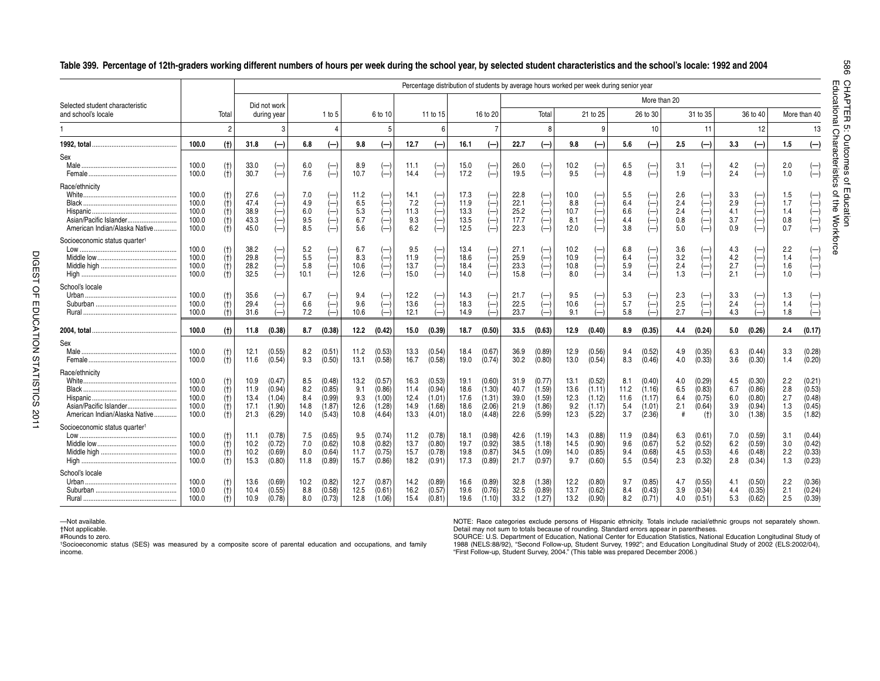**Table 399. Percentage of 12th-graders working different numbers of hours per week during the school year, by selected student characteristics and the school's locale: 1992 and 2004** 

|                                                                                                  |                                           |                                 |                                      |                                                |                                   |                                                |                                    |                                                |                                      |                                                |                                      |                                                |                                      |                                                | Percentage distribution of students by average hours worked per week during senior year |                                                |                                   |                                                   |                                 |                                             |                                 |                                                                                  |                                 |                                                |
|--------------------------------------------------------------------------------------------------|-------------------------------------------|---------------------------------|--------------------------------------|------------------------------------------------|-----------------------------------|------------------------------------------------|------------------------------------|------------------------------------------------|--------------------------------------|------------------------------------------------|--------------------------------------|------------------------------------------------|--------------------------------------|------------------------------------------------|-----------------------------------------------------------------------------------------|------------------------------------------------|-----------------------------------|---------------------------------------------------|---------------------------------|---------------------------------------------|---------------------------------|----------------------------------------------------------------------------------|---------------------------------|------------------------------------------------|
| Selected student characteristic                                                                  |                                           |                                 |                                      | Did not work                                   |                                   |                                                |                                    |                                                |                                      |                                                |                                      |                                                |                                      |                                                |                                                                                         |                                                |                                   | More than 20                                      |                                 |                                             |                                 |                                                                                  |                                 |                                                |
| and school's locale                                                                              |                                           | Total                           |                                      | during year                                    |                                   | $1$ to 5                                       |                                    | 6 to 10                                        |                                      | 11 to 15                                       |                                      | 16 to 20                                       |                                      | Total                                          |                                                                                         | 21 to 25                                       |                                   | 26 to 30                                          |                                 | 31 to 35                                    |                                 | 36 to 40                                                                         |                                 | More than 40                                   |
|                                                                                                  |                                           | $\overline{2}$                  |                                      |                                                |                                   | $\Delta$                                       |                                    | 5                                              |                                      | $6\overline{6}$                                |                                      |                                                |                                      | 8                                              |                                                                                         | 9                                              |                                   | 10                                                |                                 | 11                                          |                                 | 12                                                                               |                                 | 13                                             |
|                                                                                                  | 100.0                                     | (t)                             | 31.8                                 | $(-)$                                          | 6.8                               | $(-)$                                          | 9.8                                | $(-)$                                          | 12.7                                 | $(-)$                                          | 16.1                                 | $(-)$                                          | 22.7                                 | $(-)$                                          | 9.8                                                                                     | $(-)$                                          | 5.6                               | $(-)$                                             | 2.5                             | $(-)$                                       | 3.3                             | $(-)$                                                                            | 1.5                             | $(-)$                                          |
| Sex                                                                                              | 100.0<br>100.0                            | (t)<br>(t)                      | 33.0<br>30.7                         | $(-)$<br>$(-)$                                 | 6.0<br>7.6                        | $(-)$<br>$(-)$                                 | 8.9<br>10.7                        | $(-)$                                          | 11.1<br>14.4                         | $(-)$                                          | 15.0<br>17.2                         | $(-)$<br>$(-)$                                 | 26.0<br>19.5                         | $(-)$                                          | 10.2<br>9.5                                                                             | $(-)$                                          | 6.5<br>4.8                        | $(-)$<br>$(-)$                                    | 3.1<br>1.9                      | $(-)$                                       | 4.2<br>2.4                      | $\overline{ }$<br>$(-)$                                                          | 2.0<br>1.0                      | (—<br>$(-)$                                    |
| Race/ethnicity<br>White<br>Black<br>Asian/Pacific Islander<br>American Indian/Alaska Native<br>. | 100.0<br>100.0<br>100.0<br>100.0<br>100.0 | (t)<br>(t)<br>(t)<br>(t)<br>(t) | 27.6<br>47.4<br>38.9<br>43.3<br>45.0 | $(-)$<br>$(-)$<br>$(-)$<br>$(-)$<br>$(-)$      | 7.0<br>4.9<br>6.0<br>9.5<br>8.5   | $(-)$<br>$(-)$<br>$(-)$<br>$(-)$<br>$(-)$      | 11.2<br>6.5<br>5.3<br>6.7<br>5.6   | $(-)$                                          | 14.1<br>7.2<br>11.3<br>9.3<br>6.2    | $(-)$<br>$(-)$<br>$(-)$<br>$(-)$<br>$(-)$      | 17.3<br>11.9<br>13.3<br>13.5<br>12.5 | $(-)$<br>$(-)$<br>$(-)$<br>$(-)$<br>$(-)$      | 22.8<br>22.1<br>25.2<br>17.7<br>22.3 | $(-)$<br>$(-)$                                 | 10.0<br>8.8<br>10.7<br>8.1<br>12.0                                                      | $(-)$<br>$(-)$                                 | 5.5<br>6.4<br>6.6<br>4.4<br>3.8   | (—<br>(—<br>(—<br>$(-$<br>$(-)$                   | 2.6<br>2.4<br>2.4<br>0.8<br>5.0 | $(-)$<br>$(-)$                              | 3.3<br>2.9<br>4.1<br>3.7<br>0.9 | (—<br>$\overline{(-)}$<br>$\overline{\phantom{a}}$<br>$\left( -\right)$<br>$(-)$ | 1.5<br>1.7<br>1.4<br>0.8<br>0.7 | (—<br>$(-$<br>$(-)$                            |
| Socioeconomic status quarter <sup>1</sup>                                                        | 100.0<br>100.0<br>100.0<br>100.0          | (t)<br>(t)<br>(t)<br>(t)        | 38.2<br>29.8<br>28.2<br>32.5         | $(-)$<br>$(-)$<br>$(-)$<br>$(-)$               | 5.2<br>5.5<br>5.8<br>10.1         | $\overline{ }$<br>$(-)$<br>$(-)$<br>$(-)$      | 6.7<br>8.3<br>10.6<br>12.6         | $(-)$                                          | 9.5<br>11.9<br>13.7<br>15.0          | $(-)$<br>$(-)$<br>$(-)$<br>$(-)$               | 13.4<br>18.6<br>18.4<br>14.0         | $\overline{ }$<br>$(-)$<br>$(-)$<br>$(-)$      | 27.1<br>25.9<br>23.3<br>15.8         | $(-)$<br>$(-)$<br>$(-)$                        | 10.2<br>10.9<br>10.8<br>8.0                                                             | $(-)$<br>$(-)$<br>$(-)$<br>$(-)$               | 6.8<br>6.4<br>5.9<br>3.4          | $\overline{ }$<br>$\overline{ }$<br>$(-$<br>$(-)$ | 3.6<br>3.2<br>2.4<br>1.3        | $(-)$<br>$(-)$                              | 4.3<br>4.2<br>2.7<br>2.1        | $(-)$<br>$\overline{\phantom{a}}$<br>$(-)$<br>$(-)$                              | 2.2<br>1.4<br>1.6<br>1.0        | (—<br>$(-)$<br>$(-)$                           |
| School's locale<br>Urban.                                                                        | 100.0<br>100.0<br>100.0                   | (t)<br>(t)<br>(t)               | 35.6<br>29.4<br>31.6                 | $(-)$<br>$(-)$<br>$(-)$                        | 6.7<br>6.6<br>7.2                 | $(-)$<br>$(-)$<br>$(-)$                        | 9.4<br>9.6<br>10.6                 | $(-)$<br>$(-)$                                 | 12.2<br>13.6<br>12.1                 | $(-)$<br>$\left( \rightarrow \right)$<br>$(-)$ | 14.3<br>18.3<br>14.9                 | $(-)$<br>$(-)$<br>$(-)$                        | 21.7<br>22.5<br>23.7                 | $(-)$<br>$(-)$<br>$(-)$                        | 9.5<br>10.6<br>9.1                                                                      | $(-)$<br>$(-)$                                 | 5.3<br>5.7<br>5.8                 | $(-)$<br>$\overline{ }$<br>$(-)$                  | 2.3<br>2.5<br>2.7               | $(-)$<br>$(-)$<br>$(-)$                     | 3.3<br>2.4<br>4.3               | $(-)$<br>$(-)$<br>$(-)$                                                          | 1.3<br>1.4<br>1.8               | (—<br>$(-)$                                    |
|                                                                                                  | 100.0                                     | (t)                             | 11.8                                 | (0.38)                                         | 8.7                               | (0.38)                                         | 12.2                               | (0.42)                                         | 15.0                                 | (0.39)                                         | 18.7                                 | (0.50)                                         | 33.5                                 | (0.63)                                         | 12.9                                                                                    | (0.40)                                         | 8.9                               | (0.35)                                            | 4.4                             | (0.24)                                      | 5.0                             | (0.26)                                                                           | 2.4                             | (0.17)                                         |
| Sex                                                                                              | 100.0<br>100.0                            | (t)<br>(t)                      | 12.1<br>11.6                         | (0.55)<br>(0.54)                               | 8.2<br>9.3                        | (0.51)<br>(0.50)                               | 11.2<br>13.1                       | (0.53)<br>(0.58)                               | 13.3<br>16.7                         | (0.54)<br>(0.58)                               | 18.4<br>19.0                         | (0.67)<br>(0.74)                               | 36.9<br>30.2                         | (0.89)<br>(0.80)                               | 12.9<br>13.0                                                                            | (0.56)<br>(0.54)                               | 9.4<br>8.3                        | (0.52)<br>(0.46)                                  | 4.9<br>4.0                      | (0.35)<br>(0.33)                            | 6.3<br>3.6                      | (0.44)<br>(0.30)                                                                 | 3.3<br>1.4                      | (0.28)<br>(0.20)                               |
| Race/ethnicity<br>Black<br>Hispanic.<br>Asian/Pacific Islander<br>American Indian/Alaska Native  | 100.0<br>100.0<br>100.0<br>100.0<br>100.0 | (t)<br>(t)<br>(t)<br>(t)<br>(t) | 10.9<br>11.9<br>13.4<br>17.1<br>21.3 | (0.47)<br>(0.94)<br>(1.04)<br>(1.90)<br>(6.29) | 8.5<br>8.2<br>8.4<br>14.8<br>14.0 | (0.48)<br>(0.85)<br>(0.99)<br>(1.87)<br>(5.43) | 13.2<br>9.1<br>9.3<br>12.6<br>10.8 | (0.57)<br>(0.86)<br>(1.00)<br>(1.28)<br>(4.64) | 16.3<br>11.4<br>12.4<br>14.9<br>13.3 | (0.53)<br>(0.94)<br>(1.01)<br>(1.68)<br>(4.01) | 19.1<br>18.6<br>17.6<br>18.6<br>18.0 | (0.60)<br>(1.30)<br>(1.31)<br>(2.06)<br>(4.48) | 31.9<br>40.7<br>39.0<br>21.9<br>22.6 | (0.77)<br>(1.59)<br>(1.59)<br>(1.86)<br>(5.99) | 13.1<br>13.6<br>12.3<br>9.2<br>12.3                                                     | (0.52)<br>(1.11)<br>(1.12)<br>(1.17)<br>(5.22) | 8.1<br>11.2<br>11.6<br>5.4<br>3.7 | (0.40)<br>(1.16)<br>(1.17)<br>(1.01)<br>(2.36)    | 4.0<br>6.5<br>6.4<br>2.1<br>#   | (0.29)<br>(0.83)<br>(0.75)<br>(0.64)<br>(t) | 4.5<br>6.7<br>6.0<br>3.9<br>3.0 | (0.30)<br>(0.86)<br>(0.80)<br>(0.94)<br>(1.38)                                   | 2.2<br>2.8<br>2.7<br>1.3<br>3.5 | (0.21)<br>(0.53)<br>(0.48)<br>(0.45)<br>(1.82) |
| Socioeconomic status quarter <sup>1</sup>                                                        | 100.0<br>100.0<br>100.0<br>100.0          | (t)<br>(t)<br>(t)<br>(t)        | 11.1<br>10.2<br>10.2<br>15.3         | (0.78)<br>(0.72)<br>(0.69)<br>(0.80)           | 7.5<br>7.0<br>8.0<br>11.8         | (0.65)<br>(0.62)<br>(0.64)<br>(0.89)           | 9.5<br>10.8<br>11.7<br>15.7        | (0.74)<br>(0.82)<br>(0.75)<br>(0.86)           | 11.2<br>13.7<br>15.7<br>18.2         | (0.78)<br>(0.80)<br>(0.78)<br>(0.91)           | 18.1<br>19.7<br>19.8<br>17.3         | (0.98)<br>(0.92)<br>(0.87)<br>(0.89)           | 42.6<br>38.5<br>34.5<br>21.7         | (1.19)<br>(1.18)<br>(1.09)<br>(0.97)           | 14.3<br>14.5<br>14.0<br>9.7                                                             | (0.88)<br>(0.90)<br>(0.85)<br>(0.60)           | 11.9<br>9.6<br>9.4<br>5.5         | (0.84)<br>(0.67)<br>(0.68)<br>(0.54)              | 6.3<br>5.2<br>4.5<br>2.3        | (0.61)<br>(0.52)<br>(0.53)<br>(0.32)        | 7.0<br>6.2<br>4.6<br>2.8        | (0.59)<br>(0.59)<br>(0.48)<br>(0.34)                                             | 3.1<br>3.0<br>2.2<br>1.3        | (0.44)<br>(0.42)<br>(0.33)<br>(0.23)           |
| School's locale<br>Urban.                                                                        | 100.0<br>100.0<br>100.0                   | (t)<br>(t)<br>(t)               | 13.6<br>10.4<br>10.9                 | (0.69)<br>(0.55)<br>(0.78)                     | 10.2<br>8.8<br>8.0                | (0.82)<br>(0.58)<br>(0.73)                     | 12.7<br>12.5<br>12.8               | (0.87)<br>(0.61)<br>(1.06)                     | 14.2<br>16.2<br>15.4                 | (0.89)<br>(0.57)<br>(0.81)                     | 16.6<br>19.6<br>19.6                 | (0.89)<br>(0.76)<br>(1.10)                     | 32.8<br>32.5<br>33.2                 | (1.38)<br>(0.89)<br>(1.27)                     | 12.2<br>13.7<br>13.2                                                                    | (0.80)<br>(0.62)<br>(0.90)                     | 9.7<br>8.4<br>8.2                 | (0.85)<br>(0.43)<br>(0.71)                        | 4.7<br>3.9<br>4.0               | (0.55)<br>(0.34)<br>(0.51)                  | 4.1<br>4.4<br>5.3               | (0.50)<br>(0.35)<br>(0.62)                                                       | 2.2<br>2.1<br>2.5               | (0.36)<br>(0.24)<br>(0.39)                     |

—Not available. Notice the categories exclude persons of Hispanic ethnicity. Totals include racial/ethnic groups not separately shown.<br>
The categories exclude persons of Hispanic ethnicity. Totals include racial/ethnic gro †Not applicable. Detail may not sum to totals because of rounding. Standard errors appear in parentheses.

<sup>1</sup>Socioeconomic status (SES) was measured by a composite score of parental education and occupations, and family 1988 (NELS:88/92), "Second Follow-up, Student Survey, 1992"; and Education Longitudinal Study of 2002 (ELS:2 income. "First Follow-up, Student Survey, 2004." (This table was prepared December 2006.)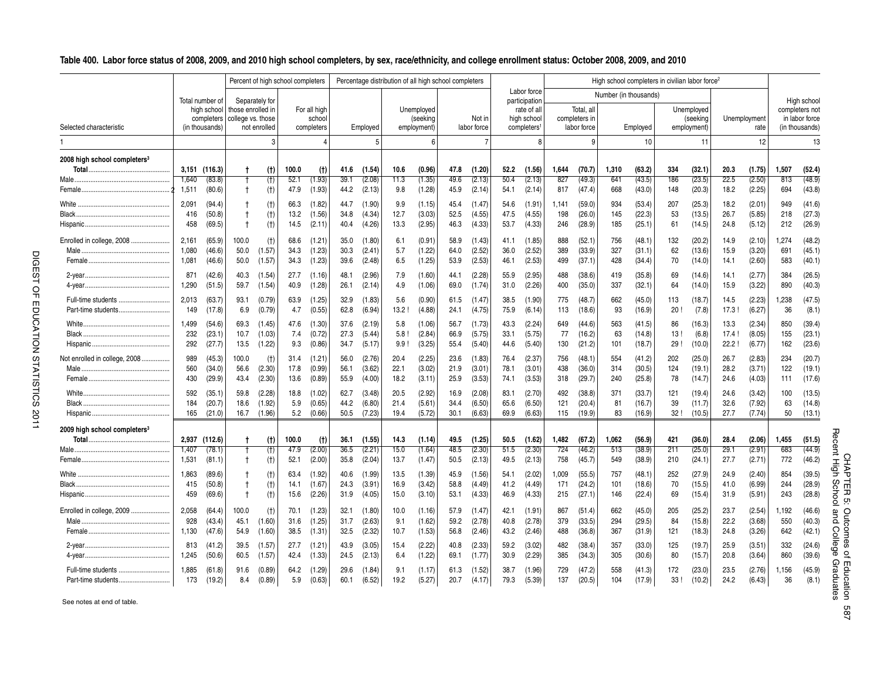#### Table 400. Labor force status of 2008, 2009, and 2010 high school completers, by sex, race/ethnicity, and college enrollment status: October 2008, 2009, and 2010

|                                          |            |                              |                   |                  | Percent of high school completers |                      |              | Percentage distribution of all high school completers |              |                        |              |                       |              |                              |            |                              |                       |                  | High school completers in civilian labor force <sup>2</sup> |                         |               |                      |            |                                  |
|------------------------------------------|------------|------------------------------|-------------------|------------------|-----------------------------------|----------------------|--------------|-------------------------------------------------------|--------------|------------------------|--------------|-----------------------|--------------|------------------------------|------------|------------------------------|-----------------------|------------------|-------------------------------------------------------------|-------------------------|---------------|----------------------|------------|----------------------------------|
|                                          |            | Total number of              |                   | Separately for   |                                   |                      |              |                                                       |              |                        |              |                       |              | Labor force<br>participation |            |                              | Number (in thousands) |                  |                                                             |                         |               |                      |            | High school                      |
|                                          |            | high school                  | those enrolled in |                  |                                   | For all high         |              |                                                       |              | Unemployed             |              |                       |              | rate of all                  |            | Total, all                   |                       |                  |                                                             | Unemployed              |               |                      |            | completers not                   |
| Selected characteristic                  |            | completers<br>(in thousands) | college vs. those | not enrolled     |                                   | school<br>completers |              | Employed                                              |              | (seeking<br>employment |              | Not in<br>labor force |              | high school<br>completers    |            | completers in<br>labor force |                       | Employed         |                                                             | (seeking<br>employment) |               | Unemployment<br>rate |            | in labor force<br>(in thousands) |
|                                          |            |                              |                   | 3                |                                   |                      |              | 5                                                     |              | 6                      |              | $\overline{7}$        |              | 8                            |            | 9                            |                       | 10               |                                                             | 11                      |               | 12                   |            | 13                               |
| 2008 high school completers <sup>3</sup> |            |                              |                   |                  |                                   |                      |              |                                                       |              |                        |              |                       |              |                              |            |                              |                       |                  |                                                             |                         |               |                      |            |                                  |
|                                          | 3.151      | (116.3)                      | $\mathbf t$       | (f)              | 100.0                             | (t)                  | 41.6         | (1.54)                                                | 10.6         | (0.96)                 | 47.8         | (1.20)                | 52.2         | (1.56)                       | 1.644      | (70.7)                       | 1.310                 | (63.2)           | 334                                                         | (32.1)                  | 20.3          | (1.75)               | 1.507      | (52.4)                           |
| Male                                     | 1.640      | (83.8)                       |                   | (†)              | 52.1                              | (1.93)               | 39.1         | (2.08)                                                | 11.3         | (1.35)                 | 49.6         | (2.13)                | 50.4         | (2.13)                       | 827        | (49.3)                       | 641                   | (43.5)           | 186                                                         | (23.5)                  | 22.5          | (2.50)               | 813        | (48.9)                           |
|                                          | 1,511      | (80.6)                       | $\pm$             | (t)              | 47.9                              | (1.93)               | 44.2         | (2.13)                                                | 9.8          | (1.28)                 | 45.9         | (2.14)                | 54.1         | (2.14)                       | 817        | (47.4)                       | 668                   | (43.0)           | 148                                                         | (20.3)                  | 18.2          | (2.25)               | 694        | (43.8)                           |
|                                          | 2,091      | (94.4)                       |                   | (t)              | 66.3                              | (1.82)               | 44.7         | (1.90)                                                | 9.9          | (1.15)                 | 45.4         | (1.47)                | 54.6         | (1.91)                       | 1,141      | (59.0)                       | 934                   | (53.4)           | 207                                                         | (25.3)                  | 18.2          | (2.01)               | 949        | (41.6)                           |
| Black.                                   | 416        | (50.8)                       | $\ddagger$        | (t)              | 13.2                              | (1.56)               | 34.8         | (4.34)                                                | 12.7         | (3.03)                 | 52.5         | (4.55)                | 47.5         | (4.55)                       | 198        | (26.0)                       | 145                   | (22.3)           | 53                                                          | (13.5)                  | 26.7          | (5.85)               | 218        | (27.3)                           |
|                                          | 458        | (69.5)                       | $\ddagger$        | (t)              | 14.5                              | (2.11)               | 40.4         | (4.26)                                                | 13.3         | (2.95)                 | 46.3         | (4.33)                | 53.7         | (4.33)                       | 246        | (28.9)                       | 185                   | (25.1)           | 61                                                          | (14.5)                  | 24.8          | (5.12)               | 212        | (26.9)                           |
| Enrolled in college, 2008                | 2,161      | (65.9)                       | 100.0             | (t)              | 68.6                              | (1.21)               | 35.0         | (1.80)                                                | 6.1          | (0.91)                 | 58.9         | (1.43)                | 41.1         | (1.85)                       | 888        | (52.1)                       | 756                   | (48.1)           | 132                                                         | (20.2)                  | 14.9          | (2.10)               | 1,274      | (48.2)                           |
|                                          | 1,080      | (46.6)                       | 50.0              | (1.57)           | 34.3                              | (1.23)               | 30.3         | (2.41)                                                | 5.7          | (1.22)                 | 64.0         | (2.52)                | 36.0         | (2.52)                       | 389        | (33.9)                       | 327                   | (31.1)           | 62                                                          | (13.6)                  | 15.9          | (3.20)               | 691        | (45.1)                           |
|                                          | 1.081      | (46.6)                       | 50.0              | (1.57)           | 34.3                              | (1.23)               | 39.6         | (2.48)                                                | 6.5          | (1.25)                 | 53.9         | (2.53)                | 46.1         | (2.53)                       | 499        | (37.1)                       | 428                   | (34.4)           | 70                                                          | (14.0)                  | 14.1          | (2.60)               | 583        | (40.1)                           |
|                                          | 871        | (42.6)                       | 40.3              | (1.54)           | 27.7                              | (1.16)               | 48.1         | (2.96)                                                | 7.9          | (1.60)                 | 44.1         | (2.28)                | 55.9         | (2.95)                       | 488        | (38.6)                       | 419                   | (35.8)           | 69                                                          | (14.6)                  | 14.1          | (2.77)               | 384        | (26.5)                           |
|                                          | 1,290      | (51.5)                       | 59.7              | (1.54)           | 40.9                              | (1.28)               | 26.1         | (2.14)                                                | 4.9          | (1.06)                 | 69.0         | (1.74)                | 31.0         | (2.26)                       | 400        | (35.0)                       | 337                   | (32.1)           | 64                                                          | (14.0)                  | 15.9          | (3.22)               | 890        | (40.3)                           |
| Full-time students                       | 2,013      | (63.7)                       | 93.1              | (0.79)           | 63.9                              | (1.25)               | 32.9         | (1.83)                                                | 5.6          | (0.90)                 | 61.5         | (1.47)                | 38.5         | (1.90)                       | 775        | (48.7)                       | 662                   | (45.0)           | 113                                                         | (18.7)                  | 14.5          | (2.23)               | 1,238      | (47.5)                           |
| Part-time students                       | 149        | (17.8)                       | 6.9               | (0.79)           | 4.7                               | (0.55)               | 62.8         | (6.94)                                                | 13.2         | (4.88)                 | 24.1         | (4.75)                | 75.9         | (6.14)                       | 113        | (18.6)                       | 93                    | (16.9)           | 20                                                          | (7.8)                   | 17.3          | (6.27)               | 36         | (8.1)                            |
|                                          | 1.499      | (54.6)                       | 69.3              | (1.45)           | 47.6                              | (1.30)               | 37.6         | (2.19)                                                | 5.8          | (1.06)                 | 56.7         | (1.73)                | 43.3         | (2.24)                       | 649        | (44.6)                       | 563                   | (41.5)           | 86                                                          | (16.3)                  | 13.3          | (2.34)               | 850        | (39.4)                           |
|                                          | 232<br>292 | (23.1)<br>(27.7)             | 10.7<br>13.5      | (1.03)<br>(1.22) | 7.4<br>9.3                        | (0.72)<br>(0.86)     | 27.3<br>34.7 | (5.44)<br>(5.17)                                      | 5.8<br>9.9   | (2.84)<br>(3.25)       | 66.9<br>55.4 | (5.75)<br>(5.40)      | 33.1<br>44.6 | (5.75)<br>(5.40)             | 77<br>130  | (16.2)<br>(21.2)             | 63<br>101             | (14.8)<br>(18.7) | 13<br>29                                                    | (6.8)<br>(10.0)         | 17.4!<br>22.2 | (8.05)<br>(6.77)     | 155<br>162 | (23.1)<br>(23.6)                 |
|                                          |            |                              |                   |                  |                                   |                      |              |                                                       |              |                        |              |                       |              |                              |            |                              |                       |                  |                                                             |                         |               |                      |            |                                  |
| Not enrolled in college, 2008            | 989<br>560 | (45.3)<br>(34.0)             | 100.0<br>56.6     | (t)<br>(2.30)    | 31.4<br>17.8                      | (1.21)<br>(0.99)     | 56.0<br>56.1 | (2.76)<br>(3.62)                                      | 20.4<br>22.1 | (2.25)<br>(3.02)       | 23.6<br>21.9 | (1.83)<br>(3.01)      | 76.4<br>78.1 | (2.37)<br>(3.01)             | 756<br>438 | (48.1)<br>(36.0)             | 554<br>314            | (41.2)<br>(30.5) | 202<br>124                                                  | (25.0)<br>(19.1)        | 26.7<br>28.2  | (2.83)<br>(3.71)     | 234<br>122 | (20.7)<br>(19.1)                 |
|                                          | 430        | (29.9)                       | 43.4              | (2.30)           | 13.6                              | (0.89)               | 55.9         | (4.00)                                                | 18.2         | (3.11)                 | 25.9         | (3.53)                | 74.1         | (3.53)                       | 318        | (29.7)                       | 240                   | (25.8)           | 78                                                          | (14.7)                  | 24.6          | (4.03)               | 111        | (17.6)                           |
|                                          | 592        | (35.1)                       | 59.8              | (2.28)           | 18.8                              | (1.02)               | 62.7         |                                                       | 20.5         | (2.92)                 | 16.9         | (2.08)                | 83.1         | (2.70)                       | 492        | (38.8)                       | 371                   | (33.7)           | 121                                                         | (19.4)                  | 24.6          | (3.42)               | 100        | (13.5)                           |
|                                          | 184        | (20.7)                       | 18.6              | (1.92)           | 5.9                               | (0.65)               | 44.2         | (3.48)<br>(6.80)                                      | 21.4         | (5.61)                 | 34.4         | (6.50)                | 65.6         | (6.50)                       | 121        | (20.4)                       | 81                    | (16.7)           | 39                                                          | (11.7)                  | 32.6          | (7.92)               | 63         | (14.8)                           |
| Hispanic                                 | 165        | (21.0)                       | 16.7              | (1.96)           | 5.2                               | (0.66)               | 50.5         | (7.23)                                                | 19.4         | (5.72)                 | 30.1         | (6.63)                | 69.9         | (6.63)                       | 115        | (19.9)                       | 83                    | (16.9)           | 32!                                                         | (10.5)                  | 27.7          | (7.74)               | 50         | (13.1)                           |
|                                          |            |                              |                   |                  |                                   |                      |              |                                                       |              |                        |              |                       |              |                              |            |                              |                       |                  |                                                             |                         |               |                      |            |                                  |
| 2009 high school completers <sup>3</sup> | 2.937      | (112.6)                      | -1                | (t)              | 100.0                             | (t)                  | 36.1         | (1.55)                                                | 14.3         | (1.14)                 | 49.5         | (1.25)                | 50.5         | (1.62)                       | 1,482      | (67.2)                       | 1.062                 | (56.9)           | 421                                                         | (36.0)                  | 28.4          | (2.06)               | 1,455      | (51.5)                           |
|                                          | 1,407      | (78.1)                       |                   | (t)              | 47.9                              | (2.00)               | 36.5         | (2.21)                                                | 15.0         | (1.64)                 | 48.5         | (2.30)                | 51.5         | (2.30)                       | 724        | (46.2)                       | 513                   | (38.9)           | 211                                                         | (25.0)                  | 29.1          | (2.91)               | 683        | (44.9)                           |
|                                          | 1,531      | (81.1)                       | $\ddagger$        | (t)              | 52.1                              | (2.00)               | 35.8         | (2.04)                                                | 13.7         | (1.47)                 | 50.5         | (2.13)                | 49.5         | (2.13)                       | 758        | (45.7)                       | 549                   | (38.9)           | 210                                                         | (24.1)                  | 27.7          | (2.71)               | 772        | (46.2)                           |
|                                          | 1,863      | (89.6)                       |                   | (t)              | 63.4                              | (1.92)               | 40.6         | (1.99)                                                | 13.5         | (1.39)                 | 45.9         | (1.56)                | 54.1         | (2.02)                       | 1,009      | (55.5)                       | 757                   | (48.1)           | 252                                                         | (27.9)                  | 24.9          | (2.40)               | 854        | (39.5)                           |
|                                          | 415        | (50.8)                       | $\ddagger$        | (t)              | 14.1                              | (1.67)               | 24.3         | (3.91)                                                | 16.9         | (3.42)                 | 58.8         | (4.49)                | 41.2         | (4.49)                       | 171        | (24.2)                       | 101                   | (18.6)           | 70                                                          | (15.5)                  | 41.0          | (6.99)               | 244        | (28.9)                           |
|                                          | 459        | (69.6)                       | $^{+}$            | (t)              | 15.6                              | (2.26)               | 31.9         | (4.05)                                                | 15.0         | (3.10)                 | 53.1         | (4.33)                | 46.9         | (4.33)                       | 215        | (27.1)                       | 146                   | (22.4)           | 69                                                          | (15.4)                  | 31.9          | (5.91)               | 243        | (28.8)                           |
| Enrolled in college, 2009                | 2,058      | (64.4)                       | 100.0             | (t)              | 70.1                              | (1.23)               | 32.1         | (1.80)                                                | 10.0         | (1.16)                 | 57.9         | (1.47)                | 42.1         | (1.91)                       | 867        | (51.4)                       | 662                   | (45.0)           | 205                                                         | (25.2)                  | 23.7          | (2.54)               | 1.192      | (46.6)                           |
|                                          | 928        | (43.4)                       | 45.1              | (1.60)           | 31.6                              | (1.25)               | 31.7         | (2.63)                                                | 9.1          | (1.62)                 | 59.2         | (2.78)                | 40.8         | (2.78)                       | 379        | (33.5)                       | 294                   | (29.5)           | 84                                                          | (15.8)                  | 22.2          | (3.68)               | 550        | (40.3)                           |
|                                          | 1,130      | (47.6)                       | 54.9              | (1.60)           | 38.5                              | (1.31)               | 32.5         | (2.32)                                                | 10.7         | (1.53)                 | 56.8         | (2.46)                | 43.2         | (2.46)                       | 488        | (36.8)                       | 367                   | (31.9)           | 121                                                         | (18.3)                  | 24.8          | (3.26)               | 642        | (42.1)                           |
|                                          | 813        | (41.2)                       | 39.5              | (1.57)           | 27.7                              | (1.21)               | 43.9         | (3.05)                                                | 15.4         | (2.22)                 | 40.8         | (2.33)                | 59.2         | (3.02)                       | 482        | (38.4)                       | 357                   | (33.0)           | 125                                                         | (19.7)                  | 25.9          | (3.51)               | 332        | (24.6)                           |
|                                          | 1.245      | (50.6)                       | 60.5              | (1.57)           | 42.4                              | (1.33)               | 24.5         | (2.13)                                                | 6.4          | (1.22)                 | 69.1         | (1.77)                | 30.9         | (2.29)                       | 385        | (34.3)                       | 305                   | (30.6)           | 80                                                          | (15.7)                  | 20.8          | (3.64)               | 860        | (39.6)                           |
| Full-time students.                      | 1,885      | (61.8)                       | 91.6              | (0.89)           | 64.2                              | (1.29)               | 29.6         | (1.84)                                                | 9.1          | (1.17)                 | 61.3         | (1.52)                | 38.7         | (1.96)                       | 729        | (47.2)                       | 558                   | (41.3)           | 172                                                         | (23.0)                  | 23.5          | (2.76)               | 1.156      | (45.9)                           |
|                                          | 173        | (19.2)                       | 8.4               | (0.89)           | 5.9                               | (0.63)               | 60.1         | (6.52)                                                | 19.2         | (5.27)                 | 20.7         | (4.17)                | 79.3         | (5.39)                       | 137        | (20.5)                       | 104                   | (17.9)           | 33 <sup>1</sup>                                             | (10.2)                  | 24.2          | (6.43)               | 36         | (8.1)                            |

See notes at end of table.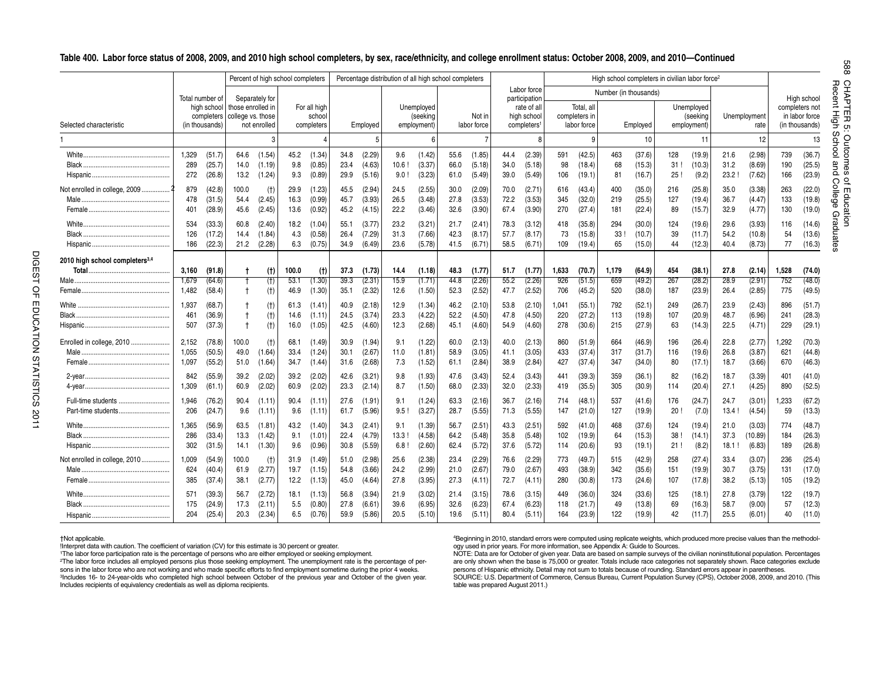#### **Table 400. Labor force status of 2008, 2009, and 2010 high school completers, by sex, race/ethnicity, and college enrollment status: October 2008, 2009, and 2010—Continued**

|                                            |                |                                             |                   |                                   | Percent of high school completers |                                      |              |                  |              |                                       | Percentage distribution of all high school completers |                       |              |                                                       |              |                                            |                       |                  | High school completers in civilian labor force <sup>2</sup> |                                       |              |                      |            |                                                    |                     |
|--------------------------------------------|----------------|---------------------------------------------|-------------------|-----------------------------------|-----------------------------------|--------------------------------------|--------------|------------------|--------------|---------------------------------------|-------------------------------------------------------|-----------------------|--------------|-------------------------------------------------------|--------------|--------------------------------------------|-----------------------|------------------|-------------------------------------------------------------|---------------------------------------|--------------|----------------------|------------|----------------------------------------------------|---------------------|
|                                            |                | Total number of                             |                   | Separately for                    |                                   |                                      |              |                  |              |                                       |                                                       |                       |              | Labor force<br>participation                          |              |                                            | Number (in thousands) |                  |                                                             |                                       |              |                      |            | High school                                        | Recent              |
| Selected characteristic                    |                | high school<br>completers<br>(in thousands) | college vs. those | those enrolled in<br>not enrolled |                                   | For all high<br>school<br>completers |              | Employed         |              | Unemployed<br>(seeking<br>employment) |                                                       | Not in<br>labor force |              | rate of all<br>high school<br>completers <sup>7</sup> |              | Total, all<br>completers in<br>labor force |                       | Employed         |                                                             | Unemployed<br>(seeking<br>employment) |              | Unemployment<br>rate |            | completers not<br>in labor force<br>(in thousands) | High                |
|                                            |                |                                             |                   |                                   |                                   |                                      |              |                  |              | 6                                     |                                                       |                       |              | 8                                                     |              | g                                          |                       | 10               |                                                             | 11                                    |              | 12                   |            | 13                                                 | ഗ                   |
|                                            | 1.329          | (51.7)                                      | 64.6              | (1.54)                            | 45.2                              | (1.34)                               | 34.8         | (2.29)           | 9.6          | (1.42)                                | 55.6                                                  | (1.85)                | 44.4         | (2.39)                                                | 591          | (42.5)                                     | 463                   | (37.6)           | 128                                                         | (19.9)                                | 21.6         | (2.98)               | 739        | (36.7)                                             | loonb.              |
|                                            | 289<br>272     | (25.7)<br>(26.8)                            | 14.0<br>13.2      | (1.19)<br>(1.24)                  | 9.8<br>9.3                        | (0.85)<br>(0.89)                     | 23.4<br>29.9 | (4.63)<br>(5.16) | 10.6<br>9.0  | (3.37)<br>(3.23)                      | 66.0<br>61.0                                          | (5.18)<br>(5.49)      | 34.0<br>39.0 | (5.18)<br>(5.49)                                      | 98<br>106    | (18.4)<br>(19.1)                           | 68<br>81              | (15.3)<br>(16.7) | 31<br>25                                                    | (10.3)<br>(9.2)                       | 31.2<br>23.2 | (8.69)<br>(7.62)     | 190<br>166 | (25.5)<br>(23.9)                                   | an<br>ō<br>O        |
| Not enrolled in college, 2009 2            | 879            | (42.8)                                      | 100.0             | (t)                               | 29.9                              | (1.23)                               | 45.5         | (2.94)           | 24.5         | (2.55)                                | 30.0                                                  | (2.09)                | 70.0         | (2.71)                                                | 616          | (43.4)                                     | 400                   | (35.0)           | 216                                                         | (25.8)                                | 35.0         | (3.38)               | 263        | (22.0)                                             | ≌                   |
|                                            | 478            | (31.5)                                      | 54.4              | (2.45)                            | 16.3                              | (0.99)                               | 45.7         | (3.93)           | 26.5         | (3.48)                                | 27.8                                                  | (3.53)                | 72.2         | (3.53)                                                | 345          | (32.0)                                     | 219                   | (25.5)           | 127                                                         | (19.4)                                | 36.7         | (4.47)               | 133        | (19.8)                                             | ege                 |
|                                            | 401            | (28.9)                                      | 45.6              | (2.45)                            | 13.6                              | (0.92)                               | 45.2         | (4.15)           | 22.2         | (3.46)                                | 32.6                                                  | (3.90)                | 67.4         | (3.90)                                                | 270          | (27.4)                                     | 181                   | (22.4)           | 89                                                          | (15.7)                                | 32.9         | (4.77)               | 130        | (19.0)                                             | Φ                   |
|                                            | 534            | (33.3)                                      | 60.8              | (2.40)                            | 18.2                              | (1.04                                | 55.1         | (3.77)           | 23.2         | (3.21)                                | 21.7                                                  | (2.41)                | 78.3         | (3.12)                                                | 418          | (35.8)                                     | 294                   | (30.0)           | 124                                                         | (19.6)                                | 29.6         | (3.93)               | 116        | (14.6)                                             | rad                 |
|                                            | 126            | (17.2)                                      | 14.4              | (1.84)                            | 4.3                               | (0.58)                               | 26.4         | (7.29)           | 31.3         | (7.66)                                | 42.3                                                  | (8.17)                | 57.7         | (8.17)                                                | 73           | (15.8)                                     | 33                    | (10.7)           | 39                                                          | (11.7)                                | 54.2         | (10.8)               | 54         | (13.6)                                             | 5                   |
|                                            | 186            | (22.3)                                      | 21.2              | (2.28)                            | 6.3                               | (0.75)                               | 34.9         | (6.49)           | 23.6         | (5.78)                                | 41.5                                                  | (6.71)                | 58.5         | (6.71)                                                | 109          | (19.4)                                     | 65                    | (15.0)           | 44                                                          | (12.3)                                | 40.4         | (8.73)               | 77         | (16.3)                                             | $\vec{\sigma}$<br>Ö |
| 2010 high school completers <sup>3,4</sup> |                |                                             |                   |                                   |                                   |                                      |              |                  |              |                                       |                                                       |                       |              |                                                       |              |                                            |                       |                  |                                                             |                                       |              |                      |            |                                                    |                     |
|                                            | 3,160          | (91.8)                                      |                   | (t)                               | 100.0                             | (t)                                  | 37.3         | (1.73)           | 14.4         | (1.18)                                | 48.3                                                  | (1.77)                | 51.7         | (1.77)                                                | 1,633        | (70.7)                                     | 1,179                 | (64.9)           | 454                                                         | (38.1)                                | 27.8         | (2.14)               | 1,528      | (74.0)                                             |                     |
|                                            | 1.679<br>1,482 | (64.6)<br>(58.4)                            | $\ddagger$        | (t)<br>(t)                        | 53.1<br>46.9                      | (1.30)<br>(1.30)                     | 39.3<br>35.1 | (2.31)<br>(2.32) | 15.9<br>12.6 | (1.71)<br>(1.50)                      | 44.8<br>52.3                                          | (2.26)<br>(2.52)      | 55.2<br>47.7 | (2.26)<br>(2.52)                                      | 926<br>706   | (51.5)<br>(45.2)                           | 659<br>520            | (49.2)<br>(38.0) | 267<br>187                                                  | (28.2)<br>(23.9)                      | 28.9<br>26.4 | (2.91)<br>(2.85)     | 752<br>775 | (48.0)<br>(49.5)                                   |                     |
|                                            |                |                                             |                   |                                   |                                   |                                      |              |                  |              |                                       |                                                       |                       |              |                                                       |              |                                            |                       |                  |                                                             |                                       |              |                      |            |                                                    |                     |
|                                            | 1,937<br>461   | (68.7)                                      | $\ddagger$        | (t)                               | 61.3                              | (1.41)                               | 40.9<br>24.5 | (2.18)           | 12.9<br>23.3 | (1.34)<br>(4.22)                      | 46.2<br>52.2                                          | (2.10)                | 53.8<br>47.8 | (2.10)<br>(4.50)                                      | 1,041<br>220 | (55.1)<br>(27.2)                           | 792<br>113            | (52.1)           | 249<br>107                                                  | (26.7)                                | 23.9<br>48.7 | (2.43)               | 896        | (51.7)<br>(28.3)                                   |                     |
|                                            | 507            | (36.9)<br>(37.3)                            |                   | (t)<br>(t)                        | 14.6<br>16.0                      | (1.11<br>(1.05)                      | 42.5         | (3.74)<br>(4.60) | 12.3         | (2.68)                                | 45.1                                                  | (4.50)<br>(4.60)      | 54.9         | (4.60)                                                | 278          | (30.6)                                     | 215                   | (19.8)<br>(27.9) | 63                                                          | (20.9)<br>(14.3)                      | 22.5         | (6.96)<br>(4.71)     | 241<br>229 | (29.1)                                             |                     |
|                                            |                |                                             |                   |                                   |                                   |                                      |              |                  |              |                                       |                                                       |                       |              |                                                       |              |                                            |                       |                  |                                                             |                                       |              |                      |            |                                                    |                     |
| Enrolled in college, 2010                  | 2,152          | (78.8)                                      | 100.0             | (t)                               | 68.1                              | (1.49)                               | 30.9         | (1.94)           | 9.1          | (1.22)                                | 60.0                                                  | (2.13)                | 40.0         | (2.13)                                                | 860          | (51.9)                                     | 664                   | (46.9)           | 196                                                         | (26.4)                                | 22.8         | (2.77)               | 1.292      | (70.3)                                             |                     |
|                                            | 1,055<br>1.097 | (50.5)<br>(55.2)                            | 49.0<br>51.0      | (1.64)<br>(1.64)                  | 33.4<br>34.7                      | (1.24)<br>(1.44)                     | 30.1<br>31.6 | (2.67)<br>(2.68) | 11.0<br>7.3  | (1.81)<br>(1.52)                      | 58.9<br>61.1                                          | (3.05)<br>(2.84)      | 41.1<br>38.9 | (3.05)<br>(2.84)                                      | 433<br>427   | (37.4)<br>(37.4)                           | 317<br>347            | (31.7)<br>(34.0) | 116<br>80                                                   | (19.6)<br>(17.1)                      | 26.8<br>18.7 | (3.87)<br>(3.66)     | 621<br>670 | (44.8)<br>(46.3)                                   |                     |
|                                            |                |                                             |                   |                                   |                                   |                                      |              |                  |              |                                       |                                                       |                       |              |                                                       |              |                                            |                       |                  |                                                             |                                       |              |                      |            |                                                    |                     |
|                                            | 842<br>1,309   | (55.9)                                      | 39.2<br>60.9      | (2.02)<br>(2.02)                  | 39.2<br>60.9                      | (2.02)<br>(2.02)                     | 42.6<br>23.3 | (3.21)           | 9.8<br>8.7   | (1.93)<br>(1.50)                      | 47.6<br>68.0                                          | (3.43)<br>(2.33)      | 52.4<br>32.0 | (3.43)<br>(2.33)                                      | 441          | (39.3)<br>(35.5)                           | 359<br>305            | (36.1)<br>(30.9) | 82<br>114                                                   | (16.2)<br>(20.4)                      | 18.7<br>27.1 | (3.39)<br>(4.25)     | 401<br>890 | (41.0)<br>(52.5)                                   |                     |
|                                            |                | (61.1)                                      |                   |                                   |                                   |                                      |              | (2.14)           |              |                                       |                                                       |                       |              |                                                       | 419          |                                            |                       |                  |                                                             |                                       |              |                      |            |                                                    |                     |
| Full-time students                         | 1,946          | (76.2)                                      | 90.4              | (1.11)                            | 90.4                              | (1.11)                               | 27.6         | (1.91)           | 9.1          | (1.24)                                | 63.3                                                  | (2.16)                | 36.7         | (2.16)                                                | 714          | (48.1)                                     | 537                   | (41.6)           | 176                                                         | (24.7)                                | 24.7         | (3.01)               | 1,233      | (67.2)                                             |                     |
| Part-time students                         | 206            | (24.7)                                      | 9.6               | (1.11)                            | 9.6                               | (1.11)                               | 61.7         | (5.96)           | 9.5          | (3.27)                                | 28.7                                                  | (5.55)                | 71.3         | (5.55)                                                | 147          | (21.0)                                     | 127                   | (19.9)           | 20                                                          | (7.0)                                 | 13.4         | (4.54)               | 59         | (13.3)                                             |                     |
|                                            | 1,365          | (56.9)                                      | 63.5              | (1.81)                            | 43.2                              | (1.40)                               | 34.3         | (2.41)           | 9.1          | (1.39)                                | 56.7                                                  | (2.51)                | 43.3         | (2.51)                                                | 592          | (41.0)                                     | 468                   | (37.6)           | 124                                                         | (19.4)                                | 21.0         | (3.03)               | 774        | (48.7)                                             |                     |
|                                            | 286<br>302     | (33.4)                                      | 13.3              | (1.42)<br>(1.30)                  | 9.1                               | (1.01)<br>(0.96)                     | 22.4         | (4.79)           | 13.3<br>6.8  | (4.58)                                | 64.2                                                  | (5.48)                | 35.8<br>37.6 | (5.48)                                                | 102          | (19.9)                                     | 64<br>93              | (15.3)           | 38                                                          | (14.1)                                | 37.3         | (10.89)              | 184<br>189 | (26.3)<br>(26.8)                                   |                     |
|                                            |                | (31.5)                                      | 14.1              |                                   | 9.6                               |                                      | 30.8         | (5.59)           |              | (2.60)                                | 62.4                                                  | (5.72)                |              | (5.72)                                                | 114          | (20.6)                                     |                       | (19.1)           | 21                                                          | (8.2)                                 | 18.1         | (6.83)               |            |                                                    |                     |
| Not enrolled in college, 2010              | 1,009          | (54.9)                                      | 100.0             | (t)                               | 31.9                              | (1.49)                               | 51.0         | (2.98)           | 25.6         | (2.38)                                | 23.4                                                  | (2.29)                | 76.6         | (2.29)                                                | 773          | (49.7)                                     | 515                   | (42.9)           | 258                                                         | (27.4)                                | 33.4         | (3.07)               | 236        | (25.4)                                             |                     |
|                                            | 624<br>385     | (40.4)<br>(37.4)                            | 61.9<br>38.1      | (2.77)<br>(2.77)                  | 19.7<br>12.2                      | (1.15)<br>(1.13)                     | 54.8<br>45.0 | (3.66)<br>(4.64) | 24.2<br>27.8 | (2.99)<br>(3.95)                      | 21.0<br>27.3                                          | (2.67)<br>(4.11)      | 79.0<br>72.7 | (2.67)<br>(4.11)                                      | 493<br>280   | (38.9)<br>(30.8)                           | 342<br>173            | (35.6)<br>(24.6) | 151<br>107                                                  | (19.9)<br>(17.8)                      | 30.7<br>38.2 | (3.75)<br>(5.13)     | 131<br>105 | (17.0)<br>(19.2)                                   |                     |
|                                            |                |                                             |                   |                                   |                                   |                                      |              |                  |              |                                       |                                                       |                       |              |                                                       |              |                                            |                       |                  |                                                             |                                       |              |                      |            |                                                    |                     |
|                                            | 571            | (39.3)                                      | 56.7              | (2.72)                            | 18.1                              | (1.13)                               | 56.8         | (3.94)           | 21.9         | (3.02)<br>(6.95)                      | 21.4                                                  | (3.15)                | 78.6<br>67.4 | (3.15)                                                | 449          | (36.0)                                     | 324<br>49             | (33.6)           | 125                                                         | (18.1)                                | 27.8         | (3.79)               | 122        | (19.7)<br>(12.3)                                   |                     |
|                                            | 175<br>204     | (24.9)<br>(25.4)                            | 17.3<br>20.3      | (2.11)<br>(2.34)                  | 5.5<br>6.5                        | (0.80)<br>(0.76)                     | 27.8<br>59.9 | (6.61)<br>(5.86) | 39.6<br>20.5 | (5.10)                                | 32.6<br>19.6                                          | (6.23)<br>(5.11)      | 80.4         | (6.23)<br>(5.11)                                      | 118<br>164   | (21.7)<br>(23.9)                           | 122                   | (13.8)<br>(19.9) | 69<br>42                                                    | (16.3)<br>(11.7)                      | 58.7<br>25.5 | (9.00)<br>(6.01)     | 57<br>40   | (11.0)                                             |                     |
|                                            |                |                                             |                   |                                   |                                   |                                      |              |                  |              |                                       |                                                       |                       |              |                                                       |              |                                            |                       |                  |                                                             |                                       |              |                      |            |                                                    |                     |

†Not applicable.

!Interpret data with caution. The coefficient of variation (CV) for this estimate is 30 percent or greater.

1The labor force participation rate is the percentage of persons who are either employed or seeking employment.

2The labor force includes all employed persons plus those seeking employment. The unemployment rate is the percentage of persons in the labor force who are not working and who made specific efforts to find employment sometime during the prior 4 weeks. 3Includes 16- to 24-year-olds who completed high school between October of the previous year and October of the given year. Includes recipients of equivalency credentials as well as diploma recipients.

4Beginning in 2010, standard errors were computed using replicate weights, which produced more precise values than the methodology used in prior years. For more information, see Appendix A: Guide to Sources.

NOTE: Data are for October of given year. Data are based on sample surveys of the civilian noninstitutional population. Percentages are only shown when the base is 75,000 or greater. Totals include race categories not separately shown. Race categories exclude persons of Hispanic ethnicity. Detail may not sum to totals because of rounding. Standard errors appear in parentheses. SOURCE: U.S. Department of Commerce, Census Bureau, Current Population Survey (CPS), October 2008, 2009, and 2010. (This table was prepared August 2011.)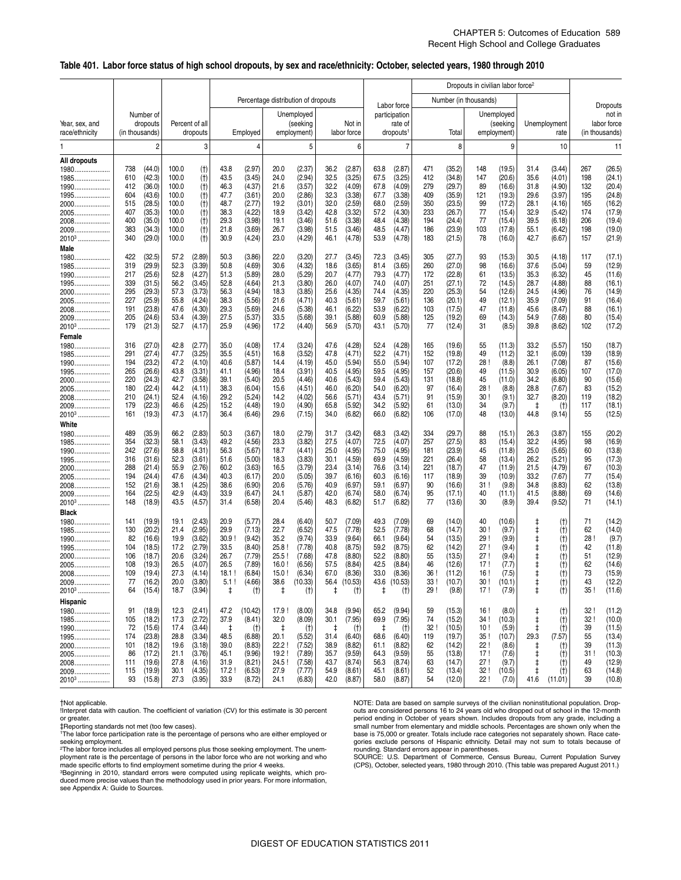#### 1980<br>1985 1985<br>1990 1990<br>1995 1995 2000 2005 Year, sex, and race/ethnicity Number of dropouts (in thousands) Percent of all dropouts Percentage distribution of dropouts<br>
Labor force participation rate of labor force dropouts<sup>1</sup> Total Dropouts in civilian labor force<sup>2</sup> Dropouts not in labor force (in thousands) Number (in thousands) Unemploymen<br>rate Employed employment) labor force dropouts<sup>1</sup> Total employment) rate **Unemployed** (seeking employment) Not ir<br>Iabor force **Unemployed** (seeking employment) 1 | 2| 3| 4| 5| 6| 7| 8| 9| 10| 11 **All dropouts**  .................... 738 (44.0) 100.0 (†) 43.8 (2.97) 20.0 (2.37) 36.2 (2.87) 63.8 (2.87) 471 (35.2) 148 (19.5) 31.4 (3.44) 267 (26.5) 1985.................... 610 (42.3) 100.0 (†) 43.5 (3.45) 24.0 (2.94) 32.5 (3.25) 67.5 (3.25) 412 (34.8) 147 (20.6) 35.6 (4.01) 198 (24.1) 1990.................... 412 (36.0) 100.0 (†) 46.3 (4.37) 21.6 (3.57) 32.2 (4.09) 67.8 (4.09) 279 (29.7) 89 (16.6) 31.8 (4.90) 132 (20.4) 1995.................... 604 (43.6) 100.0 (†) 47.7 (3.61) 20.0 (2.86) 32.3 (3.38) 67.7 (3.38) 409 (35.9) 121 (19.3) 29.6 (3.97) 195 (24.8) 2000.................... 515 (28.5) 100.0 (†) 48.7 (2.77) 19.2 (3.01) 32.0 (2.59) 68.0 (2.59) 350 (23.5) 99 (17.2) 28.1 (4.16) 165 (16.2) 2005.................... 407 (35.3) 100.0 (†) 38.3 (4.22) 18.9 (3.42) 42.8 (3.32) 57.2 (4.30) 233 (26.7) 77 (15.4) 32.9 (5.42) 174 (17.9) 2008.................... 400 (35.0) 100.0 (†) 29.3 (3.98) 19.1 (3.46) 51.6 (3.38) 48.4 (4.38) 194 (24.4) 77 (15.4) 39.5 (6.18) 206 (19.4) 2009.................... 383 (34.3) 100.0 (†) 21.8 (3.69) 26.7 (3.98) 51.5 (3.46) 48.5 (4.47) 186 (23.9) 103 (17.8) 55.1 (6.42) 198 (19.0) 2010 **Male**  340 (29.0) 100.0 (†) 30.9 (4.24) 23.0 (4.29) 46.1 (4.78) 53.9 (4.78) 183 (21.5) 78 (16.0) 42.7 (6.67) 157 (21.9) 1980.................... 422 (32.5) 57.2 (2.89) 50.3 (3.86) 22.0 (3.20) 27.7 (3.45) 72.3 (3.45) 305 (27.7) 93 (15.3) 30.5 (4.18) 117 (17.1) .................... 319 (29.9) 52.3 (3.39) 50.8 (4.69) 30.6 (4.32) 18.6 (3.65) 81.4 (3.65) 260 (27.0) 98 (16.6) 37.6 (5.04) 59 (12.9) 1990.................... 217 (25.6) 52.8 (4.27) 51.3 (5.89) 28.0 (5.29) 20.7 (4.77) 79.3 (4.77) 172 (22.8) 61 (13.5) 35.3 (6.32) 45 (11.6) 1995.................... 339 (31.5) 56.2 (3.45) 52.8 (4.64) 21.3 (3.80) 26.0 (4.07) 74.0 (4.07) 251 (27.1) 72 (14.5) 28.7 (4.88) 88 (16.1) 2000.................... 295 (29.3) 57.3 (3.73) 56.3 (4.94) 18.3 (3.85) 25.6 (4.35) 74.4 (4.35) 220 (25.3) 54 (12.6) 24.5 (4.96) 76 (14.9) 2005.................... 227 (25.9) 55.8 (4.24) 38.3 (5.56) 21.6 (4.71) 40.3 (5.61) 59.7 (5.61) 136 (20.1) 49 (12.1) 35.9 (7.09) 91 (16.4) 2008.................... 191 (23.8) 47.6 (4.30) 29.3 (5.69) 24.6 (5.38) 46.1 (6.22) 53.9 (6.22) 103 (17.5) 47 (11.8) 45.6 (8.47) 88 (16.1) 2009.................... 205 (24.6) 53.4 (4.39) 27.5 (5.37) 33.5 (5.68) 39.1 (5.88) 60.9 (5.88) 125 (19.2) 69 (14.3) 54.9 (7.68) 80 (15.4) 2010<sup>3</sup> **Female**  179 (21.3) 52.7 (4.17) 25.9 (4.96) 17.2 (4.40) 56.9 (5.70) 43.1 (5.70) 77 (12.4) 31 (8.5) 39.8 (8.62) 102 (17.2) 1980.................... 316 (27.0) 42.8 (2.77) 35.0 (4.08) 17.4 (3.24) 47.6 (4.28) 52.4 (4.28) 165 (19.6) 55 (11.3) 33.2 (5.57) 150 (18.7) 1985.................... 291 (27.4) 47.7 (3.25) 35.5 (4.51) 16.8 (3.52) 47.8 (4.71) 52.2 (4.71) 152 (19.8) 49 (11.2) 32.1 (6.09) 139 (18.9) .................... 194 (23.2) 47.2 (4.10) 40.6 (5.87) 14.4 (4.19) 45.0 (5.94) 55.0 (5.94) 107 (17.2) 28 ! (8.8) 26.1 (7.08) 87 (15.6) 1995.................... 265 (26.6) 43.8 (3.31) 41.1 (4.96) 18.4 (3.91) 40.5 (4.95) 59.5 (4.95) 157 (20.6) 49 (11.5) 30.9 (6.05) 107 (17.0) 2000.................... 220 (24.3) 42.7 (3.58) 39.1 (5.40) 20.5 (4.46) 40.6 (5.43) 59.4 (5.43) 131 (18.8) 45 (11.0) 34.2 (6.80) 90 (15.6) 2005.................... 180 (22.4) 44.2 (4.11) 38.3 (6.04) 15.6 (4.51) 46.0 (6.20) 54.0 (6.20) 97 (16.4) 28 ! (8.8) 28.8 (7.67) 83 (15.2) 2008.................... 210 (24.1) 52.4 (4.16) 29.2 (5.24) 14.2 (4.02) 56.6 (5.71) 43.4 (5.71) 91 (15.9) 30 ! (9.1) 32.7 (8.20) 119 (18.2) 2009.................... 179 (22.3) 46.6 (4.25) 15.2 (4.48) 19.0 (4.90) 65.8 (5.92) 34.2 (5.92) 61 (13.0) 34 (9.7) ‡ (†) 117 (18.1) 20103 **White**  161 (19.3) 47.3 (4.17) 36.4 (6.46) 29.6 (7.15) 34.0 (6.82) 66.0 (6.82) 106 (17.0) 48 (13.0) 44.8 (9.14) 55 (12.5) 1980.................... 489 (35.9) 66.2 (2.83) 50.3 (3.67) 18.0 (2.79) 31.7 (3.42) 68.3 (3.42) 334 (29.7) 88 (15.1) 26.3 (3.87) 155 (20.2) 1985.................... 354 (32.3) 58.1 (3.43) 49.2 (4.56) 23.3 (3.82) 27.5 (4.07) 72.5 (4.07) 257 (27.5) 83 (15.4) 32.2 (4.95) 98 (16.9) 1990.................... 242 (27.6) 58.8 (4.31) 56.3 (5.67) 18.7 (4.41) 25.0 (4.95) 75.0 (4.95) 181 (23.9) 45 (11.8) 25.0 (5.65) 60 (13.8) .................... 316 (31.6) 52.3 (3.61) 51.6 (5.00) 18.3 (3.83) 30.1 (4.59) 69.9 (4.59) 221 (26.4) 58 (13.4) 26.2 (5.21) 95 (17.3) 2000.................... 288 (21.4) 55.9 (2.76) 60.2 (3.63) 16.5 (3.79) 23.4 (3.14) 76.6 (3.14) 221 (18.7) 47 (11.9) 21.5 (4.79) 67 (10.3) 2005.................... 194 (24.4) 47.6 (4.34) 40.3 (6.17) 20.0 (5.05) 39.7 (6.16) 60.3 (6.16) 117 (18.9) 39 (10.9) 33.2 (7.67) 77 (15.4) 2008.................... 152 (21.6) 38.1 (4.25) 38.6 (6.90) 20.6 (5.76) 40.9 (6.97) 59.1 (6.97) 90 (16.6) 31 ! (9.8) 34.8 (8.83) 62 (13.8) 2009.................... 164 (22.5) 42.9 (4.43) 33.9 (6.47) 24.1 (5.87) 42.0 (6.74) 58.0 (6.74) 95 (17.1) 40 (11.1) 41.5 (8.88) 69 (14.6) 2010<sup>3</sup> **Black**  148 (18.9) 43.5 (4.57) 31.4 (6.58) 20.4 (5.46) 48.3 (6.82) 51.7 (6.82) 77 (13.6) 30 (8.9) 39.4 (9.52) 71 (14.1) 1980.................... 141 (19.9) 19.1 (2.43) 20.9 (5.77) 28.4 (6.40) 50.7 (7.09) 49.3 (7.09) 69 (14.0) 40 (10.6) ‡ (†) 71 (14.2) 1985.................... 130 (20.2) 21.4 (2.95) 29.9 (7.13) 22.7 (6.52) 47.5 (7.78) 52.5 (7.78) 68 (14.7) 30 ! (9.7) ‡ (†) 62 (14.0) 1990.................... 82 (16.6) 19.9 (3.62) 30.9 ! (9.42) 35.2 (9.74) 33.9 (9.64) 66.1 (9.64) 54 (13.5) 29 ! (9.9) ‡ (†) 28 ! (9.7) 1995.................... 104 (18.5) 17.2 (2.79) 33.5 (8.40) 25.8 ! (7.78) 40.8 (8.75) 59.2 (8.75) 62 (14.2) 27 ! (9.4) ‡ (†) 42 (11.8) ....................... | 106 (18.7)| 20.6 (3.24)| 26.7 (7.79)| 25.5!(7.68)| 47.8 (8.80)| 52.2 (8.80)| 55 (13.5)| 27! (9.4)| ‡ (†)| 51 (12.9) 2005.................... 108 (19.3) 26.5 (4.07) 26.5 (7.89) 16.0 ! (6.56) 57.5 (8.84) 42.5 (8.84) 46 (12.6) 17 ! (7.7) ‡ (†) 62 (14.6) 2008.................... 109 (19.4) 27.3 (4.14) 18.1 ! (6.84) 15.0 ! (6.34) 67.0 (8.36) 33.0 (8.36) 36 ! (11.2) 16 ! (7.5) ‡ (†) 73 (15.9) 2009.................... 77 (16.2) 20.0 (3.80) 5.1 ! (4.66) 38.6 (10.33) 56.4 (10.53) 43.6 (10.53) 33 ! (10.7) 30 ! (10.1) ‡ (†) 43 (12.2) 20103 **Hispanic**  64 (15.4) 18.7 (3.94) ‡ (†) ‡ (†) ‡ (†) ‡ (†) 29 ! (9.8) 17 ! (7.9) ‡ (†) 35 ! (11.6) 1980.................... 91 (18.9) 12.3 (2.41) 47.2 (10.42) 17.9 ! (8.00) 34.8 (9.94) 65.2 (9.94) 59 (15.3) 16 ! (8.0) ‡ (†) 32 ! (11.2) 1985.................... 105 (18.2) 17.3 (2.72) 37.9 (8.41) 32.0 (8.09) 30.1 (7.95) 69.9 (7.95) 74 (15.2) 34 ! (10.3) ‡ (†) 32 ! (10.0) 1990.................... 72 (15.6) 17.4 (3.44) ‡ (†) ‡ (†) ‡ (†) ‡ (†) 32 ! (10.5) 10 ! (5.9) ‡ (†) 39 (11.5) 1995.................... 174 (23.8) 28.8 (3.34) 48.5 (6.88) 20.1 (5.52) 31.4 (6.40) 68.6 (6.40) 119 (19.7) 35 ! (10.7) 29.3 (7.57) 55 (13.4) 2000.................... 101 (18.2) 19.6 (3.18) 39.0 (8.83) 22.2 ! (7.52) 38.9 (8.82) 61.1 (8.82) 62 (14.2) 22 ! (8.6) ‡ (†) 39 (11.3) .................... 86 (17.2) 21.1 (3.76) 45.1 (9.96) 19.2 ! (7.89) 35.7 (9.59) 64.3 (9.59) 55 (13.8) 17 ! (7.6) ‡ (†) 31 ! (10.3) 2008.................... 111 (19.6) 27.8 (4.16) 31.9 (8.21) 24.5 ! (7.58) 43.7 (8.74) 56.3 (8.74) 63 (14.7) 27 ! (9.7) ‡ (†) 49 (12.9) 2009.................... 115 (19.9) 30.1 (4.35) 17.2 ! (6.53) 27.9 (7.77) 54.9 (8.61) 45.1 (8.61) 52 (13.4) 32 ! (10.5) ‡ (†) 63 (14.8) 20103 .................. 93 (15.8) 27.3 (3.95) 33.9 (8.72) 24.1 (6.83) 42.0 (8.87) 58.0 (8.87) 54 (12.0) 22 ! (7.0) 41.6 (11.01) 39 (10.8)

#### **Table 401. Labor force status of high school dropouts, by sex and race/ethnicity: October, selected years, 1980 through 2010**

†Not applicable.

!Interpret data with caution. The coefficient of variation (CV) for this estimate is 30 percent or greater.<br>**‡Reporting standards not met (too few cases)** 

<sup>1</sup>The labor force participation rate is the percentage of persons who are either employed or seeking employment.

2The labor force includes all employed persons plus those seeking employment. The unemployment rate is the percentage of persons in the labor force who are not working and who made specific efforts to find employment sometime during the prior 4 weeks.

<sup>3</sup>Beginning in 2010, standard errors were computed using replicate weights, which produced more precise values than the methodology used in prior years. For more information, see Appendix A: Guide to Sources.

 NOTE: Data are based on sample surveys of the civilian noninstitutional population. Drop- base is 75,000 or greater. Totals include race categories not separately shown. Race cateouts are considered persons 16 to 24 years old who dropped out of school in the 12-month period ending in October of years shown. Includes dropouts from any grade, including a small number from elementary and middle schools. Percentages are shown only when the gories exclude persons of Hispanic ethnicity. Detail may not sum to totals because of rounding. Standard errors appear in parentheses.

SOURCE: U.S. Department of Commerce, Census Bureau, Current Population Survey (CPS), October, selected years, 1980 through 2010. (This table was prepared August 2011.)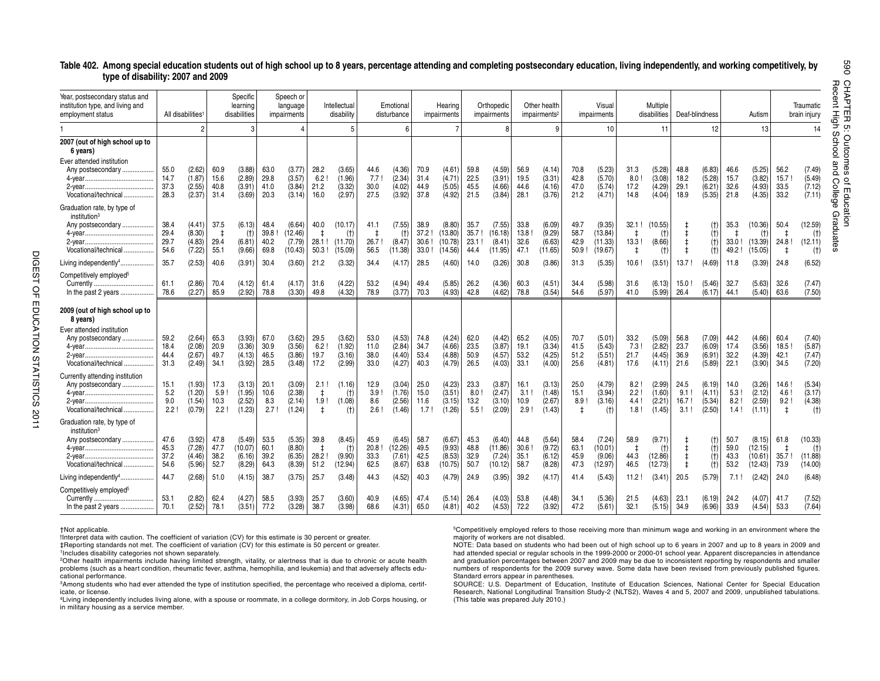#### **Table 402. Among special education students out of high school up to 8 years, percentage attending and completing postsecondary education, living independently, and working competitively, by type of disability: 2007 and 2009**

| Year, postsecondary status and<br>institution type, and living and<br>employment status                             |                              | All disabilities <sup>1</sup>        |                               | Specific<br>learning<br>disabilities  |                              | Speech or<br>language<br>impairments   |                                  | Intellectual<br>disability             |                                     | Emotional<br>disturbance              |                              | Hearing<br>impairments                  |                              | Orthopedic<br>impairments              |                                  | Other health<br>impairments <sup>2</sup> |                                                | Visual<br>impairments                   |                                 | Multiple<br>disabilities             |                              | Deaf-blindness                       |                               | Autism                                 |                                        | Traumatic<br>brain injury              |
|---------------------------------------------------------------------------------------------------------------------|------------------------------|--------------------------------------|-------------------------------|---------------------------------------|------------------------------|----------------------------------------|----------------------------------|----------------------------------------|-------------------------------------|---------------------------------------|------------------------------|-----------------------------------------|------------------------------|----------------------------------------|----------------------------------|------------------------------------------|------------------------------------------------|-----------------------------------------|---------------------------------|--------------------------------------|------------------------------|--------------------------------------|-------------------------------|----------------------------------------|----------------------------------------|----------------------------------------|
|                                                                                                                     |                              | $\overline{2}$                       |                               | 3                                     |                              |                                        |                                  | 5                                      |                                     | 6                                     |                              |                                         |                              | 8                                      |                                  | 9                                        |                                                | 10 <sup>10</sup>                        |                                 | 11                                   |                              | 12                                   |                               | 13                                     |                                        | 14                                     |
| 2007 (out of high school up to<br>6 years)                                                                          |                              |                                      |                               |                                       |                              |                                        |                                  |                                        |                                     |                                       |                              |                                         |                              |                                        |                                  |                                          |                                                |                                         |                                 |                                      |                              |                                      |                               |                                        |                                        |                                        |
| Ever attended institution<br>Any postsecondary<br>2-year<br>Vocational/technical.<br>.                              | 55.0<br>14.7<br>37.3<br>28.3 | (2.62)<br>(1.87)<br>(2.55)<br>(2.37) | 60.9<br>15.6<br>40.8<br>31.4  | (3.88)<br>(2.89)<br>(3.91)<br>(3.69)  | 63.0<br>29.8<br>41.0<br>20.3 | (3.77)<br>(3.57)<br>(3.84)<br>(3.14)   | 28.2<br>6.2!<br>21.2<br>16.0     | (3.65)<br>(1.96)<br>(3.32)<br>(2.97)   | 44.6<br>7.7!<br>30.0<br>27.5        | (4.36)<br>(2.34)<br>(4.02)<br>(3.92)  | 70.9<br>31.4<br>44.9<br>37.8 | (4.61)<br>(4.71)<br>(5.05)<br>(4.92)    | 59.8<br>22.5<br>45.5<br>21.5 | (4.59)<br>(3.91)<br>(4.66)<br>(3.84)   | 56.9<br>19.5<br>44.6<br>28.1     | (4.14)<br>(3.31)<br>(4.16)<br>(3.76)     | 70.8<br>42.8<br>47.0<br>21.2                   | (5.23)<br>(5.70)<br>(5.74)<br>(4.71)    | 31.3<br>$8.0$ !<br>17.2<br>14.8 | (5.28)<br>(3.08)<br>(4.29)<br>(4.04) | 48.8<br>18.2<br>29.1<br>18.9 | (6.83)<br>(5.28)<br>(6.21)<br>(5.35) | 46.6<br>15.7<br>32.6<br>21.8  | (5.25)<br>(3.82)<br>(4.93)<br>(4.35)   | 56.2<br>15.7<br>33.5<br>33.2           | (7.49)<br>(5.49)<br>(7.12)<br>(7.11)   |
| Graduation rate, by type of<br>institution <sup>3</sup><br>Any postsecondary<br>4-year<br><br>Vocational/technical  | 38.4<br>29.4<br>29.7<br>54.6 | (4.41)<br>(8.30)<br>(4.83)<br>(7.22) | 37.5<br>$\pm$<br>29.4<br>55.1 | (6.13)<br>(t)<br>(6.81)<br>(9.66)     | 48.4<br>39.8<br>40.2<br>69.8 | (6.64)<br>(12.46)<br>(7.79)<br>(10.43) | 40.0<br>$28.1$ !<br>50.3!        | (10.17)<br>$(+)$<br>(11.70)<br>(15.09) | 41.1<br>$^{\rm t}$<br>26.7!<br>56.5 | (7.55)<br>(t)<br>(8.47)<br>(11.38)    | 38.9<br>37.2<br>30.6<br>33.0 | (8.80)<br>(13.80)<br>(10.78)<br>(14.56) | 35.7<br>35.7<br>23.1<br>44.4 | (7.55)<br>(16.18)<br>(8.41)<br>(11.95) | 33.8<br>13.8<br>32.6<br>47.1     | (6.09)<br>(9.29)<br>(6.63)<br>(11.65)    | 49.7<br>58.7<br>42.9<br>50.9!                  | (9.35)<br>(13.84)<br>(11.33)<br>(19.67) | 32.1 !<br>13.3!<br>$\ddagger$   | (10.55)<br>(t)<br>(8.66)<br>(t)      |                              | (t)<br>(t)<br>(t)<br>(t)             | 35.3<br>$\pm$<br>33.0<br>49.2 | (10.36)<br>(13.39)<br>(15.05)          | 50.4<br>24.8<br>$\pm$                  | (12.59)<br>$^{(+)}$<br>(12.11)<br>(t)  |
| Living independently <sup>4</sup>                                                                                   | 35.7                         | (2.53)                               | 40.6                          | (3.91)                                | 30.4                         | (3.60)                                 | 21.2                             | (3.32)                                 | 34.4                                | (4.17)                                | 28.5                         | (4.60)                                  | 14.0                         | (3.26)                                 | 30.8                             | (3.86)                                   | 31.3                                           | (5.35)                                  | 10.6                            | (3.51)                               | 13.7!                        | (4.69)                               | 11.8                          | (3.39)                                 | 24.8                                   | (6.52)                                 |
| Competitively employed <sup>5</sup><br>In the past 2 years                                                          | 61.1<br>78.6                 | (2.86)<br>(2.27)                     | 70.4<br>85.9                  | (4.12)<br>(2.92)                      | 61.4<br>78.8                 | (4.17)<br>(3.30)                       | 31.6<br>49.8                     | (4.22)<br>(4.32)                       | 53.2<br>78.9                        | (4.94)<br>(3.77)                      | 49.4<br>70.3                 | (5.85)<br>(4.93)                        | 26.2<br>42.8                 | (4.36)<br>(4.62)                       | 60.3<br>78.8                     | (4.51)<br>(3.54)                         | 34.4<br>54.6                                   | (5.98)<br>(5.97)                        | 31.6<br>41.0                    | (6.13)<br>(5.99)                     | $15.0$ !<br>26.4             | (5.46)<br>(6.17)                     | 32.7<br>44.1                  | (5.63)<br>(5.40)                       | 32.6<br>63.6                           | (7.47)<br>(7.50)                       |
| 2009 (out of high school up to<br>8 years)                                                                          |                              |                                      |                               |                                       |                              |                                        |                                  |                                        |                                     |                                       |                              |                                         |                              |                                        |                                  |                                          |                                                |                                         |                                 |                                      |                              |                                      |                               |                                        |                                        |                                        |
| Ever attended institution<br>Any postsecondary<br>2-year<br><br>Vocational/technical.                               | 59.2<br>18.4<br>44.4<br>31.3 | (2.64)<br>(2.08)<br>(2.67)<br>(2.49) | 65.3<br>20.9<br>49.7<br>34.1  | (3.93)<br>(3.36)<br>(4.13)<br>(3.92)  | 67.0<br>30.9<br>46.5<br>28.5 | (3.62)<br>(3.56)<br>(3.86)<br>(3.48)   | 29.5<br>6.2<br>19.7<br>17.2      | (3.62)<br>(1.92)<br>(3.16)<br>(2.99)   | 53.0<br>11.0<br>38.0<br>33.0        | (4.53)<br>(2.84)<br>(4.40)<br>(4.27)  | 74.8<br>34.7<br>53.4<br>40.3 | (4.24)<br>(4.66)<br>(4.88)<br>(4.79)    | 62.0<br>23.5<br>50.9<br>26.5 | (4.42)<br>(3.87)<br>(4.57)<br>(4.03)   | 65.2<br>19.1<br>53.2<br>33.1     | (4.05)<br>(3.34)<br>(4.25)<br>(4.00)     | 70.7<br>41.5<br>51.2<br>25.6                   | (5.01)<br>(5.43)<br>(5.51)<br>(4.81)    | 33.2<br>7.3<br>21.7<br>17.6     | (5.09)<br>(2.82)<br>(4.45)<br>(4.11) | 56.8<br>23.7<br>36.9<br>21.6 | (7.09)<br>(6.09)<br>(6.91)<br>(5.89) | 44.2<br>17.4<br>32.2<br>22.1  | (4.66)<br>(3.56)<br>(4.39)<br>(3.90)   | 60.4<br>18.5<br>42.1<br>34.5           | (7.40)<br>(5.87)<br>(7.47)<br>(7.20)   |
| Currently attending institution<br>Any postsecondary<br>2-year<br>Vocational/technical.                             | 15.1<br>5.2<br>9.0<br>2.2!   | (1.93)<br>(1.20)<br>(1.54)<br>(0.79) | 17.3<br>5.9<br>10.3<br>2.2    | (3.13)<br>(1.95)<br>(2.52)<br>(1.23)  | 20.1<br>10.6<br>8.3<br>2.7   | (3.09)<br>(2.38)<br>(2.14)<br>(1.24)   | 2.1!<br>t<br>1.9 !<br>$\ddagger$ | (1.16)<br>(t)<br>(1.08)<br>(t)         | 12.9<br>3.9!<br>8.6<br>2.6!         | (3.04)<br>(1.76)<br>(2.56)<br>(1.46)  | 25.0<br>15.0<br>11.6<br>1.7  | (4.23)<br>(3.51)<br>(3.15)<br>(1.26)    | 23.3<br>8.0<br>13.2<br>5.5!  | (3.87)<br>(2.47)<br>(3.10)<br>(2.09)   | 16.1<br>3.1!<br>10.9<br>2.9!     | (3.13)<br>(1.48)<br>(2.67)<br>(1.43)     | 25.0<br>15.1<br>8.9 <sub>1</sub><br>$\ddagger$ | (4.79)<br>(3.94)<br>(3.16)<br>(t)       | 8.2<br>2.2<br>4.4!<br>1.8!      | (2.99)<br>(1.60)<br>(2.21)<br>(1.45) | 24.5<br>9.1<br>16.7!<br>3.1! | (6.19)<br>(4.11)<br>(5.34)<br>(2.50) | 14.0<br>5.3<br>8.2<br>1.4!    | (3.26)<br>(2.12)<br>(2.59)<br>(1.11)   | 14.6!<br>4.6!<br>$9.2$ !<br>$\ddagger$ | (5.34)<br>(3.17)<br>(4.38)<br>(t)      |
| Graduation rate, by type of<br>institution <sup>3</sup><br>Any postsecondary<br>4-year.<br><br>Vocational/technical | 47.6<br>45.3<br>37.2<br>54.6 | (3.92)<br>(7.28)<br>(4.46)<br>(5.96) | 47.8<br>47.7<br>38.2<br>52.7  | (5.49)<br>(10.07)<br>(6.16)<br>(8.29) | 53.5<br>60.1<br>39.2<br>64.3 | (5.35)<br>(8.80)<br>(6.35)<br>(8.39)   | 39.8<br>$\pm$<br>28.2!<br>51.2   | (8.45)<br>$(+)$<br>(9.90)<br>(12.94)   | 45.9<br>$20.8$ !<br>33.3<br>62.5    | (6.45)<br>(12.26)<br>(7.61)<br>(8.67) | 58.7<br>49.5<br>42.5<br>63.8 | (6.67)<br>(9.93)<br>(8.53)<br>(10.75)   | 45.3<br>48.8<br>32.9<br>50.7 | (6.40)<br>(11.86)<br>(7.24)<br>(10.12) | 44.8<br>$30.6$ !<br>35.1<br>58.7 | (5.64)<br>(9.72)<br>(6.12)<br>(8.28)     | 58.4<br>63.1<br>45.9<br>47.3                   | (7.24)<br>(10.01)<br>(9.06)<br>(12.97)  | 58.9<br>44.3<br>46.5            | (9.71)<br>(t)<br>(12.86)<br>(12.73)  |                              | (t)<br>(t)<br>(t)<br>(t)             | 50.7<br>59.0<br>43.3<br>53.2  | (8.15)<br>(12.15)<br>(10.61<br>(12.43) | 61.8<br>$\pm$<br>35.7!<br>73.9         | (10.33)<br>$(+)$<br>(11.88)<br>(14.00) |
| Living independently <sup>4</sup>                                                                                   | 44.7                         | (2.68)                               | 51.0                          | (4.15)                                | 38.7                         | (3.75)                                 | 25.7                             | (3.48)                                 | 44.3                                | (4.52)                                | 40.3                         | (4.79)                                  | 24.9                         | (3.95)                                 | 39.2                             | (4.17)                                   | 41.4                                           | (5.43)                                  | 11.2!                           | (3.41)                               | 20.5                         | (5.79)                               | 7.1 !                         | (2.42)                                 | 24.0                                   | (6.48)                                 |
| Competitively employed <sup>5</sup><br>In the past 2 years                                                          | 53.1<br>70.1                 | (2.82)<br>(2.52)                     | 62.4<br>78.1                  | (4.27)<br>(3.51)                      | 58.5<br>77.2                 | (3.93)<br>(3.28)                       | 25.7<br>38.7                     | (3.60)<br>(3.98)                       | 40.9<br>68.6                        | (4.65)<br>(4.31)                      | 47.4<br>65.0                 | (5.14)<br>(4.81)                        | 26.4<br>40.2                 | (4.03)<br>(4.53)                       | 53.8<br>72.2                     | (4.48)<br>(3.92)                         | 34.1<br>47.2                                   | (5.36)<br>(5.61)                        | 21.5<br>32.1                    | (4.63)<br>(5.15)                     | 23.1<br>34.9                 | (6.19)<br>(6.96)                     | 24.2<br>33.9                  | (4.07)<br>(4.54)                       | 41.7<br>53.3                           | (7.52)<br>(7.64)                       |

†Not applicable.

!Interpret data with caution. The coefficient of variation (CV) for this estimate is 30 percent or greater.

‡Reporting standards not met. The coefficient of variation (CV) for this estimate is 50 percent or greater. 1Includes disability categories not shown separately.

2Other health impairments include having limited strength, vitality, or alertness that is due to chronic or acute health problems (such as a heart condition, rheumatic fever, asthma, hemophilia, and leukemia) and that adversely affects educational performance.

3Among students who had ever attended the type of institution specified, the percentage who received a diploma, certificate, or license.

4Living independently includes living alone, with a spouse or roommate, in a college dormitory, in Job Corps housing, or in military housing as a service member.

5Competitively employed refers to those receiving more than minimum wage and working in an environment where the majority of workers are not disabled.

NOTE: Data based on students who had been out of high school up to 6 years in 2007 and up to 8 years in 2009 and had attended special or regular schools in the 1999-2000 or 2000-01 school year. Apparent discrepancies in attendance and graduation percentages between 2007 and 2009 may be due to inconsistent reporting by respondents and smaller numbers of respondents for the 2009 survey wave. Some data have been revised from previously published figures. Standard errors appear in parentheses.

SOURCE: U.S. Department of Education, Institute of Education Sciences, National Center for Special Education Research, National Longitudinal Transition Study-2 (NLTS2), Waves 4 and 5, 2007 and 2009, unpublished tabulations. (This table was prepared July 2010.)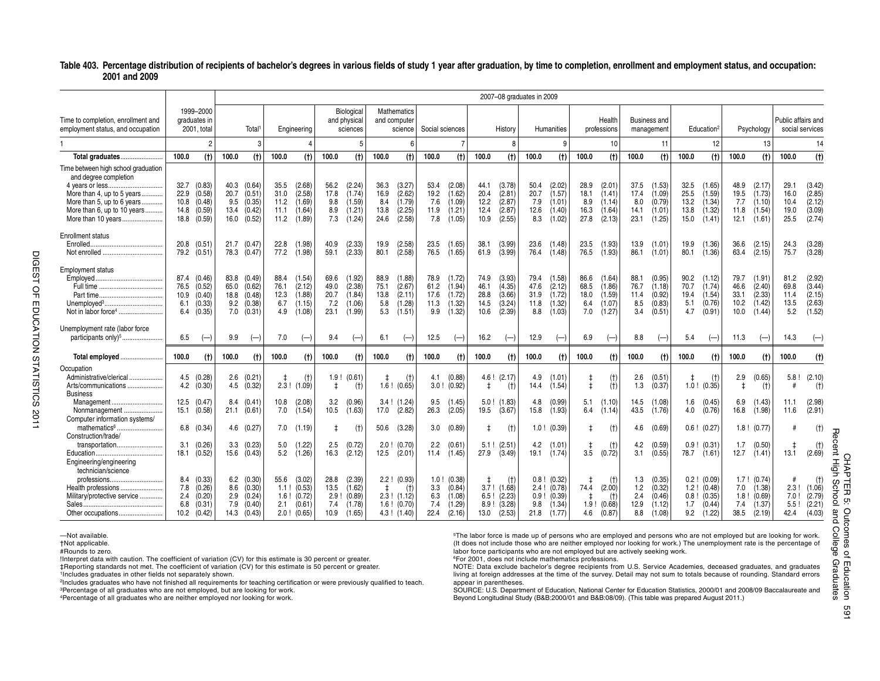#### Table 403. Percentage distribution of recipients of bachelor's degrees in various fields of study 1 year after graduation, by time to completion, enrollment and employment status, and occupation: **2001 and 2009**

|                                                                                                                                                                                                                                                                                                                                                                                                                                                                                                                                                                                                                                                                                                   |                                                                     |                             |                                      |                             |                                      |                             |                                        |                             |                                        |                              |                                      |                              |                                      | 2007-08 graduates in 2009                                                                                                                                                                                                                                                                                                                                                                                                                                                                                                                                                                                                                                                                                                                                                                                                                                                           |                                      |                             |                                      |                             |                                      |                             |                                      |                              |                                      |                              |                            |
|---------------------------------------------------------------------------------------------------------------------------------------------------------------------------------------------------------------------------------------------------------------------------------------------------------------------------------------------------------------------------------------------------------------------------------------------------------------------------------------------------------------------------------------------------------------------------------------------------------------------------------------------------------------------------------------------------|---------------------------------------------------------------------|-----------------------------|--------------------------------------|-----------------------------|--------------------------------------|-----------------------------|----------------------------------------|-----------------------------|----------------------------------------|------------------------------|--------------------------------------|------------------------------|--------------------------------------|-------------------------------------------------------------------------------------------------------------------------------------------------------------------------------------------------------------------------------------------------------------------------------------------------------------------------------------------------------------------------------------------------------------------------------------------------------------------------------------------------------------------------------------------------------------------------------------------------------------------------------------------------------------------------------------------------------------------------------------------------------------------------------------------------------------------------------------------------------------------------------------|--------------------------------------|-----------------------------|--------------------------------------|-----------------------------|--------------------------------------|-----------------------------|--------------------------------------|------------------------------|--------------------------------------|------------------------------|----------------------------|
| Time to completion, enrollment and<br>employment status, and occupation                                                                                                                                                                                                                                                                                                                                                                                                                                                                                                                                                                                                                           | 1999-2000<br>graduates in<br>2001, total                            |                             | Total <sup>1</sup>                   |                             | Engineering                          |                             | Biological<br>and physical<br>sciences |                             | Mathematics<br>and computer<br>science | Social sciences              |                                      |                              | History                              |                                                                                                                                                                                                                                                                                                                                                                                                                                                                                                                                                                                                                                                                                                                                                                                                                                                                                     | Humanities                           |                             | Health<br>professions                |                             | <b>Business and</b><br>management    |                             | Education <sup>2</sup>               |                              | Psychology                           | Public affairs and           | social services            |
|                                                                                                                                                                                                                                                                                                                                                                                                                                                                                                                                                                                                                                                                                                   | 2                                                                   |                             | 3                                    |                             |                                      |                             |                                        |                             | 6                                      |                              | $\overline{7}$                       |                              | 8                                    |                                                                                                                                                                                                                                                                                                                                                                                                                                                                                                                                                                                                                                                                                                                                                                                                                                                                                     | 9                                    |                             | 10                                   |                             | 11                                   |                             | 12                                   |                              | 13                                   |                              | 14                         |
| Total graduates                                                                                                                                                                                                                                                                                                                                                                                                                                                                                                                                                                                                                                                                                   | 100.0<br>(t)                                                        | 100.0                       | (f)                                  | 100.0                       | (f)                                  | 100.0                       | (t)                                    | 100.0                       | (t)                                    | 100.0                        | $(+)$                                | 100.0                        | $(+)$                                | 100.0                                                                                                                                                                                                                                                                                                                                                                                                                                                                                                                                                                                                                                                                                                                                                                                                                                                                               | (f)                                  | 100.0                       | (f)                                  | 100.0                       | (t)                                  | 100.0                       | $(+)$                                | 100.0                        | (f)                                  | 100.0                        | (t)                        |
| Time between high school graduation<br>and degree completion<br>4 years or less                                                                                                                                                                                                                                                                                                                                                                                                                                                                                                                                                                                                                   | (0.83)<br>32.7                                                      | 40.3                        | (0.64)                               | 35.5                        | (2.68)                               | 56.2                        | (2.24)                                 | 36.3                        | (3.27)                                 | 53.4                         | (2.08)                               | 44.1                         | (3.78)                               | 50.4                                                                                                                                                                                                                                                                                                                                                                                                                                                                                                                                                                                                                                                                                                                                                                                                                                                                                | (2.02)                               | 28.9                        | (2.01)                               | 37.5                        | (1.53)                               | 32.5                        | (1.65)                               | 48.9                         | (2.17)                               | 29.1                         | (3.42)                     |
| More than 4, up to 5 years<br>More than 5, up to 6 years<br>More than 6, up to 10 years                                                                                                                                                                                                                                                                                                                                                                                                                                                                                                                                                                                                           | 22.9<br>(0.58)<br>10.8<br>(0.48)<br>14.8<br>(0.59)                  | 20.7<br>9.5                 | (0.51)<br>(0.35)<br>13.4 (0.42)      | 31.0<br>11.2<br>11.1        | (2.58)<br>(1.69)<br>(1.64)           | 17.8<br>9.8<br>8.9          | (1.74)<br>(1.59)<br>(1.21)             | 16.9<br>8.4<br>13.8         | (2.62)<br>(1.79)<br>(2.25)             | 19.2<br>7.6<br>11.9          | (1.62)<br>(1.09)<br>(1.21)           | 20.4<br>12.2<br>12.4         | (2.81)<br>(2.87)<br>(2.87)           | 20.7<br>7.9<br>12.6                                                                                                                                                                                                                                                                                                                                                                                                                                                                                                                                                                                                                                                                                                                                                                                                                                                                 | (1.57)<br>(1.01)<br>(1.40)           | 18.1<br>8.9<br>16.3         | (1.41)<br>(1.14)<br>(1.64)           | 17.4<br>8.0<br>14.1         | (1.09)<br>(0.79)<br>(1.01)           | 25.5<br>13.2<br>13.8        | (1.59)<br>(1.34)<br>(1.32)           | 19.5<br>7.7<br>11.8          | (1.73)<br>(1.10)<br>(1.54)           | 16.0<br>10.4<br>19.0         | (2.85)<br>(2.12)<br>(3.09) |
|                                                                                                                                                                                                                                                                                                                                                                                                                                                                                                                                                                                                                                                                                                   | 18.8<br>(0.59)                                                      |                             | 16.0 (0.52)                          | 11.2                        | (1.89)                               | 7.3                         | (1.24)                                 | 24.6                        | (2.58)                                 | 7.8                          | (1.05)                               | 10.9                         | (2.55)                               | 8.3                                                                                                                                                                                                                                                                                                                                                                                                                                                                                                                                                                                                                                                                                                                                                                                                                                                                                 | (1.02)                               | 27.8                        | (2.13)                               | 23.1                        | (1.25)                               | 15.0                        | (1.41)                               | 12.1                         | (1.61)                               | 25.5                         | (2.74)                     |
| <b>Enrollment status</b><br>Enrolled.                                                                                                                                                                                                                                                                                                                                                                                                                                                                                                                                                                                                                                                             | (0.51)<br>20.8<br>79.2<br>(0.51)                                    | 78.3                        | $21.7$ $(0.47)$<br>(0.47)            | 22.8<br>77.2                | (1.98)<br>(1.98)                     | 40.9<br>59.1                | (2.33)<br>(2.33)                       | 19.9<br>80.1                | (2.58)<br>(2.58)                       | 23.5<br>76.5                 | (1.65)<br>(1.65)                     | 38.1<br>61.9                 | (3.99)<br>(3.99)                     | 23.6<br>76.4                                                                                                                                                                                                                                                                                                                                                                                                                                                                                                                                                                                                                                                                                                                                                                                                                                                                        | (1.48)<br>(1.48)                     | 23.5<br>76.5                | (1.93)<br>(1.93)                     | 13.9<br>86.1                | (1.01)<br>(1.01)                     | 19.9<br>80.1                | (1.36)<br>(1.36)                     | 36.6<br>63.4                 | (2.15)<br>(2.15)                     | 24.3<br>75.7                 | (3.28)<br>(3.28)           |
| <b>Employment status</b>                                                                                                                                                                                                                                                                                                                                                                                                                                                                                                                                                                                                                                                                          |                                                                     |                             |                                      |                             |                                      |                             |                                        |                             |                                        |                              |                                      |                              |                                      |                                                                                                                                                                                                                                                                                                                                                                                                                                                                                                                                                                                                                                                                                                                                                                                                                                                                                     |                                      |                             |                                      |                             |                                      |                             |                                      |                              |                                      |                              | (2.92)                     |
| Unemployed <sup>3</sup>                                                                                                                                                                                                                                                                                                                                                                                                                                                                                                                                                                                                                                                                           | 87.4<br>(0.46)<br>(0.52)<br>76.5<br>10.9<br>(0.40)<br>6.1<br>(0.33) | 83.8<br>65.0<br>18.8<br>9.2 | (0.49)<br>(0.62)<br>(0.48)<br>(0.38) | 88.4<br>76.1<br>12.3<br>6.7 | (1.54)<br>(2.12)<br>(1.88)<br>(1.15) | 69.6<br>49.0<br>20.7<br>7.2 | (1.92)<br>(2.38)<br>(1.84)<br>(1.06)   | 88.9<br>75.1<br>13.8<br>5.8 | (1.88)<br>(2.67)<br>(2.11)<br>(1.28)   | 78.9<br>61.2<br>17.6<br>11.3 | (1.72)<br>(1.94)<br>(1.72)<br>(1.32) | 74.9<br>46.1<br>28.8<br>14.5 | (3.93)<br>(4.35)<br>(3.66)<br>(3.24) | 79.4<br>47.6<br>31.9<br>11.8                                                                                                                                                                                                                                                                                                                                                                                                                                                                                                                                                                                                                                                                                                                                                                                                                                                        | (1.58)<br>(2.12)<br>(1.72)<br>(1.32) | 86.6<br>68.5<br>18.0<br>6.4 | (1.64)<br>(1.86)<br>(1.59)<br>(1.07) | 88.1<br>76.7<br>11.4<br>8.5 | (0.95)<br>(1.18)<br>(0.92)<br>(0.83) | 90.2<br>70.7<br>19.4<br>5.1 | (1.12)<br>(1.74)<br>(1.54)<br>(0.76) | 79.7<br>46.6<br>33.1<br>10.2 | (1.91)<br>(2.40)<br>(2.33)<br>(1.42) | 81.2<br>69.8<br>11.4<br>13.5 | (3.44)<br>(2.15)<br>(2.63) |
| Not in labor force <sup>4</sup>                                                                                                                                                                                                                                                                                                                                                                                                                                                                                                                                                                                                                                                                   | (0.35)<br>6.4                                                       |                             | $7.0$ $(0.31)$                       | 4.9                         | (1.08)                               | 23.1                        | (1.99)                                 | 5.3                         | (1.51)                                 | 9.9                          | (1.32)                               | 10.6                         | (2.39)                               | 8.8                                                                                                                                                                                                                                                                                                                                                                                                                                                                                                                                                                                                                                                                                                                                                                                                                                                                                 | (1.03)                               | 7.0                         | (1.27)                               | 3.4                         | (0.51)                               | 4.7                         | (0.91)                               | 10.0                         | (1.44)                               | 5.2                          | (1.52)                     |
| Unemployment rate (labor force)<br>participants only) <sup>5</sup>                                                                                                                                                                                                                                                                                                                                                                                                                                                                                                                                                                                                                                | 6.5<br>$(-)$                                                        | 9.9                         | $(-)$                                | 7.0                         | $(-)$                                | 9.4                         | $(-)$                                  | 6.1                         | $(-)$                                  | 12.5                         | $(-)$                                | 16.2                         | $(-)$                                | 12.9                                                                                                                                                                                                                                                                                                                                                                                                                                                                                                                                                                                                                                                                                                                                                                                                                                                                                | $(-)$                                | 6.9                         | $(-)$                                | 8.8                         | $(-)$                                | 5.4                         | $(-)$                                | 11.3                         | $(-)$                                | 14.3                         | $(-)$                      |
| Total employed                                                                                                                                                                                                                                                                                                                                                                                                                                                                                                                                                                                                                                                                                    | 100.0<br>(t)                                                        | 100.0                       | (f)                                  | 100.0                       | (t)                                  | 100.0                       | (t)                                    | 100.0                       | (t)                                    | 100.0                        | (t)                                  | 100.0                        | (t)                                  | 100.0                                                                                                                                                                                                                                                                                                                                                                                                                                                                                                                                                                                                                                                                                                                                                                                                                                                                               | $(+)$                                | 100.0                       | (t)                                  | 100.0                       | (t)                                  | 100.0                       | (t)                                  | 100.0                        | (t)                                  | 100.0                        | (t)                        |
| Occupation<br>Administrative/clerical<br>Arts/communications                                                                                                                                                                                                                                                                                                                                                                                                                                                                                                                                                                                                                                      | 4.5<br>(0.28)<br>(0.30)<br>4.2                                      | 4.5                         | $2.6$ $(0.21)$<br>(0.32)             |                             | $(+)$<br>$2.3$ ! $(1.09)$            | 1.9!<br>$\ddagger$          | (0.61)<br>(t)                          |                             | (t)<br>$1.6$ ! (0.65)                  | 4.1                          | (0.88)<br>$3.0$ ! $(0.92)$           | $\ddagger$                   | $4.6$ ! $(2.17)$<br>$(+)$            | 4.9<br>14.4                                                                                                                                                                                                                                                                                                                                                                                                                                                                                                                                                                                                                                                                                                                                                                                                                                                                         | (1.01)<br>(1.54)                     | ŧ<br>$\ddagger$             | (t)<br>(t)                           | 2.6<br>1.3                  | (0.51)<br>(0.37)                     |                             | (t)<br>$1.0$ ! (0.35)                | 2.9<br>$\ddagger$            | (0.65)<br>(t)                        | 5.8!<br>#                    | (2.10)<br>(t)              |
| <b>Business</b><br>Management<br>Nonmanagement<br>Computer information systems/                                                                                                                                                                                                                                                                                                                                                                                                                                                                                                                                                                                                                   | 12.5<br>(0.47)<br>15.1<br>(0.58)                                    | 8.4                         | (0.41)<br>$21.1$ $(0.61)$            | 10.8<br>7.0                 | (2.08)<br>(1.54)                     | 3.2<br>10.5                 | (0.96)<br>(1.63)                       | 17.0                        | $3.4$ ! (1.24)<br>(2.82)               | 9.5<br>26.3                  | (1.45)<br>(2.05)                     | 5.0!<br>19.5                 | (1.83)<br>(3.67)                     | 4.8<br>15.8                                                                                                                                                                                                                                                                                                                                                                                                                                                                                                                                                                                                                                                                                                                                                                                                                                                                         | (0.99)<br>(1.93)                     | 5.1<br>6.4                  | (1.10)<br>(1.14)                     | 14.5<br>43.5                | (1.08)<br>(1.76)                     | 1.6<br>4.0                  | (0.45)<br>(0.76)                     | 6.9<br>16.8                  | (1.43)<br>(1.98)                     | 11.1<br>11.6                 | (2.98)<br>(2.91)           |
| mathematics <sup>6</sup><br>Construction/trade/                                                                                                                                                                                                                                                                                                                                                                                                                                                                                                                                                                                                                                                   | (0.34)<br>6.8                                                       |                             | $4.6$ $(0.27)$                       | 7.0                         | (1.19)                               | $\ddagger$                  | (t)                                    | 50.6                        | (3.28)                                 | 3.0                          | (0.89)                               | ŧ                            | (t)                                  |                                                                                                                                                                                                                                                                                                                                                                                                                                                                                                                                                                                                                                                                                                                                                                                                                                                                                     | $1.0$ ! $(0.39)$                     | ŧ                           | (t)                                  | 4.6                         | (0.69)                               |                             | $0.6$ ! $(0.27)$                     |                              | $1.8$ ! $(0.77)$                     | #                            | (t)                        |
| transportation<br>Education<br>Engineering/engineering                                                                                                                                                                                                                                                                                                                                                                                                                                                                                                                                                                                                                                            | $3.1$ $(0.26)$<br>(0.52)<br>18.1                                    |                             | $3.3$ $(0.23)$<br>$15.6$ $(0.43)$    | 5.0                         | (1.22)<br>$5.2$ $(1.26)$             | $2.5\,$<br>16.3             | (0.72)<br>(2.12)                       |                             | $2.0$ ! $(0.70)$<br>$12.5$ $(2.01)$    | 2.2                          | (0.61)<br>$11.4$ $(1.45)$            | 5.1!<br>27.9                 | (2.51)<br>(3.49)                     | 4.2                                                                                                                                                                                                                                                                                                                                                                                                                                                                                                                                                                                                                                                                                                                                                                                                                                                                                 | (1.01)<br>19.1 (1.74)                | ₫.<br>3.5                   | $(+)$<br>(0.72)                      | 4.2<br>3.1                  | (0.59)<br>(0.55)                     |                             | $0.9$ ! $(0.31)$<br>78.7 (1.61)      | 1.7                          | (0.50)<br>$12.7$ $(1.41)$            | 13.1                         | (t)<br>(2.69)              |
| technician/science<br>professions<br>Health professions                                                                                                                                                                                                                                                                                                                                                                                                                                                                                                                                                                                                                                           | (0.33)<br>8.4<br>7.8<br>(0.26)                                      | 8.6                         | $6.2$ $(0.30)$<br>(0.30)             | 55.6                        | (3.02)<br>$1.1$ ! $(0.53)$           | 28.8<br>13.5                | (2.39)<br>(1.62)                       | $\pm$                       | $2.2$ ! (0.93)<br>$(+)$                | 3.3                          | $1.0$ ! (0.38)<br>(0.84)             | t                            | (t)<br>$3.7$ ! $(1.68)$              | 0.8!                                                                                                                                                                                                                                                                                                                                                                                                                                                                                                                                                                                                                                                                                                                                                                                                                                                                                | (0.32)<br>$2.4$ ! $(0.78)$           | 74.4                        | (t)<br>(2.00)                        | 1.3<br>1.2                  | (0.35)<br>(0.32)                     |                             | $0.2$ ! $(0.09)$<br>$1.2$ ! $(0.48)$ | 7.0                          | $1.7$ ! $(0.74)$<br>(1.38)           | #<br>2.3!                    | $(+)$<br>(1.06)            |
| Military/protective service<br>Sales                                                                                                                                                                                                                                                                                                                                                                                                                                                                                                                                                                                                                                                              | (0.20)<br>2.4<br>6.8<br>(0.31)                                      | 2.9<br>7.9                  | (0.24)<br>(0.40)                     |                             | $1.6$ ! $(0.72)$<br>$2.1$ (0.61)     | 2.9!<br>7.4                 | (0.89)<br>(1.78)                       |                             | $2.3$ ! $(1.12)$<br>$1.6$ ! $(0.70)$   | 6.3<br>7.4                   | (1.08)<br>(1.29)                     | 6.5!<br>8.9!                 | (2.23)<br>(3.28)                     | 0.9!<br>9.8                                                                                                                                                                                                                                                                                                                                                                                                                                                                                                                                                                                                                                                                                                                                                                                                                                                                         | (0.39)<br>(1.34)                     | $\pm$                       | (t)<br>$1.9$ ! (0.68)                | 2.4<br>12.9                 | (0.46)<br>(1.12)                     | 1.7                         | $0.8$ ! $(0.35)$<br>(0.44)           | 1.8!<br>7.4                  | (0.69)<br>(1.37)                     | 7.0!<br>5.5!                 | (2.79)<br>(2.21)           |
| Other occupations                                                                                                                                                                                                                                                                                                                                                                                                                                                                                                                                                                                                                                                                                 | $10.2$ $(0.42)$                                                     |                             | $14.3$ $(0.43)$                      |                             | $2.0$ ! (0.65)                       | 10.9                        | (1.65)                                 |                             | $4.3$ ! $(1.40)$                       | 22.4                         | (2.16)                               | 13.0                         | (2.53)                               | 21.8                                                                                                                                                                                                                                                                                                                                                                                                                                                                                                                                                                                                                                                                                                                                                                                                                                                                                | (1.77)                               | 4.6                         | (0.87)                               | 8.8                         | (1.08)                               | 9.2                         | (1.22)                               | 38.5                         | (2.19)                               | 42.4                         | (4.03)                     |
| -Not available.<br>†Not applicable.<br>#Rounds to zero.<br>!Interpret data with caution. The coefficient of variation (CV) for this estimate is 30 percent or greater.<br>‡Reporting standards not met. The coefficient of variation (CV) for this estimate is 50 percent or greater.<br><sup>1</sup> Includes graduates in other fields not separately shown.<br><sup>2</sup> Includes graduates who have not finished all requirements for teaching certification or were previously qualified to teach.<br><sup>3</sup> Percentage of all graduates who are not employed, but are looking for work.<br><sup>4</sup> Percentage of all graduates who are neither employed nor looking for work. |                                                                     |                             |                                      |                             |                                      |                             |                                        |                             |                                        |                              |                                      | appear in parentheses.       |                                      | <sup>5</sup> The labor force is made up of persons who are employed and persons who are not employed but are looking for work.<br>(It does not include those who are neither employed nor looking for work.) The unemployment rate is the percentage of<br>labor force participants who are not employed but are actively seeking work.<br><sup>6</sup> For 2001, does not include mathematics professions.<br>NOTE: Data exclude bachelor's degree recipients from U.S. Service Academies, deceased graduates, and graduates<br>living at foreign addresses at the time of the survey. Detail may not sum to totals because of rounding. Standard errors<br>SOURCE: U.S. Department of Education, National Center for Education Statistics, 2000/01 and 2008/09 Baccalaureate and<br>Beyond Longitudinal Study (B&B:2000/01 and B&B:08/09). (This table was prepared August 2011.) |                                      |                             |                                      |                             |                                      |                             |                                      |                              |                                      |                              |                            |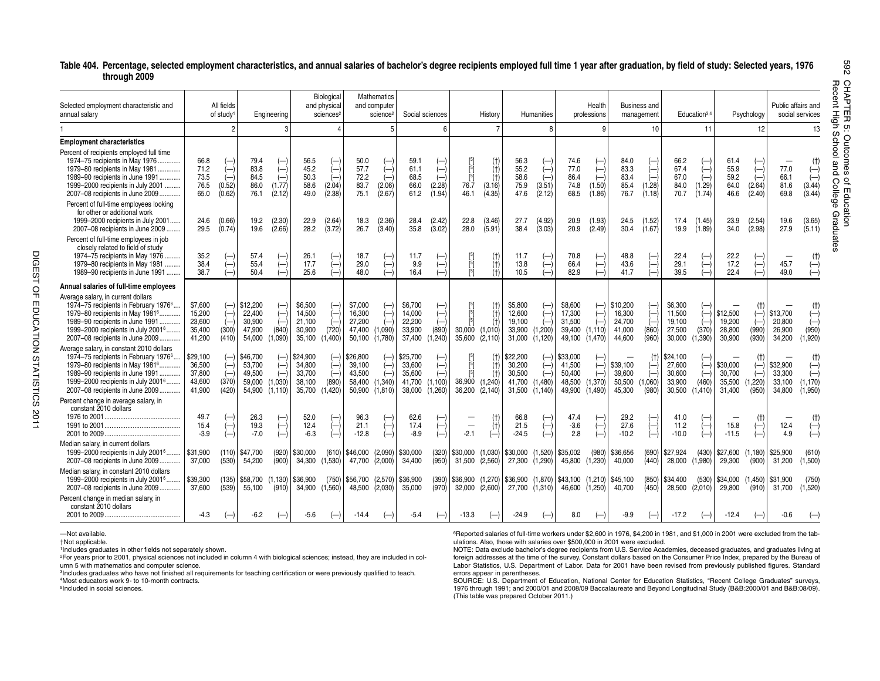#### **Table 404. Percentage, selected employment characteristics, and annual salaries of bachelor's degree recipients employed full time 1 year after graduation, by field of study: Selected years, 1976 through 2009**

| Selected emplovment characteristic and<br>annual salary                                                                                                                                                                                                                                                    |                                                  | All fields<br>of study <sup>1</sup>                  |                                                  | Engineering                                        |                                                         | Biological<br>and physical<br>sciences <sup>2</sup> |                                                  | <b>Mathematics</b><br>and computer<br>science <sup>2</sup> |                                        | Social sciences                                                                      |                                          | History                               |                                                  | <b>Humanities</b>                           |                                                  | Health<br>professions |                                                                    | <b>Business and</b><br>management                                                                                  |                                                  | Education <sup>3,4</sup>                                  |                                        | Psychology                                        | Public affairs and                     | social services                              | ecent<br>High         |
|------------------------------------------------------------------------------------------------------------------------------------------------------------------------------------------------------------------------------------------------------------------------------------------------------------|--------------------------------------------------|------------------------------------------------------|--------------------------------------------------|----------------------------------------------------|---------------------------------------------------------|-----------------------------------------------------|--------------------------------------------------|------------------------------------------------------------|----------------------------------------|--------------------------------------------------------------------------------------|------------------------------------------|---------------------------------------|--------------------------------------------------|---------------------------------------------|--------------------------------------------------|-----------------------|--------------------------------------------------------------------|--------------------------------------------------------------------------------------------------------------------|--------------------------------------------------|-----------------------------------------------------------|----------------------------------------|---------------------------------------------------|----------------------------------------|----------------------------------------------|-----------------------|
|                                                                                                                                                                                                                                                                                                            |                                                  | $\overline{2}$                                       |                                                  |                                                    |                                                         |                                                     |                                                  | 5                                                          |                                        | 6                                                                                    |                                          |                                       |                                                  |                                             |                                                  | g                     |                                                                    | 10 <sup>10</sup>                                                                                                   |                                                  | 11                                                        |                                        | 12                                                |                                        | 13                                           |                       |
| <b>Employment characteristics</b><br>Percent of recipients employed full time<br>1974-75 recipients in May 1976.<br>.<br>1979-80 recipients in May 1981<br>1989-90 recipients in June 1991.<br>1999-2000 recipients in July 2001<br>2007-08 recipients in June 2009.                                       | 66.8<br>71.2<br>73.5<br>76.5<br>65.0             | $(-)$<br>$(-)$<br>(0.52)<br>(0.62)                   | 79.4<br>83.8<br>84.5<br>86.0<br>76.1             | $(-)$<br>(—)<br>(1.77)<br>(2.12)                   | 56.5<br>45.2<br>50.3<br>58.6<br>49.0                    | $(-)$<br>$(-)$<br>$(-)$<br>(2.04)<br>(2.38)         | 50.0<br>57.7<br>72.2<br>83.7<br>75.1             | $(-)$<br>$(-)$<br>$(-)$<br>(2.06)<br>(2.67)                | 59.1<br>61.1<br>68.5<br>66.0<br>61.2   | $(-)$<br>$(-)$<br>(2.28)<br>(1.94)                                                   | $\lceil 5 \rceil$<br>[5]<br>76.7<br>46.1 | (t)<br>(t)<br>(t)<br>(3.16)<br>(4.35) | 56.3<br>55.2<br>58.6<br>75.9<br>47.6             | $(-)$<br>$(-)$<br>$(-)$<br>(3.51)<br>(2.12) | 74.6<br>77.0<br>86.4<br>74.8<br>68.5             | (1.50)<br>(1.86)      | 84.0<br>83.3<br>83.4<br>85.4<br>76.7                               | $\left( \begin{matrix} -\end{matrix} \right)$<br>$\left( \begin{matrix} -\end{matrix} \right)$<br>(1.28)<br>(1.18) | 66.2<br>67.4<br>67.0<br>84.0<br>70.7             | $(-\,$<br>$(-)$<br>$\overline{(-)}$<br>(1.29)<br>(1.74)   | 61.4<br>55.9<br>59.2<br>64.0<br>46.6   | $(-)$<br>$(-)$<br>$(-)$<br>(2.64)<br>(2.40)       | 77.0<br>66.1<br>81.6<br>69.8           | (t)<br>$(-)$<br>$(-)$<br>(3.44)<br>(3.44)    | School and<br>College |
| Percent of full-time employees looking<br>for other or additional work<br>1999-2000 recipients in July 2001<br>2007-08 recipients in June 2009                                                                                                                                                             | 24.6<br>29.5                                     | (0.66)<br>(0.74)                                     | 19.2<br>19.6                                     | (2.30)<br>(2.66)                                   | 22.9<br>28.2                                            | (2.64)<br>(3.72)                                    | 18.3<br>26.7                                     | (2.36)<br>(3.40)                                           | 28.4<br>35.8                           | (2.42)<br>(3.02)                                                                     | 22.8<br>28.0                             | (3.46)<br>(5.91)                      | 27.7<br>38.4                                     | (4.92)<br>(3.03)                            | 20.9<br>20.9                                     | (1.93)<br>(2.49)      | 24.5<br>30.4                                                       | (1.52)<br>(1.67)                                                                                                   | 17.4<br>19.9                                     | (1.45)<br>(1.89)                                          | 23.9<br>34.0                           | (2.54)<br>(2.98)                                  | 19.6<br>27.9                           | (3.65)<br>(5.11)                             | Graduates             |
| Percent of full-time employees in job<br>closely related to field of study<br>1974-75 recipients in May 1976<br>1979-80 recipients in May 1981<br>1989-90 recipients in June 1991                                                                                                                          | 35.2<br>38.4<br>38.7                             | $(-)$<br>$\left( \rightarrow \right)$<br>$(-)$       | 57.4<br>55.4<br>50.4                             | $(-)$<br>$\left( -\right)$<br>$\left( -\right)$    | 26.1<br>17.7<br>25.6                                    | $(-)$<br>$\left( \rightarrow \right)$<br>$(-)$      | 18.7<br>29.0<br>48.0                             | $(-)$<br>$(-)$<br>$(-)$                                    | 11.7<br>9.9<br>16.4                    | $(-)$<br>$(-)$                                                                       | $^{[5]}$                                 | (t)<br>(t)<br>(t)                     | 11.7<br>13.8<br>10.5                             | $(-)$<br>$(-)$<br>$(-)$                     | 70.8<br>66.4<br>82.9                             |                       | 48.8<br>43.6<br>41.7                                               | $(-)$<br>$\left( \rightarrow \right)$<br>(—)                                                                       | 22.4<br>29.1<br>39.5                             | $(-)$<br>(—)<br>(—)                                       | 22.2<br>17.2<br>22.4                   | $(-)$<br>$(-)$<br>$(-)$                           | 45.7<br>49.0                           | (t)<br>$(-)$<br>$(-)$                        |                       |
| Annual salaries of full-time employees<br>Average salary, in current dollars<br>1974-75 recipients in February 1976 <sup>6</sup><br>1979-80 recipients in May 1981 <sup>6</sup> .<br>1989-90 recipients in June 1991.<br>1999-2000 recipients in July 2001 <sup>6</sup><br>2007-08 recipients in June 2009 | \$7,600<br>15,200<br>23,600<br>35,400<br>41.200  | $(-)$<br>$\overline{(-)}$<br>$(-)$<br>(300)<br>(410) | \$12,200<br>22,400<br>30,900<br>47,900<br>54,000 | $(-)$<br>$(-)$<br>$(-)$<br>(840)<br>(1,090)        | \$6,500<br>14,500<br>21,100<br>30,900<br>35,100 (1,400) | $(-)$<br>$(-)$<br>$(-)$<br>(720)                    | \$7,000<br>16,300<br>27,200<br>47,400<br>50,100  | $\overline{(-)}$<br>$(-)$<br>(1,090)<br>(1,780)            | \$6,700<br>14,000<br>22,200<br>33,900  | $(-)$<br>$(-)$<br>$(-)$<br>(890)<br>37.400 (1.240)                                   | 30,000<br>35,600 (2,110)                 | (t)<br>(t)<br>(1,010)                 | \$5,800<br>12,600<br>19,100<br>33,900<br>31,000  | $(-)$<br>$(-)$<br>(—<br>(1,200)<br>(1, 120) | \$8,600<br>17,300<br>31,500<br>39,400<br>49.100  | (1, 110)<br>(1.470)   | $(-)$ \$10,200<br>16,300<br>24,700<br>41,000<br>44.600             | $(-)$<br>(860)<br>(960)                                                                                            | \$6,300<br>11,500<br>19,100<br>27,500<br>30.000  | $(-)$<br>$(-)$<br>$(-)$<br>(370)<br>(1.390)               | \$12,500<br>19,200<br>28,800<br>30.900 | (t)<br>$(-)$<br>$(-)$<br>(990)<br>(930)           | \$13,700<br>20,800<br>26,900<br>34,200 | (t)<br>$(-)$<br>$(-)$<br>(950)<br>(1,920)    |                       |
| Average salary, in constant 2010 dollars<br>1974–75 recipients in February 1976 <sup>6</sup><br>1979-80 recipients in May 1981 <sup>6</sup> .<br>1989-90 recipients in June 1991<br>1999-2000 recipients in July 20016<br>2007-08 recipients in June 2009.                                                 | \$29.100<br>36.500<br>37.800<br>43,600<br>41.900 | $(-)$<br>$\overline{(-)}$<br>(370)<br>(420)          | \$46.700<br>53.700<br>49.500<br>59,000<br>54,900 | $(-)$<br>$\overleftarrow{-}$<br>(1,030)<br>(1.110) | \$24.900<br>34.800<br>33.700<br>38,100<br>35,700        | $(-)$<br>$(-)$<br>$(-)$<br>(890)<br>(1,420)         | \$26,800<br>39,100<br>43,500<br>58,400<br>50,900 | $(-)$<br>$(-)$<br>$(-)$<br>(1,340)<br>(1,810)              | \$25.700<br>33.600<br>35,600<br>41,700 | $(-)$<br>$\left( \begin{matrix} - \end{matrix} \right)$<br>(1,100)<br>38,000 (1,260) |                                          | 36,900 (1,240)<br>36,200 (2,140)      | \$22.200<br>30.200<br>30,500<br>41,700<br>31,500 | $(-)$<br>(1,480)<br>(1, 140)                | \$33,000<br>41.500<br>50.400<br>48,500<br>49,900 | (1,370)<br>(1,490)    | $\overline{\phantom{0}}$<br>\$39.100<br>39.600<br>50,500<br>45.300 | (t)<br>(1,060)<br>(980)                                                                                            | \$24.100<br>27.600<br>30.600<br>33,900<br>30,500 | $\overline{\phantom{0}}$<br>(—<br>(—<br>(460)<br>(1, 410) | \$30,000<br>30,700<br>35,500<br>31,400 | (t)<br>(—<br>$\overline{(-)}$<br>(1,220)<br>(950) | \$32.900<br>33,300<br>33,100<br>34,800 | (t)<br>$(-)$<br>$(-)$<br>(1, 170)<br>(1,950) |                       |
| Percent change in average salary, in<br>constant 2010 dollars                                                                                                                                                                                                                                              | 49.7<br>15.4<br>$-3.9$                           | $(-)$<br>$(-)$                                       | 26.3<br>19.3<br>$-7.0$                           | $(-)$<br>$\overline{\phantom{a}}$                  | 52.0<br>12.4<br>$-6.3$                                  | $(-)$<br>$(-)$<br>$(-)$                             | 96.3<br>21.1<br>$-12.8$                          | $(-)$<br>$(-)$                                             | 62.6<br>17.4<br>$-8.9$                 | $(-)$<br>$(-)$                                                                       | $\overline{\phantom{m}}$<br>$-2.1$       | (t)<br>(t)<br>$(-)$                   | 66.8<br>21.5<br>$-24.5$                          | $(-)$<br>$(-)$                              | 47.4<br>$-3.6$<br>2.8                            |                       | 29.2<br>27.6<br>$-10.2$                                            | $(-)$<br>$(-)$                                                                                                     | 41.0<br>11.2<br>$-10.0$                          | $(-)$<br>$(-)$                                            | 15.8<br>$-11.5$                        | (t)<br>$(-$                                       | 12.4<br>4.9                            | (t)<br>$(-)$<br>$(-)$                        |                       |
| Median salary, in current dollars<br>1999-2000 recipients in July 20016<br>2007-08 recipients in June 2009.                                                                                                                                                                                                | \$31,900<br>37.000                               | (530)                                                | $(110)$ \$47,700<br>54,200                       | (920)<br>(900)                                     | \$30,000<br>34,300                                      | (610)<br>(1,530)                                    | \$46,000<br>47,700                               | (2,090)<br>(2,000)                                         | \$30,000<br>34,400                     | (950)                                                                                | $(320)$ \$30,000<br>31,500 (2,560)       | (1,030)                               | \$30,000<br>27,300 (1,290)                       |                                             | $(1,520)$ \$35,002<br>45,800                     | (980)<br>(1,230)      | \$36,656<br>40,000                                                 | (690)<br>(440)                                                                                                     | \$27,924<br>28,000                               | (430)<br>(1,980)                                          | \$27,600<br>29,300                     | (1,180)<br>(900)                                  | \$25,900<br>31,200                     | (610)<br>(1,500)                             |                       |
| Median salarv. in constant 2010 dollars<br>1999-2000 recipients in July 2001 <sup>6</sup><br>2007-08 recipients in June 2009.                                                                                                                                                                              | \$39,300<br>37,600                               | (135)<br>(539)                                       | \$58,700<br>55,100                               | (1, 130)<br>(910)                                  | \$36,900<br>34,900 (1,560)                              | (750)                                               | \$56.700<br>48,500                               | (2.570)<br>(2,030)                                         | \$36,900<br>35,000                     | (390)<br>(970)                                                                       | \$36,900                                 | (1,270)<br>32,000 (2,600)             | \$36,900                                         | 27,700 (1,310)                              | $(1,870)$ \$43,100<br>46,600 (1,250)             | (1,210)               | \$45,100<br>40,700                                                 | (850)<br>(450)                                                                                                     | \$34.400<br>28,500                               | (530)<br>(2,010)                                          | \$34,000<br>29,800                     | (1.450)<br>(910)                                  | \$31.900<br>31,700                     | (750)<br>(1,520)                             |                       |
| Percent change in median salary, in<br>constant 2010 dollars                                                                                                                                                                                                                                               | -4.3                                             |                                                      | $-6.2$                                           |                                                    | $-5.6$                                                  | $(-)$                                               | $-14.4$                                          |                                                            | $-5.4$                                 |                                                                                      | $-13.3$                                  |                                       | $-24.9$                                          |                                             | 8.0                                              |                       | $-9.9$                                                             | $(-)$                                                                                                              | $-17.2$                                          | $(-)$                                                     | $-12.4$                                | $(-)$                                             | $-0.6$                                 | $(-)$                                        |                       |

—Not available.

†Not applicable. 1Includes graduates in other fields not separately shown.

2For years prior to 2001, physical sciences not included in column 4 with biological sciences; instead, they are included in column 5 with mathematics and computer science.

<sup>3</sup>Includes graduates who have not finished all requirements for teaching certification or were previously qualified to teach. 4Most educators work 9- to 10-month contracts.

5Included in social sciences.

6Reported salaries of full-time workers under \$2,600 in 1976, \$4,200 in 1981, and \$1,000 in 2001 were excluded from the tabulations. Also, those with salaries over \$500,000 in 2001 were excluded.

NOTE: Data exclude bachelor's degree recipients from U.S. Service Academies, deceased graduates, and graduates living at foreign addresses at the time of the survey. Constant dollars based on the Consumer Price Index, prepared by the Bureau of Labor Statistics, U.S. Department of Labor. Data for 2001 have been revised from previously published figures. Standard errors appear in parentheses.

SOURCE: U.S. Department of Education, National Center for Education Statistics, "Recent College Graduates" surveys, 1976 through 1991; and 2000/01 and 2008/09 Baccalaureate and Beyond Longitudinal Study (B&B:2000/01 and B&B:08/09). (This table was prepared October 2011.)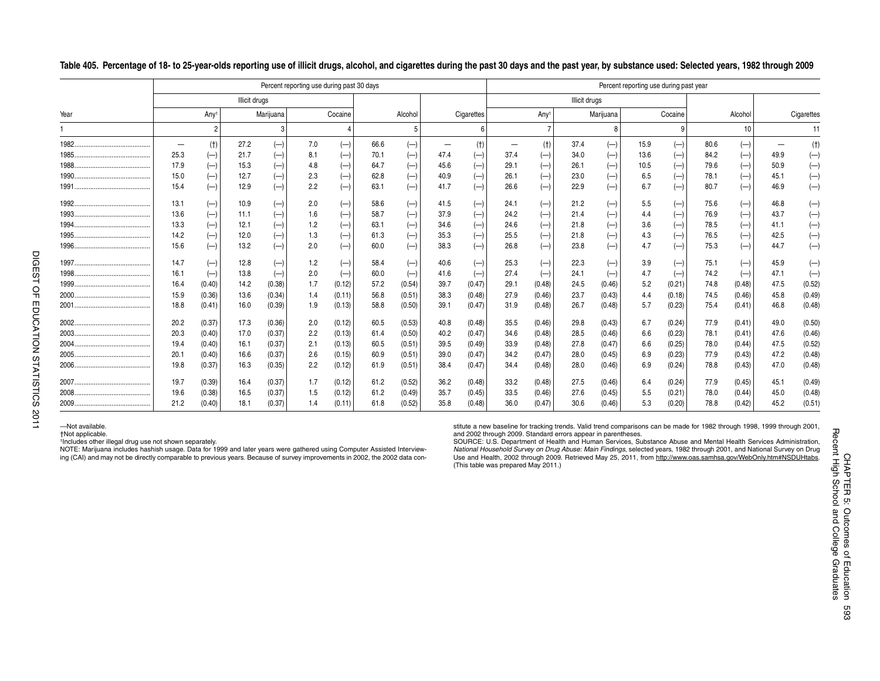|      |      |                  |                      | Percent reporting use during past 30 days |     |         |      |         |      |            |      |                              |                      |                              |      | Percent reporting use during past year |      |                              |                          |                |
|------|------|------------------|----------------------|-------------------------------------------|-----|---------|------|---------|------|------------|------|------------------------------|----------------------|------------------------------|------|----------------------------------------|------|------------------------------|--------------------------|----------------|
|      |      |                  | <b>Illicit drugs</b> |                                           |     |         |      |         |      |            |      |                              | <b>Illicit drugs</b> |                              |      |                                        |      |                              |                          |                |
| Year |      | Any <sup>1</sup> |                      | Marijuana                                 |     | Cocaine |      | Alcohol |      | Cigarettes |      | Any <sup>1</sup>             |                      | Marijuana                    |      | Cocaine                                |      | Alcohol                      |                          | Cigarettes     |
|      |      | റ                |                      |                                           |     |         |      |         |      |            |      | $\overline{7}$               |                      | 8                            |      | 9                                      |      | 10                           |                          | 11             |
|      |      | (t)              | 27.2                 | $(-)$                                     | 7.0 | $(-)$   | 66.6 | $(-)$   |      | (t)        |      | (t)                          | 37.4                 | $\left( \rightarrow \right)$ | 15.9 | $(-)$                                  | 80.6 | $\left( \rightarrow \right)$ | $\overline{\phantom{0}}$ | (†             |
|      | 25.3 | $(-)$            | 21.7                 | $(-)$                                     | 8.1 | $(-)$   | 70.1 | $(-)$   | 47.4 | $(-)$      | 37.4 | $(-)$                        | 34.0                 | $(-)$                        | 13.6 | $(-)$                                  | 84.2 | $(-)$                        | 49.9                     | (—             |
|      | 17.9 | $(-)$            | 15.3                 | $(-)$                                     | 4.8 | $(-)$   | 64.7 | $(-)$   | 45.6 | $(-)$      | 29.1 | $\left( \rightarrow \right)$ | 26.1                 | $(-)$                        | 10.5 | $(-)$                                  | 79.6 | $(-)$                        | 50.9                     | ←              |
|      | 15.0 | $(-)$            | 12.7                 | $(-)$                                     | 2.3 | $(-)$   | 62.8 | $(-)$   | 40.9 | $(-)$      | 26.1 | $(-)$                        | 23.0                 | $(-)$                        | 6.5  | $(-)$                                  | 78.1 | $(-)$                        | 45.1                     | $(-)$          |
|      | 15.4 | $(-)$            | 12.9                 | $(-)$                                     | 2.2 | $(-)$   | 63.1 | $(-)$   | 41.7 | $(-)$      | 26.6 | $(-)$                        | 22.9                 | $(-)$                        | 6.7  | $(-)$                                  | 80.7 | $(-)$                        | 46.9                     | $(-)$          |
|      | 13.1 | $(-)$            | 10.9                 | $(-)$                                     | 2.0 | $(-)$   | 58.6 | $(-)$   | 41.5 | $(-)$      | 24.1 | $\left( \rightarrow \right)$ | 21.2                 | $\left( \rightarrow \right)$ | 5.5  | $(-)$                                  | 75.6 | $(-)$                        | 46.8                     | $(-)$          |
|      | 13.6 | $(-)$            | 11.1                 | $(-)$                                     | 1.6 | $(-)$   | 58.7 | $(-)$   | 37.9 | $(-)$      | 24.2 | $(-)$                        | 21.4                 | $(-)$                        | 4.4  | $(-)$                                  | 76.9 | $(-)$                        | 43.7                     | $\overline{ }$ |
|      | 13.3 | $(-)$            | 12.1                 | $(-)$                                     | 1.2 | $(-)$   | 63.1 | $(-)$   | 34.6 | $(-)$      | 24.6 | $(-)$                        | 21.8                 | $(-)$                        | 3.6  | $(-)$                                  | 78.5 | $(-)$                        | 41.1                     | $(-)$          |
|      | 14.2 | $(-)$            | 12.0                 | $(-)$                                     | 1.3 | $(-)$   | 61.3 | $(-)$   | 35.3 | $(-)$      | 25.5 | $(-)$                        | 21.8                 | $\left( -\right)$            | 4.3  | $(-)$                                  | 76.5 | $(-)$                        | 42.5                     | (—             |
|      | 15.6 | $(-)$            | 13.2                 | $(-)$                                     | 2.0 | $(-)$   | 60.0 | $(-)$   | 38.3 | $(-)$      | 26.8 | $(-)$                        | 23.8                 | $(-)$                        | 4.7  | $(-)$                                  | 75.3 | $(-)$                        | 44.7                     | $(-)$          |
|      | 14.7 | $(-)$            | 12.8                 | $(-)$                                     | 1.2 | $(-)$   | 58.4 | $(-)$   | 40.6 | $(-)$      | 25.3 | $(-)$                        | 22.3                 | $(-)$                        | 3.9  | $(-)$                                  | 75.1 | $(-)$                        | 45.9                     | $(-)$          |
|      | 16.1 | $(-)$            | 13.8                 | $(-)$                                     | 2.0 | $(-)$   | 60.0 | $(-$    | 41.6 | $(-)$      | 27.4 | $(-)$                        | 24.1                 | $(-)$                        | 4.7  | $(-)$                                  | 74.2 | $(-)$                        | 47.1                     | (—             |
|      | 16.4 | (0.40)           | 14.2                 | (0.38)                                    | 1.7 | (0.12)  | 57.2 | (0.54)  | 39.7 | (0.47)     | 29.1 | (0.48)                       | 24.5                 | (0.46)                       | 5.2  | (0.21)                                 | 74.8 | (0.48)                       | 47.5                     | (0.52)         |
|      | 15.9 | (0.36)           | 13.6                 | (0.34)                                    | 1.4 | (0.11)  | 56.8 | (0.51)  | 38.3 | (0.48)     | 27.9 | (0.46)                       | 23.7                 | (0.43)                       | 4.4  | (0.18)                                 | 74.5 | (0.46)                       | 45.8                     | (0.49)         |
|      | 18.8 | (0.41)           | 16.0                 | (0.39)                                    | 1.9 | (0.13)  | 58.8 | (0.50)  | 39.1 | (0.47)     | 31.9 | (0.48)                       | 26.7                 | (0.48)                       | 5.7  | (0.23)                                 | 75.4 | (0.41)                       | 46.8                     | (0.48)         |
|      | 20.2 | (0.37)           | 17.3                 | (0.36)                                    | 2.0 | (0.12)  | 60.5 | (0.53)  | 40.8 | (0.48)     | 35.5 | (0.46)                       | 29.8                 | (0.43)                       | 6.7  | (0.24)                                 | 77.9 | (0.41)                       | 49.0                     | (0.50)         |
|      | 20.3 | (0.40)           | 17.0                 | (0.37)                                    | 2.2 | (0.13)  | 61.4 | (0.50)  | 40.2 | (0.47)     | 34.6 | (0.48)                       | 28.5                 | (0.46)                       | 6.6  | (0.23)                                 | 78.1 | (0.41)                       | 47.6                     | (0.46)         |
|      | 19.4 | (0.40)           | 16.1                 | (0.37)                                    | 2.1 | (0.13)  | 60.5 | (0.51)  | 39.5 | (0.49)     | 33.9 | (0.48)                       | 27.8                 | (0.47)                       | 6.6  | (0.25)                                 | 78.0 | (0.44)                       | 47.5                     | (0.52)         |
|      | 20.1 | (0.40)           | 16.6                 | (0.37)                                    | 2.6 | (0.15)  | 60.9 | (0.51)  | 39.0 | (0.47)     | 34.2 | (0.47)                       | 28.0                 | (0.45)                       | 6.9  | (0.23)                                 | 77.9 | (0.43)                       | 47.2                     | (0.48)         |
|      | 19.8 | (0.37)           | 16.3                 | (0.35)                                    | 2.2 | (0.12)  | 61.9 | (0.51)  | 38.4 | (0.47)     | 34.4 | (0.48)                       | 28.0                 | (0.46)                       | 6.9  | (0.24)                                 | 78.8 | (0.43)                       | 47.0                     | (0.48)         |
|      | 19.7 | (0.39)           | 16.4                 | (0.37)                                    | 1.7 | (0.12)  | 61.2 | (0.52)  | 36.2 | (0.48)     | 33.2 | (0.48)                       | 27.5                 | (0.46)                       | 6.4  | (0.24)                                 | 77.9 | (0.45)                       | 45.1                     | (0.49)         |
|      | 19.6 | (0.38)           | 16.5                 | (0.37)                                    | 1.5 | (0.12)  | 61.2 | (0.49)  | 35.7 | (0.45)     | 33.5 | (0.46)                       | 27.6                 | (0.45)                       | 5.5  | (0.21)                                 | 78.0 | (0.44)                       | 45.0                     | (0.48)         |
|      | 21.2 | (0.40)           | 18.1                 | (0.37)                                    | 1.4 | (0.11)  | 61.8 | (0.52)  | 35.8 | (0.48)     | 36.0 | (0.47)                       | 30.6                 | (0.46)                       | 5.3  | (0.20)                                 | 78.8 | (0.42)                       | 45.2                     | (0.51)         |

#### **Table 405. Percentage of 18- to 25-year-olds reporting use of illicit drugs, alcohol, and cigarettes during the past 30 days and the past year, by substance used: Selected years, 1982 through 2009**

DIGEST OF EDUCATION STATISTICS 2011

DIGEST OF EDUCATION STATISTICS 2011

—Not available. Stitute a new baseline for tracking trends. Valid trend comparisons can be made for 1982 through 1998, 1999 through 2001,<br>
1998, 1999 through 2001, thot applicable.

<sup>1</sup>Includes other illegal drug use not shown separately.<br>NOTE: Marijuana includes hashish usage. Data for 1999 and later years were gathered using Computer Assisted Interview-<br>National Household Survey on Drug Abuse: Main NOTE: Marijuana includes hashish usage. Data for 1999 and later years were gathered using Computer Assisted Interview- Mational Household Survey on Drug Abuse: Main Findings, selected years, 1982 through 2001, and National (This table was prepared May 2011.)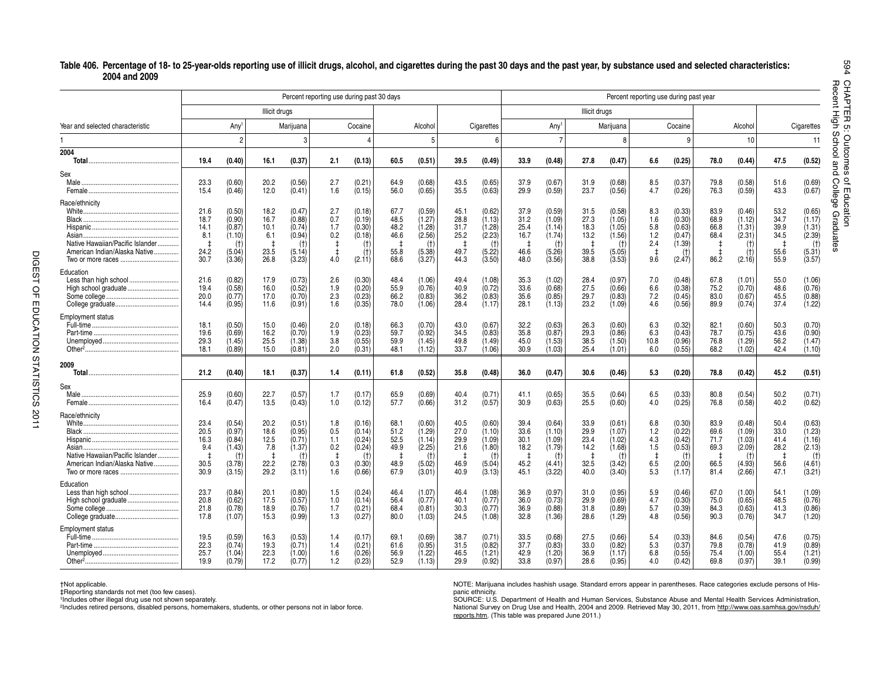#### Table 406. Percentage of 18- to 25-year-olds reporting use of illicit drugs, alcohol, and cigarettes during the past 30 days and the past year, by substance used and selected characteristics: **2004 and 2009**

|                                                                                                                    |                                                      |                                                                   |                                             | Percent reporting use during past 30 days                       |                                        |                                                                   |                                              |                                                                 |                                                       |                                                                   |                                                     |                                                                   |                                              |                                                                | Percent reporting use during past year               |                                                                 |                                              |                                                                |                                              |                                                                   |
|--------------------------------------------------------------------------------------------------------------------|------------------------------------------------------|-------------------------------------------------------------------|---------------------------------------------|-----------------------------------------------------------------|----------------------------------------|-------------------------------------------------------------------|----------------------------------------------|-----------------------------------------------------------------|-------------------------------------------------------|-------------------------------------------------------------------|-----------------------------------------------------|-------------------------------------------------------------------|----------------------------------------------|----------------------------------------------------------------|------------------------------------------------------|-----------------------------------------------------------------|----------------------------------------------|----------------------------------------------------------------|----------------------------------------------|-------------------------------------------------------------------|
|                                                                                                                    |                                                      |                                                                   | <b>Illicit drugs</b>                        |                                                                 |                                        |                                                                   |                                              |                                                                 |                                                       |                                                                   |                                                     |                                                                   | <b>Illicit drugs</b>                         |                                                                |                                                      |                                                                 |                                              |                                                                |                                              |                                                                   |
| Year and selected characteristic                                                                                   |                                                      | Any <sup>1</sup>                                                  |                                             | Marijuana                                                       |                                        | Cocaine                                                           |                                              | Alcohol                                                         |                                                       | Cigarettes                                                        |                                                     | Any <sup>1</sup>                                                  |                                              | Marijuana                                                      |                                                      | Cocaine                                                         |                                              | Alcohol                                                        |                                              | Cigarettes                                                        |
|                                                                                                                    |                                                      | $\overline{c}$                                                    |                                             | 3                                                               |                                        |                                                                   |                                              | 5                                                               |                                                       | F                                                                 |                                                     | $\overline{7}$                                                    |                                              |                                                                |                                                      | g                                                               |                                              | 10                                                             |                                              | 11                                                                |
| 2004                                                                                                               | 19.4                                                 | (0.40)                                                            | 16.1                                        | (0.37)                                                          | 2.1                                    | (0.13)                                                            | 60.5                                         | (0.51)                                                          | 39.5                                                  | (0.49)                                                            | 33.9                                                | (0.48)                                                            | 27.8                                         | (0.47)                                                         | 6.6                                                  | (0.25)                                                          | 78.0                                         | (0.44)                                                         | 47.5                                         | (0.52)                                                            |
| Sex                                                                                                                | 23.3<br>15.4                                         | (0.60)<br>(0.46)                                                  | 20.2<br>12.0                                | (0.56)<br>(0.41)                                                | 2.7<br>1.6                             | (0.21)<br>(0.15)                                                  | 64.9<br>56.0                                 | (0.68)<br>(0.65)                                                | 43.5<br>35.5                                          | (0.65)<br>(0.63)                                                  | 37.9<br>29.9                                        | (0.67)<br>(0.59)                                                  | 31.9<br>23.7                                 | (0.68)<br>(0.56)                                               | 8.5<br>4.7                                           | (0.37)<br>(0.26)                                                | 79.8<br>76.3                                 | (0.58)<br>(0.59)                                               | 51.6<br>43.3                                 | (0.69)<br>(0.67)                                                  |
| Race/ethnicity<br>Asian.<br>Native Hawaiian/Pacific Islander<br>American Indian/Alaska Native<br>Two or more races | 21.6<br>18.7<br>14.1<br>8.1<br>$\pm$<br>24.2<br>30.7 | (0.50)<br>(0.90)<br>(0.87)<br>(1.10)<br>$(+)$<br>(5.04)<br>(3.36) | 18.2<br>16.7<br>10.1<br>6.1<br>23.5<br>26.8 | (0.47)<br>(0.88)<br>(0.74)<br>(0.94)<br>(†<br>(5.14)<br>(3.23)  | 2.7<br>0.7<br>1.7<br>0.2<br>4.0        | (0.18)<br>(0.19)<br>(0.30)<br>(0.18)<br>(t)<br>(t)<br>(2.11)      | 67.7<br>48.5<br>48.2<br>46.6<br>55.8<br>68.6 | (0.59)<br>(1.27)<br>(1.28)<br>(2.56)<br>(t)<br>(5.38)<br>(3.27) | 45.1<br>28.8<br>31.7<br>25.2<br>$\pm$<br>49.7<br>44.3 | (0.62)<br>(1.13)<br>(1.28)<br>(2.23)<br>(t)<br>(5.22)<br>(3.50)   | 37.9<br>31.2<br>25.4<br>16.7<br>$+$<br>46.6<br>48.0 | (0.59)<br>(1.09)<br>(1.14)<br>(1.74)<br>$(+)$<br>(5.26)<br>(3.56) | 31.5<br>27.3<br>18.3<br>13.2<br>39.5<br>38.8 | (0.58)<br>(1.05)<br>(1.05)<br>(1.56)<br>(†<br>(5.05)<br>(3.53) | 8.3<br>1.6<br>5.8<br>1.2<br>2.4<br>$\ddagger$<br>9.6 | (0.33)<br>(0.30)<br>(0.63)<br>(0.47)<br>(1.39)<br>(t)<br>(2.47) | 83.9<br>68.9<br>66.8<br>68.4<br>86.2         | (0.46)<br>(1.12)<br>(1.31)<br>(2.31)<br>(t)<br>(t)<br>(2.16)   | 53.2<br>34.7<br>39.9<br>34.5<br>55.6<br>55.9 | (0.65)<br>(1.17)<br>(1.31)<br>(2.39)<br>$(+)$<br>(5.31)<br>(3.57) |
| Education<br>Less than high school<br>High school graduate                                                         | 21.6<br>19.4<br>20.0<br>14.4                         | (0.82)<br>(0.58)<br>(0.77)<br>(0.95)                              | 17.9<br>16.0<br>17.0<br>11.6                | (0.73)<br>(0.52)<br>(0.70)<br>(0.91)                            | 2.6<br>1.9<br>2.3<br>1.6               | (0.30)<br>(0.20)<br>(0.23)<br>(0.35)                              | 48.4<br>55.9<br>66.2<br>78.0                 | (1.06)<br>(0.76)<br>(0.83)<br>(1.06)                            | 49.4<br>40.9<br>36.2<br>28.4                          | (1.08)<br>(0.72)<br>(0.83)<br>(1.17)                              | 35.3<br>33.6<br>35.6<br>28.1                        | (1.02)<br>(0.68)<br>(0.85)<br>(1.13)                              | 28.4<br>27.5<br>29.7<br>23.2                 | (0.97)<br>(0.66)<br>(0.83)<br>(1.09)                           | 7.0<br>6.6<br>7.2<br>4.6                             | (0.48)<br>(0.38)<br>(0.45)<br>(0.56)                            | 67.8<br>75.2<br>83.0<br>89.9                 | (1.01)<br>(0.70)<br>(0.67)<br>(0.74)                           | 55.0<br>48.6<br>45.5<br>37.4                 | (1.06)<br>(0.76)<br>(0.88)<br>(1.22)                              |
| Employment status                                                                                                  | 18.1<br>19.6<br>29.3<br>18.1                         | (0.50)<br>(0.69)<br>(1.45)<br>(0.89)                              | 15.0<br>16.2<br>25.5<br>15.0                | (0.46)<br>(0.70)<br>(1.38)<br>(0.81)                            | 2.0<br>1.9<br>3.8<br>2.0               | (0.18)<br>(0.23)<br>(0.55)<br>(0.31)                              | 66.3<br>59.7<br>59.9<br>48.1                 | (0.70)<br>(0.92)<br>(1.45)<br>(1.12)                            | 43.0<br>34.5<br>49.8<br>33.7                          | (0.67)<br>(0.83)<br>(1.49)<br>(1.06)                              | 32.2<br>35.8<br>45.0<br>30.9                        | (0.63)<br>(0.87)<br>(1.53)<br>(1.03)                              | 26.3<br>29.3<br>38.5<br>25.4                 | (0.60)<br>(0.86)<br>(1.50)<br>(1.01)                           | 6.3<br>6.3<br>10.8<br>6.0                            | (0.32)<br>(0.43)<br>(0.96)<br>(0.55)                            | 82.1<br>78.7<br>76.8<br>68.2                 | (0.60)<br>(0.75)<br>(1.29)<br>(1.02)                           | 50.3<br>43.6<br>56.2<br>42.4                 | (0.70)<br>(0.90)<br>(1.47)<br>(1.10)                              |
| 2009                                                                                                               | 21.2                                                 | (0.40)                                                            | 18.1                                        | (0.37)                                                          | 1.4                                    | (0.11)                                                            | 61.8                                         | (0.52)                                                          | 35.8                                                  | (0.48)                                                            | 36.0                                                | (0.47)                                                            | 30.6                                         | (0.46)                                                         | 5.3                                                  | (0.20)                                                          | 78.8                                         | (0.42)                                                         | 45.2                                         | (0.51)                                                            |
| Sex<br>Male.                                                                                                       | 25.9<br>16.4                                         | (0.60)<br>(0.47)                                                  | 22.7<br>13.5                                | (0.57)<br>(0.43)                                                | 1.7<br>1.0                             | (0.17)<br>(0.12)                                                  | 65.9<br>57.7                                 | (0.69)<br>(0.66)                                                | 40.4<br>31.2                                          | (0.71)<br>(0.57)                                                  | 41.1<br>30.9                                        | (0.65)<br>(0.63)                                                  | 35.5<br>25.5                                 | (0.64)<br>(0.60)                                               | 6.5<br>4.0                                           | (0.33)<br>(0.25)                                                | 80.8<br>76.8                                 | (0.54)<br>(0.58)                                               | 50.2<br>40.2                                 | (0.71)<br>(0.62)                                                  |
| Race/ethnicity<br>Asian.<br>Native Hawaiian/Pacific Islander<br>American Indian/Alaska Native                      | 23.4<br>20.5<br>16.3<br>9.4<br>30.5<br>30.9          | (0.54)<br>(0.97)<br>(0.84)<br>(1.43)<br>$(+)$<br>(3.78)<br>(3.15) | 20.2<br>18.6<br>12.5<br>7.8<br>22.2<br>29.2 | (0.51)<br>(0.95)<br>(0.71)<br>(1.37)<br>(t)<br>(2.78)<br>(3.11) | 1.8<br>0.5<br>1.1<br>0.2<br>0.3<br>1.6 | (0.16)<br>(0.14)<br>(0.24)<br>(0.24)<br>$(+)$<br>(0.30)<br>(0.66) | 68.1<br>51.2<br>52.5<br>49.9<br>48.9<br>67.9 | (0.60)<br>(1.29)<br>(1.14)<br>(2.25)<br>(<br>(5.02)<br>(3.01)   | 40.5<br>27.0<br>29.9<br>21.6<br>46.9<br>40.9          | (0.60)<br>(1.10)<br>(1.09)<br>(1.80)<br>$(+)$<br>(5.04)<br>(3.13) | 39.4<br>33.6<br>30.1<br>18.2<br>t<br>45.2<br>45.1   | (0.64)<br>(1.10)<br>(1.09)<br>(1.79)<br>(t)<br>(4.41)<br>(3.22)   | 33.9<br>29.9<br>23.4<br>14.2<br>32.5<br>40.0 | (0.61)<br>(1.07)<br>(1.02)<br>(1.68)<br>(†<br>(3.42)<br>(3.40) | 6.8<br>1.2<br>4.3<br>1.5<br>$\pm$<br>6.5<br>5.3      | (0.30)<br>(0.22)<br>(0.42)<br>(0.53)<br>(t)<br>(2.00)<br>(1.17) | 83.9<br>69.6<br>71.7<br>69.3<br>66.5<br>81.4 | (0.48)<br>(1.09)<br>(1.03)<br>(2.09)<br>(†<br>(4.93)<br>(2.66) | 50.4<br>33.0<br>41.4<br>28.2<br>56.6<br>47.1 | (0.63)<br>(1.23)<br>(1.16)<br>(2.13)<br>$(+)$<br>(4.61)<br>(3.21) |
| Education<br>Less than high school<br>High school graduate                                                         | 23.7<br>20.8<br>21.8<br>17.8                         | (0.84)<br>(0.62)<br>(0.78)<br>(1.07)                              | 20.1<br>17.5<br>18.9<br>15.3                | (0.80)<br>(0.57)<br>(0.76)<br>(0.99)                            | 1.5<br>1.0<br>1.7<br>1.3               | (0.24)<br>(0.14)<br>(0.21)<br>(0.27)                              | 46.4<br>56.4<br>68.4<br>80.0                 | (1.07)<br>(0.77)<br>(0.81)<br>(1.03)                            | 46.4<br>40.1<br>30.3<br>24.5                          | (1.08)<br>(0.77)<br>(0.77)<br>(1.08)                              | 36.9<br>36.0<br>36.9<br>32.8                        | (0.97)<br>(0.73)<br>(0.88)<br>(1.36)                              | 31.0<br>29.9<br>31.8<br>28.6                 | (0.95)<br>(0.69)<br>(0.89)<br>(1.29)                           | 5.9<br>4.7<br>5.7<br>4.8                             | (0.46)<br>(0.30)<br>(0.39)<br>(0.56)                            | 67.0<br>75.0<br>84.3<br>90.3                 | (1.00)<br>(0.65)<br>(0.63)<br>(0.76)                           | 54.1<br>48.5<br>41.3<br>34.7                 | (1.09)<br>(0.76)<br>(0.86)<br>(1.20)                              |
| Employment status<br>Part-time.                                                                                    | 19.5<br>22.3<br>25.7<br>19.9                         | (0.59)<br>(0.74)<br>(1.04)<br>(0.79)                              | 16.3<br>19.3<br>22.3<br>17.2                | (0.53)<br>(0.71)<br>(1.00)<br>(0.77)                            | 1.4<br>1.4<br>1.6<br>1.2               | (0.17)<br>(0.21)<br>(0.26)<br>(0.23)                              | 69.1<br>61.6<br>56.9<br>52.9                 | (0.69)<br>(0.95)<br>(1.22)<br>(1.13)                            | 38.7<br>31.5<br>46.5<br>29.9                          | (0.71)<br>(0.82)<br>(1.21)<br>(0.92)                              | 33.5<br>37.7<br>42.9<br>33.8                        | (0.68)<br>(0.83)<br>(1.20)<br>(0.97)                              | 27.5<br>33.0<br>36.9<br>28.6                 | (0.66)<br>(0.82)<br>(1.17)<br>(0.95)                           | 5.4<br>5.3<br>6.8<br>4.0                             | (0.33)<br>(0.37)<br>(0.55)<br>(0.42)                            | 84.6<br>79.8<br>75.4<br>69.8                 | (0.54)<br>(0.78)<br>(1.00)<br>(0.97)                           | 47.6<br>41.9<br>55.4<br>39.1                 | (0.75)<br>(0.89)<br>(1.21)<br>(0.99)                              |

†Not applicable. NOTE: Marijuana includes hashish usage. Standard errors appear in parentheses. Race categories exclude persons of His-

mic ethnicity.<br>
The partial and a structure of the structure of the structure of the structure of the structure of the structure of the structure of the structure of the structure of the structure of the structure of the s reports.htm. (This table was prepared June 2011.)